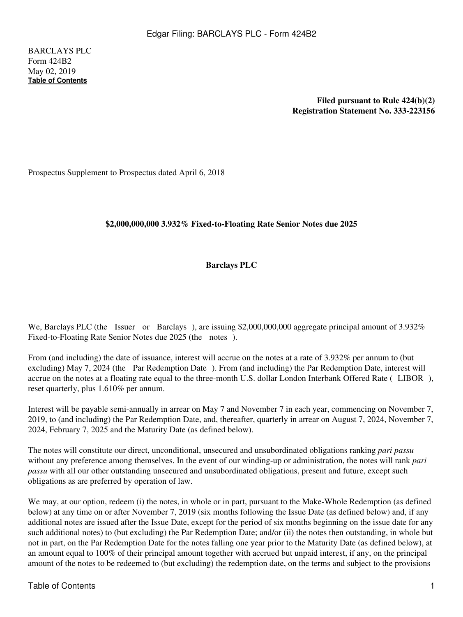BARCLAYS PLC Form 424B2 May 02, 2019 **[Table of Contents](#page-84-0)**

> **Filed pursuant to Rule 424(b)(2) Registration Statement No. 333-223156**

Prospectus Supplement to Prospectus dated April 6, 2018

### **\$2,000,000,000 3.932% Fixed-to-Floating Rate Senior Notes due 2025**

**Barclays PLC**

We, Barclays PLC (the Issuer or Barclays), are issuing \$2,000,000,000 aggregate principal amount of 3.932% Fixed-to-Floating Rate Senior Notes due 2025 (the notes).

From (and including) the date of issuance, interest will accrue on the notes at a rate of 3.932% per annum to (but excluding) May 7, 2024 (the Par Redemption Date). From (and including) the Par Redemption Date, interest will accrue on the notes at a floating rate equal to the three-month U.S. dollar London Interbank Offered Rate (LIBOR), reset quarterly, plus 1.610% per annum.

Interest will be payable semi-annually in arrear on May 7 and November 7 in each year, commencing on November 7, 2019, to (and including) the Par Redemption Date, and, thereafter, quarterly in arrear on August 7, 2024, November 7, 2024, February 7, 2025 and the Maturity Date (as defined below).

The notes will constitute our direct, unconditional, unsecured and unsubordinated obligations ranking *pari passu* without any preference among themselves. In the event of our winding-up or administration, the notes will rank *pari passu* with all our other outstanding unsecured and unsubordinated obligations, present and future, except such obligations as are preferred by operation of law.

We may, at our option, redeem (i) the notes, in whole or in part, pursuant to the Make-Whole Redemption (as defined below) at any time on or after November 7, 2019 (six months following the Issue Date (as defined below) and, if any additional notes are issued after the Issue Date, except for the period of six months beginning on the issue date for any such additional notes) to (but excluding) the Par Redemption Date; and/or (ii) the notes then outstanding, in whole but not in part, on the Par Redemption Date for the notes falling one year prior to the Maturity Date (as defined below), at an amount equal to 100% of their principal amount together with accrued but unpaid interest, if any, on the principal amount of the notes to be redeemed to (but excluding) the redemption date, on the terms and subject to the provisions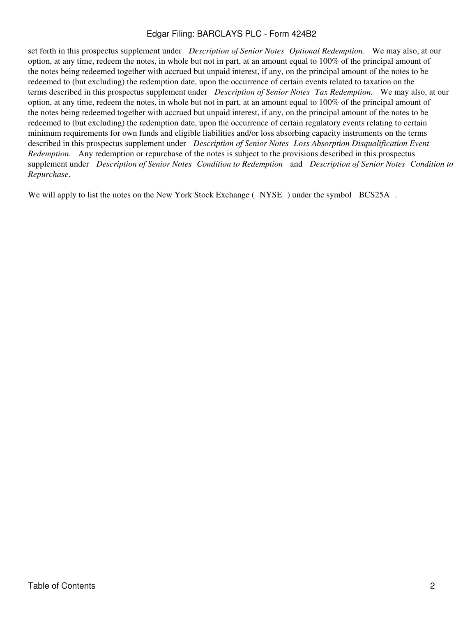set forth in this prospectus supplement under *Description of Senior Notes Optional Redemption*. We may also, at our option, at any time, redeem the notes, in whole but not in part, at an amount equal to 100% of the principal amount of the notes being redeemed together with accrued but unpaid interest, if any, on the principal amount of the notes to be redeemed to (but excluding) the redemption date, upon the occurrence of certain events related to taxation on the terms described in this prospectus supplement under *Description of Senior NotesTax Redemption.* We may also, at our option, at any time, redeem the notes, in whole but not in part, at an amount equal to 100% of the principal amount of the notes being redeemed together with accrued but unpaid interest, if any, on the principal amount of the notes to be redeemed to (but excluding) the redemption date, upon the occurrence of certain regulatory events relating to certain minimum requirements for own funds and eligible liabilities and/or loss absorbing capacity instruments on the terms described in this prospectus supplement under *Description of Senior Notes Loss Absorption Disqualification Event Redemption*. Any redemption or repurchase of the notes is subject to the provisions described in this prospectus supplement under *Description of Senior Notes Condition to Redemption* and *Description of Senior Notes Condition to Repurchase*.

We will apply to list the notes on the New York Stock Exchange (NYSE) under the symbol BCS25A.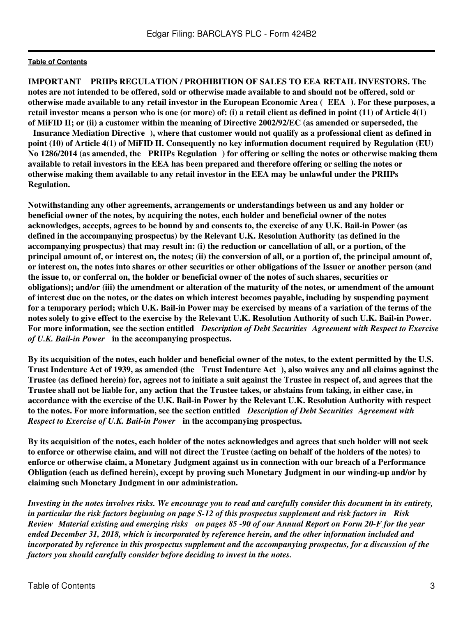**IMPORTANT PRIIPs REGULATION / PROHIBITION OF SALES TO EEA RETAIL INVESTORS. The notes are not intended to be offered, sold or otherwise made available to and should not be offered, sold or otherwise made available to any retail investor in the European Economic Area (EEA). For these purposes, a retail investor means a person who is one (or more) of: (i) a retail client as defined in point (11) of Article 4(1) of MiFID II; or (ii) a customer within the meaning of Directive 2002/92/EC (as amended or superseded, the Insurance Mediation Directive), where that customer would not qualify as a professional client as defined in point (10) of Article 4(1) of MiFID II. Consequently no key information document required by Regulation (EU) No 1286/2014 (as amended, the PRIIPs Regulation) for offering or selling the notes or otherwise making them available to retail investors in the EEA has been prepared and therefore offering or selling the notes or otherwise making them available to any retail investor in the EEA may be unlawful under the PRIIPs Regulation.**

**Notwithstanding any other agreements, arrangements or understandings between us and any holder or beneficial owner of the notes, by acquiring the notes, each holder and beneficial owner of the notes acknowledges, accepts, agrees to be bound by and consents to, the exercise of any U.K. Bail-in Power (as defined in the accompanying prospectus) by the Relevant U.K. Resolution Authority (as defined in the accompanying prospectus) that may result in: (i) the reduction or cancellation of all, or a portion, of the principal amount of, or interest on, the notes; (ii) the conversion of all, or a portion of, the principal amount of, or interest on, the notes into shares or other securities or other obligations of the Issuer or another person (and the issue to, or conferral on, the holder or beneficial owner of the notes of such shares, securities or obligations); and/or (iii) the amendment or alteration of the maturity of the notes, or amendment of the amount of interest due on the notes, or the dates on which interest becomes payable, including by suspending payment for a temporary period; which U.K. Bail-in Power may be exercised by means of a variation of the terms of the notes solely to give effect to the exercise by the Relevant U.K. Resolution Authority of such U.K. Bail-in Power.** For more information, see the section entitled Description of Debt Securities Agreement with Respect to Exercise *of U.K. Bail-in Power* **in the accompanying prospectus.**

**By its acquisition of the notes, each holder and beneficial owner of the notes, to the extent permitted by the U.S. Trust Indenture Act of 1939, as amended (the Trust Indenture Act), also waives any and all claims against the Trustee (as defined herein) for, agrees not to initiate a suit against the Trustee in respect of, and agrees that the Trustee shall not be liable for, any action that the Trustee takes, or abstains from taking, in either case, in accordance with the exercise of the U.K. Bail-in Power by the Relevant U.K. Resolution Authority with respect** to the notes. For more information, see the section entitled *Description of Debt Securities Agreement with Respect to Exercise of U.K. Bail-in Power* **in the accompanying prospectus.**

**By its acquisition of the notes, each holder of the notes acknowledges and agrees that such holder will not seek to enforce or otherwise claim, and will not direct the Trustee (acting on behalf of the holders of the notes) to enforce or otherwise claim, a Monetary Judgment against us in connection with our breach of a Performance Obligation (each as defined herein), except by proving such Monetary Judgment in our winding-up and/or by claiming such Monetary Judgment in our administration.**

*Investing in the notes involves risks. We encourage you to read and carefully consider this document in its entirety, in particular the risk factors beginning on page S-12 of this prospectus supplement and risk factors in Risk ReviewMaterial existing and emerging risks on pages 85 -90 of our Annual Report on Form 20-F for the year ended December 31, 2018, which is incorporated by reference herein, and the other information included and incorporated by reference in this prospectus supplement and the accompanying prospectus, for a discussion of the factors you should carefully consider before deciding to invest in the notes.*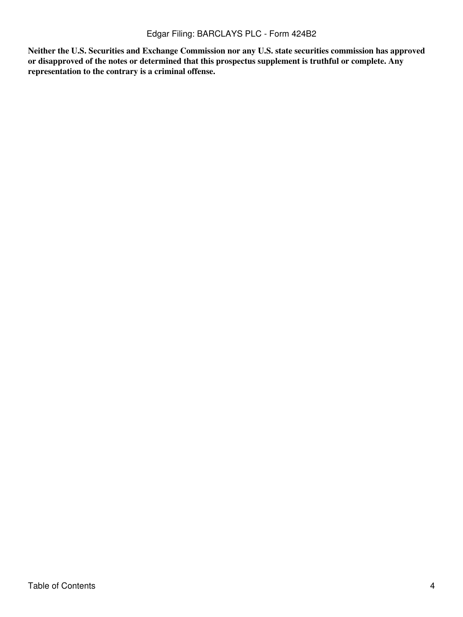**Neither the U.S. Securities and Exchange Commission nor any U.S. state securities commission has approved or disapproved of the notes or determined that this prospectus supplement is truthful or complete. Any representation to the contrary is a criminal offense.**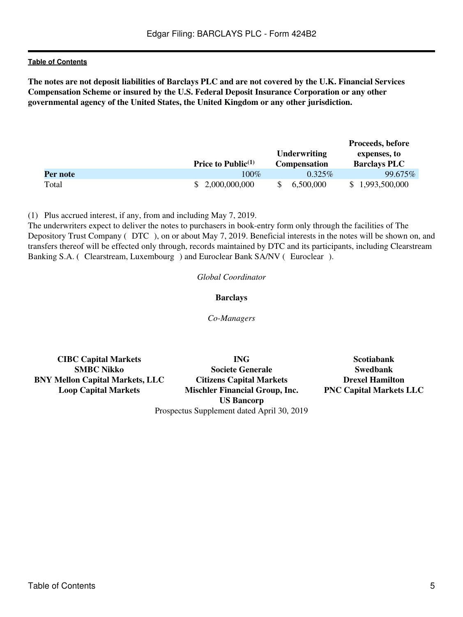**The notes are not deposit liabilities of Barclays PLC and are not covered by the U.K. Financial Services Compensation Scheme or insured by the U.S. Federal Deposit Insurance Corporation or any other governmental agency of the United States, the United Kingdom or any other jurisdiction.**

|          |                              |                     | Proceeds, before    |
|----------|------------------------------|---------------------|---------------------|
|          |                              | <b>Underwriting</b> | expenses, to        |
|          | <b>Price to Public</b> $(1)$ | <b>Compensation</b> | <b>Barclays PLC</b> |
| Per note | $100\%$                      | $0.325\%$           | 99.675\%            |
| Total    | \$2,000,000,000              | 6,500,000           | \$1,993,500,000     |

(1) Plus accrued interest, if any, from and including May 7, 2019.

The underwriters expect to deliver the notes to purchasers in book-entry form only through the facilities of The Depository Trust Company (DTC), on or about May 7, 2019. Beneficial interests in the notes will be shown on, and transfers thereof will be effected only through, records maintained by DTC and its participants, including Clearstream Banking S.A. (Clearstream, Luxembourg) and Euroclear Bank SA/NV (Euroclear).

*Global Coordinator*

### **Barclays**

*Co-Managers*

**CIBC Capital Markets ING Scotiabank**

**SMBC Nikko Societe Generale Swedbank BNY Mellon Capital Markets, LLC Citizens Capital Markets Drexel Hamilton Loop Capital Markets Mischler Financial Group, Inc. PNC Capital Markets LLC US Bancorp** Prospectus Supplement dated April 30, 2019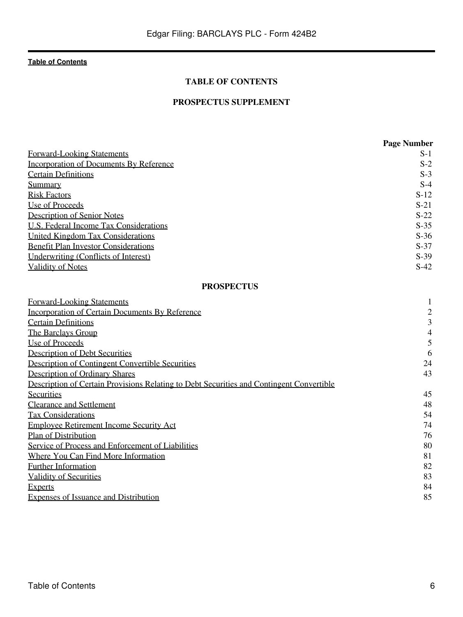## **TABLE OF CONTENTS**

### **PROSPECTUS SUPPLEMENT**

|                                             | <b>Page Number</b> |
|---------------------------------------------|--------------------|
| <b>Forward-Looking Statements</b>           | $S-1$              |
| Incorporation of Documents By Reference     | $S-2$              |
| <b>Certain Definitions</b>                  | $S-3$              |
| <b>Summary</b>                              | $S-4$              |
| <b>Risk Factors</b>                         | $S-12$             |
| Use of Proceeds                             | $S-21$             |
| <b>Description of Senior Notes</b>          | $S-22$             |
| U.S. Federal Income Tax Considerations      | $S-35$             |
| United Kingdom Tax Considerations           | $S-36$             |
| <b>Benefit Plan Investor Considerations</b> | $S-37$             |
| Underwriting (Conflicts of Interest)        | $S-39$             |
| Validity of Notes                           | $S-42$             |

#### **PROSPECTUS**

| <b>Incorporation of Certain Documents By Reference</b><br><b>Certain Definitions</b><br>The Barclays Group<br><b>Use of Proceeds</b><br><b>Description of Debt Securities</b><br><b>Description of Contingent Convertible Securities</b><br><b>Description of Ordinary Shares</b><br>Description of Certain Provisions Relating to Debt Securities and Contingent Convertible<br>Securities<br><b>Clearance and Settlement</b><br><b>Tax Considerations</b><br><b>Employee Retirement Income Security Act</b><br>Plan of Distribution<br>Service of Process and Enforcement of Liabilities<br>Where You Can Find More Information<br><b>Further Information</b><br><b>Validity of Securities</b><br><b>Experts</b><br><b>Expenses of Issuance and Distribution</b> | <b>Forward-Looking Statements</b> |    |
|--------------------------------------------------------------------------------------------------------------------------------------------------------------------------------------------------------------------------------------------------------------------------------------------------------------------------------------------------------------------------------------------------------------------------------------------------------------------------------------------------------------------------------------------------------------------------------------------------------------------------------------------------------------------------------------------------------------------------------------------------------------------|-----------------------------------|----|
|                                                                                                                                                                                                                                                                                                                                                                                                                                                                                                                                                                                                                                                                                                                                                                    |                                   | 2  |
|                                                                                                                                                                                                                                                                                                                                                                                                                                                                                                                                                                                                                                                                                                                                                                    |                                   | 3  |
|                                                                                                                                                                                                                                                                                                                                                                                                                                                                                                                                                                                                                                                                                                                                                                    |                                   |    |
|                                                                                                                                                                                                                                                                                                                                                                                                                                                                                                                                                                                                                                                                                                                                                                    |                                   |    |
|                                                                                                                                                                                                                                                                                                                                                                                                                                                                                                                                                                                                                                                                                                                                                                    |                                   | 6  |
|                                                                                                                                                                                                                                                                                                                                                                                                                                                                                                                                                                                                                                                                                                                                                                    |                                   | 24 |
|                                                                                                                                                                                                                                                                                                                                                                                                                                                                                                                                                                                                                                                                                                                                                                    |                                   | 43 |
|                                                                                                                                                                                                                                                                                                                                                                                                                                                                                                                                                                                                                                                                                                                                                                    |                                   |    |
|                                                                                                                                                                                                                                                                                                                                                                                                                                                                                                                                                                                                                                                                                                                                                                    |                                   | 45 |
|                                                                                                                                                                                                                                                                                                                                                                                                                                                                                                                                                                                                                                                                                                                                                                    |                                   | 48 |
|                                                                                                                                                                                                                                                                                                                                                                                                                                                                                                                                                                                                                                                                                                                                                                    |                                   | 54 |
|                                                                                                                                                                                                                                                                                                                                                                                                                                                                                                                                                                                                                                                                                                                                                                    |                                   | 74 |
|                                                                                                                                                                                                                                                                                                                                                                                                                                                                                                                                                                                                                                                                                                                                                                    |                                   | 76 |
|                                                                                                                                                                                                                                                                                                                                                                                                                                                                                                                                                                                                                                                                                                                                                                    |                                   | 80 |
|                                                                                                                                                                                                                                                                                                                                                                                                                                                                                                                                                                                                                                                                                                                                                                    |                                   | 81 |
|                                                                                                                                                                                                                                                                                                                                                                                                                                                                                                                                                                                                                                                                                                                                                                    |                                   | 82 |
|                                                                                                                                                                                                                                                                                                                                                                                                                                                                                                                                                                                                                                                                                                                                                                    |                                   | 83 |
|                                                                                                                                                                                                                                                                                                                                                                                                                                                                                                                                                                                                                                                                                                                                                                    |                                   | 84 |
|                                                                                                                                                                                                                                                                                                                                                                                                                                                                                                                                                                                                                                                                                                                                                                    |                                   | 85 |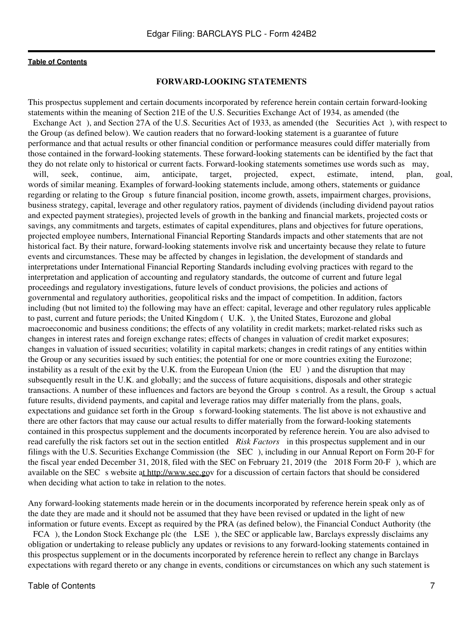### **FORWARD-LOOKING STATEMENTS**

<span id="page-6-0"></span>This prospectus supplement and certain documents incorporated by reference herein contain certain forward-looking statements within the meaning of Section 21E of the U.S. Securities Exchange Act of 1934, as amended (the

Exchange Act), and Section 27A of the U.S. Securities Act of 1933, as amended (the Securities Act), with respect to the Group (as defined below). We caution readers that no forward-looking statement is a guarantee of future performance and that actual results or other financial condition or performance measures could differ materially from those contained in the forward-looking statements. These forward-looking statements can be identified by the fact that they do not relate only to historical or current facts. Forward-looking statements sometimes use words such as may, will, seek, continue, aim, anticipate, target, projected, expect, estimate, intend, plan, goal, words of similar meaning. Examples of forward-looking statements include, among others, statements or guidance regarding or relating to the Group s future financial position, income growth, assets, impairment charges, provisions, business strategy, capital, leverage and other regulatory ratios, payment of dividends (including dividend payout ratios and expected payment strategies), projected levels of growth in the banking and financial markets, projected costs or savings, any commitments and targets, estimates of capital expenditures, plans and objectives for future operations, projected employee numbers, International Financial Reporting Standards impacts and other statements that are not historical fact. By their nature, forward-looking statements involve risk and uncertainty because they relate to future events and circumstances. These may be affected by changes in legislation, the development of standards and interpretations under International Financial Reporting Standards including evolving practices with regard to the interpretation and application of accounting and regulatory standards, the outcome of current and future legal proceedings and regulatory investigations, future levels of conduct provisions, the policies and actions of governmental and regulatory authorities, geopolitical risks and the impact of competition. In addition, factors including (but not limited to) the following may have an effect: capital, leverage and other regulatory rules applicable to past, current and future periods; the United Kingdom (U.K.), the United States, Eurozone and global macroeconomic and business conditions; the effects of any volatility in credit markets; market-related risks such as changes in interest rates and foreign exchange rates; effects of changes in valuation of credit market exposures; changes in valuation of issued securities; volatility in capital markets; changes in credit ratings of any entities within the Group or any securities issued by such entities; the potential for one or more countries exiting the Eurozone; instability as a result of the exit by the U.K. from the European Union (the EU) and the disruption that may subsequently result in the U.K. and globally; and the success of future acquisitions, disposals and other strategic transactions. A number of these influences and factors are beyond the Groups control. As a result, the Groups actual future results, dividend payments, and capital and leverage ratios may differ materially from the plans, goals, expectations and guidance set forth in the Group s forward-looking statements. The list above is not exhaustive and there are other factors that may cause our actual results to differ materially from the forward-looking statements contained in this prospectus supplement and the documents incorporated by reference herein. You are also advised to read carefully the risk factors set out in the section entitled *Risk Factors* in this prospectus supplement and in our filings with the U.S. Securities Exchange Commission (the SEC), including in our Annual Report on Form 20-F for the fiscal year ended December 31, 2018, filed with the SEC on February 21, 2019 (the 2018 Form 20-F), which are available on the SEC s website at http://www.sec.gov for a discussion of certain factors that should be considered when deciding what action to take in relation to the notes.

Any forward-looking statements made herein or in the documents incorporated by reference herein speak only as of the date they are made and it should not be assumed that they have been revised or updated in the light of new information or future events. Except as required by the PRA (as defined below), the Financial Conduct Authority (the

FCA), the London Stock Exchange plc (the LSE), the SEC or applicable law, Barclays expressly disclaims any obligation or undertaking to release publicly any updates or revisions to any forward-looking statements contained in this prospectus supplement or in the documents incorporated by reference herein to reflect any change in Barclays expectations with regard thereto or any change in events, conditions or circumstances on which any such statement is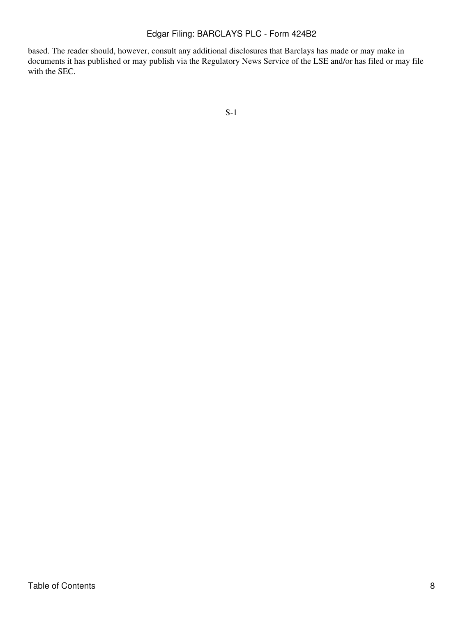based. The reader should, however, consult any additional disclosures that Barclays has made or may make in documents it has published or may publish via the Regulatory News Service of the LSE and/or has filed or may file with the SEC.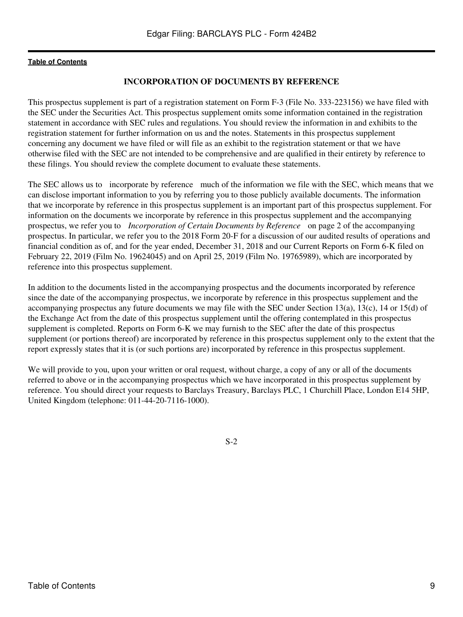### **INCORPORATION OF DOCUMENTS BY REFERENCE**

<span id="page-8-0"></span>This prospectus supplement is part of a registration statement on Form F-3 (File No. 333-223156) we have filed with the SEC under the Securities Act. This prospectus supplement omits some information contained in the registration statement in accordance with SEC rules and regulations. You should review the information in and exhibits to the registration statement for further information on us and the notes. Statements in this prospectus supplement concerning any document we have filed or will file as an exhibit to the registration statement or that we have otherwise filed with the SEC are not intended to be comprehensive and are qualified in their entirety by reference to these filings. You should review the complete document to evaluate these statements.

The SEC allows us to incorporate by reference much of the information we file with the SEC, which means that we can disclose important information to you by referring you to those publicly available documents. The information that we incorporate by reference in this prospectus supplement is an important part of this prospectus supplement. For information on the documents we incorporate by reference in this prospectus supplement and the accompanying prospectus, we refer you to *Incorporation of Certain Documents by Reference* on page 2 of the accompanying prospectus. In particular, we refer you to the 2018 Form 20-F for a discussion of our audited results of operations and financial condition as of, and for the year ended, December 31, 2018 and our Current Reports on Form 6-K filed on February 22, 2019 (Film No. 19624045) and on April 25, 2019 (Film No. 19765989), which are incorporated by reference into this prospectus supplement.

In addition to the documents listed in the accompanying prospectus and the documents incorporated by reference since the date of the accompanying prospectus, we incorporate by reference in this prospectus supplement and the accompanying prospectus any future documents we may file with the SEC under Section 13(a), 13(c), 14 or 15(d) of the Exchange Act from the date of this prospectus supplement until the offering contemplated in this prospectus supplement is completed. Reports on Form 6-K we may furnish to the SEC after the date of this prospectus supplement (or portions thereof) are incorporated by reference in this prospectus supplement only to the extent that the report expressly states that it is (or such portions are) incorporated by reference in this prospectus supplement.

We will provide to you, upon your written or oral request, without charge, a copy of any or all of the documents referred to above or in the accompanying prospectus which we have incorporated in this prospectus supplement by reference. You should direct your requests to Barclays Treasury, Barclays PLC, 1 Churchill Place, London E14 5HP, United Kingdom (telephone: 011-44-20-7116-1000).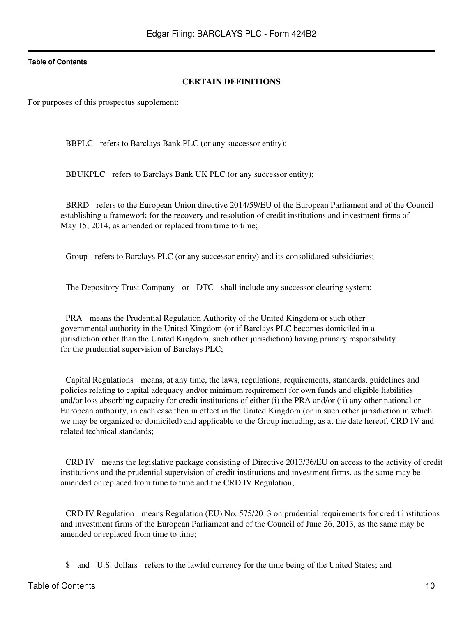### **CERTAIN DEFINITIONS**

<span id="page-9-0"></span>For purposes of this prospectus supplement:

BBPLC refers to Barclays Bank PLC (or any successor entity);

BBUKPLC refers to Barclays Bank UK PLC (or any successor entity);

BRRD refers to the European Union directive 2014/59/EU of the European Parliament and of the Council establishing a framework for the recovery and resolution of credit institutions and investment firms of May 15, 2014, as amended or replaced from time to time;

Group refers to Barclays PLC (or any successor entity) and its consolidated subsidiaries;

The Depository Trust Company or DTC shall include any successor clearing system;

PRA means the Prudential Regulation Authority of the United Kingdom or such other governmental authority in the United Kingdom (or if Barclays PLC becomes domiciled in a jurisdiction other than the United Kingdom, such other jurisdiction) having primary responsibility for the prudential supervision of Barclays PLC;

Capital Regulations means, at any time, the laws, regulations, requirements, standards, guidelines and policies relating to capital adequacy and/or minimum requirement for own funds and eligible liabilities and/or loss absorbing capacity for credit institutions of either (i) the PRA and/or (ii) any other national or European authority, in each case then in effect in the United Kingdom (or in such other jurisdiction in which we may be organized or domiciled) and applicable to the Group including, as at the date hereof, CRD IV and related technical standards;

CRD IV means the legislative package consisting of Directive 2013/36/EU on access to the activity of credit institutions and the prudential supervision of credit institutions and investment firms, as the same may be amended or replaced from time to time and the CRD IV Regulation;

CRD IV Regulation means Regulation (EU) No. 575/2013 on prudential requirements for credit institutions and investment firms of the European Parliament and of the Council of June 26, 2013, as the same may be amended or replaced from time to time;

\$ and U.S. dollars refers to the lawful currency for the time being of the United States; and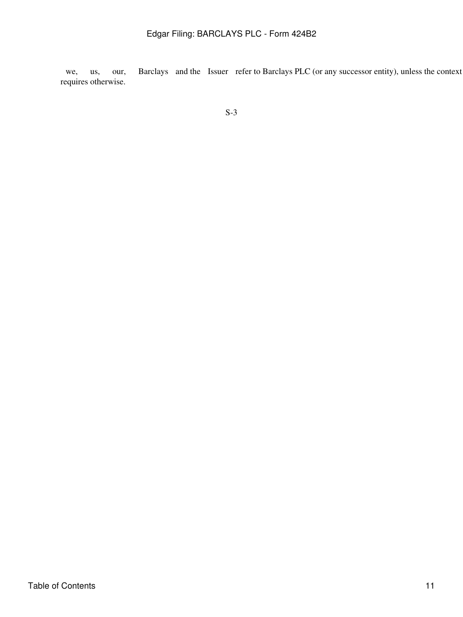we, us, our, Barclays and the Issuer refer to Barclays PLC (or any successor entity), unless the context requires otherwise.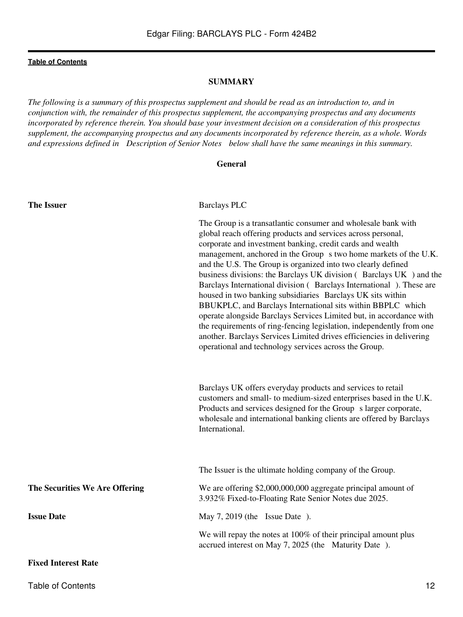#### **SUMMARY**

<span id="page-11-0"></span>*The following is a summary of this prospectus supplement and should be read as an introduction to, and in conjunction with, the remainder of this prospectus supplement, the accompanying prospectus and any documents incorporated by reference therein. You should base your investment decision on a consideration of this prospectus supplement, the accompanying prospectus and any documents incorporated by reference therein, as a whole. Words and expressions defined in Description of Senior Notes below shall have the same meanings in this summary.*

#### **General**

| <b>The Issuer</b>              | <b>Barclays PLC</b>                                                                                                                                                                                                                                                                                                                                                                                                                                                                                                                                                                                                                                                                                                                                                                                                                                                                      |
|--------------------------------|------------------------------------------------------------------------------------------------------------------------------------------------------------------------------------------------------------------------------------------------------------------------------------------------------------------------------------------------------------------------------------------------------------------------------------------------------------------------------------------------------------------------------------------------------------------------------------------------------------------------------------------------------------------------------------------------------------------------------------------------------------------------------------------------------------------------------------------------------------------------------------------|
|                                | The Group is a transatlantic consumer and wholesale bank with<br>global reach offering products and services across personal,<br>corporate and investment banking, credit cards and wealth<br>management, anchored in the Group s two home markets of the U.K.<br>and the U.S. The Group is organized into two clearly defined<br>business divisions: the Barclays UK division (Barclays UK) and the<br>Barclays International division (Barclays International). These are<br>housed in two banking subsidiaries Barclays UK sits within<br>BBUKPLC, and Barclays International sits within BBPLC which<br>operate alongside Barclays Services Limited but, in accordance with<br>the requirements of ring-fencing legislation, independently from one<br>another. Barclays Services Limited drives efficiencies in delivering<br>operational and technology services across the Group. |
|                                | Barclays UK offers everyday products and services to retail<br>customers and small- to medium-sized enterprises based in the U.K.<br>Products and services designed for the Group s larger corporate,<br>wholesale and international banking clients are offered by Barclays<br>International.                                                                                                                                                                                                                                                                                                                                                                                                                                                                                                                                                                                           |
|                                | The Issuer is the ultimate holding company of the Group.                                                                                                                                                                                                                                                                                                                                                                                                                                                                                                                                                                                                                                                                                                                                                                                                                                 |
| The Securities We Are Offering | We are offering \$2,000,000,000 aggregate principal amount of<br>3.932% Fixed-to-Floating Rate Senior Notes due 2025.                                                                                                                                                                                                                                                                                                                                                                                                                                                                                                                                                                                                                                                                                                                                                                    |
| <b>Issue Date</b>              | May 7, 2019 (the Issue Date).                                                                                                                                                                                                                                                                                                                                                                                                                                                                                                                                                                                                                                                                                                                                                                                                                                                            |
|                                | We will repay the notes at 100% of their principal amount plus<br>accrued interest on May 7, 2025 (the Maturity Date).                                                                                                                                                                                                                                                                                                                                                                                                                                                                                                                                                                                                                                                                                                                                                                   |
| <b>Fixed Interest Rate</b>     |                                                                                                                                                                                                                                                                                                                                                                                                                                                                                                                                                                                                                                                                                                                                                                                                                                                                                          |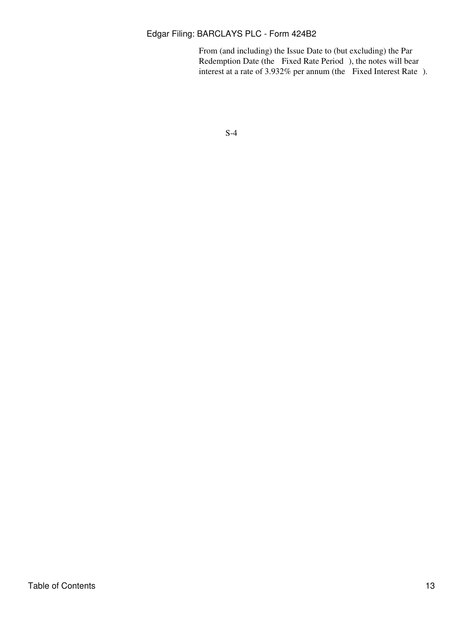From (and including) the Issue Date to (but excluding) the Par Redemption Date (the Fixed Rate Period), the notes will bear interest at a rate of 3.932% per annum (the Fixed Interest Rate).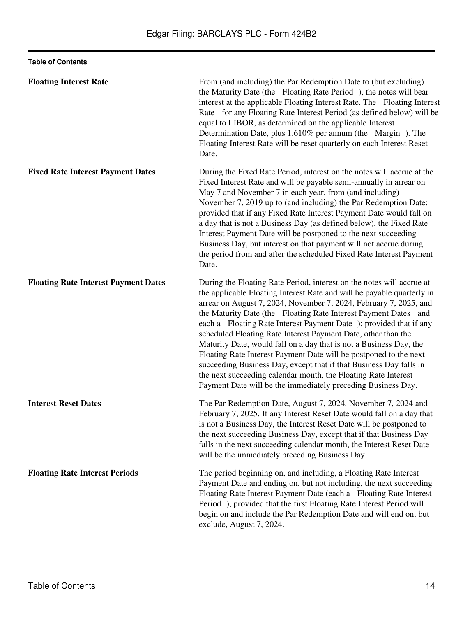| <b>Floating Interest Rate</b>               | From (and including) the Par Redemption Date to (but excluding)<br>the Maturity Date (the Floating Rate Period), the notes will bear<br>interest at the applicable Floating Interest Rate. The Floating Interest<br>Rate for any Floating Rate Interest Period (as defined below) will be<br>equal to LIBOR, as determined on the applicable Interest<br>Determination Date, plus 1.610% per annum (the Margin). The<br>Floating Interest Rate will be reset quarterly on each Interest Reset<br>Date.                                                                                                                                                                                                                                                                            |
|---------------------------------------------|-----------------------------------------------------------------------------------------------------------------------------------------------------------------------------------------------------------------------------------------------------------------------------------------------------------------------------------------------------------------------------------------------------------------------------------------------------------------------------------------------------------------------------------------------------------------------------------------------------------------------------------------------------------------------------------------------------------------------------------------------------------------------------------|
| <b>Fixed Rate Interest Payment Dates</b>    | During the Fixed Rate Period, interest on the notes will accrue at the<br>Fixed Interest Rate and will be payable semi-annually in arrear on<br>May 7 and November 7 in each year, from (and including)<br>November 7, 2019 up to (and including) the Par Redemption Date;<br>provided that if any Fixed Rate Interest Payment Date would fall on<br>a day that is not a Business Day (as defined below), the Fixed Rate<br>Interest Payment Date will be postponed to the next succeeding<br>Business Day, but interest on that payment will not accrue during<br>the period from and after the scheduled Fixed Rate Interest Payment<br>Date.                                                                                                                                   |
| <b>Floating Rate Interest Payment Dates</b> | During the Floating Rate Period, interest on the notes will accrue at<br>the applicable Floating Interest Rate and will be payable quarterly in<br>arrear on August 7, 2024, November 7, 2024, February 7, 2025, and<br>the Maturity Date (the Floating Rate Interest Payment Dates and<br>each a Floating Rate Interest Payment Date ); provided that if any<br>scheduled Floating Rate Interest Payment Date, other than the<br>Maturity Date, would fall on a day that is not a Business Day, the<br>Floating Rate Interest Payment Date will be postponed to the next<br>succeeding Business Day, except that if that Business Day falls in<br>the next succeeding calendar month, the Floating Rate Interest<br>Payment Date will be the immediately preceding Business Day. |
| <b>Interest Reset Dates</b>                 | The Par Redemption Date, August 7, 2024, November 7, 2024 and<br>February 7, 2025. If any Interest Reset Date would fall on a day that<br>is not a Business Day, the Interest Reset Date will be postponed to<br>the next succeeding Business Day, except that if that Business Day<br>falls in the next succeeding calendar month, the Interest Reset Date<br>will be the immediately preceding Business Day.                                                                                                                                                                                                                                                                                                                                                                    |
| <b>Floating Rate Interest Periods</b>       | The period beginning on, and including, a Floating Rate Interest<br>Payment Date and ending on, but not including, the next succeeding<br>Floating Rate Interest Payment Date (each a Floating Rate Interest<br>Period ), provided that the first Floating Rate Interest Period will<br>begin on and include the Par Redemption Date and will end on, but<br>exclude, August 7, 2024.                                                                                                                                                                                                                                                                                                                                                                                             |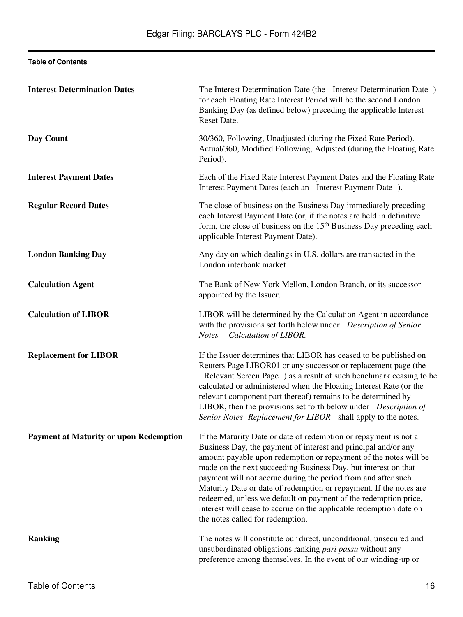| <b>Interest Determination Dates</b>           | The Interest Determination Date (the Interest Determination Date)<br>for each Floating Rate Interest Period will be the second London<br>Banking Day (as defined below) preceding the applicable Interest<br>Reset Date.                                                                                                                                                                                                                                                                                                                                                                     |
|-----------------------------------------------|----------------------------------------------------------------------------------------------------------------------------------------------------------------------------------------------------------------------------------------------------------------------------------------------------------------------------------------------------------------------------------------------------------------------------------------------------------------------------------------------------------------------------------------------------------------------------------------------|
| Day Count                                     | 30/360, Following, Unadjusted (during the Fixed Rate Period).<br>Actual/360, Modified Following, Adjusted (during the Floating Rate<br>Period).                                                                                                                                                                                                                                                                                                                                                                                                                                              |
| <b>Interest Payment Dates</b>                 | Each of the Fixed Rate Interest Payment Dates and the Floating Rate<br>Interest Payment Dates (each an Interest Payment Date).                                                                                                                                                                                                                                                                                                                                                                                                                                                               |
| <b>Regular Record Dates</b>                   | The close of business on the Business Day immediately preceding<br>each Interest Payment Date (or, if the notes are held in definitive<br>form, the close of business on the 15 <sup>th</sup> Business Day preceding each<br>applicable Interest Payment Date).                                                                                                                                                                                                                                                                                                                              |
| <b>London Banking Day</b>                     | Any day on which dealings in U.S. dollars are transacted in the<br>London interbank market.                                                                                                                                                                                                                                                                                                                                                                                                                                                                                                  |
| <b>Calculation Agent</b>                      | The Bank of New York Mellon, London Branch, or its successor<br>appointed by the Issuer.                                                                                                                                                                                                                                                                                                                                                                                                                                                                                                     |
| <b>Calculation of LIBOR</b>                   | LIBOR will be determined by the Calculation Agent in accordance<br>with the provisions set forth below under Description of Senior<br>Calculation of LIBOR.<br><b>Notes</b>                                                                                                                                                                                                                                                                                                                                                                                                                  |
| <b>Replacement for LIBOR</b>                  | If the Issuer determines that LIBOR has ceased to be published on<br>Reuters Page LIBOR01 or any successor or replacement page (the<br>Relevant Screen Page ) as a result of such benchmark ceasing to be<br>calculated or administered when the Floating Interest Rate (or the<br>relevant component part thereof) remains to be determined by<br>LIBOR, then the provisions set forth below under Description of<br>Senior Notes Replacement for LIBOR shall apply to the notes.                                                                                                           |
| <b>Payment at Maturity or upon Redemption</b> | If the Maturity Date or date of redemption or repayment is not a<br>Business Day, the payment of interest and principal and/or any<br>amount payable upon redemption or repayment of the notes will be<br>made on the next succeeding Business Day, but interest on that<br>payment will not accrue during the period from and after such<br>Maturity Date or date of redemption or repayment. If the notes are<br>redeemed, unless we default on payment of the redemption price,<br>interest will cease to accrue on the applicable redemption date on<br>the notes called for redemption. |
| <b>Ranking</b>                                | The notes will constitute our direct, unconditional, unsecured and<br>unsubordinated obligations ranking pari passu without any<br>preference among themselves. In the event of our winding-up or                                                                                                                                                                                                                                                                                                                                                                                            |
|                                               |                                                                                                                                                                                                                                                                                                                                                                                                                                                                                                                                                                                              |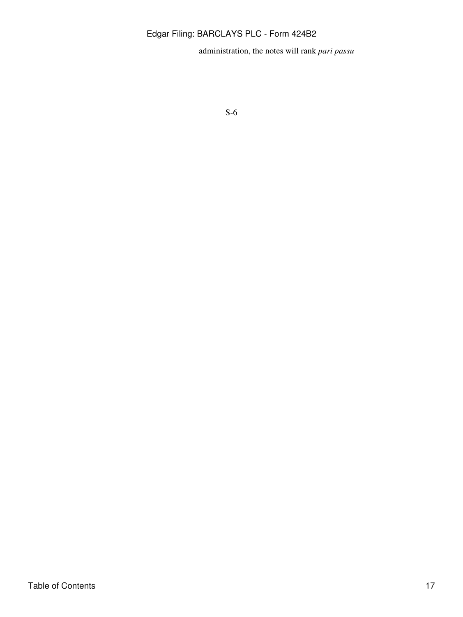administration, the notes will rank *pari passu*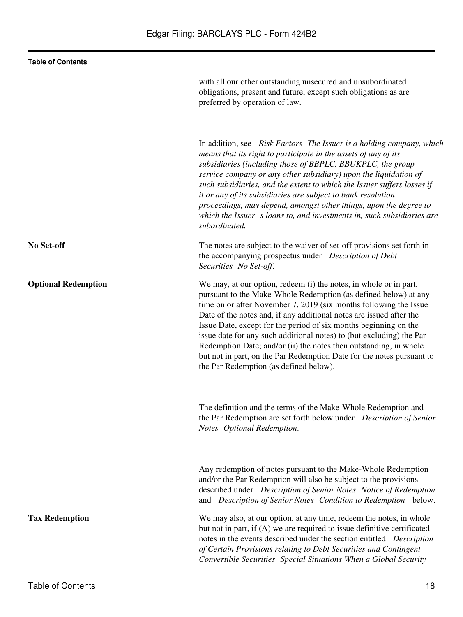|                            | with all our other outstanding unsecured and unsubordinated<br>obligations, present and future, except such obligations as are<br>preferred by operation of law.                                                                                                                                                                                                                                                                                                                                                                                                                                                     |
|----------------------------|----------------------------------------------------------------------------------------------------------------------------------------------------------------------------------------------------------------------------------------------------------------------------------------------------------------------------------------------------------------------------------------------------------------------------------------------------------------------------------------------------------------------------------------------------------------------------------------------------------------------|
|                            | In addition, see Risk Factors The Issuer is a holding company, which<br>means that its right to participate in the assets of any of its<br>subsidiaries (including those of BBPLC, BBUKPLC, the group<br>service company or any other subsidiary) upon the liquidation of<br>such subsidiaries, and the extent to which the Issuer suffers losses if<br>it or any of its subsidiaries are subject to bank resolution<br>proceedings, may depend, amongst other things, upon the degree to<br>which the Issuer s loans to, and investments in, such subsidiaries are<br>subordinated.                                 |
| <b>No Set-off</b>          | The notes are subject to the waiver of set-off provisions set forth in<br>the accompanying prospectus under Description of Debt<br>Securities No Set-off.                                                                                                                                                                                                                                                                                                                                                                                                                                                            |
| <b>Optional Redemption</b> | We may, at our option, redeem (i) the notes, in whole or in part,<br>pursuant to the Make-Whole Redemption (as defined below) at any<br>time on or after November 7, 2019 (six months following the Issue<br>Date of the notes and, if any additional notes are issued after the<br>Issue Date, except for the period of six months beginning on the<br>issue date for any such additional notes) to (but excluding) the Par<br>Redemption Date; and/or (ii) the notes then outstanding, in whole<br>but not in part, on the Par Redemption Date for the notes pursuant to<br>the Par Redemption (as defined below). |
|                            | The definition and the terms of the Make-Whole Redemption and<br>the Par Redemption are set forth below under Description of Senior<br>Notes Optional Redemption.                                                                                                                                                                                                                                                                                                                                                                                                                                                    |
|                            | Any redemption of notes pursuant to the Make-Whole Redemption<br>and/or the Par Redemption will also be subject to the provisions<br>described under Description of Senior Notes Notice of Redemption<br>and Description of Senior Notes Condition to Redemption below.                                                                                                                                                                                                                                                                                                                                              |
| <b>Tax Redemption</b>      | We may also, at our option, at any time, redeem the notes, in whole<br>but not in part, if $(A)$ we are required to issue definitive certificated<br>notes in the events described under the section entitled Description<br>of Certain Provisions relating to Debt Securities and Contingent<br>Convertible Securities Special Situations When a Global Security                                                                                                                                                                                                                                                    |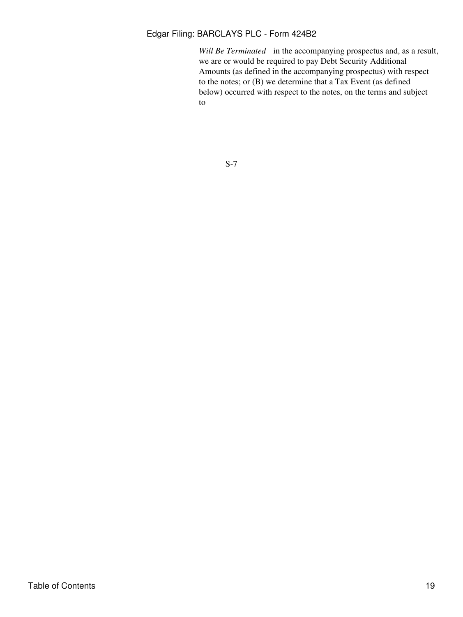*Will Be Terminated* in the accompanying prospectus and, as a result, we are or would be required to pay Debt Security Additional Amounts (as defined in the accompanying prospectus) with respect to the notes; or (B) we determine that a Tax Event (as defined below) occurred with respect to the notes, on the terms and subject to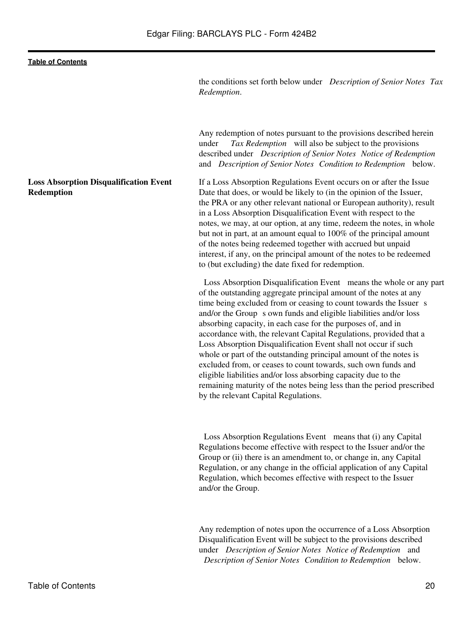the conditions set forth below under *Description of Senior Notes Tax Redemption*.

Any redemption of notes pursuant to the provisions described herein under *Tax Redemption* will also be subject to the provisions described under *Description of Senior Notes Notice of Redemption* and *Description of Senior Notes Condition to Redemption* below.

If a Loss Absorption Regulations Event occurs on or after the Issue Date that does, or would be likely to (in the opinion of the Issuer, the PRA or any other relevant national or European authority), result in a Loss Absorption Disqualification Event with respect to the notes, we may, at our option, at any time, redeem the notes, in whole but not in part, at an amount equal to 100% of the principal amount of the notes being redeemed together with accrued but unpaid interest, if any, on the principal amount of the notes to be redeemed to (but excluding) the date fixed for redemption.

Loss Absorption Disqualification Event means the whole or any part of the outstanding aggregate principal amount of the notes at any time being excluded from or ceasing to count towards the Issuer s and/or the Groups own funds and eligible liabilities and/or loss absorbing capacity, in each case for the purposes of, and in accordance with, the relevant Capital Regulations, provided that a Loss Absorption Disqualification Event shall not occur if such whole or part of the outstanding principal amount of the notes is excluded from, or ceases to count towards, such own funds and eligible liabilities and/or loss absorbing capacity due to the remaining maturity of the notes being less than the period prescribed by the relevant Capital Regulations.

Loss Absorption Regulations Event means that (i) any Capital Regulations become effective with respect to the Issuer and/or the Group or (ii) there is an amendment to, or change in, any Capital Regulation, or any change in the official application of any Capital Regulation, which becomes effective with respect to the Issuer and/or the Group.

Any redemption of notes upon the occurrence of a Loss Absorption Disqualification Event will be subject to the provisions described under *Description of Senior Notes Notice of Redemption* and *Description of Senior NotesCondition to Redemption* below.

## **Loss Absorption Disqualification Event Redemption**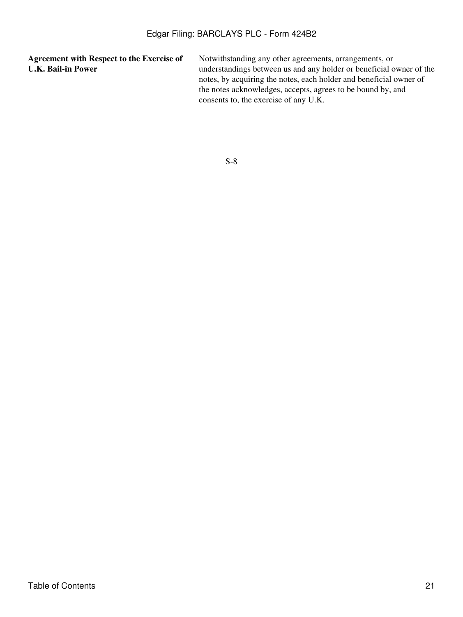**Agreement with Respect to the Exercise of U.K. Bail-in Power**

Notwithstanding any other agreements, arrangements, or understandings between us and any holder or beneficial owner of the notes, by acquiring the notes, each holder and beneficial owner of the notes acknowledges, accepts, agrees to be bound by, and consents to, the exercise of any U.K.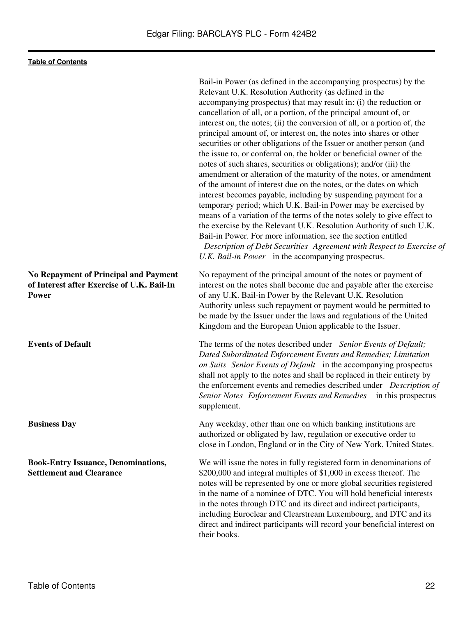**No Repayment of Principal and Payment of Interest after Exercise of U.K. Bail-In Power**

**Book-Entry Issuance, Denominations, Settlement and Clearance**

Bail-in Power (as defined in the accompanying prospectus) by the Relevant U.K. Resolution Authority (as defined in the accompanying prospectus) that may result in: (i) the reduction or cancellation of all, or a portion, of the principal amount of, or interest on, the notes; (ii) the conversion of all, or a portion of, the principal amount of, or interest on, the notes into shares or other securities or other obligations of the Issuer or another person (and the issue to, or conferral on, the holder or beneficial owner of the notes of such shares, securities or obligations); and/or (iii) the amendment or alteration of the maturity of the notes, or amendment of the amount of interest due on the notes, or the dates on which interest becomes payable, including by suspending payment for a temporary period; which U.K. Bail-in Power may be exercised by means of a variation of the terms of the notes solely to give effect to the exercise by the Relevant U.K. Resolution Authority of such U.K. Bail-in Power. For more information, see the section entitled *Description of Debt Securities Agreement with Respect to Exercise of U.K. Bail-in Power* in the accompanying prospectus.

No repayment of the principal amount of the notes or payment of interest on the notes shall become due and payable after the exercise of any U.K. Bail-in Power by the Relevant U.K. Resolution Authority unless such repayment or payment would be permitted to be made by the Issuer under the laws and regulations of the United Kingdom and the European Union applicable to the Issuer.

**Events of Default** The terms of the notes described under *Senior Events of Default*; *Dated Subordinated Enforcement Events and Remedies; Limitation on Suits Senior Events of Default* in the accompanying prospectus shall not apply to the notes and shall be replaced in their entirety by the enforcement events and remedies described under *Description of Senior Notes Enforcement Events and Remedies* in this prospectus supplement.

**Business Day** Any weekday, other than one on which banking institutions are authorized or obligated by law, regulation or executive order to close in London, England or in the City of New York, United States.

> We will issue the notes in fully registered form in denominations of \$200,000 and integral multiples of \$1,000 in excess thereof. The notes will be represented by one or more global securities registered in the name of a nominee of DTC. You will hold beneficial interests in the notes through DTC and its direct and indirect participants, including Euroclear and Clearstream Luxembourg, and DTC and its direct and indirect participants will record your beneficial interest on their books.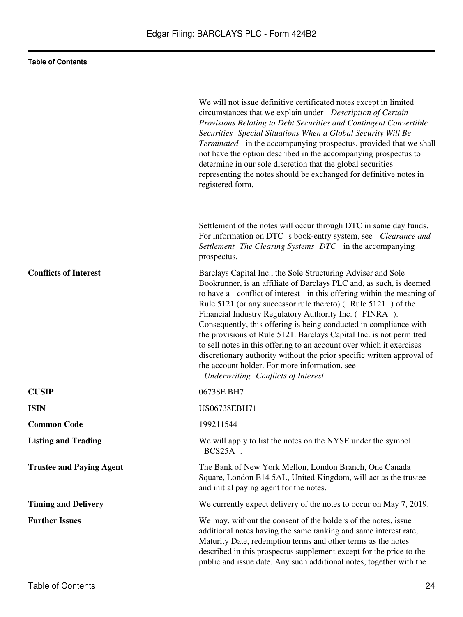|                                 | We will not issue definitive certificated notes except in limited<br>circumstances that we explain under Description of Certain<br>Provisions Relating to Debt Securities and Contingent Convertible<br>Securities Special Situations When a Global Security Will Be<br>Terminated in the accompanying prospectus, provided that we shall<br>not have the option described in the accompanying prospectus to<br>determine in our sole discretion that the global securities<br>representing the notes should be exchanged for definitive notes in<br>registered form.                                                                                                                                                       |
|---------------------------------|-----------------------------------------------------------------------------------------------------------------------------------------------------------------------------------------------------------------------------------------------------------------------------------------------------------------------------------------------------------------------------------------------------------------------------------------------------------------------------------------------------------------------------------------------------------------------------------------------------------------------------------------------------------------------------------------------------------------------------|
|                                 | Settlement of the notes will occur through DTC in same day funds.<br>For information on DTC s book-entry system, see Clearance and<br>Settlement The Clearing Systems DTC in the accompanying<br>prospectus.                                                                                                                                                                                                                                                                                                                                                                                                                                                                                                                |
| <b>Conflicts of Interest</b>    | Barclays Capital Inc., the Sole Structuring Adviser and Sole<br>Bookrunner, is an affiliate of Barclays PLC and, as such, is deemed<br>to have a conflict of interest in this offering within the meaning of<br>Rule 5121 (or any successor rule thereto) (Rule 5121) of the<br>Financial Industry Regulatory Authority Inc. (FINRA).<br>Consequently, this offering is being conducted in compliance with<br>the provisions of Rule 5121. Barclays Capital Inc. is not permitted<br>to sell notes in this offering to an account over which it exercises<br>discretionary authority without the prior specific written approval of<br>the account holder. For more information, see<br>Underwriting Conflicts of Interest. |
| <b>CUSIP</b>                    | 06738E BH7                                                                                                                                                                                                                                                                                                                                                                                                                                                                                                                                                                                                                                                                                                                  |
| <b>ISIN</b>                     | <b>US06738EBH71</b>                                                                                                                                                                                                                                                                                                                                                                                                                                                                                                                                                                                                                                                                                                         |
| <b>Common Code</b>              | 199211544                                                                                                                                                                                                                                                                                                                                                                                                                                                                                                                                                                                                                                                                                                                   |
| <b>Listing and Trading</b>      | We will apply to list the notes on the NYSE under the symbol<br>BCS25A.                                                                                                                                                                                                                                                                                                                                                                                                                                                                                                                                                                                                                                                     |
| <b>Trustee and Paying Agent</b> | The Bank of New York Mellon, London Branch, One Canada<br>Square, London E14 5AL, United Kingdom, will act as the trustee<br>and initial paying agent for the notes.                                                                                                                                                                                                                                                                                                                                                                                                                                                                                                                                                        |
| <b>Timing and Delivery</b>      | We currently expect delivery of the notes to occur on May 7, 2019.                                                                                                                                                                                                                                                                                                                                                                                                                                                                                                                                                                                                                                                          |
| <b>Further Issues</b>           | We may, without the consent of the holders of the notes, issue<br>additional notes having the same ranking and same interest rate,<br>Maturity Date, redemption terms and other terms as the notes<br>described in this prospectus supplement except for the price to the<br>public and issue date. Any such additional notes, together with the                                                                                                                                                                                                                                                                                                                                                                            |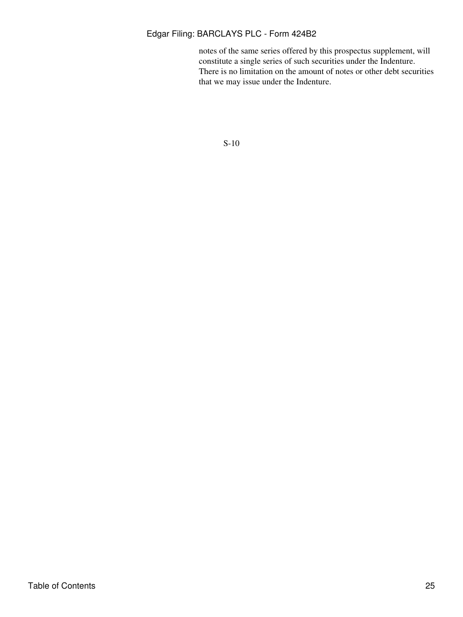notes of the same series offered by this prospectus supplement, will constitute a single series of such securities under the Indenture. There is no limitation on the amount of notes or other debt securities that we may issue under the Indenture.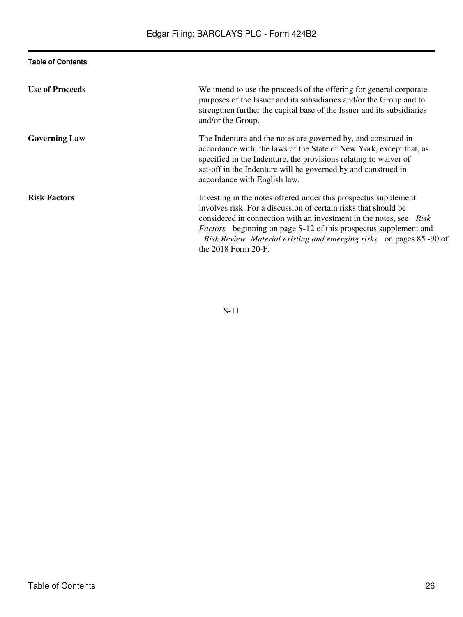| <b>Use of Proceeds</b> | We intend to use the proceeds of the offering for general corporate<br>purposes of the Issuer and its subsidiaries and/or the Group and to<br>strengthen further the capital base of the Issuer and its subsidiaries<br>and/or the Group.                                                                                                                                         |
|------------------------|-----------------------------------------------------------------------------------------------------------------------------------------------------------------------------------------------------------------------------------------------------------------------------------------------------------------------------------------------------------------------------------|
| <b>Governing Law</b>   | The Indenture and the notes are governed by, and construed in<br>accordance with, the laws of the State of New York, except that, as<br>specified in the Indenture, the provisions relating to waiver of<br>set-off in the Indenture will be governed by and construed in<br>accordance with English law.                                                                         |
| <b>Risk Factors</b>    | Investing in the notes offered under this prospectus supplement<br>involves risk. For a discussion of certain risks that should be<br>considered in connection with an investment in the notes, see Risk<br><i>Factors</i> beginning on page S-12 of this prospectus supplement and<br>Risk Review Material existing and emerging risks on pages 85 -90 of<br>the 2018 Form 20-F. |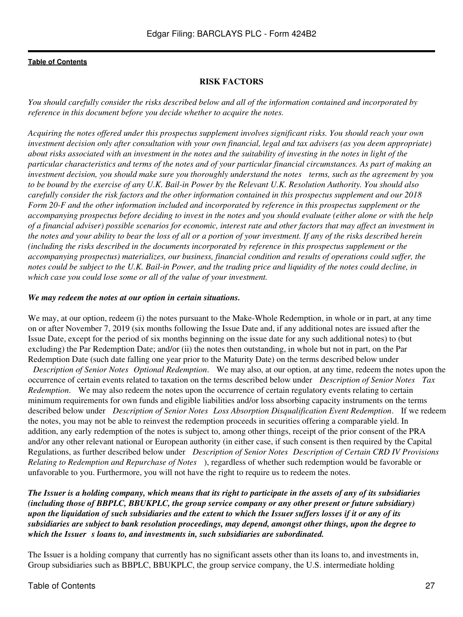## **RISK FACTORS**

<span id="page-26-0"></span>*You should carefully consider the risks described below and all of the information contained and incorporated by reference in this document before you decide whether to acquire the notes.*

*Acquiring the notes offered under this prospectus supplement involves significant risks. You should reach your own investment decision only after consultation with your own financial, legal and tax advisers (as you deem appropriate) about risks associated with an investment in the notes and the suitability of investing in the notes in light of the particular characteristics and terms of the notes and of your particular financial circumstances. As part of making an investment decision, you should make sure you thoroughly understand the notes terms, such as the agreement by you to be bound by the exercise of any U.K. Bail-in Power by the Relevant U.K. Resolution Authority. You should also carefully consider the risk factors and the other information contained in this prospectus supplement and our 2018 Form 20-F and the other information included and incorporated by reference in this prospectus supplement or the accompanying prospectus before deciding to invest in the notes and you should evaluate (either alone or with the help of a financial adviser) possible scenarios for economic, interest rate and other factors that may affect an investment in the notes and your ability to bear the loss of all or a portion of your investment. If any of the risks described herein (including the risks described in the documents incorporated by reference in this prospectus supplement or the accompanying prospectus) materializes, our business, financial condition and results of operations could suffer, the notes could be subject to the U.K. Bail-in Power, and the trading price and liquidity of the notes could decline, in which case you could lose some or all of the value of your investment.*

### *We may redeem the notes at our option in certain situations.*

We may, at our option, redeem (i) the notes pursuant to the Make-Whole Redemption, in whole or in part, at any time on or after November 7, 2019 (six months following the Issue Date and, if any additional notes are issued after the Issue Date, except for the period of six months beginning on the issue date for any such additional notes) to (but excluding) the Par Redemption Date; and/or (ii) the notes then outstanding, in whole but not in part, on the Par Redemption Date (such date falling one year prior to the Maturity Date) on the terms described below under

*Description of Senior Notes Optional Redemption.* We may also, at our option, at any time, redeem the notes upon the occurrence of certain events related to taxation on the terms described below under *Description of Senior Notes Tax Redemption.* We may also redeem the notes upon the occurrence of certain regulatory events relating to certain minimum requirements for own funds and eligible liabilities and/or loss absorbing capacity instruments on the terms described below under *Description of Senior Notes Loss Absorption Disqualification Event Redemption*. If we redeem the notes, you may not be able to reinvest the redemption proceeds in securities offering a comparable yield. In addition, any early redemption of the notes is subject to, among other things, receipt of the prior consent of the PRA and/or any other relevant national or European authority (in either case, if such consent is then required by the Capital Regulations, as further described below under *Description of Senior Notes Description of Certain CRD IV Provisions Relating to Redemption and Repurchase of Notes* ), regardless of whether such redemption would be favorable or unfavorable to you. Furthermore, you will not have the right to require us to redeem the notes.

*The Issuer is a holding company, which means that its right to participate in the assets of any of its subsidiaries (including those of BBPLC, BBUKPLC, the group service company or any other present or future subsidiary) upon the liquidation of such subsidiaries and the extent to which the Issuer suffers losses if it or any of its subsidiaries are subject to bank resolution proceedings, may depend, amongst other things, upon the degree to* which the Issuer s loans to, and investments in, such subsidiaries are subordinated.

The Issuer is a holding company that currently has no significant assets other than its loans to, and investments in, Group subsidiaries such as BBPLC, BBUKPLC, the group service company, the U.S. intermediate holding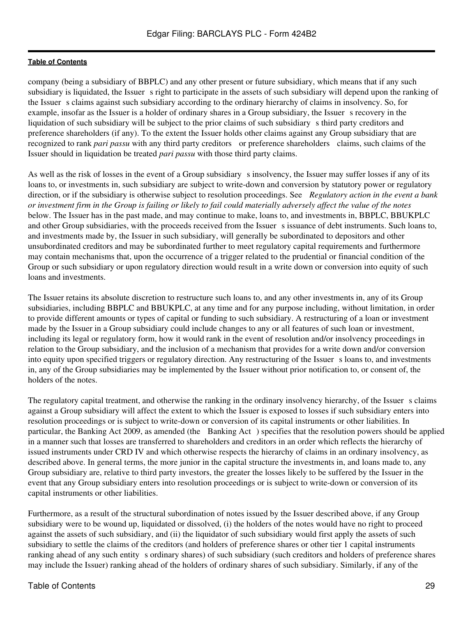company (being a subsidiary of BBPLC) and any other present or future subsidiary, which means that if any such subsidiary is liquidated, the Issuer s right to participate in the assets of such subsidiary will depend upon the ranking of the Issuer s claims against such subsidiary according to the ordinary hierarchy of claims in insolvency. So, for example, insofar as the Issuer is a holder of ordinary shares in a Group subsidiary, the Issuer s recovery in the liquidation of such subsidiary will be subject to the prior claims of such subsidiary s third party creditors and preference shareholders (if any). To the extent the Issuer holds other claims against any Group subsidiary that are recognized to rank *pari passu* with any third party creditors or preference shareholders claims, such claims of the Issuer should in liquidation be treated *pari passu* with those third party claims.

As well as the risk of losses in the event of a Group subsidiary s insolvency, the Issuer may suffer losses if any of its loans to, or investments in, such subsidiary are subject to write-down and conversion by statutory power or regulatory direction, or if the subsidiary is otherwise subject to resolution proceedings. See *Regulatory action in the event a bank or investment firm in the Group is failing or likely to fail could materially adversely affect the value of the notes* below. The Issuer has in the past made, and may continue to make, loans to, and investments in, BBPLC, BBUKPLC and other Group subsidiaries, with the proceeds received from the Issuer s issuance of debt instruments. Such loans to, and investments made by, the Issuer in such subsidiary, will generally be subordinated to depositors and other unsubordinated creditors and may be subordinated further to meet regulatory capital requirements and furthermore may contain mechanisms that, upon the occurrence of a trigger related to the prudential or financial condition of the Group or such subsidiary or upon regulatory direction would result in a write down or conversion into equity of such loans and investments.

The Issuer retains its absolute discretion to restructure such loans to, and any other investments in, any of its Group subsidiaries, including BBPLC and BBUKPLC, at any time and for any purpose including, without limitation, in order to provide different amounts or types of capital or funding to such subsidiary. A restructuring of a loan or investment made by the Issuer in a Group subsidiary could include changes to any or all features of such loan or investment, including its legal or regulatory form, how it would rank in the event of resolution and/or insolvency proceedings in relation to the Group subsidiary, and the inclusion of a mechanism that provides for a write down and/or conversion into equity upon specified triggers or regulatory direction. Any restructuring of the Issuer s loans to, and investments in, any of the Group subsidiaries may be implemented by the Issuer without prior notification to, or consent of, the holders of the notes.

The regulatory capital treatment, and otherwise the ranking in the ordinary insolvency hierarchy, of the Issuer s claims against a Group subsidiary will affect the extent to which the Issuer is exposed to losses if such subsidiary enters into resolution proceedings or is subject to write-down or conversion of its capital instruments or other liabilities. In particular, the Banking Act 2009, as amended (the Banking Act) specifies that the resolution powers should be applied in a manner such that losses are transferred to shareholders and creditors in an order which reflects the hierarchy of issued instruments under CRD IV and which otherwise respects the hierarchy of claims in an ordinary insolvency, as described above. In general terms, the more junior in the capital structure the investments in, and loans made to, any Group subsidiary are, relative to third party investors, the greater the losses likely to be suffered by the Issuer in the event that any Group subsidiary enters into resolution proceedings or is subject to write-down or conversion of its capital instruments or other liabilities.

Furthermore, as a result of the structural subordination of notes issued by the Issuer described above, if any Group subsidiary were to be wound up, liquidated or dissolved, (i) the holders of the notes would have no right to proceed against the assets of such subsidiary, and (ii) the liquidator of such subsidiary would first apply the assets of such subsidiary to settle the claims of the creditors (and holders of preference shares or other tier 1 capital instruments ranking ahead of any such entity s ordinary shares) of such subsidiary (such creditors and holders of preference shares may include the Issuer) ranking ahead of the holders of ordinary shares of such subsidiary. Similarly, if any of the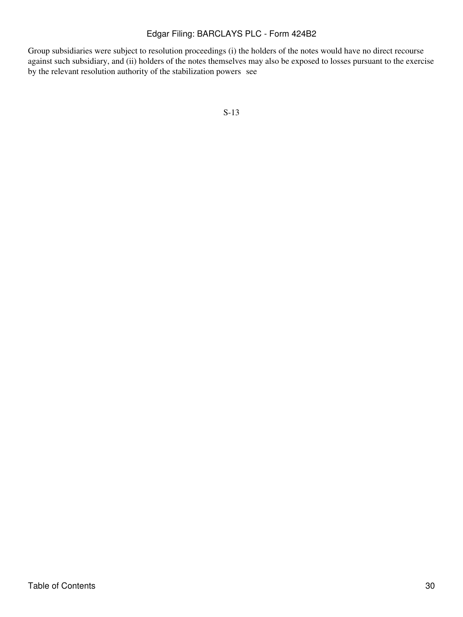Group subsidiaries were subject to resolution proceedings (i) the holders of the notes would have no direct recourse against such subsidiary, and (ii) holders of the notes themselves may also be exposed to losses pursuant to the exercise by the relevant resolution authority of the stabilization powers see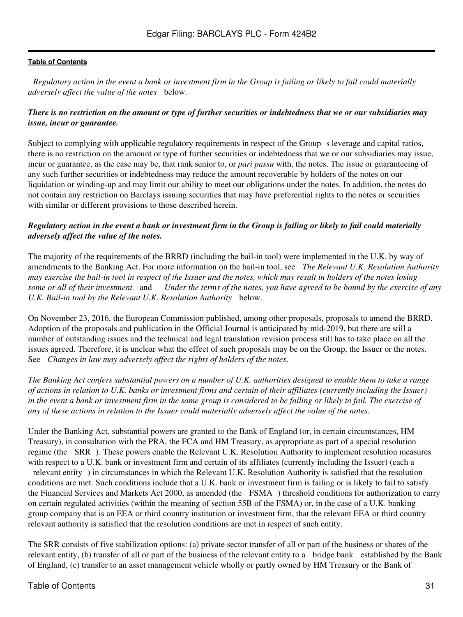*Regulatory action in the event a bank or investment firm in the Group is failing or likely to fail could materially adversely affect the value of the notes* below.

## *There is no restriction on the amount or type of further securities or indebtedness that we or our subsidiaries may issue, incur or guarantee.*

Subject to complying with applicable regulatory requirements in respect of the Group s leverage and capital ratios, there is no restriction on the amount or type of further securities or indebtedness that we or our subsidiaries may issue, incur or guarantee, as the case may be, that rank senior to, or *pari passu* with, the notes. The issue or guaranteeing of any such further securities or indebtedness may reduce the amount recoverable by holders of the notes on our liquidation or winding-up and may limit our ability to meet our obligations under the notes. In addition, the notes do not contain any restriction on Barclays issuing securities that may have preferential rights to the notes or securities with similar or different provisions to those described herein.

## *Regulatory action in the event a bank or investment firm in the Group is failing or likely to fail could materially adversely affect the value of the notes.*

The majority of the requirements of the BRRD (including the bail-in tool) were implemented in the U.K. by way of amendments to the Banking Act. For more information on the bail-in tool, see *The Relevant U.K. Resolution Authority may exercise the bail-in tool in respect of the Issuer and the notes, which may result in holders of the notes losing some or all of their investment* and *Under the terms of the notes, you have agreed to be bound by the exercise of any U.K. Bail-in tool by the Relevant U.K. Resolution Authority* below.

On November 23, 2016, the European Commission published, among other proposals, proposals to amend the BRRD. Adoption of the proposals and publication in the Official Journal is anticipated by mid-2019, but there are still a number of outstanding issues and the technical and legal translation revision process still has to take place on all the issues agreed. Therefore, it is unclear what the effect of such proposals may be on the Group, the Issuer or the notes. See *Changes in law may adversely affect the rights of holders of the notes*.

*The Banking Act confers substantial powers on a number of U.K. authorities designed to enable them to take a range of actions in relation to U.K. banks or investment firms and certain of their affiliates (currently including the Issuer) in the event a bank or investment firm in the same group is considered to be failing or likely to fail. The exercise of any of these actions in relation to the Issuer could materially adversely affect the value of the notes.*

Under the Banking Act, substantial powers are granted to the Bank of England (or, in certain circumstances, HM Treasury), in consultation with the PRA, the FCA and HM Treasury, as appropriate as part of a special resolution regime (the SRR). These powers enable the Relevant U.K. Resolution Authority to implement resolution measures with respect to a U.K. bank or investment firm and certain of its affiliates (currently including the Issuer) (each a

relevant entity) in circumstances in which the Relevant U.K. Resolution Authority is satisfied that the resolution conditions are met. Such conditions include that a U.K. bank or investment firm is failing or is likely to fail to satisfy the Financial Services and Markets Act 2000, as amended (the FSMA) threshold conditions for authorization to carry on certain regulated activities (within the meaning of section 55B of the FSMA) or, in the case of a U.K. banking group company that is an EEA or third country institution or investment firm, that the relevant EEA or third country relevant authority is satisfied that the resolution conditions are met in respect of such entity.

The SRR consists of five stabilization options: (a) private sector transfer of all or part of the business or shares of the relevant entity, (b) transfer of all or part of the business of the relevant entity to a bridge bank established by the Bank of England, (c) transfer to an asset management vehicle wholly or partly owned by HM Treasury or the Bank of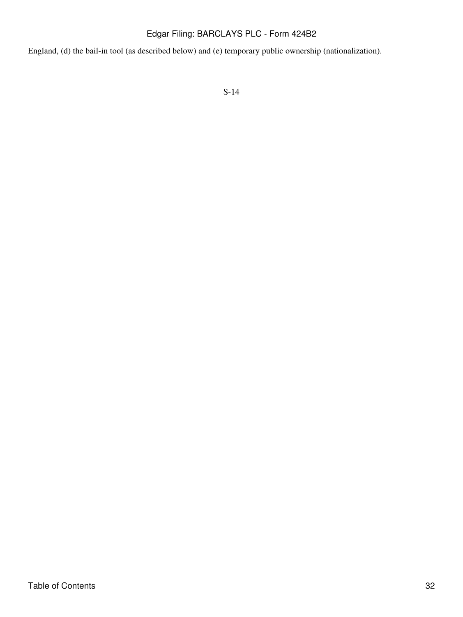England, (d) the bail-in tool (as described below) and (e) temporary public ownership (nationalization).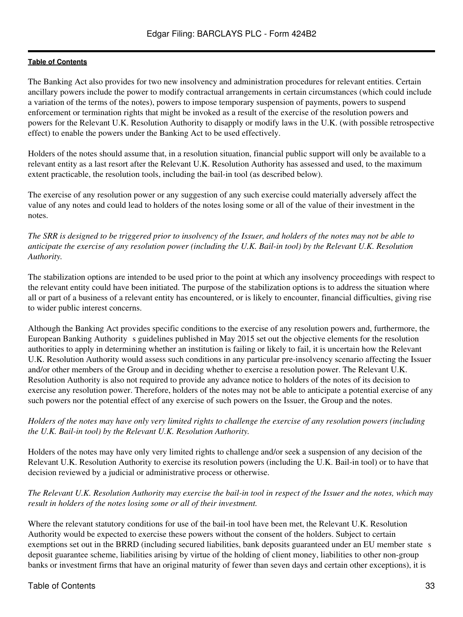The Banking Act also provides for two new insolvency and administration procedures for relevant entities. Certain ancillary powers include the power to modify contractual arrangements in certain circumstances (which could include a variation of the terms of the notes), powers to impose temporary suspension of payments, powers to suspend enforcement or termination rights that might be invoked as a result of the exercise of the resolution powers and powers for the Relevant U.K. Resolution Authority to disapply or modify laws in the U.K. (with possible retrospective effect) to enable the powers under the Banking Act to be used effectively.

Holders of the notes should assume that, in a resolution situation, financial public support will only be available to a relevant entity as a last resort after the Relevant U.K. Resolution Authority has assessed and used, to the maximum extent practicable, the resolution tools, including the bail-in tool (as described below).

The exercise of any resolution power or any suggestion of any such exercise could materially adversely affect the value of any notes and could lead to holders of the notes losing some or all of the value of their investment in the notes.

*The SRR is designed to be triggered prior to insolvency of the Issuer, and holders of the notes may not be able to anticipate the exercise of any resolution power (including the U.K. Bail-in tool) by the Relevant U.K. Resolution Authority.*

The stabilization options are intended to be used prior to the point at which any insolvency proceedings with respect to the relevant entity could have been initiated. The purpose of the stabilization options is to address the situation where all or part of a business of a relevant entity has encountered, or is likely to encounter, financial difficulties, giving rise to wider public interest concerns.

Although the Banking Act provides specific conditions to the exercise of any resolution powers and, furthermore, the European Banking Authority s guidelines published in May 2015 set out the objective elements for the resolution authorities to apply in determining whether an institution is failing or likely to fail, it is uncertain how the Relevant U.K. Resolution Authority would assess such conditions in any particular pre-insolvency scenario affecting the Issuer and/or other members of the Group and in deciding whether to exercise a resolution power. The Relevant U.K. Resolution Authority is also not required to provide any advance notice to holders of the notes of its decision to exercise any resolution power. Therefore, holders of the notes may not be able to anticipate a potential exercise of any such powers nor the potential effect of any exercise of such powers on the Issuer, the Group and the notes.

## *Holders of the notes may have only very limited rights to challenge the exercise of any resolution powers (including the U.K. Bail-in tool) by the Relevant U.K. Resolution Authority.*

Holders of the notes may have only very limited rights to challenge and/or seek a suspension of any decision of the Relevant U.K. Resolution Authority to exercise its resolution powers (including the U.K. Bail-in tool) or to have that decision reviewed by a judicial or administrative process or otherwise.

## *The Relevant U.K. Resolution Authority may exercise the bail-in tool in respect of the Issuer and the notes, which may result in holders of the notes losing some or all of their investment.*

Where the relevant statutory conditions for use of the bail-in tool have been met, the Relevant U.K. Resolution Authority would be expected to exercise these powers without the consent of the holders. Subject to certain exemptions set out in the BRRD (including secured liabilities, bank deposits guaranteed under an EU member state s deposit guarantee scheme, liabilities arising by virtue of the holding of client money, liabilities to other non-group banks or investment firms that have an original maturity of fewer than seven days and certain other exceptions), it is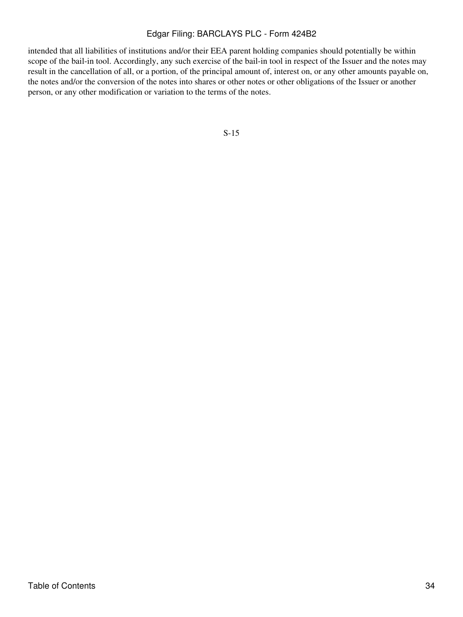intended that all liabilities of institutions and/or their EEA parent holding companies should potentially be within scope of the bail-in tool. Accordingly, any such exercise of the bail-in tool in respect of the Issuer and the notes may result in the cancellation of all, or a portion, of the principal amount of, interest on, or any other amounts payable on, the notes and/or the conversion of the notes into shares or other notes or other obligations of the Issuer or another person, or any other modification or variation to the terms of the notes.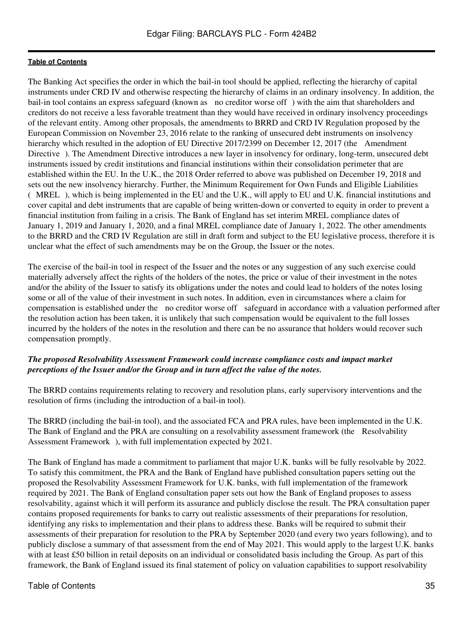The Banking Act specifies the order in which the bail-in tool should be applied, reflecting the hierarchy of capital instruments under CRD IV and otherwise respecting the hierarchy of claims in an ordinary insolvency. In addition, the bail-in tool contains an express safeguard (known as no creditor worse off) with the aim that shareholders and creditors do not receive a less favorable treatment than they would have received in ordinary insolvency proceedings of the relevant entity. Among other proposals, the amendments to BRRD and CRD IV Regulation proposed by the European Commission on November 23, 2016 relate to the ranking of unsecured debt instruments on insolvency hierarchy which resulted in the adoption of EU Directive 2017/2399 on December 12, 2017 (the Amendment Directive). The Amendment Directive introduces a new layer in insolvency for ordinary, long-term, unsecured debt instruments issued by credit institutions and financial institutions within their consolidation perimeter that are established within the EU. In the U.K., the 2018 Order referred to above was published on December 19, 2018 and sets out the new insolvency hierarchy. Further, the Minimum Requirement for Own Funds and Eligible Liabilities (MREL), which is being implemented in the EU and the U.K., will apply to EU and U.K. financial institutions and cover capital and debt instruments that are capable of being written-down or converted to equity in order to prevent a financial institution from failing in a crisis. The Bank of England has set interim MREL compliance dates of January 1, 2019 and January 1, 2020, and a final MREL compliance date of January 1, 2022. The other amendments to the BRRD and the CRD IV Regulation are still in draft form and subject to the EU legislative process, therefore it is unclear what the effect of such amendments may be on the Group, the Issuer or the notes.

The exercise of the bail-in tool in respect of the Issuer and the notes or any suggestion of any such exercise could materially adversely affect the rights of the holders of the notes, the price or value of their investment in the notes and/or the ability of the Issuer to satisfy its obligations under the notes and could lead to holders of the notes losing some or all of the value of their investment in such notes. In addition, even in circumstances where a claim for compensation is established under the no creditor worse off safeguard in accordance with a valuation performed after the resolution action has been taken, it is unlikely that such compensation would be equivalent to the full losses incurred by the holders of the notes in the resolution and there can be no assurance that holders would recover such compensation promptly.

## *The proposed Resolvability Assessment Framework could increase compliance costs and impact market perceptions of the Issuer and/or the Group and in turn affect the value of the notes.*

The BRRD contains requirements relating to recovery and resolution plans, early supervisory interventions and the resolution of firms (including the introduction of a bail-in tool).

The BRRD (including the bail-in tool), and the associated FCA and PRA rules, have been implemented in the U.K. The Bank of England and the PRA are consulting on a resolvability assessment framework (the Resolvability Assessment Framework), with full implementation expected by 2021.

The Bank of England has made a commitment to parliament that major U.K. banks will be fully resolvable by 2022. To satisfy this commitment, the PRA and the Bank of England have published consultation papers setting out the proposed the Resolvability Assessment Framework for U.K. banks, with full implementation of the framework required by 2021. The Bank of England consultation paper sets out how the Bank of England proposes to assess resolvability, against which it will perform its assurance and publicly disclose the result. The PRA consultation paper contains proposed requirements for banks to carry out realistic assessments of their preparations for resolution, identifying any risks to implementation and their plans to address these. Banks will be required to submit their assessments of their preparation for resolution to the PRA by September 2020 (and every two years following), and to publicly disclose a summary of that assessment from the end of May 2021. This would apply to the largest U.K. banks with at least £50 billion in retail deposits on an individual or consolidated basis including the Group. As part of this framework, the Bank of England issued its final statement of policy on valuation capabilities to support resolvability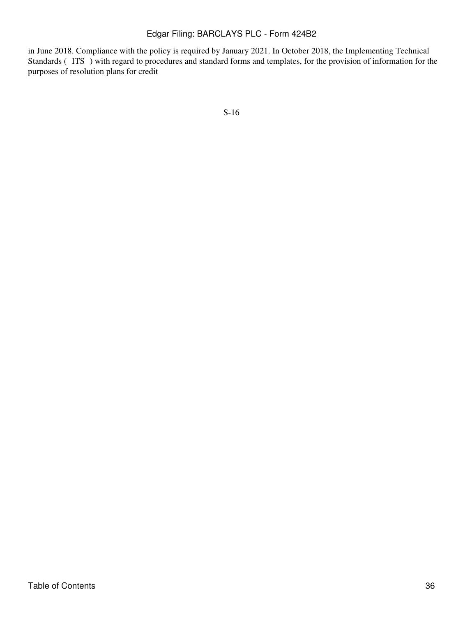in June 2018. Compliance with the policy is required by January 2021. In October 2018, the Implementing Technical Standards (ITS) with regard to procedures and standard forms and templates, for the provision of information for the purposes of resolution plans for credit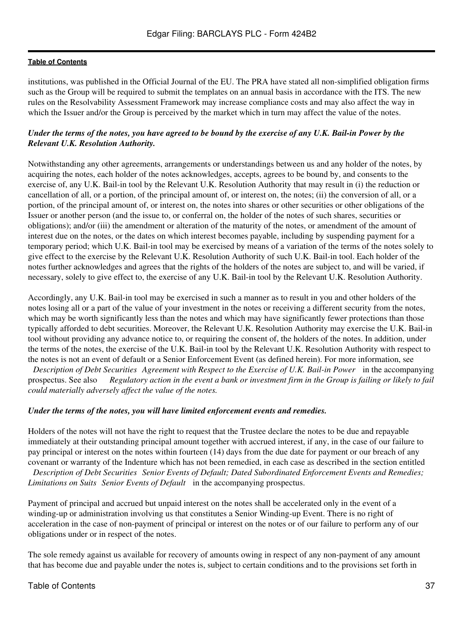institutions, was published in the Official Journal of the EU. The PRA have stated all non-simplified obligation firms such as the Group will be required to submit the templates on an annual basis in accordance with the ITS. The new rules on the Resolvability Assessment Framework may increase compliance costs and may also affect the way in which the Issuer and/or the Group is perceived by the market which in turn may affect the value of the notes.

# *Under the terms of the notes, you have agreed to be bound by the exercise of any U.K. Bail-in Power by the Relevant U.K. Resolution Authority.*

Notwithstanding any other agreements, arrangements or understandings between us and any holder of the notes, by acquiring the notes, each holder of the notes acknowledges, accepts, agrees to be bound by, and consents to the exercise of, any U.K. Bail-in tool by the Relevant U.K. Resolution Authority that may result in (i) the reduction or cancellation of all, or a portion, of the principal amount of, or interest on, the notes; (ii) the conversion of all, or a portion, of the principal amount of, or interest on, the notes into shares or other securities or other obligations of the Issuer or another person (and the issue to, or conferral on, the holder of the notes of such shares, securities or obligations); and/or (iii) the amendment or alteration of the maturity of the notes, or amendment of the amount of interest due on the notes, or the dates on which interest becomes payable, including by suspending payment for a temporary period; which U.K. Bail-in tool may be exercised by means of a variation of the terms of the notes solely to give effect to the exercise by the Relevant U.K. Resolution Authority of such U.K. Bail-in tool. Each holder of the notes further acknowledges and agrees that the rights of the holders of the notes are subject to, and will be varied, if necessary, solely to give effect to, the exercise of any U.K. Bail-in tool by the Relevant U.K. Resolution Authority.

Accordingly, any U.K. Bail-in tool may be exercised in such a manner as to result in you and other holders of the notes losing all or a part of the value of your investment in the notes or receiving a different security from the notes, which may be worth significantly less than the notes and which may have significantly fewer protections than those typically afforded to debt securities. Moreover, the Relevant U.K. Resolution Authority may exercise the U.K. Bail-in tool without providing any advance notice to, or requiring the consent of, the holders of the notes. In addition, under the terms of the notes, the exercise of the U.K. Bail-in tool by the Relevant U.K. Resolution Authority with respect to the notes is not an event of default or a Senior Enforcement Event (as defined herein). For more information, see *Description of Debt Securities Agreement with Respect to the Exercise of U.K. Bail-in Power* in the accompanying

prospectus. See also *Regulatory action in the event a bank or investment firm in the Group is failing or likely to fail could materially adversely affect the value of the notes.*

### *Under the terms of the notes, you will have limited enforcement events and remedies.*

Holders of the notes will not have the right to request that the Trustee declare the notes to be due and repayable immediately at their outstanding principal amount together with accrued interest, if any, in the case of our failure to pay principal or interest on the notes within fourteen (14) days from the due date for payment or our breach of any covenant or warranty of the Indenture which has not been remedied, in each case as described in the section entitled **Description of Debt Securities Senior Events of Default; Dated Subordinated Enforcement Events and Remedies;** 

*Limitations on Suits Senior Events of Default* in the accompanying prospectus.

Payment of principal and accrued but unpaid interest on the notes shall be accelerated only in the event of a winding-up or administration involving us that constitutes a Senior Winding-up Event. There is no right of acceleration in the case of non-payment of principal or interest on the notes or of our failure to perform any of our obligations under or in respect of the notes.

The sole remedy against us available for recovery of amounts owing in respect of any non-payment of any amount that has become due and payable under the notes is, subject to certain conditions and to the provisions set forth in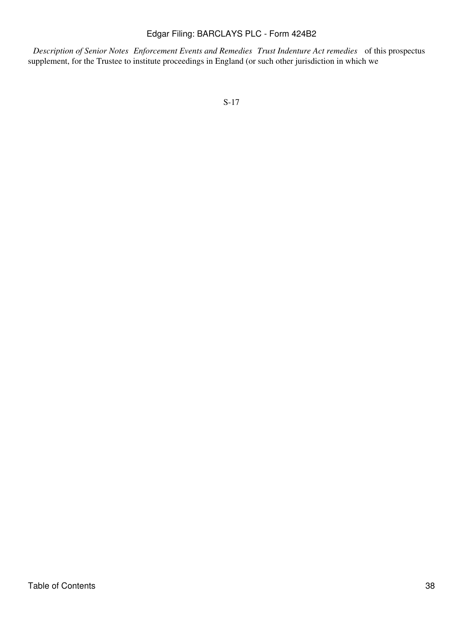Description of Senior Notes Enforcement Events and Remedies Trust Indenture Act remedies of this prospectus supplement, for the Trustee to institute proceedings in England (or such other jurisdiction in which we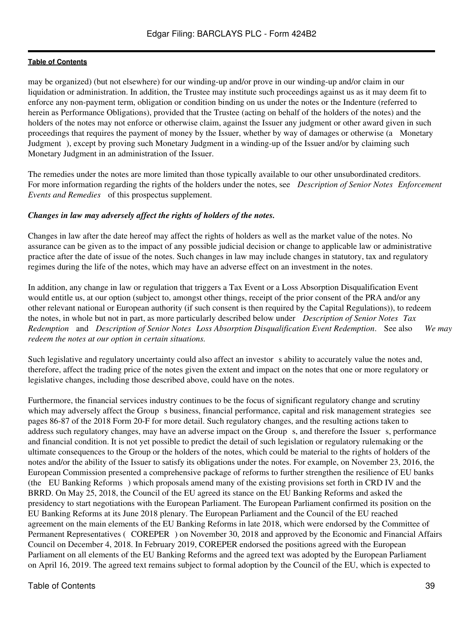may be organized) (but not elsewhere) for our winding-up and/or prove in our winding-up and/or claim in our liquidation or administration. In addition, the Trustee may institute such proceedings against us as it may deem fit to enforce any non-payment term, obligation or condition binding on us under the notes or the Indenture (referred to herein as Performance Obligations), provided that the Trustee (acting on behalf of the holders of the notes) and the holders of the notes may not enforce or otherwise claim, against the Issuer any judgment or other award given in such proceedings that requires the payment of money by the Issuer, whether by way of damages or otherwise (a Monetary Judgment), except by proving such Monetary Judgment in a winding-up of the Issuer and/or by claiming such Monetary Judgment in an administration of the Issuer.

The remedies under the notes are more limited than those typically available to our other unsubordinated creditors. For more information regarding the rights of the holders under the notes, see *Description of Senior Notes Enforcement Events and Remedies* of this prospectus supplement.

# *Changes in law may adversely affect the rights of holders of the notes.*

Changes in law after the date hereof may affect the rights of holders as well as the market value of the notes. No assurance can be given as to the impact of any possible judicial decision or change to applicable law or administrative practice after the date of issue of the notes. Such changes in law may include changes in statutory, tax and regulatory regimes during the life of the notes, which may have an adverse effect on an investment in the notes.

In addition, any change in law or regulation that triggers a Tax Event or a Loss Absorption Disqualification Event would entitle us, at our option (subject to, amongst other things, receipt of the prior consent of the PRA and/or any other relevant national or European authority (if such consent is then required by the Capital Regulations)), to redeem the notes, in whole but not in part, as more particularly described below under *Description of Senior Notes Tax Redemption* and *Description of Senior NotesLoss Absorption Disqualification Event Redemption*. See also *We may redeem the notes at our option in certain situations.*

Such legislative and regulatory uncertainty could also affect an investor s ability to accurately value the notes and, therefore, affect the trading price of the notes given the extent and impact on the notes that one or more regulatory or legislative changes, including those described above, could have on the notes.

Furthermore, the financial services industry continues to be the focus of significant regulatory change and scrutiny which may adversely affect the Group s business, financial performance, capital and risk management strategies see pages 86-87 of the 2018 Form 20-F for more detail. Such regulatory changes, and the resulting actions taken to address such regulatory changes, may have an adverse impact on the Group s, and therefore the Issuer s, performance and financial condition. It is not yet possible to predict the detail of such legislation or regulatory rulemaking or the ultimate consequences to the Group or the holders of the notes, which could be material to the rights of holders of the notes and/or the ability of the Issuer to satisfy its obligations under the notes. For example, on November 23, 2016, the European Commission presented a comprehensive package of reforms to further strengthen the resilience of EU banks (the EU Banking Reforms) which proposals amend many of the existing provisions set forth in CRD IV and the BRRD. On May 25, 2018, the Council of the EU agreed its stance on the EU Banking Reforms and asked the presidency to start negotiations with the European Parliament. The European Parliament confirmed its position on the EU Banking Reforms at its June 2018 plenary. The European Parliament and the Council of the EU reached agreement on the main elements of the EU Banking Reforms in late 2018, which were endorsed by the Committee of Permanent Representatives (COREPER) on November 30, 2018 and approved by the Economic and Financial Affairs Council on December 4, 2018. In February 2019, COREPER endorsed the positions agreed with the European Parliament on all elements of the EU Banking Reforms and the agreed text was adopted by the European Parliament on April 16, 2019. The agreed text remains subject to formal adoption by the Council of the EU, which is expected to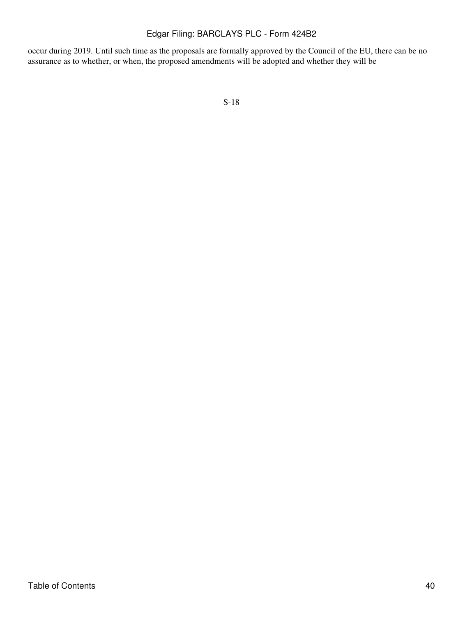occur during 2019. Until such time as the proposals are formally approved by the Council of the EU, there can be no assurance as to whether, or when, the proposed amendments will be adopted and whether they will be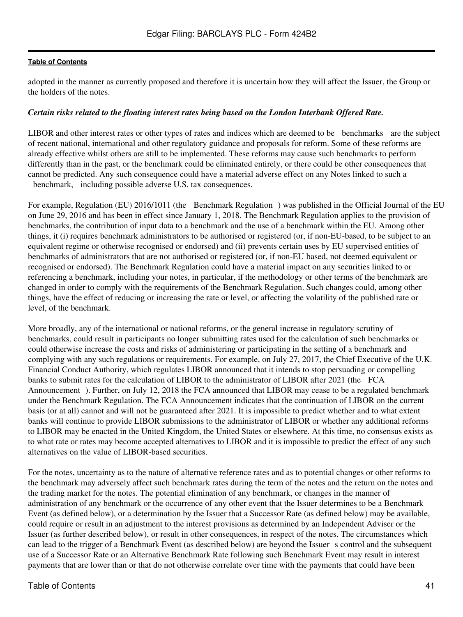adopted in the manner as currently proposed and therefore it is uncertain how they will affect the Issuer, the Group or the holders of the notes.

# *Certain risks related to the floating interest rates being based on the London Interbank Offered Rate.*

LIBOR and other interest rates or other types of rates and indices which are deemed to be benchmarks are the subject of recent national, international and other regulatory guidance and proposals for reform. Some of these reforms are already effective whilst others are still to be implemented. These reforms may cause such benchmarks to perform differently than in the past, or the benchmark could be eliminated entirely, or there could be other consequences that cannot be predicted. Any such consequence could have a material adverse effect on any Notes linked to such a benchmark, including possible adverse U.S. tax consequences.

For example, Regulation (EU) 2016/1011 (the Benchmark Regulation) was published in the Official Journal of the EU on June 29, 2016 and has been in effect since January 1, 2018. The Benchmark Regulation applies to the provision of benchmarks, the contribution of input data to a benchmark and the use of a benchmark within the EU. Among other things, it (i) requires benchmark administrators to be authorised or registered (or, if non-EU-based, to be subject to an equivalent regime or otherwise recognised or endorsed) and (ii) prevents certain uses by EU supervised entities of benchmarks of administrators that are not authorised or registered (or, if non-EU based, not deemed equivalent or recognised or endorsed). The Benchmark Regulation could have a material impact on any securities linked to or referencing a benchmark, including your notes, in particular, if the methodology or other terms of the benchmark are changed in order to comply with the requirements of the Benchmark Regulation. Such changes could, among other things, have the effect of reducing or increasing the rate or level, or affecting the volatility of the published rate or level, of the benchmark.

More broadly, any of the international or national reforms, or the general increase in regulatory scrutiny of benchmarks, could result in participants no longer submitting rates used for the calculation of such benchmarks or could otherwise increase the costs and risks of administering or participating in the setting of a benchmark and complying with any such regulations or requirements. For example, on July 27, 2017, the Chief Executive of the U.K. Financial Conduct Authority, which regulates LIBOR announced that it intends to stop persuading or compelling banks to submit rates for the calculation of LIBOR to the administrator of LIBOR after 2021 (the FCA Announcement). Further, on July 12, 2018 the FCA announced that LIBOR may cease to be a regulated benchmark under the Benchmark Regulation. The FCA Announcement indicates that the continuation of LIBOR on the current basis (or at all) cannot and will not be guaranteed after 2021. It is impossible to predict whether and to what extent banks will continue to provide LIBOR submissions to the administrator of LIBOR or whether any additional reforms to LIBOR may be enacted in the United Kingdom, the United States or elsewhere. At this time, no consensus exists as to what rate or rates may become accepted alternatives to LIBOR and it is impossible to predict the effect of any such alternatives on the value of LIBOR-based securities.

For the notes, uncertainty as to the nature of alternative reference rates and as to potential changes or other reforms to the benchmark may adversely affect such benchmark rates during the term of the notes and the return on the notes and the trading market for the notes. The potential elimination of any benchmark, or changes in the manner of administration of any benchmark or the occurrence of any other event that the Issuer determines to be a Benchmark Event (as defined below), or a determination by the Issuer that a Successor Rate (as defined below) may be available, could require or result in an adjustment to the interest provisions as determined by an Independent Adviser or the Issuer (as further described below), or result in other consequences, in respect of the notes. The circumstances which can lead to the trigger of a Benchmark Event (as described below) are beyond the Issuer s control and the subsequent use of a Successor Rate or an Alternative Benchmark Rate following such Benchmark Event may result in interest payments that are lower than or that do not otherwise correlate over time with the payments that could have been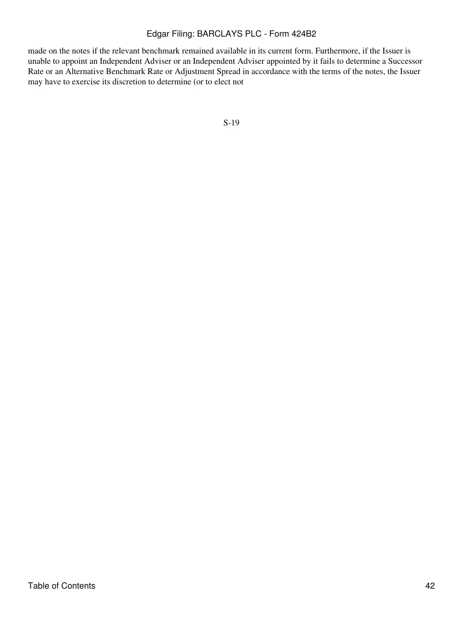made on the notes if the relevant benchmark remained available in its current form. Furthermore, if the Issuer is unable to appoint an Independent Adviser or an Independent Adviser appointed by it fails to determine a Successor Rate or an Alternative Benchmark Rate or Adjustment Spread in accordance with the terms of the notes, the Issuer may have to exercise its discretion to determine (or to elect not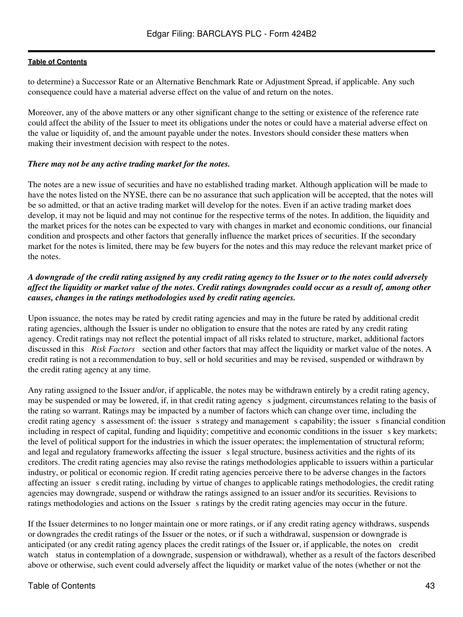to determine) a Successor Rate or an Alternative Benchmark Rate or Adjustment Spread, if applicable. Any such consequence could have a material adverse effect on the value of and return on the notes.

Moreover, any of the above matters or any other significant change to the setting or existence of the reference rate could affect the ability of the Issuer to meet its obligations under the notes or could have a material adverse effect on the value or liquidity of, and the amount payable under the notes. Investors should consider these matters when making their investment decision with respect to the notes.

# *There may not be any active trading market for the notes.*

The notes are a new issue of securities and have no established trading market. Although application will be made to have the notes listed on the NYSE, there can be no assurance that such application will be accepted, that the notes will be so admitted, or that an active trading market will develop for the notes. Even if an active trading market does develop, it may not be liquid and may not continue for the respective terms of the notes. In addition, the liquidity and the market prices for the notes can be expected to vary with changes in market and economic conditions, our financial condition and prospects and other factors that generally influence the market prices of securities. If the secondary market for the notes is limited, there may be few buyers for the notes and this may reduce the relevant market price of the notes.

# *A downgrade of the credit rating assigned by any credit rating agency to the Issuer or to the notes could adversely affect the liquidity or market value of the notes. Credit ratings downgrades could occur as a result of, among other causes, changes in the ratings methodologies used by credit rating agencies.*

Upon issuance, the notes may be rated by credit rating agencies and may in the future be rated by additional credit rating agencies, although the Issuer is under no obligation to ensure that the notes are rated by any credit rating agency. Credit ratings may not reflect the potential impact of all risks related to structure, market, additional factors discussed in this *Risk Factors* section and other factors that may affect the liquidity or market value of the notes. A credit rating is not a recommendation to buy, sell or hold securities and may be revised, suspended or withdrawn by the credit rating agency at any time.

Any rating assigned to the Issuer and/or, if applicable, the notes may be withdrawn entirely by a credit rating agency, may be suspended or may be lowered, if, in that credit rating agency s judgment, circumstances relating to the basis of the rating so warrant. Ratings may be impacted by a number of factors which can change over time, including the credit rating agency s assessment of: the issuer s strategy and management s capability; the issuer s financial condition including in respect of capital, funding and liquidity; competitive and economic conditions in the issuer s key markets; the level of political support for the industries in which the issuer operates; the implementation of structural reform; and legal and regulatory frameworks affecting the issuer s legal structure, business activities and the rights of its creditors. The credit rating agencies may also revise the ratings methodologies applicable to issuers within a particular industry, or political or economic region. If credit rating agencies perceive there to be adverse changes in the factors affecting an issuer s credit rating, including by virtue of changes to applicable ratings methodologies, the credit rating agencies may downgrade, suspend or withdraw the ratings assigned to an issuer and/or its securities. Revisions to ratings methodologies and actions on the Issuer s ratings by the credit rating agencies may occur in the future.

If the Issuer determines to no longer maintain one or more ratings, or if any credit rating agency withdraws, suspends or downgrades the credit ratings of the Issuer or the notes, or if such a withdrawal, suspension or downgrade is anticipated (or any credit rating agency places the credit ratings of the Issuer or, if applicable, the notes on credit watch status in contemplation of a downgrade, suspension or withdrawal), whether as a result of the factors described above or otherwise, such event could adversely affect the liquidity or market value of the notes (whether or not the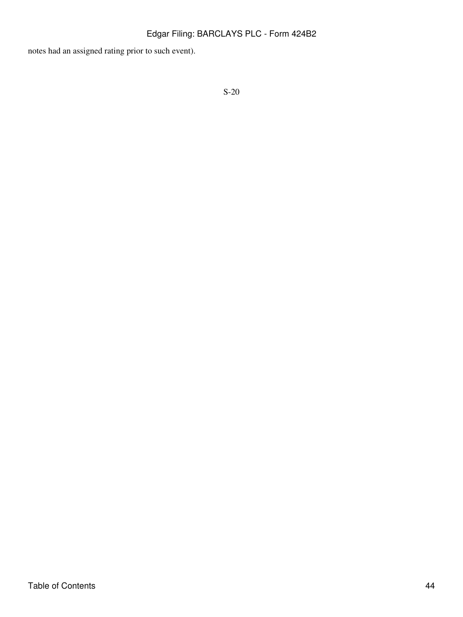notes had an assigned rating prior to such event).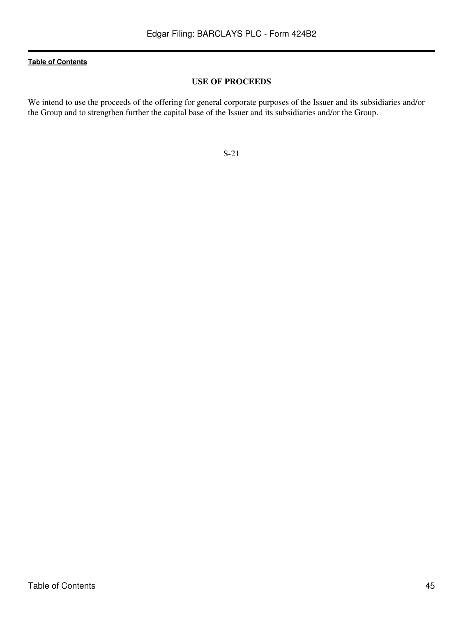# **USE OF PROCEEDS**

We intend to use the proceeds of the offering for general corporate purposes of the Issuer and its subsidiaries and/or the Group and to strengthen further the capital base of the Issuer and its subsidiaries and/or the Group.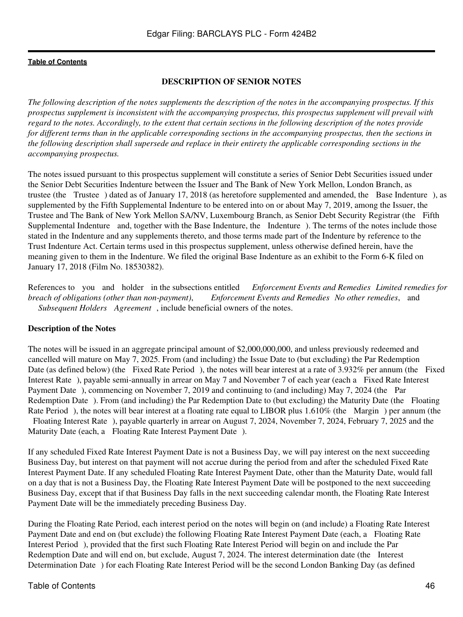# **DESCRIPTION OF SENIOR NOTES**

*The following description of the notes supplements the description of the notes in the accompanying prospectus. If this prospectus supplement is inconsistent with the accompanying prospectus, this prospectus supplement will prevail with regard to the notes. Accordingly, to the extent that certain sections in the following description of the notes provide for different terms than in the applicable corresponding sections in the accompanying prospectus, then the sections in the following description shall supersede and replace in their entirety the applicable corresponding sections in the accompanying prospectus.*

The notes issued pursuant to this prospectus supplement will constitute a series of Senior Debt Securities issued under the Senior Debt Securities Indenture between the Issuer and The Bank of New York Mellon, London Branch, as trustee (the Trustee) dated as of January 17, 2018 (as heretofore supplemented and amended, the Base Indenture), as supplemented by the Fifth Supplemental Indenture to be entered into on or about May 7, 2019, among the Issuer, the Trustee and The Bank of New York Mellon SA/NV, Luxembourg Branch, as Senior Debt Security Registrar (the Fifth Supplemental Indenture and, together with the Base Indenture, the Indenture). The terms of the notes include those stated in the Indenture and any supplements thereto, and those terms made part of the Indenture by reference to the Trust Indenture Act. Certain terms used in this prospectus supplement, unless otherwise defined herein, have the meaning given to them in the Indenture. We filed the original Base Indenture as an exhibit to the Form 6-K filed on January 17, 2018 (Film No. 18530382).

References to you and holder in the subsections entitled *Enforcement Events and Remedies Limited remedies for breach of obligations (other than non-payment), Enforcement Events and Remedies No other remedies, and Subsequent Holders Agreement*, include beneficial owners of the notes.

### **Description of the Notes**

The notes will be issued in an aggregate principal amount of \$2,000,000,000, and unless previously redeemed and cancelled will mature on May 7, 2025. From (and including) the Issue Date to (but excluding) the Par Redemption Date (as defined below) (the Fixed Rate Period), the notes will bear interest at a rate of 3.932% per annum (the Fixed Interest Rate), payable semi-annually in arrear on May 7 and November 7 of each year (each a Fixed Rate Interest Payment Date), commencing on November 7, 2019 and continuing to (and including) May 7, 2024 (the Par Redemption Date). From (and including) the Par Redemption Date to (but excluding) the Maturity Date (the Floating Rate Period), the notes will bear interest at a floating rate equal to LIBOR plus 1.610% (the Margin) per annum (the Floating Interest Rate), payable quarterly in arrear on August 7, 2024, November 7, 2024, February 7, 2025 and the Maturity Date (each, a Floating Rate Interest Payment Date).

If any scheduled Fixed Rate Interest Payment Date is not a Business Day, we will pay interest on the next succeeding Business Day, but interest on that payment will not accrue during the period from and after the scheduled Fixed Rate Interest Payment Date. If any scheduled Floating Rate Interest Payment Date, other than the Maturity Date, would fall on a day that is not a Business Day, the Floating Rate Interest Payment Date will be postponed to the next succeeding Business Day, except that if that Business Day falls in the next succeeding calendar month, the Floating Rate Interest Payment Date will be the immediately preceding Business Day.

During the Floating Rate Period, each interest period on the notes will begin on (and include) a Floating Rate Interest Payment Date and end on (but exclude) the following Floating Rate Interest Payment Date (each, a Floating Rate Interest Period), provided that the first such Floating Rate Interest Period will begin on and include the Par Redemption Date and will end on, but exclude, August 7, 2024. The interest determination date (the Interest Determination Date) for each Floating Rate Interest Period will be the second London Banking Day (as defined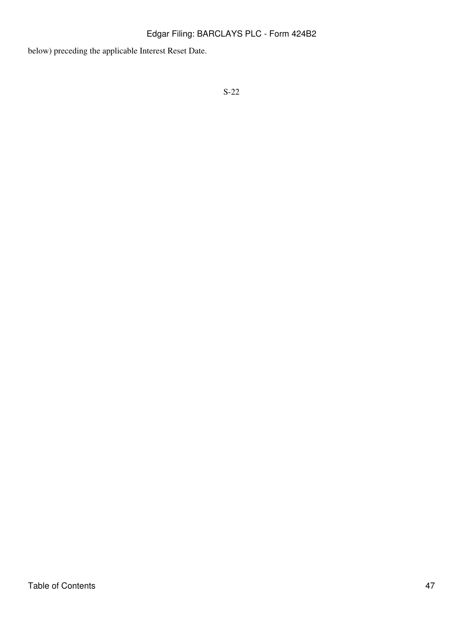below) preceding the applicable Interest Reset Date.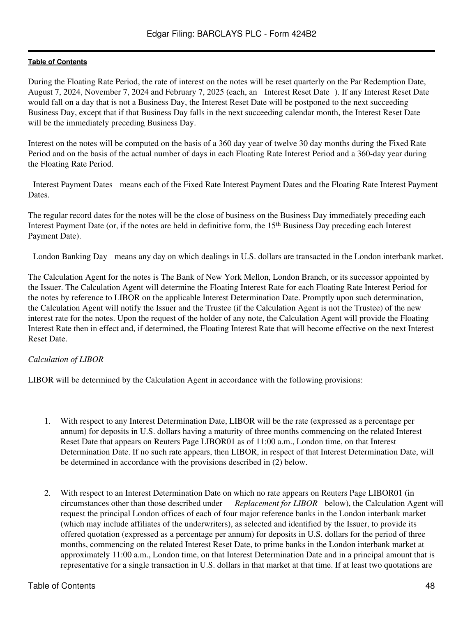During the Floating Rate Period, the rate of interest on the notes will be reset quarterly on the Par Redemption Date, August 7, 2024, November 7, 2024 and February 7, 2025 (each, an Interest Reset Date). If any Interest Reset Date would fall on a day that is not a Business Day, the Interest Reset Date will be postponed to the next succeeding Business Day, except that if that Business Day falls in the next succeeding calendar month, the Interest Reset Date will be the immediately preceding Business Day.

Interest on the notes will be computed on the basis of a 360 day year of twelve 30 day months during the Fixed Rate Period and on the basis of the actual number of days in each Floating Rate Interest Period and a 360-day year during the Floating Rate Period.

Interest Payment Dates means each of the Fixed Rate Interest Payment Dates and the Floating Rate Interest Payment **Dates**.

The regular record dates for the notes will be the close of business on the Business Day immediately preceding each Interest Payment Date (or, if the notes are held in definitive form, the 15th Business Day preceding each Interest Payment Date).

London Banking Day means any day on which dealings in U.S. dollars are transacted in the London interbank market.

The Calculation Agent for the notes is The Bank of New York Mellon, London Branch, or its successor appointed by the Issuer. The Calculation Agent will determine the Floating Interest Rate for each Floating Rate Interest Period for the notes by reference to LIBOR on the applicable Interest Determination Date. Promptly upon such determination, the Calculation Agent will notify the Issuer and the Trustee (if the Calculation Agent is not the Trustee) of the new interest rate for the notes. Upon the request of the holder of any note, the Calculation Agent will provide the Floating Interest Rate then in effect and, if determined, the Floating Interest Rate that will become effective on the next Interest Reset Date.

# *Calculation of LIBOR*

LIBOR will be determined by the Calculation Agent in accordance with the following provisions:

- 1. With respect to any Interest Determination Date, LIBOR will be the rate (expressed as a percentage per annum) for deposits in U.S. dollars having a maturity of three months commencing on the related Interest Reset Date that appears on Reuters Page LIBOR01 as of 11:00 a.m., London time, on that Interest Determination Date. If no such rate appears, then LIBOR, in respect of that Interest Determination Date, will be determined in accordance with the provisions described in (2) below.
- 2. With respect to an Interest Determination Date on which no rate appears on Reuters Page LIBOR01 (in circumstances other than those described under *Replacement for LIBOR* below), the Calculation Agent will request the principal London offices of each of four major reference banks in the London interbank market (which may include affiliates of the underwriters), as selected and identified by the Issuer, to provide its offered quotation (expressed as a percentage per annum) for deposits in U.S. dollars for the period of three months, commencing on the related Interest Reset Date, to prime banks in the London interbank market at approximately 11:00 a.m., London time, on that Interest Determination Date and in a principal amount that is representative for a single transaction in U.S. dollars in that market at that time. If at least two quotations are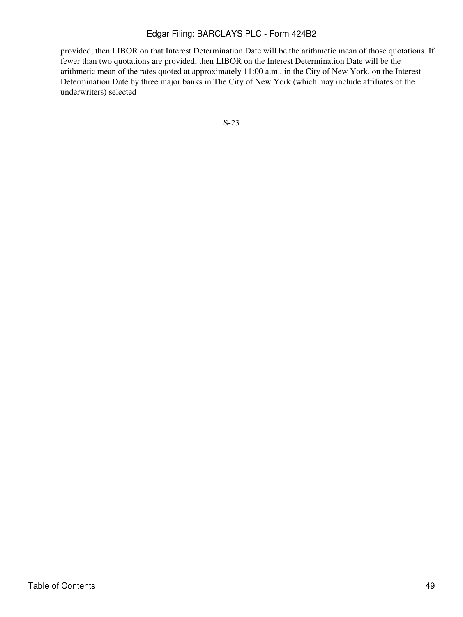provided, then LIBOR on that Interest Determination Date will be the arithmetic mean of those quotations. If fewer than two quotations are provided, then LIBOR on the Interest Determination Date will be the arithmetic mean of the rates quoted at approximately 11:00 a.m., in the City of New York, on the Interest Determination Date by three major banks in The City of New York (which may include affiliates of the underwriters) selected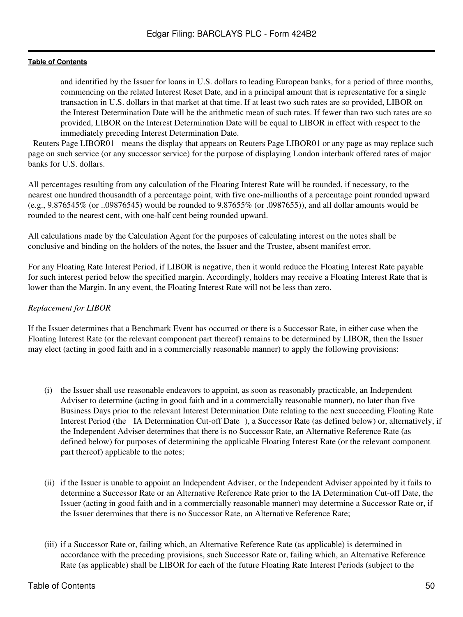and identified by the Issuer for loans in U.S. dollars to leading European banks, for a period of three months, commencing on the related Interest Reset Date, and in a principal amount that is representative for a single transaction in U.S. dollars in that market at that time. If at least two such rates are so provided, LIBOR on the Interest Determination Date will be the arithmetic mean of such rates. If fewer than two such rates are so provided, LIBOR on the Interest Determination Date will be equal to LIBOR in effect with respect to the immediately preceding Interest Determination Date.

Reuters Page LIBOR01 means the display that appears on Reuters Page LIBOR01 or any page as may replace such page on such service (or any successor service) for the purpose of displaying London interbank offered rates of major banks for U.S. dollars.

All percentages resulting from any calculation of the Floating Interest Rate will be rounded, if necessary, to the nearest one hundred thousandth of a percentage point, with five one-millionths of a percentage point rounded upward (e.g., 9.876545% (or ..09876545) would be rounded to 9.87655% (or .0987655)), and all dollar amounts would be rounded to the nearest cent, with one-half cent being rounded upward.

All calculations made by the Calculation Agent for the purposes of calculating interest on the notes shall be conclusive and binding on the holders of the notes, the Issuer and the Trustee, absent manifest error.

For any Floating Rate Interest Period, if LIBOR is negative, then it would reduce the Floating Interest Rate payable for such interest period below the specified margin. Accordingly, holders may receive a Floating Interest Rate that is lower than the Margin. In any event, the Floating Interest Rate will not be less than zero.

# *Replacement for LIBOR*

If the Issuer determines that a Benchmark Event has occurred or there is a Successor Rate, in either case when the Floating Interest Rate (or the relevant component part thereof) remains to be determined by LIBOR, then the Issuer may elect (acting in good faith and in a commercially reasonable manner) to apply the following provisions:

- (i) the Issuer shall use reasonable endeavors to appoint, as soon as reasonably practicable, an Independent Adviser to determine (acting in good faith and in a commercially reasonable manner), no later than five Business Days prior to the relevant Interest Determination Date relating to the next succeeding Floating Rate Interest Period (the IA Determination Cut-off Date), a Successor Rate (as defined below) or, alternatively, if the Independent Adviser determines that there is no Successor Rate, an Alternative Reference Rate (as defined below) for purposes of determining the applicable Floating Interest Rate (or the relevant component part thereof) applicable to the notes;
- (ii) if the Issuer is unable to appoint an Independent Adviser, or the Independent Adviser appointed by it fails to determine a Successor Rate or an Alternative Reference Rate prior to the IA Determination Cut-off Date, the Issuer (acting in good faith and in a commercially reasonable manner) may determine a Successor Rate or, if the Issuer determines that there is no Successor Rate, an Alternative Reference Rate;
- (iii) if a Successor Rate or, failing which, an Alternative Reference Rate (as applicable) is determined in accordance with the preceding provisions, such Successor Rate or, failing which, an Alternative Reference Rate (as applicable) shall be LIBOR for each of the future Floating Rate Interest Periods (subject to the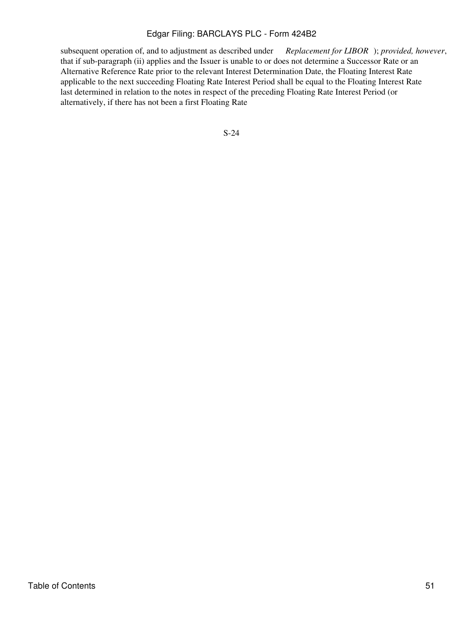subsequent operation of, and to adjustment as described under *Replacement for LIBOR*); *provided, however*, that if sub-paragraph (ii) applies and the Issuer is unable to or does not determine a Successor Rate or an Alternative Reference Rate prior to the relevant Interest Determination Date, the Floating Interest Rate applicable to the next succeeding Floating Rate Interest Period shall be equal to the Floating Interest Rate last determined in relation to the notes in respect of the preceding Floating Rate Interest Period (or alternatively, if there has not been a first Floating Rate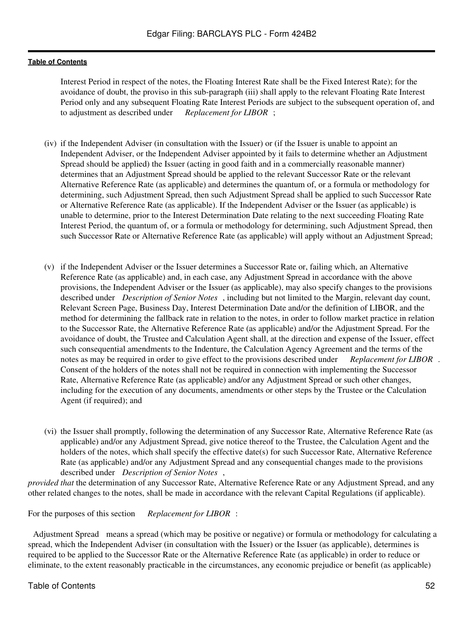Interest Period in respect of the notes, the Floating Interest Rate shall be the Fixed Interest Rate); for the avoidance of doubt, the proviso in this sub-paragraph (iii) shall apply to the relevant Floating Rate Interest Period only and any subsequent Floating Rate Interest Periods are subject to the subsequent operation of, and to adjustment as described under *Replacement for LIBOR*;

- (iv) if the Independent Adviser (in consultation with the Issuer) or (if the Issuer is unable to appoint an Independent Adviser, or the Independent Adviser appointed by it fails to determine whether an Adjustment Spread should be applied) the Issuer (acting in good faith and in a commercially reasonable manner) determines that an Adjustment Spread should be applied to the relevant Successor Rate or the relevant Alternative Reference Rate (as applicable) and determines the quantum of, or a formula or methodology for determining, such Adjustment Spread, then such Adjustment Spread shall be applied to such Successor Rate or Alternative Reference Rate (as applicable). If the Independent Adviser or the Issuer (as applicable) is unable to determine, prior to the Interest Determination Date relating to the next succeeding Floating Rate Interest Period, the quantum of, or a formula or methodology for determining, such Adjustment Spread, then such Successor Rate or Alternative Reference Rate (as applicable) will apply without an Adjustment Spread;
- (v) if the Independent Adviser or the Issuer determines a Successor Rate or, failing which, an Alternative Reference Rate (as applicable) and, in each case, any Adjustment Spread in accordance with the above provisions, the Independent Adviser or the Issuer (as applicable), may also specify changes to the provisions described under *Description of Senior Notes*, including but not limited to the Margin, relevant day count, Relevant Screen Page, Business Day, Interest Determination Date and/or the definition of LIBOR, and the method for determining the fallback rate in relation to the notes, in order to follow market practice in relation to the Successor Rate, the Alternative Reference Rate (as applicable) and/or the Adjustment Spread. For the avoidance of doubt, the Trustee and Calculation Agent shall, at the direction and expense of the Issuer, effect such consequential amendments to the Indenture, the Calculation Agency Agreement and the terms of the notes as may be required in order to give effect to the provisions described under *Replacement for LIBOR*. Consent of the holders of the notes shall not be required in connection with implementing the Successor Rate, Alternative Reference Rate (as applicable) and/or any Adjustment Spread or such other changes, including for the execution of any documents, amendments or other steps by the Trustee or the Calculation Agent (if required); and
- (vi) the Issuer shall promptly, following the determination of any Successor Rate, Alternative Reference Rate (as applicable) and/or any Adjustment Spread, give notice thereof to the Trustee, the Calculation Agent and the holders of the notes, which shall specify the effective date(s) for such Successor Rate, Alternative Reference Rate (as applicable) and/or any Adjustment Spread and any consequential changes made to the provisions described under *Description of Senior Notes*,

*provided that* the determination of any Successor Rate, Alternative Reference Rate or any Adjustment Spread, and any other related changes to the notes, shall be made in accordance with the relevant Capital Regulations (if applicable).

For the purposes of this section *Replacement for LIBOR*:

Adjustment Spread means a spread (which may be positive or negative) or formula or methodology for calculating a spread, which the Independent Adviser (in consultation with the Issuer) or the Issuer (as applicable), determines is required to be applied to the Successor Rate or the Alternative Reference Rate (as applicable) in order to reduce or eliminate, to the extent reasonably practicable in the circumstances, any economic prejudice or benefit (as applicable)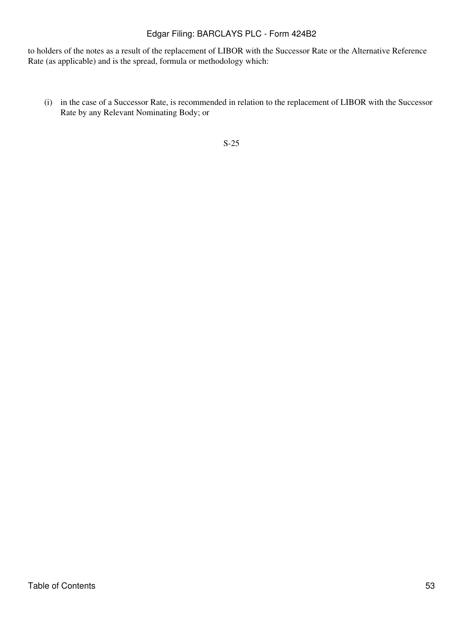to holders of the notes as a result of the replacement of LIBOR with the Successor Rate or the Alternative Reference Rate (as applicable) and is the spread, formula or methodology which:

(i) in the case of a Successor Rate, is recommended in relation to the replacement of LIBOR with the Successor Rate by any Relevant Nominating Body; or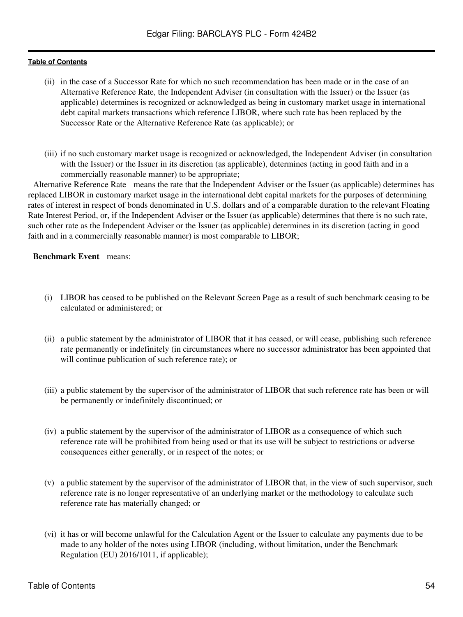- (ii) in the case of a Successor Rate for which no such recommendation has been made or in the case of an Alternative Reference Rate, the Independent Adviser (in consultation with the Issuer) or the Issuer (as applicable) determines is recognized or acknowledged as being in customary market usage in international debt capital markets transactions which reference LIBOR, where such rate has been replaced by the Successor Rate or the Alternative Reference Rate (as applicable); or
- (iii) if no such customary market usage is recognized or acknowledged, the Independent Adviser (in consultation with the Issuer) or the Issuer in its discretion (as applicable), determines (acting in good faith and in a commercially reasonable manner) to be appropriate;

Alternative Reference Rate means the rate that the Independent Adviser or the Issuer (as applicable) determines has replaced LIBOR in customary market usage in the international debt capital markets for the purposes of determining rates of interest in respect of bonds denominated in U.S. dollars and of a comparable duration to the relevant Floating Rate Interest Period, or, if the Independent Adviser or the Issuer (as applicable) determines that there is no such rate, such other rate as the Independent Adviser or the Issuer (as applicable) determines in its discretion (acting in good faith and in a commercially reasonable manner) is most comparable to LIBOR;

### **Benchmark Event** means:

- (i) LIBOR has ceased to be published on the Relevant Screen Page as a result of such benchmark ceasing to be calculated or administered; or
- (ii) a public statement by the administrator of LIBOR that it has ceased, or will cease, publishing such reference rate permanently or indefinitely (in circumstances where no successor administrator has been appointed that will continue publication of such reference rate); or
- (iii) a public statement by the supervisor of the administrator of LIBOR that such reference rate has been or will be permanently or indefinitely discontinued; or
- (iv) a public statement by the supervisor of the administrator of LIBOR as a consequence of which such reference rate will be prohibited from being used or that its use will be subject to restrictions or adverse consequences either generally, or in respect of the notes; or
- (v) a public statement by the supervisor of the administrator of LIBOR that, in the view of such supervisor, such reference rate is no longer representative of an underlying market or the methodology to calculate such reference rate has materially changed; or
- (vi) it has or will become unlawful for the Calculation Agent or the Issuer to calculate any payments due to be made to any holder of the notes using LIBOR (including, without limitation, under the Benchmark Regulation (EU) 2016/1011, if applicable);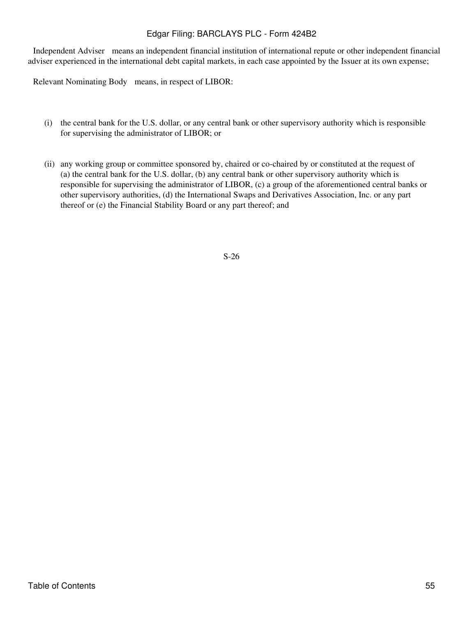Independent Adviser means an independent financial institution of international repute or other independent financial adviser experienced in the international debt capital markets, in each case appointed by the Issuer at its own expense;

Relevant Nominating Body means, in respect of LIBOR:

- (i) the central bank for the U.S. dollar, or any central bank or other supervisory authority which is responsible for supervising the administrator of LIBOR; or
- (ii) any working group or committee sponsored by, chaired or co-chaired by or constituted at the request of (a) the central bank for the U.S. dollar, (b) any central bank or other supervisory authority which is responsible for supervising the administrator of LIBOR, (c) a group of the aforementioned central banks or other supervisory authorities, (d) the International Swaps and Derivatives Association, Inc. or any part thereof or (e) the Financial Stability Board or any part thereof; and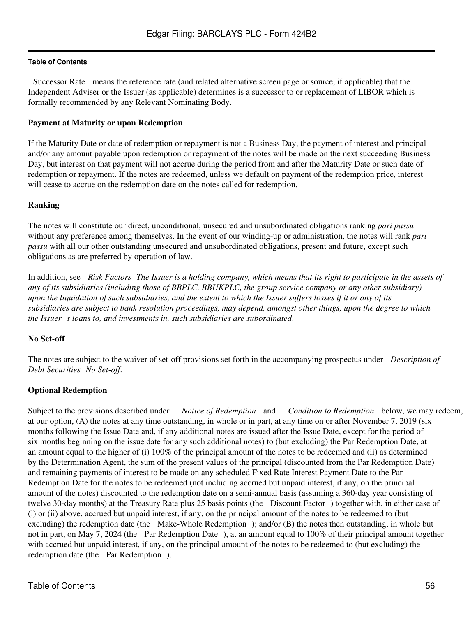Successor Rate means the reference rate (and related alternative screen page or source, if applicable) that the Independent Adviser or the Issuer (as applicable) determines is a successor to or replacement of LIBOR which is formally recommended by any Relevant Nominating Body.

# **Payment at Maturity or upon Redemption**

If the Maturity Date or date of redemption or repayment is not a Business Day, the payment of interest and principal and/or any amount payable upon redemption or repayment of the notes will be made on the next succeeding Business Day, but interest on that payment will not accrue during the period from and after the Maturity Date or such date of redemption or repayment. If the notes are redeemed, unless we default on payment of the redemption price, interest will cease to accrue on the redemption date on the notes called for redemption.

# **Ranking**

The notes will constitute our direct, unconditional, unsecured and unsubordinated obligations ranking *pari passu* without any preference among themselves. In the event of our winding-up or administration, the notes will rank *pari passu* with all our other outstanding unsecured and unsubordinated obligations, present and future, except such obligations as are preferred by operation of law.

In addition, see *Risk Factors The Issuer is a holding company, which means that its right to participate in the assets of any of its subsidiaries (including those of BBPLC, BBUKPLC, the group service company or any other subsidiary) upon the liquidation of such subsidiaries, and the extent to which the Issuer suffers losses if it or any of its subsidiaries are subject to bank resolution proceedings, may depend, amongst other things, upon the degree to which the Issuer s loans to, and investments in, such subsidiaries are subordinated.* 

### **No Set-off**

The notes are subject to the waiver of set-off provisions set forth in the accompanying prospectus under *Description of Debt Securities No Set-off*.

# **Optional Redemption**

Subject to the provisions described under *Notice of Redemption* and *Condition to Redemption* below, we may redeem, at our option, (A) the notes at any time outstanding, in whole or in part, at any time on or after November 7, 2019 (six months following the Issue Date and, if any additional notes are issued after the Issue Date, except for the period of six months beginning on the issue date for any such additional notes) to (but excluding) the Par Redemption Date, at an amount equal to the higher of (i) 100% of the principal amount of the notes to be redeemed and (ii) as determined by the Determination Agent, the sum of the present values of the principal (discounted from the Par Redemption Date) and remaining payments of interest to be made on any scheduled Fixed Rate Interest Payment Date to the Par Redemption Date for the notes to be redeemed (not including accrued but unpaid interest, if any, on the principal amount of the notes) discounted to the redemption date on a semi-annual basis (assuming a 360-day year consisting of twelve 30-day months) at the Treasury Rate plus 25 basis points (the Discount Factor) together with, in either case of (i) or (ii) above, accrued but unpaid interest, if any, on the principal amount of the notes to be redeemed to (but excluding) the redemption date (the Make-Whole Redemption); and/or (B) the notes then outstanding, in whole but not in part, on May 7, 2024 (the Par Redemption Date), at an amount equal to 100% of their principal amount together with accrued but unpaid interest, if any, on the principal amount of the notes to be redeemed to (but excluding) the redemption date (the Par Redemption).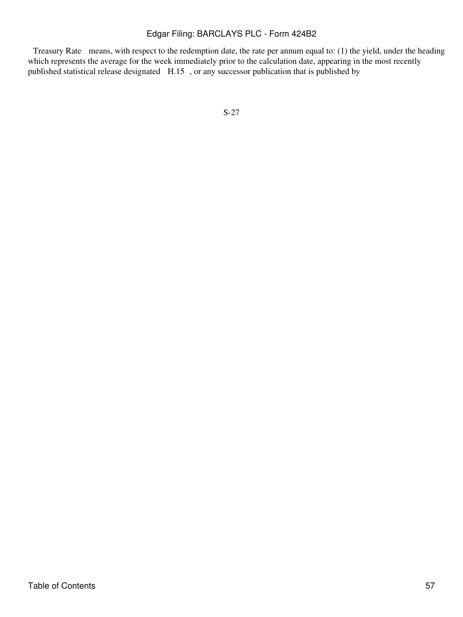Treasury Rate means, with respect to the redemption date, the rate per annum equal to: (1) the yield, under the heading which represents the average for the week immediately prior to the calculation date, appearing in the most recently published statistical release designated H.15, or any successor publication that is published by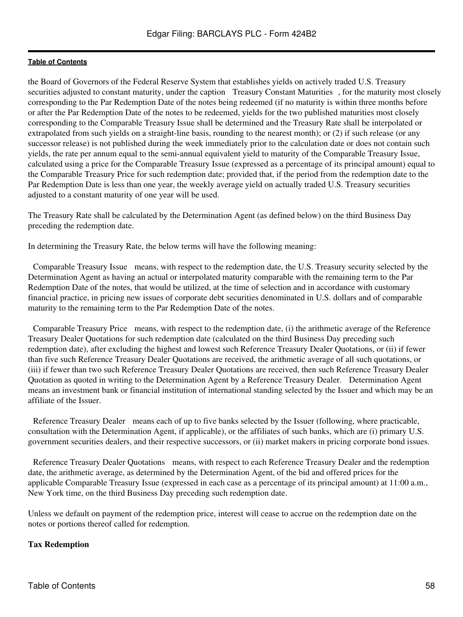the Board of Governors of the Federal Reserve System that establishes yields on actively traded U.S. Treasury securities adjusted to constant maturity, under the caption Treasury Constant Maturities, for the maturity most closely corresponding to the Par Redemption Date of the notes being redeemed (if no maturity is within three months before or after the Par Redemption Date of the notes to be redeemed, yields for the two published maturities most closely corresponding to the Comparable Treasury Issue shall be determined and the Treasury Rate shall be interpolated or extrapolated from such yields on a straight-line basis, rounding to the nearest month); or (2) if such release (or any successor release) is not published during the week immediately prior to the calculation date or does not contain such yields, the rate per annum equal to the semi-annual equivalent yield to maturity of the Comparable Treasury Issue, calculated using a price for the Comparable Treasury Issue (expressed as a percentage of its principal amount) equal to the Comparable Treasury Price for such redemption date; provided that, if the period from the redemption date to the Par Redemption Date is less than one year, the weekly average yield on actually traded U.S. Treasury securities adjusted to a constant maturity of one year will be used.

The Treasury Rate shall be calculated by the Determination Agent (as defined below) on the third Business Day preceding the redemption date.

In determining the Treasury Rate, the below terms will have the following meaning:

Comparable Treasury Issue means, with respect to the redemption date, the U.S. Treasury security selected by the Determination Agent as having an actual or interpolated maturity comparable with the remaining term to the Par Redemption Date of the notes, that would be utilized, at the time of selection and in accordance with customary financial practice, in pricing new issues of corporate debt securities denominated in U.S. dollars and of comparable maturity to the remaining term to the Par Redemption Date of the notes.

Comparable Treasury Price means, with respect to the redemption date, (i) the arithmetic average of the Reference Treasury Dealer Quotations for such redemption date (calculated on the third Business Day preceding such redemption date), after excluding the highest and lowest such Reference Treasury Dealer Quotations, or (ii) if fewer than five such Reference Treasury Dealer Quotations are received, the arithmetic average of all such quotations, or (iii) if fewer than two such Reference Treasury Dealer Quotations are received, then such Reference Treasury Dealer Quotation as quoted in writing to the Determination Agent by a Reference Treasury Dealer. Determination Agent means an investment bank or financial institution of international standing selected by the Issuer and which may be an affiliate of the Issuer.

Reference Treasury Dealer means each of up to five banks selected by the Issuer (following, where practicable, consultation with the Determination Agent, if applicable), or the affiliates of such banks, which are (i) primary U.S. government securities dealers, and their respective successors, or (ii) market makers in pricing corporate bond issues.

Reference Treasury Dealer Quotations means, with respect to each Reference Treasury Dealer and the redemption date, the arithmetic average, as determined by the Determination Agent, of the bid and offered prices for the applicable Comparable Treasury Issue (expressed in each case as a percentage of its principal amount) at 11:00 a.m., New York time, on the third Business Day preceding such redemption date.

Unless we default on payment of the redemption price, interest will cease to accrue on the redemption date on the notes or portions thereof called for redemption.

# **Tax Redemption**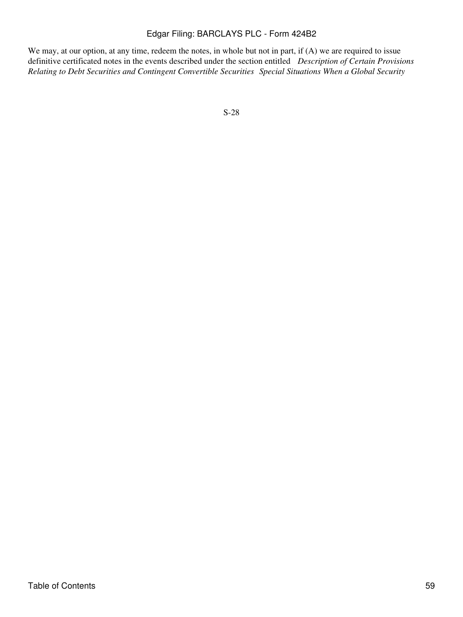We may, at our option, at any time, redeem the notes, in whole but not in part, if (A) we are required to issue definitive certificated notes in the events described under the section entitled *Description of Certain Provisions* Relating to Debt Securities and Contingent Convertible Securities Special Situations When a Global Security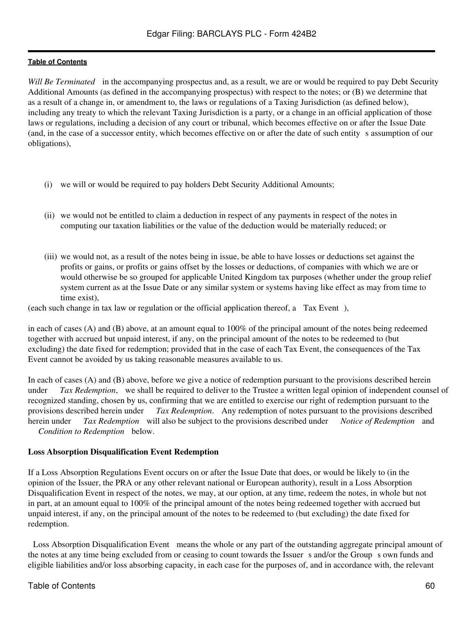*Will Be Terminated* in the accompanying prospectus and, as a result, we are or would be required to pay Debt Security Additional Amounts (as defined in the accompanying prospectus) with respect to the notes; or (B) we determine that as a result of a change in, or amendment to, the laws or regulations of a Taxing Jurisdiction (as defined below), including any treaty to which the relevant Taxing Jurisdiction is a party, or a change in an official application of those laws or regulations, including a decision of any court or tribunal, which becomes effective on or after the Issue Date (and, in the case of a successor entity, which becomes effective on or after the date of such entity s assumption of our obligations),

- (i) we will or would be required to pay holders Debt Security Additional Amounts;
- (ii) we would not be entitled to claim a deduction in respect of any payments in respect of the notes in computing our taxation liabilities or the value of the deduction would be materially reduced; or
- (iii) we would not, as a result of the notes being in issue, be able to have losses or deductions set against the profits or gains, or profits or gains offset by the losses or deductions, of companies with which we are or would otherwise be so grouped for applicable United Kingdom tax purposes (whether under the group relief system current as at the Issue Date or any similar system or systems having like effect as may from time to time exist),

(each such change in tax law or regulation or the official application thereof, a Tax Event),

in each of cases (A) and (B) above, at an amount equal to 100% of the principal amount of the notes being redeemed together with accrued but unpaid interest, if any, on the principal amount of the notes to be redeemed to (but excluding) the date fixed for redemption; provided that in the case of each Tax Event, the consequences of the Tax Event cannot be avoided by us taking reasonable measures available to us.

In each of cases (A) and (B) above, before we give a notice of redemption pursuant to the provisions described herein under *Tax Redemption*, we shall be required to deliver to the Trustee a written legal opinion of independent counsel of recognized standing, chosen by us, confirming that we are entitled to exercise our right of redemption pursuant to the provisions described herein under *Tax Redemption*. Any redemption of notes pursuant to the provisions described herein under *Tax Redemption* will also be subject to the provisions described under *Notice of Redemption* and *Condition to Redemption* below.

# **Loss Absorption Disqualification Event Redemption**

If a Loss Absorption Regulations Event occurs on or after the Issue Date that does, or would be likely to (in the opinion of the Issuer, the PRA or any other relevant national or European authority), result in a Loss Absorption Disqualification Event in respect of the notes, we may, at our option, at any time, redeem the notes, in whole but not in part, at an amount equal to 100% of the principal amount of the notes being redeemed together with accrued but unpaid interest, if any, on the principal amount of the notes to be redeemed to (but excluding) the date fixed for redemption.

Loss Absorption Disqualification Event means the whole or any part of the outstanding aggregate principal amount of the notes at any time being excluded from or ceasing to count towards the Issuer s and/or the Group s own funds and eligible liabilities and/or loss absorbing capacity, in each case for the purposes of, and in accordance with, the relevant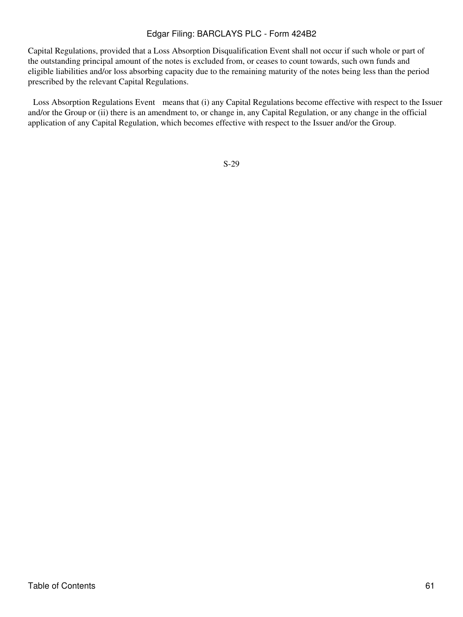Capital Regulations, provided that a Loss Absorption Disqualification Event shall not occur if such whole or part of the outstanding principal amount of the notes is excluded from, or ceases to count towards, such own funds and eligible liabilities and/or loss absorbing capacity due to the remaining maturity of the notes being less than the period prescribed by the relevant Capital Regulations.

Loss Absorption Regulations Event means that (i) any Capital Regulations become effective with respect to the Issuer and/or the Group or (ii) there is an amendment to, or change in, any Capital Regulation, or any change in the official application of any Capital Regulation, which becomes effective with respect to the Issuer and/or the Group.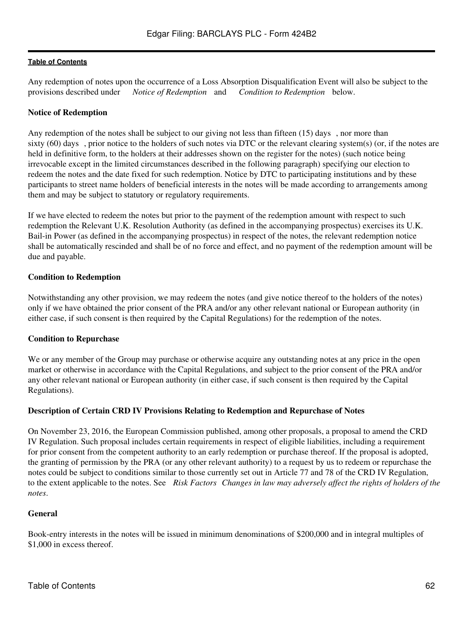Any redemption of notes upon the occurrence of a Loss Absorption Disqualification Event will also be subject to the provisions described under *Notice of Redemption* and *Condition to Redemption* below.

# **Notice of Redemption**

Any redemption of the notes shall be subject to our giving not less than fifteen (15) days, nor more than sixty  $(60)$  days, prior notice to the holders of such notes via DTC or the relevant clearing system(s) (or, if the notes are held in definitive form, to the holders at their addresses shown on the register for the notes) (such notice being irrevocable except in the limited circumstances described in the following paragraph) specifying our election to redeem the notes and the date fixed for such redemption. Notice by DTC to participating institutions and by these participants to street name holders of beneficial interests in the notes will be made according to arrangements among them and may be subject to statutory or regulatory requirements.

If we have elected to redeem the notes but prior to the payment of the redemption amount with respect to such redemption the Relevant U.K. Resolution Authority (as defined in the accompanying prospectus) exercises its U.K. Bail-in Power (as defined in the accompanying prospectus) in respect of the notes, the relevant redemption notice shall be automatically rescinded and shall be of no force and effect, and no payment of the redemption amount will be due and payable.

# **Condition to Redemption**

Notwithstanding any other provision, we may redeem the notes (and give notice thereof to the holders of the notes) only if we have obtained the prior consent of the PRA and/or any other relevant national or European authority (in either case, if such consent is then required by the Capital Regulations) for the redemption of the notes.

### **Condition to Repurchase**

We or any member of the Group may purchase or otherwise acquire any outstanding notes at any price in the open market or otherwise in accordance with the Capital Regulations, and subject to the prior consent of the PRA and/or any other relevant national or European authority (in either case, if such consent is then required by the Capital Regulations).

# **Description of Certain CRD IV Provisions Relating to Redemption and Repurchase of Notes**

On November 23, 2016, the European Commission published, among other proposals, a proposal to amend the CRD IV Regulation. Such proposal includes certain requirements in respect of eligible liabilities, including a requirement for prior consent from the competent authority to an early redemption or purchase thereof. If the proposal is adopted, the granting of permission by the PRA (or any other relevant authority) to a request by us to redeem or repurchase the notes could be subject to conditions similar to those currently set out in Article 77 and 78 of the CRD IV Regulation, to the extent applicable to the notes. See *Risk Factors Changes in law may adversely affect the rights of holders of the notes*.

# **General**

Book-entry interests in the notes will be issued in minimum denominations of \$200,000 and in integral multiples of \$1,000 in excess thereof.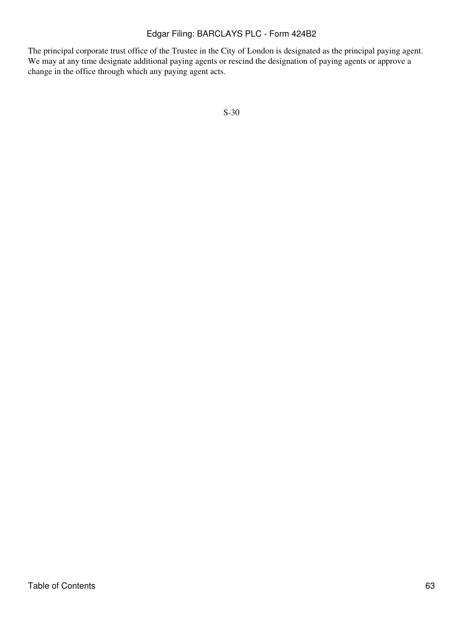The principal corporate trust office of the Trustee in the City of London is designated as the principal paying agent. We may at any time designate additional paying agents or rescind the designation of paying agents or approve a change in the office through which any paying agent acts.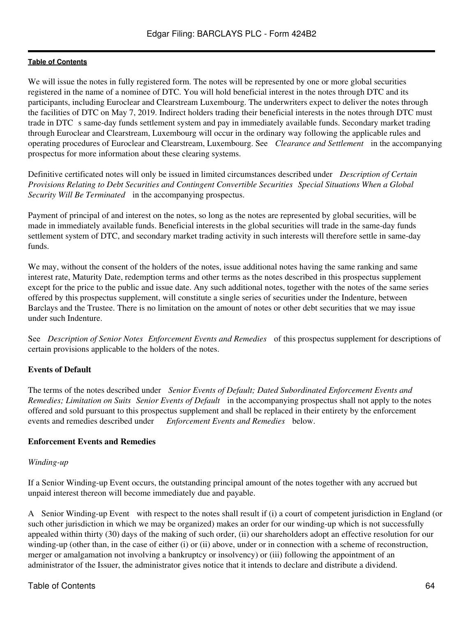We will issue the notes in fully registered form. The notes will be represented by one or more global securities registered in the name of a nominee of DTC. You will hold beneficial interest in the notes through DTC and its participants, including Euroclear and Clearstream Luxembourg. The underwriters expect to deliver the notes through the facilities of DTC on May 7, 2019. Indirect holders trading their beneficial interests in the notes through DTC must trade in DTC s same-day funds settlement system and pay in immediately available funds. Secondary market trading through Euroclear and Clearstream, Luxembourg will occur in the ordinary way following the applicable rules and operating procedures of Euroclear and Clearstream, Luxembourg. See *Clearance and Settlement* in the accompanying prospectus for more information about these clearing systems.

Definitive certificated notes will only be issued in limited circumstances described under *Description of Certain Provisions Relating to Debt Securities and Contingent Convertible Securities Special Situations When a Global Security Will Be Terminated* in the accompanying prospectus.

Payment of principal of and interest on the notes, so long as the notes are represented by global securities, will be made in immediately available funds. Beneficial interests in the global securities will trade in the same-day funds settlement system of DTC, and secondary market trading activity in such interests will therefore settle in same-day funds.

We may, without the consent of the holders of the notes, issue additional notes having the same ranking and same interest rate, Maturity Date, redemption terms and other terms as the notes described in this prospectus supplement except for the price to the public and issue date. Any such additional notes, together with the notes of the same series offered by this prospectus supplement, will constitute a single series of securities under the Indenture, between Barclays and the Trustee. There is no limitation on the amount of notes or other debt securities that we may issue under such Indenture.

See *Description of Senior Notes Enforcement Events and Remedies* of this prospectus supplement for descriptions of certain provisions applicable to the holders of the notes.

# **Events of Default**

The terms of the notes described under *Senior Events of Default; Dated Subordinated Enforcement Events and Remedies; Limitation on Suits Senior Events of Default* in the accompanying prospectus shall not apply to the notes offered and sold pursuant to this prospectus supplement and shall be replaced in their entirety by the enforcement events and remedies described under *Enforcement Events and Remedies* below.

### **Enforcement Events and Remedies**

### *Winding-up*

If a Senior Winding-up Event occurs, the outstanding principal amount of the notes together with any accrued but unpaid interest thereon will become immediately due and payable.

A Senior Winding-up Event with respect to the notes shall result if (i) a court of competent jurisdiction in England (or such other jurisdiction in which we may be organized) makes an order for our winding-up which is not successfully appealed within thirty (30) days of the making of such order, (ii) our shareholders adopt an effective resolution for our winding-up (other than, in the case of either (i) or (ii) above, under or in connection with a scheme of reconstruction, merger or amalgamation not involving a bankruptcy or insolvency) or (iii) following the appointment of an administrator of the Issuer, the administrator gives notice that it intends to declare and distribute a dividend.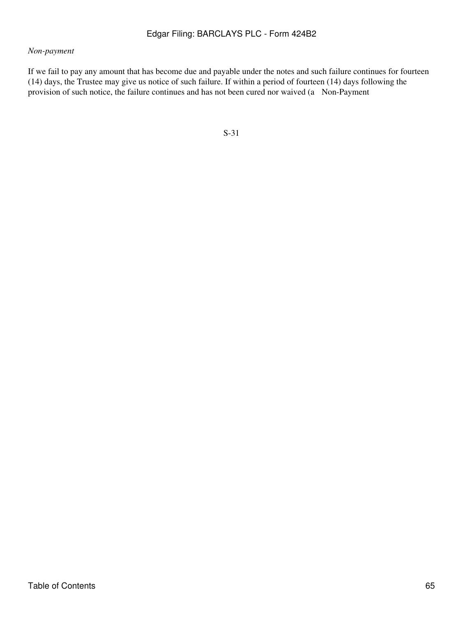# *Non-payment*

If we fail to pay any amount that has become due and payable under the notes and such failure continues for fourteen (14) days, the Trustee may give us notice of such failure. If within a period of fourteen (14) days following the provision of such notice, the failure continues and has not been cured nor waived (a Non-Payment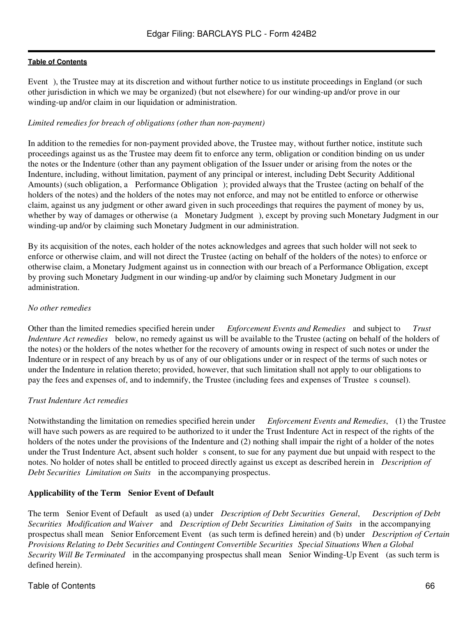Event), the Trustee may at its discretion and without further notice to us institute proceedings in England (or such other jurisdiction in which we may be organized) (but not elsewhere) for our winding-up and/or prove in our winding-up and/or claim in our liquidation or administration.

# *Limited remedies for breach of obligations (other than non-payment)*

In addition to the remedies for non-payment provided above, the Trustee may, without further notice, institute such proceedings against us as the Trustee may deem fit to enforce any term, obligation or condition binding on us under the notes or the Indenture (other than any payment obligation of the Issuer under or arising from the notes or the Indenture, including, without limitation, payment of any principal or interest, including Debt Security Additional Amounts) (such obligation, a Performance Obligation); provided always that the Trustee (acting on behalf of the holders of the notes) and the holders of the notes may not enforce, and may not be entitled to enforce or otherwise claim, against us any judgment or other award given in such proceedings that requires the payment of money by us, whether by way of damages or otherwise (a Monetary Judgment), except by proving such Monetary Judgment in our winding-up and/or by claiming such Monetary Judgment in our administration.

By its acquisition of the notes, each holder of the notes acknowledges and agrees that such holder will not seek to enforce or otherwise claim, and will not direct the Trustee (acting on behalf of the holders of the notes) to enforce or otherwise claim, a Monetary Judgment against us in connection with our breach of a Performance Obligation, except by proving such Monetary Judgment in our winding-up and/or by claiming such Monetary Judgment in our administration.

### *No other remedies*

Other than the limited remedies specified herein under *Enforcement Events and Remedies* and subject to *Trust Indenture Act remedies* below, no remedy against us will be available to the Trustee (acting on behalf of the holders of the notes) or the holders of the notes whether for the recovery of amounts owing in respect of such notes or under the Indenture or in respect of any breach by us of any of our obligations under or in respect of the terms of such notes or under the Indenture in relation thereto; provided, however, that such limitation shall not apply to our obligations to pay the fees and expenses of, and to indemnify, the Trustee (including fees and expenses of Trustee s counsel).

# *Trust Indenture Act remedies*

Notwithstanding the limitation on remedies specified herein under *Enforcement Events and Remedies*, (1) the Trustee will have such powers as are required to be authorized to it under the Trust Indenture Act in respect of the rights of the holders of the notes under the provisions of the Indenture and (2) nothing shall impair the right of a holder of the notes under the Trust Indenture Act, absent such holder s consent, to sue for any payment due but unpaid with respect to the notes. No holder of notes shall be entitled to proceed directly against us except as described herein in *Description of Debt Securities Limitation on Suits* in the accompanying prospectus.

# **Applicability of the Term Senior Event of Default**

The term Senior Event of Default as used (a) under *Description of Debt SecuritiesGeneral*, *Description of Debt SecuritiesModification and Waiver* and *Description of Debt SecuritiesLimitation of Suits* in the accompanying prospectus shall mean Senior Enforcement Event (as such term is defined herein) and (b) under *Description of Certain Provisions Relating to Debt Securities and Contingent Convertible Securities Special Situations When a Global Security Will Be Terminated* in the accompanying prospectus shall mean Senior Winding-Up Event (as such term is defined herein).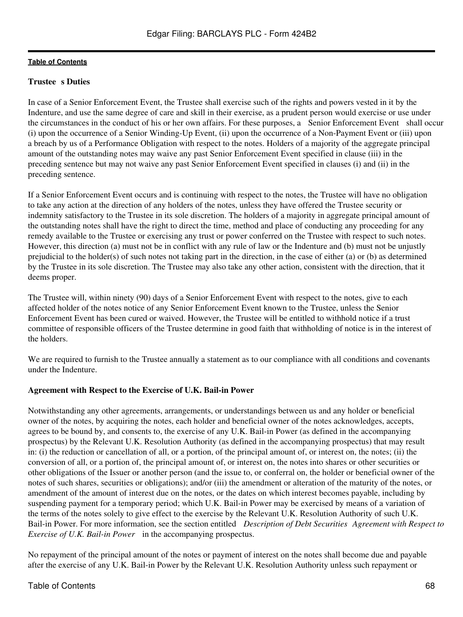# **Trustee s Duties**

In case of a Senior Enforcement Event, the Trustee shall exercise such of the rights and powers vested in it by the Indenture, and use the same degree of care and skill in their exercise, as a prudent person would exercise or use under the circumstances in the conduct of his or her own affairs. For these purposes, a Senior Enforcement Event shall occur (i) upon the occurrence of a Senior Winding-Up Event, (ii) upon the occurrence of a Non-Payment Event or (iii) upon a breach by us of a Performance Obligation with respect to the notes. Holders of a majority of the aggregate principal amount of the outstanding notes may waive any past Senior Enforcement Event specified in clause (iii) in the preceding sentence but may not waive any past Senior Enforcement Event specified in clauses (i) and (ii) in the preceding sentence.

If a Senior Enforcement Event occurs and is continuing with respect to the notes, the Trustee will have no obligation to take any action at the direction of any holders of the notes, unless they have offered the Trustee security or indemnity satisfactory to the Trustee in its sole discretion. The holders of a majority in aggregate principal amount of the outstanding notes shall have the right to direct the time, method and place of conducting any proceeding for any remedy available to the Trustee or exercising any trust or power conferred on the Trustee with respect to such notes. However, this direction (a) must not be in conflict with any rule of law or the Indenture and (b) must not be unjustly prejudicial to the holder(s) of such notes not taking part in the direction, in the case of either (a) or (b) as determined by the Trustee in its sole discretion. The Trustee may also take any other action, consistent with the direction, that it deems proper.

The Trustee will, within ninety (90) days of a Senior Enforcement Event with respect to the notes, give to each affected holder of the notes notice of any Senior Enforcement Event known to the Trustee, unless the Senior Enforcement Event has been cured or waived. However, the Trustee will be entitled to withhold notice if a trust committee of responsible officers of the Trustee determine in good faith that withholding of notice is in the interest of the holders.

We are required to furnish to the Trustee annually a statement as to our compliance with all conditions and covenants under the Indenture.

# **Agreement with Respect to the Exercise of U.K. Bail-in Power**

Notwithstanding any other agreements, arrangements, or understandings between us and any holder or beneficial owner of the notes, by acquiring the notes, each holder and beneficial owner of the notes acknowledges, accepts, agrees to be bound by, and consents to, the exercise of any U.K. Bail-in Power (as defined in the accompanying prospectus) by the Relevant U.K. Resolution Authority (as defined in the accompanying prospectus) that may result in: (i) the reduction or cancellation of all, or a portion, of the principal amount of, or interest on, the notes; (ii) the conversion of all, or a portion of, the principal amount of, or interest on, the notes into shares or other securities or other obligations of the Issuer or another person (and the issue to, or conferral on, the holder or beneficial owner of the notes of such shares, securities or obligations); and/or (iii) the amendment or alteration of the maturity of the notes, or amendment of the amount of interest due on the notes, or the dates on which interest becomes payable, including by suspending payment for a temporary period; which U.K. Bail-in Power may be exercised by means of a variation of the terms of the notes solely to give effect to the exercise by the Relevant U.K. Resolution Authority of such U.K. Bail-in Power. For more information, see the section entitled *Description of Debt Securities Agreement with Respect to Exercise of U.K. Bail-in Power* in the accompanying prospectus.

No repayment of the principal amount of the notes or payment of interest on the notes shall become due and payable after the exercise of any U.K. Bail-in Power by the Relevant U.K. Resolution Authority unless such repayment or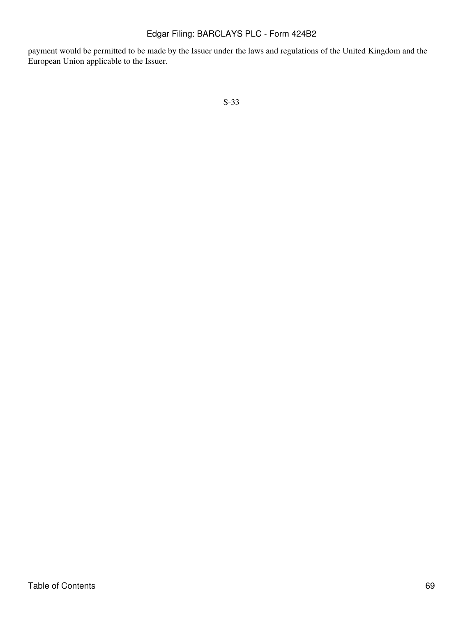payment would be permitted to be made by the Issuer under the laws and regulations of the United Kingdom and the European Union applicable to the Issuer.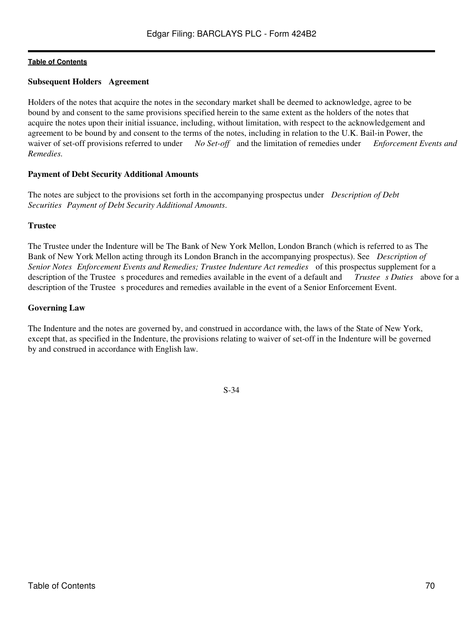### **Subsequent Holders Agreement**

Holders of the notes that acquire the notes in the secondary market shall be deemed to acknowledge, agree to be bound by and consent to the same provisions specified herein to the same extent as the holders of the notes that acquire the notes upon their initial issuance, including, without limitation, with respect to the acknowledgement and agreement to be bound by and consent to the terms of the notes, including in relation to the U.K. Bail-in Power, the waiver of set-off provisions referred to under *No Set-off* and the limitation of remedies under *Enforcement Events and Remedies.*

### **Payment of Debt Security Additional Amounts**

The notes are subject to the provisions set forth in the accompanying prospectus under *Description of Debt Securities Payment of Debt Security Additional Amounts*.

#### **Trustee**

The Trustee under the Indenture will be The Bank of New York Mellon, London Branch (which is referred to as The Bank of New York Mellon acting through its London Branch in the accompanying prospectus). See *Description of Senior Notes Enforcement Events and Remedies; Trustee Indenture Act remedies* of this prospectus supplement for a description of the Trustee s procedures and remedies available in the event of a default and *Trustee s Duties* above for a description of the Trustee s procedures and remedies available in the event of a Senior Enforcement Event.

#### **Governing Law**

The Indenture and the notes are governed by, and construed in accordance with, the laws of the State of New York, except that, as specified in the Indenture, the provisions relating to waiver of set-off in the Indenture will be governed by and construed in accordance with English law.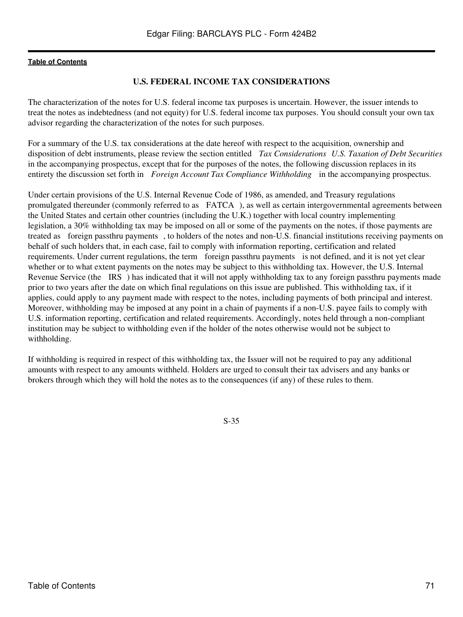### **U.S. FEDERAL INCOME TAX CONSIDERATIONS**

The characterization of the notes for U.S. federal income tax purposes is uncertain. However, the issuer intends to treat the notes as indebtedness (and not equity) for U.S. federal income tax purposes. You should consult your own tax advisor regarding the characterization of the notes for such purposes.

For a summary of the U.S. tax considerations at the date hereof with respect to the acquisition, ownership and disposition of debt instruments, please review the section entitled *Tax Considerations U.S. Taxation of Debt Securities* in the accompanying prospectus, except that for the purposes of the notes, the following discussion replaces in its entirety the discussion set forth in *Foreign Account Tax Compliance Withholding* in the accompanying prospectus.

Under certain provisions of the U.S. Internal Revenue Code of 1986, as amended, and Treasury regulations promulgated thereunder (commonly referred to as FATCA), as well as certain intergovernmental agreements between the United States and certain other countries (including the U.K.) together with local country implementing legislation, a 30% withholding tax may be imposed on all or some of the payments on the notes, if those payments are treated as foreign passthru payments, to holders of the notes and non-U.S. financial institutions receiving payments on behalf of such holders that, in each case, fail to comply with information reporting, certification and related requirements. Under current regulations, the term foreign passthru payments is not defined, and it is not yet clear whether or to what extent payments on the notes may be subject to this withholding tax. However, the U.S. Internal Revenue Service (the IRS) has indicated that it will not apply withholding tax to any foreign passthru payments made prior to two years after the date on which final regulations on this issue are published. This withholding tax, if it applies, could apply to any payment made with respect to the notes, including payments of both principal and interest. Moreover, withholding may be imposed at any point in a chain of payments if a non-U.S. payee fails to comply with U.S. information reporting, certification and related requirements. Accordingly, notes held through a non-compliant institution may be subject to withholding even if the holder of the notes otherwise would not be subject to withholding.

If withholding is required in respect of this withholding tax, the Issuer will not be required to pay any additional amounts with respect to any amounts withheld. Holders are urged to consult their tax advisers and any banks or brokers through which they will hold the notes as to the consequences (if any) of these rules to them.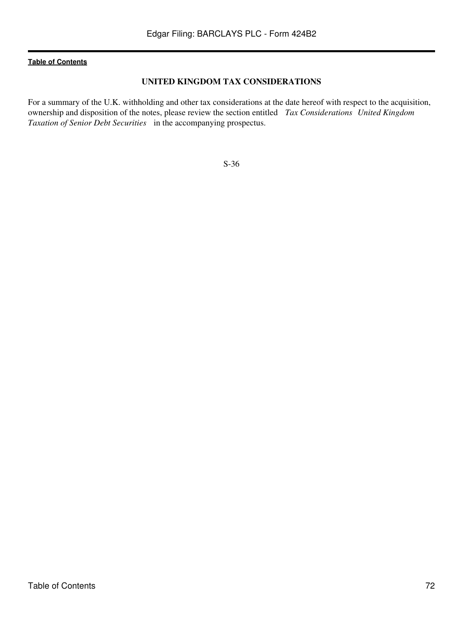# **UNITED KINGDOM TAX CONSIDERATIONS**

For a summary of the U.K. withholding and other tax considerations at the date hereof with respect to the acquisition, ownership and disposition of the notes, please review the section entitled *Tax Considerations* United Kingdom *Taxation of Senior Debt Securities* in the accompanying prospectus.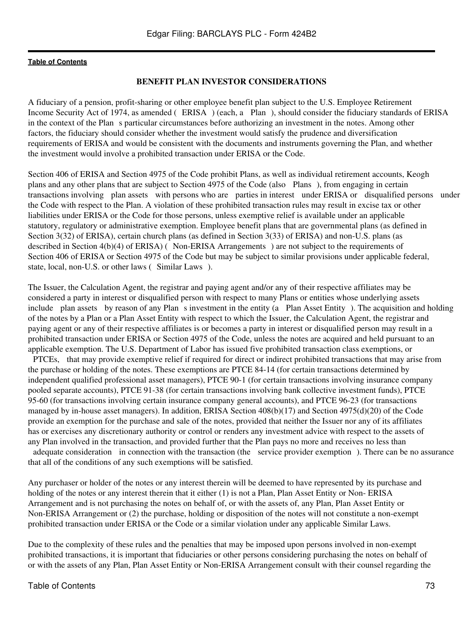#### **BENEFIT PLAN INVESTOR CONSIDERATIONS**

A fiduciary of a pension, profit-sharing or other employee benefit plan subject to the U.S. Employee Retirement Income Security Act of 1974, as amended (ERISA) (each, a Plan), should consider the fiduciary standards of ERISA in the context of the Plan s particular circumstances before authorizing an investment in the notes. Among other factors, the fiduciary should consider whether the investment would satisfy the prudence and diversification requirements of ERISA and would be consistent with the documents and instruments governing the Plan, and whether the investment would involve a prohibited transaction under ERISA or the Code.

Section 406 of ERISA and Section 4975 of the Code prohibit Plans, as well as individual retirement accounts, Keogh plans and any other plans that are subject to Section 4975 of the Code (also Plans), from engaging in certain transactions involving plan assets with persons who are parties in interest under ERISA or disqualified persons under the Code with respect to the Plan. A violation of these prohibited transaction rules may result in excise tax or other liabilities under ERISA or the Code for those persons, unless exemptive relief is available under an applicable statutory, regulatory or administrative exemption. Employee benefit plans that are governmental plans (as defined in Section 3(32) of ERISA), certain church plans (as defined in Section 3(33) of ERISA) and non-U.S. plans (as described in Section 4(b)(4) of ERISA) (Non-ERISA Arrangements) are not subject to the requirements of Section 406 of ERISA or Section 4975 of the Code but may be subject to similar provisions under applicable federal, state, local, non-U.S. or other laws (Similar Laws).

The Issuer, the Calculation Agent, the registrar and paying agent and/or any of their respective affiliates may be considered a party in interest or disqualified person with respect to many Plans or entities whose underlying assets include plan assets by reason of any Plan s investment in the entity (a Plan Asset Entity). The acquisition and holding of the notes by a Plan or a Plan Asset Entity with respect to which the Issuer, the Calculation Agent, the registrar and paying agent or any of their respective affiliates is or becomes a party in interest or disqualified person may result in a prohibited transaction under ERISA or Section 4975 of the Code, unless the notes are acquired and held pursuant to an applicable exemption. The U.S. Department of Labor has issued five prohibited transaction class exemptions, or

PTCEs, that may provide exemptive relief if required for direct or indirect prohibited transactions that may arise from the purchase or holding of the notes. These exemptions are PTCE 84-14 (for certain transactions determined by independent qualified professional asset managers), PTCE 90-1 (for certain transactions involving insurance company pooled separate accounts), PTCE 91-38 (for certain transactions involving bank collective investment funds), PTCE 95-60 (for transactions involving certain insurance company general accounts), and PTCE 96-23 (for transactions managed by in-house asset managers). In addition, ERISA Section 408(b)(17) and Section 4975(d)(20) of the Code provide an exemption for the purchase and sale of the notes, provided that neither the Issuer nor any of its affiliates has or exercises any discretionary authority or control or renders any investment advice with respect to the assets of any Plan involved in the transaction, and provided further that the Plan pays no more and receives no less than

adequate consideration in connection with the transaction (the service provider exemption). There can be no assurance that all of the conditions of any such exemptions will be satisfied.

Any purchaser or holder of the notes or any interest therein will be deemed to have represented by its purchase and holding of the notes or any interest therein that it either (1) is not a Plan, Plan Asset Entity or Non-ERISA Arrangement and is not purchasing the notes on behalf of, or with the assets of, any Plan, Plan Asset Entity or Non-ERISA Arrangement or (2) the purchase, holding or disposition of the notes will not constitute a non-exempt prohibited transaction under ERISA or the Code or a similar violation under any applicable Similar Laws.

Due to the complexity of these rules and the penalties that may be imposed upon persons involved in non-exempt prohibited transactions, it is important that fiduciaries or other persons considering purchasing the notes on behalf of or with the assets of any Plan, Plan Asset Entity or Non-ERISA Arrangement consult with their counsel regarding the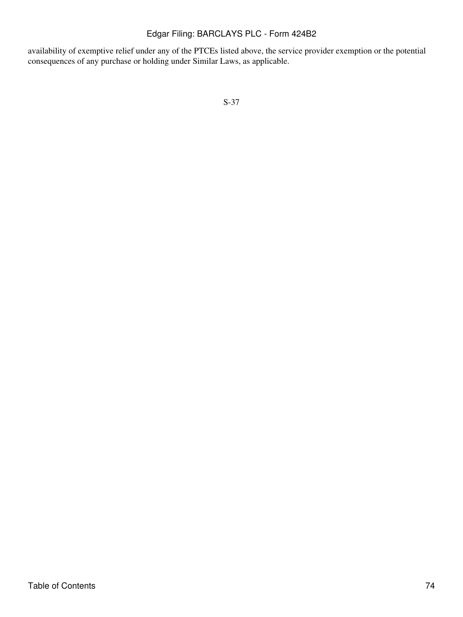availability of exemptive relief under any of the PTCEs listed above, the service provider exemption or the potential consequences of any purchase or holding under Similar Laws, as applicable.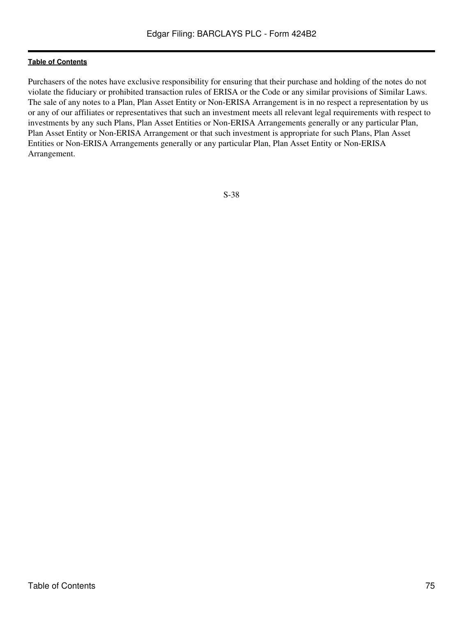Purchasers of the notes have exclusive responsibility for ensuring that their purchase and holding of the notes do not violate the fiduciary or prohibited transaction rules of ERISA or the Code or any similar provisions of Similar Laws. The sale of any notes to a Plan, Plan Asset Entity or Non-ERISA Arrangement is in no respect a representation by us or any of our affiliates or representatives that such an investment meets all relevant legal requirements with respect to investments by any such Plans, Plan Asset Entities or Non-ERISA Arrangements generally or any particular Plan, Plan Asset Entity or Non-ERISA Arrangement or that such investment is appropriate for such Plans, Plan Asset Entities or Non-ERISA Arrangements generally or any particular Plan, Plan Asset Entity or Non-ERISA Arrangement.

S-38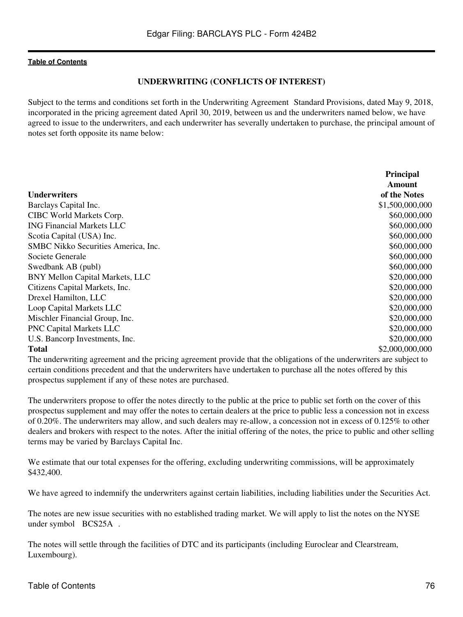#### **UNDERWRITING (CONFLICTS OF INTEREST)**

Subject to the terms and conditions set forth in the Underwriting Agreement Standard Provisions, dated May 9, 2018, incorporated in the pricing agreement dated April 30, 2019, between us and the underwriters named below, we have agreed to issue to the underwriters, and each underwriter has severally undertaken to purchase, the principal amount of notes set forth opposite its name below:

|                                                                                                                        | <b>Principal</b><br>Amount |  |
|------------------------------------------------------------------------------------------------------------------------|----------------------------|--|
| <b>Underwriters</b>                                                                                                    | of the Notes               |  |
| Barclays Capital Inc.                                                                                                  | \$1,500,000,000            |  |
| CIBC World Markets Corp.                                                                                               | \$60,000,000               |  |
| <b>ING Financial Markets LLC</b>                                                                                       | \$60,000,000               |  |
| Scotia Capital (USA) Inc.                                                                                              | \$60,000,000               |  |
| SMBC Nikko Securities America, Inc.                                                                                    | \$60,000,000               |  |
| Societe Generale                                                                                                       | \$60,000,000               |  |
| Swedbank AB (publ)                                                                                                     | \$60,000,000               |  |
| BNY Mellon Capital Markets, LLC                                                                                        | \$20,000,000               |  |
| Citizens Capital Markets, Inc.                                                                                         | \$20,000,000               |  |
| Drexel Hamilton, LLC                                                                                                   | \$20,000,000               |  |
| Loop Capital Markets LLC                                                                                               | \$20,000,000               |  |
| Mischler Financial Group, Inc.                                                                                         | \$20,000,000               |  |
| PNC Capital Markets LLC                                                                                                | \$20,000,000               |  |
| U.S. Bancorp Investments, Inc.                                                                                         | \$20,000,000               |  |
| <b>Total</b>                                                                                                           | \$2,000,000,000            |  |
| The underwriting eggenerate and the pricing eggenerate provide that the obligations of the underwriters are subject to |                            |  |

The underwriting agreement and the pricing agreement provide that the obligations of the underwriters are subject to certain conditions precedent and that the underwriters have undertaken to purchase all the notes offered by this prospectus supplement if any of these notes are purchased.

The underwriters propose to offer the notes directly to the public at the price to public set forth on the cover of this prospectus supplement and may offer the notes to certain dealers at the price to public less a concession not in excess of 0.20%. The underwriters may allow, and such dealers may re-allow, a concession not in excess of 0.125% to other dealers and brokers with respect to the notes. After the initial offering of the notes, the price to public and other selling terms may be varied by Barclays Capital Inc.

We estimate that our total expenses for the offering, excluding underwriting commissions, will be approximately \$432,400.

We have agreed to indemnify the underwriters against certain liabilities, including liabilities under the Securities Act.

The notes are new issue securities with no established trading market. We will apply to list the notes on the NYSE under symbol BCS25A.

The notes will settle through the facilities of DTC and its participants (including Euroclear and Clearstream, Luxembourg).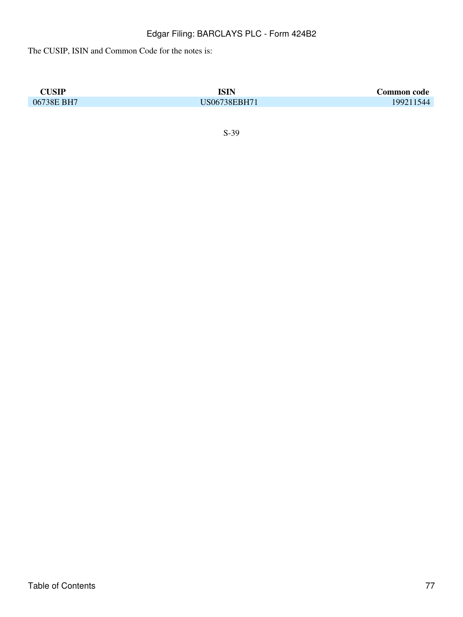The CUSIP, ISIN and Common Code for the notes is:

| <b>CUSIP</b> | ISIN         | Common code |
|--------------|--------------|-------------|
| 06738E BH7   | US06738EBH71 | 199211544   |

S-39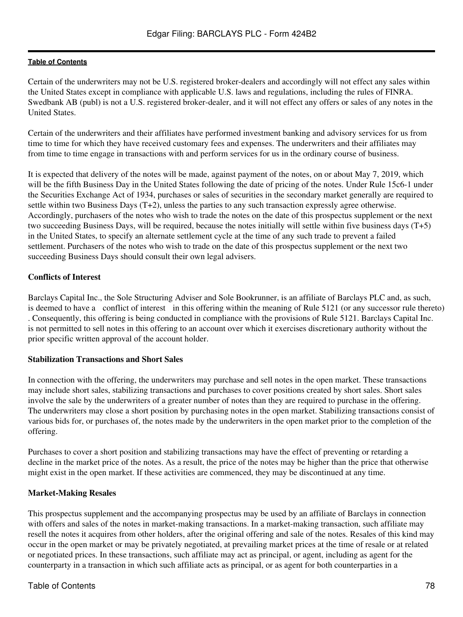Certain of the underwriters may not be U.S. registered broker-dealers and accordingly will not effect any sales within the United States except in compliance with applicable U.S. laws and regulations, including the rules of FINRA. Swedbank AB (publ) is not a U.S. registered broker-dealer, and it will not effect any offers or sales of any notes in the United States.

Certain of the underwriters and their affiliates have performed investment banking and advisory services for us from time to time for which they have received customary fees and expenses. The underwriters and their affiliates may from time to time engage in transactions with and perform services for us in the ordinary course of business.

It is expected that delivery of the notes will be made, against payment of the notes, on or about May 7, 2019, which will be the fifth Business Day in the United States following the date of pricing of the notes. Under Rule 15c6-1 under the Securities Exchange Act of 1934, purchases or sales of securities in the secondary market generally are required to settle within two Business Days (T+2), unless the parties to any such transaction expressly agree otherwise. Accordingly, purchasers of the notes who wish to trade the notes on the date of this prospectus supplement or the next two succeeding Business Days, will be required, because the notes initially will settle within five business days (T+5) in the United States, to specify an alternate settlement cycle at the time of any such trade to prevent a failed settlement. Purchasers of the notes who wish to trade on the date of this prospectus supplement or the next two succeeding Business Days should consult their own legal advisers.

## **Conflicts of Interest**

Barclays Capital Inc., the Sole Structuring Adviser and Sole Bookrunner, is an affiliate of Barclays PLC and, as such, is deemed to have a conflict of interest in this offering within the meaning of Rule 5121 (or any successor rule thereto) . Consequently, this offering is being conducted in compliance with the provisions of Rule 5121. Barclays Capital Inc. is not permitted to sell notes in this offering to an account over which it exercises discretionary authority without the prior specific written approval of the account holder.

## **Stabilization Transactions and Short Sales**

In connection with the offering, the underwriters may purchase and sell notes in the open market. These transactions may include short sales, stabilizing transactions and purchases to cover positions created by short sales. Short sales involve the sale by the underwriters of a greater number of notes than they are required to purchase in the offering. The underwriters may close a short position by purchasing notes in the open market. Stabilizing transactions consist of various bids for, or purchases of, the notes made by the underwriters in the open market prior to the completion of the offering.

Purchases to cover a short position and stabilizing transactions may have the effect of preventing or retarding a decline in the market price of the notes. As a result, the price of the notes may be higher than the price that otherwise might exist in the open market. If these activities are commenced, they may be discontinued at any time.

## **Market-Making Resales**

This prospectus supplement and the accompanying prospectus may be used by an affiliate of Barclays in connection with offers and sales of the notes in market-making transactions. In a market-making transaction, such affiliate may resell the notes it acquires from other holders, after the original offering and sale of the notes. Resales of this kind may occur in the open market or may be privately negotiated, at prevailing market prices at the time of resale or at related or negotiated prices. In these transactions, such affiliate may act as principal, or agent, including as agent for the counterparty in a transaction in which such affiliate acts as principal, or as agent for both counterparties in a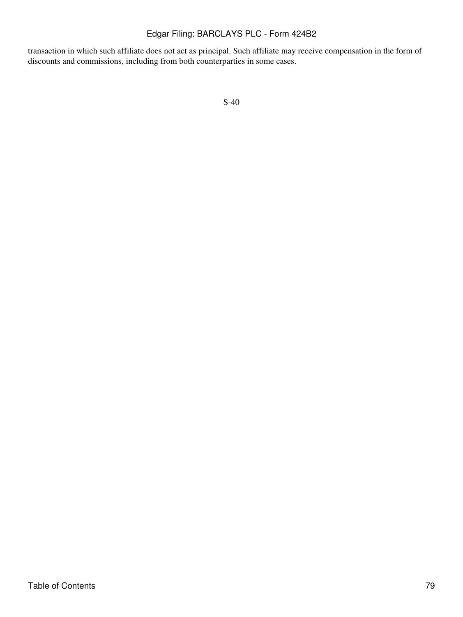transaction in which such affiliate does not act as principal. Such affiliate may receive compensation in the form of discounts and commissions, including from both counterparties in some cases.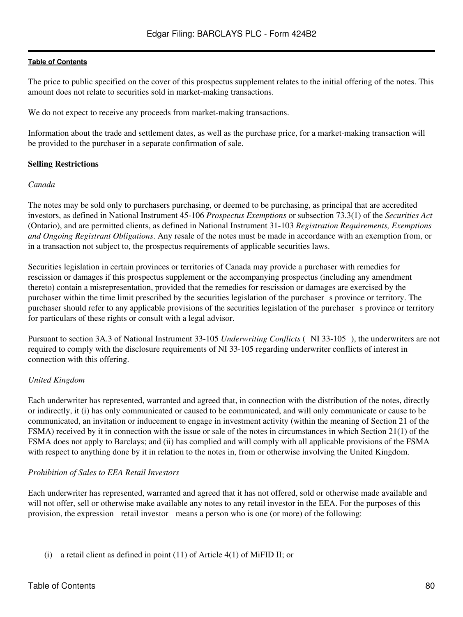The price to public specified on the cover of this prospectus supplement relates to the initial offering of the notes. This amount does not relate to securities sold in market-making transactions.

We do not expect to receive any proceeds from market-making transactions.

Information about the trade and settlement dates, as well as the purchase price, for a market-making transaction will be provided to the purchaser in a separate confirmation of sale.

## **Selling Restrictions**

### *Canada*

The notes may be sold only to purchasers purchasing, or deemed to be purchasing, as principal that are accredited investors, as defined in National Instrument 45-106 *Prospectus Exemptions* or subsection 73.3(1) of the *Securities Act* (Ontario), and are permitted clients, as defined in National Instrument 31-103 *Registration Requirements, Exemptions and Ongoing Registrant Obligations*. Any resale of the notes must be made in accordance with an exemption from, or in a transaction not subject to, the prospectus requirements of applicable securities laws.

Securities legislation in certain provinces or territories of Canada may provide a purchaser with remedies for rescission or damages if this prospectus supplement or the accompanying prospectus (including any amendment thereto) contain a misrepresentation, provided that the remedies for rescission or damages are exercised by the purchaser within the time limit prescribed by the securities legislation of the purchaser s province or territory. The purchaser should refer to any applicable provisions of the securities legislation of the purchaser s province or territory for particulars of these rights or consult with a legal advisor.

Pursuant to section 3A.3 of National Instrument 33-105 *Underwriting Conflicts* (NI 33-105), the underwriters are not required to comply with the disclosure requirements of NI 33-105 regarding underwriter conflicts of interest in connection with this offering.

## *United Kingdom*

Each underwriter has represented, warranted and agreed that, in connection with the distribution of the notes, directly or indirectly, it (i) has only communicated or caused to be communicated, and will only communicate or cause to be communicated, an invitation or inducement to engage in investment activity (within the meaning of Section 21 of the FSMA) received by it in connection with the issue or sale of the notes in circumstances in which Section 21(1) of the FSMA does not apply to Barclays; and (ii) has complied and will comply with all applicable provisions of the FSMA with respect to anything done by it in relation to the notes in, from or otherwise involving the United Kingdom.

## *Prohibition of Sales to EEA Retail Investors*

Each underwriter has represented, warranted and agreed that it has not offered, sold or otherwise made available and will not offer, sell or otherwise make available any notes to any retail investor in the EEA. For the purposes of this provision, the expression retail investor means a person who is one (or more) of the following:

(i) a retail client as defined in point (11) of Article 4(1) of MiFID II; or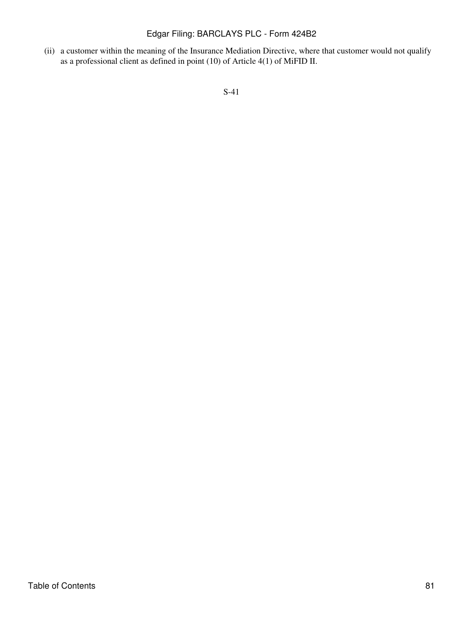(ii) a customer within the meaning of the Insurance Mediation Directive, where that customer would not qualify as a professional client as defined in point (10) of Article 4(1) of MiFID II.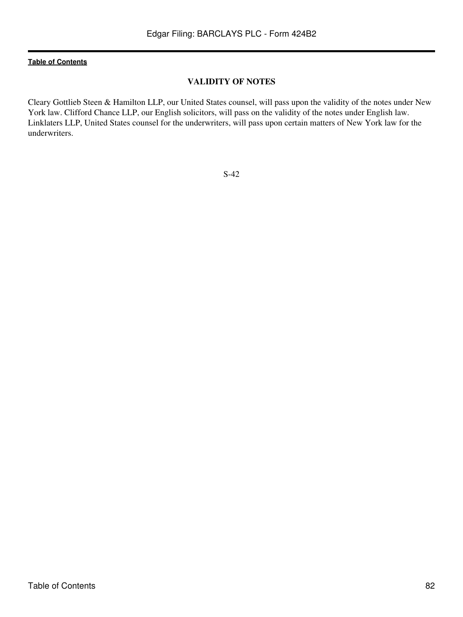## **VALIDITY OF NOTES**

Cleary Gottlieb Steen & Hamilton LLP, our United States counsel, will pass upon the validity of the notes under New York law. Clifford Chance LLP, our English solicitors, will pass on the validity of the notes under English law. Linklaters LLP, United States counsel for the underwriters, will pass upon certain matters of New York law for the underwriters.

S-42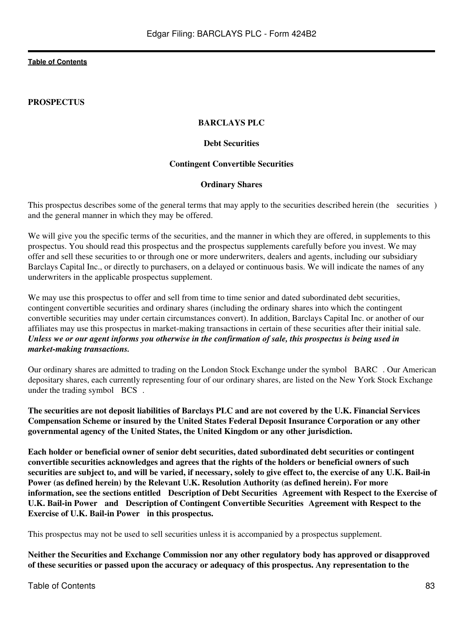#### **PROSPECTUS**

#### **BARCLAYS PLC**

#### **Debt Securities**

#### **Contingent Convertible Securities**

#### **Ordinary Shares**

This prospectus describes some of the general terms that may apply to the securities described herein (the securities) and the general manner in which they may be offered.

We will give you the specific terms of the securities, and the manner in which they are offered, in supplements to this prospectus. You should read this prospectus and the prospectus supplements carefully before you invest. We may offer and sell these securities to or through one or more underwriters, dealers and agents, including our subsidiary Barclays Capital Inc., or directly to purchasers, on a delayed or continuous basis. We will indicate the names of any underwriters in the applicable prospectus supplement.

We may use this prospectus to offer and sell from time to time senior and dated subordinated debt securities, contingent convertible securities and ordinary shares (including the ordinary shares into which the contingent convertible securities may under certain circumstances convert). In addition, Barclays Capital Inc. or another of our affiliates may use this prospectus in market-making transactions in certain of these securities after their initial sale. *Unless we or our agent informs you otherwise in the confirmation of sale, this prospectus is being used in market-making transactions.*

Our ordinary shares are admitted to trading on the London Stock Exchange under the symbol BARC. Our American depositary shares, each currently representing four of our ordinary shares, are listed on the New York Stock Exchange under the trading symbol BCS.

**The securities are not deposit liabilities of Barclays PLC and are not covered by the U.K. Financial Services Compensation Scheme or insured by the United States Federal Deposit Insurance Corporation or any other governmental agency of the United States, the United Kingdom or any other jurisdiction.**

**Each holder or beneficial owner of senior debt securities, dated subordinated debt securities or contingent convertible securities acknowledges and agrees that the rights of the holders or beneficial owners of such securities are subject to, and will be varied, if necessary, solely to give effect to, the exercise of any U.K. Bail-in Power (as defined herein) by the Relevant U.K. Resolution Authority (as defined herein). For more information, see the sections entitled Description of Debt Securities Agreement with Respect to the Exercise of U.K. Bail-in Power and Description of Contingent Convertible Securities Agreement with Respect to the Exercise of U.K. Bail-in Power in this prospectus.**

This prospectus may not be used to sell securities unless it is accompanied by a prospectus supplement.

**Neither the Securities and Exchange Commission nor any other regulatory body has approved or disapproved of these securities or passed upon the accuracy or adequacy of this prospectus. Any representation to the**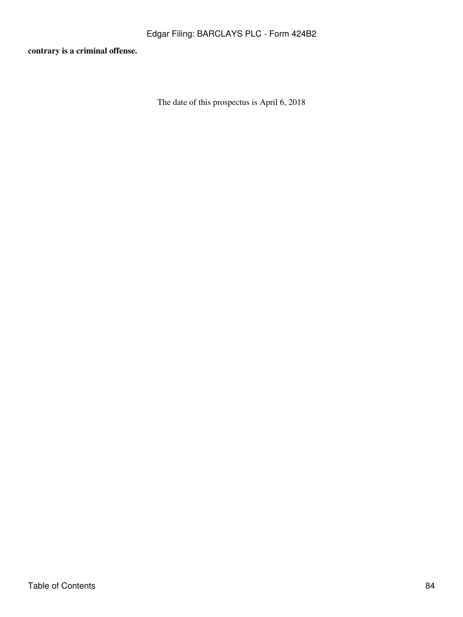**contrary is a criminal offense.**

The date of this prospectus is April 6, 2018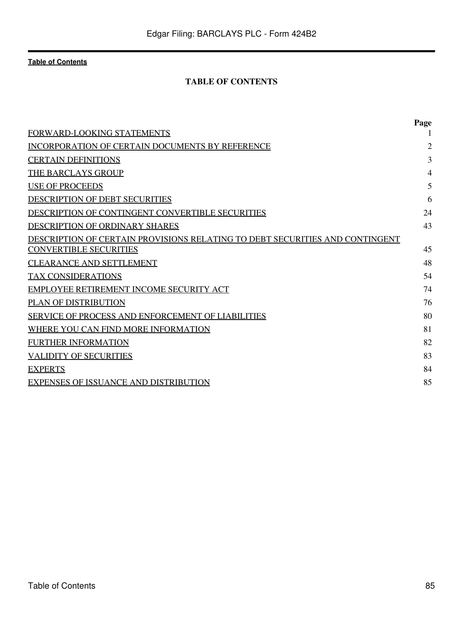## **TABLE OF CONTENTS**

<span id="page-84-0"></span>

|                                                                              | Page           |
|------------------------------------------------------------------------------|----------------|
| FORWARD-LOOKING STATEMENTS                                                   |                |
| <b>INCORPORATION OF CERTAIN DOCUMENTS BY REFERENCE</b>                       | $\overline{2}$ |
| <b>CERTAIN DEFINITIONS</b>                                                   | 3              |
| THE BARCLAYS GROUP                                                           | 4              |
| <b>USE OF PROCEEDS</b>                                                       | 5              |
| <b>DESCRIPTION OF DEBT SECURITIES</b>                                        | 6              |
| DESCRIPTION OF CONTINGENT CONVERTIBLE SECURITIES                             | 24             |
| <b>DESCRIPTION OF ORDINARY SHARES</b>                                        | 43             |
| DESCRIPTION OF CERTAIN PROVISIONS RELATING TO DEBT SECURITIES AND CONTINGENT |                |
| <b>CONVERTIBLE SECURITIES</b>                                                | 45             |
| <b>CLEARANCE AND SETTLEMENT</b>                                              | 48             |
| <b>TAX CONSIDERATIONS</b>                                                    | 54             |
| EMPLOYEE RETIREMENT INCOME SECURITY ACT                                      | 74             |
| PLAN OF DISTRIBUTION                                                         | 76             |
| SERVICE OF PROCESS AND ENFORCEMENT OF LIABILITIES                            | 80             |
| WHERE YOU CAN FIND MORE INFORMATION                                          | 81             |
| <b>FURTHER INFORMATION</b>                                                   | 82             |
| <b>VALIDITY OF SECURITIES</b>                                                | 83             |
| <b>EXPERTS</b>                                                               | 84             |
| EXPENSES OF ISSUANCE AND DISTRIBUTION                                        | 85             |
|                                                                              |                |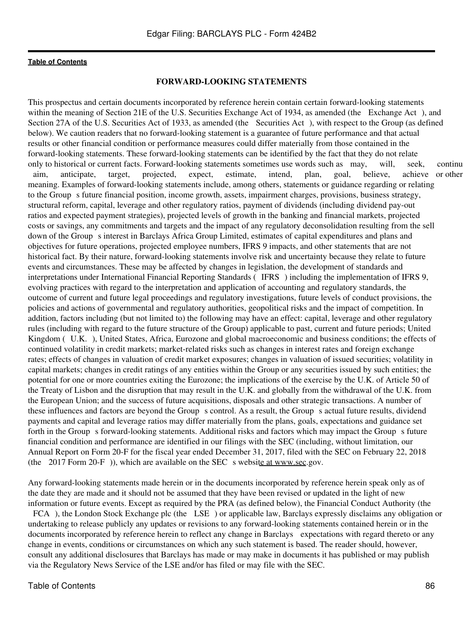#### **FORWARD-LOOKING STATEMENTS**

<span id="page-85-0"></span>This prospectus and certain documents incorporated by reference herein contain certain forward-looking statements within the meaning of Section 21E of the U.S. Securities Exchange Act of 1934, as amended (the Exchange Act), and Section 27A of the U.S. Securities Act of 1933, as amended (the Securities Act), with respect to the Group (as defined below). We caution readers that no forward-looking statement is a guarantee of future performance and that actual results or other financial condition or performance measures could differ materially from those contained in the forward-looking statements. These forward-looking statements can be identified by the fact that they do not relate only to historical or current facts. Forward-looking statements sometimes use words such as may, will, seek, continue, aim, anticipate, target, projected, expect, estimate, intend, plan, goal, believe, achieve or other meaning. Examples of forward-looking statements include, among others, statements or guidance regarding or relating to the Group s future financial position, income growth, assets, impairment charges, provisions, business strategy, structural reform, capital, leverage and other regulatory ratios, payment of dividends (including dividend pay-out ratios and expected payment strategies), projected levels of growth in the banking and financial markets, projected costs or savings, any commitments and targets and the impact of any regulatory deconsolidation resulting from the sell down of the Group s interest in Barclays Africa Group Limited, estimates of capital expenditures and plans and objectives for future operations, projected employee numbers, IFRS 9 impacts, and other statements that are not historical fact. By their nature, forward-looking statements involve risk and uncertainty because they relate to future events and circumstances. These may be affected by changes in legislation, the development of standards and interpretations under International Financial Reporting Standards (IFRS) including the implementation of IFRS 9, evolving practices with regard to the interpretation and application of accounting and regulatory standards, the outcome of current and future legal proceedings and regulatory investigations, future levels of conduct provisions, the policies and actions of governmental and regulatory authorities, geopolitical risks and the impact of competition. In addition, factors including (but not limited to) the following may have an effect: capital, leverage and other regulatory rules (including with regard to the future structure of the Group) applicable to past, current and future periods; United Kingdom (U.K.), United States, Africa, Eurozone and global macroeconomic and business conditions; the effects of continued volatility in credit markets; market-related risks such as changes in interest rates and foreign exchange rates; effects of changes in valuation of credit market exposures; changes in valuation of issued securities; volatility in capital markets; changes in credit ratings of any entities within the Group or any securities issued by such entities; the potential for one or more countries exiting the Eurozone; the implications of the exercise by the U.K. of Article 50 of the Treaty of Lisbon and the disruption that may result in the U.K. and globally from the withdrawal of the U.K. from the European Union; and the success of future acquisitions, disposals and other strategic transactions. A number of these influences and factors are beyond the Group s control. As a result, the Group s actual future results, dividend payments and capital and leverage ratios may differ materially from the plans, goals, expectations and guidance set forth in the Group s forward-looking statements. Additional risks and factors which may impact the Group s future financial condition and performance are identified in our filings with the SEC (including, without limitation, our Annual Report on Form 20-F for the fiscal year ended December 31, 2017, filed with the SEC on February 22, 2018 (the  $2017$  Form  $20-F$ )), which are available on the SEC s website at www.sec.gov.

Any forward-looking statements made herein or in the documents incorporated by reference herein speak only as of the date they are made and it should not be assumed that they have been revised or updated in the light of new information or future events. Except as required by the PRA (as defined below), the Financial Conduct Authority (the

FCA), the London Stock Exchange plc (the LSE) or applicable law, Barclays expressly disclaims any obligation or undertaking to release publicly any updates or revisions to any forward-looking statements contained herein or in the documents incorporated by reference herein to reflect any change in Barclays expectations with regard thereto or any change in events, conditions or circumstances on which any such statement is based. The reader should, however, consult any additional disclosures that Barclays has made or may make in documents it has published or may publish via the Regulatory News Service of the LSE and/or has filed or may file with the SEC.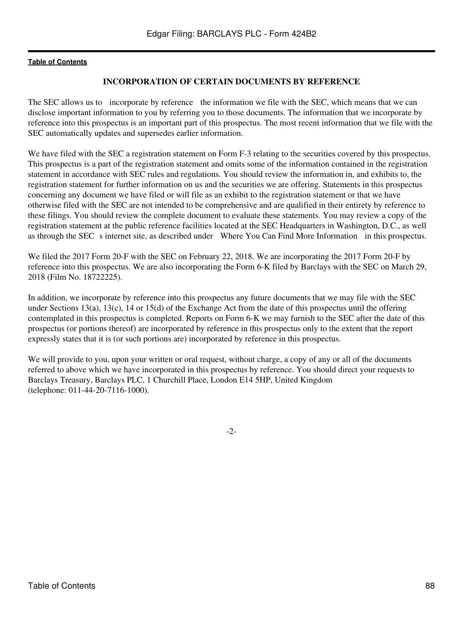#### **INCORPORATION OF CERTAIN DOCUMENTS BY REFERENCE**

<span id="page-87-0"></span>The SEC allows us to incorporate by reference the information we file with the SEC, which means that we can disclose important information to you by referring you to those documents. The information that we incorporate by reference into this prospectus is an important part of this prospectus. The most recent information that we file with the SEC automatically updates and supersedes earlier information.

We have filed with the SEC a registration statement on Form F-3 relating to the securities covered by this prospectus. This prospectus is a part of the registration statement and omits some of the information contained in the registration statement in accordance with SEC rules and regulations. You should review the information in, and exhibits to, the registration statement for further information on us and the securities we are offering. Statements in this prospectus concerning any document we have filed or will file as an exhibit to the registration statement or that we have otherwise filed with the SEC are not intended to be comprehensive and are qualified in their entirety by reference to these filings. You should review the complete document to evaluate these statements. You may review a copy of the registration statement at the public reference facilities located at the SEC Headquarters in Washington, D.C., as well as through the SEC s internet site, as described under Where You Can Find More Information in this prospectus.

We filed the 2017 Form 20-F with the SEC on February 22, 2018. We are incorporating the 2017 Form 20-F by reference into this prospectus. We are also incorporating the Form 6-K filed by Barclays with the SEC on March 29, 2018 (Film No. 18722225).

In addition, we incorporate by reference into this prospectus any future documents that we may file with the SEC under Sections 13(a), 13(c), 14 or 15(d) of the Exchange Act from the date of this prospectus until the offering contemplated in this prospectus is completed. Reports on Form 6-K we may furnish to the SEC after the date of this prospectus (or portions thereof) are incorporated by reference in this prospectus only to the extent that the report expressly states that it is (or such portions are) incorporated by reference in this prospectus.

We will provide to you, upon your written or oral request, without charge, a copy of any or all of the documents referred to above which we have incorporated in this prospectus by reference. You should direct your requests to Barclays Treasury, Barclays PLC, 1 Churchill Place, London E14 5HP, United Kingdom (telephone: 011-44-20-7116-1000).

-2-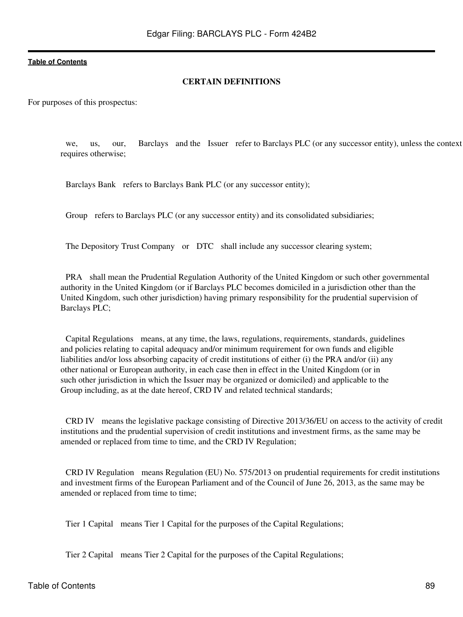#### **CERTAIN DEFINITIONS**

<span id="page-88-0"></span>For purposes of this prospectus:

we, us, our, Barclays and the Issuer refer to Barclays PLC (or any successor entity), unless the context requires otherwise;

Barclays Bank refers to Barclays Bank PLC (or any successor entity);

Group refers to Barclays PLC (or any successor entity) and its consolidated subsidiaries;

The Depository Trust Company or DTC shall include any successor clearing system;

PRA shall mean the Prudential Regulation Authority of the United Kingdom or such other governmental authority in the United Kingdom (or if Barclays PLC becomes domiciled in a jurisdiction other than the United Kingdom, such other jurisdiction) having primary responsibility for the prudential supervision of Barclays PLC;

Capital Regulations means, at any time, the laws, regulations, requirements, standards, guidelines and policies relating to capital adequacy and/or minimum requirement for own funds and eligible liabilities and/or loss absorbing capacity of credit institutions of either (i) the PRA and/or (ii) any other national or European authority, in each case then in effect in the United Kingdom (or in such other jurisdiction in which the Issuer may be organized or domiciled) and applicable to the Group including, as at the date hereof, CRD IV and related technical standards;

CRD IV means the legislative package consisting of Directive 2013/36/EU on access to the activity of credit institutions and the prudential supervision of credit institutions and investment firms, as the same may be amended or replaced from time to time, and the CRD IV Regulation;

CRD IV Regulation means Regulation (EU) No. 575/2013 on prudential requirements for credit institutions and investment firms of the European Parliament and of the Council of June 26, 2013, as the same may be amended or replaced from time to time;

Tier 1 Capital means Tier 1 Capital for the purposes of the Capital Regulations;

Tier 2 Capital means Tier 2 Capital for the purposes of the Capital Regulations;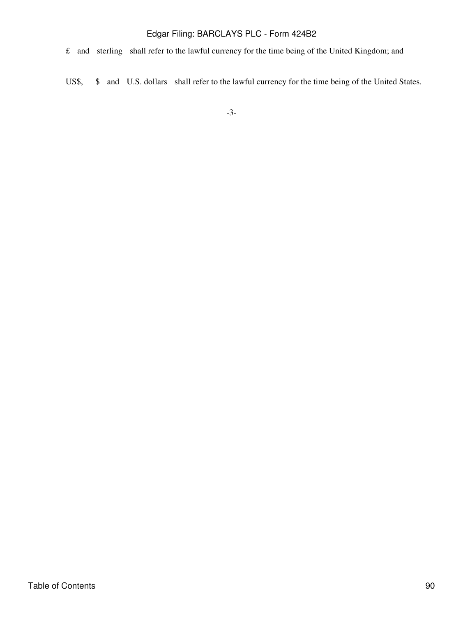- £ and sterling shall refer to the lawful currency for the time being of the United Kingdom; and
- US\$, \$ and U.S. dollars shall refer to the lawful currency for the time being of the United States.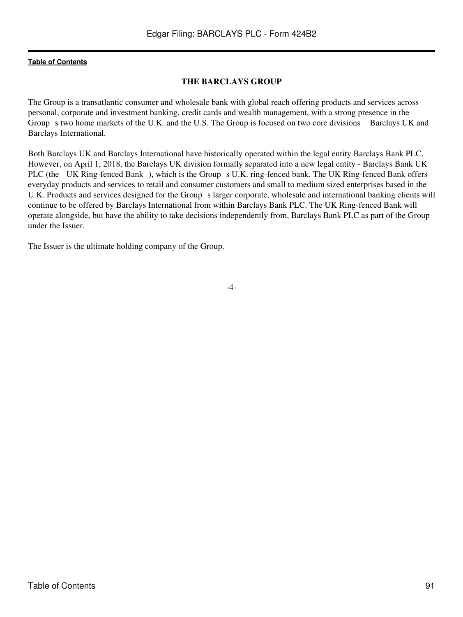## **THE BARCLAYS GROUP**

<span id="page-90-0"></span>The Group is a transatlantic consumer and wholesale bank with global reach offering products and services across personal, corporate and investment banking, credit cards and wealth management, with a strong presence in the Group s two home markets of the U.K. and the U.S. The Group is focused on two core divisions Barclays UK and Barclays International.

Both Barclays UK and Barclays International have historically operated within the legal entity Barclays Bank PLC. However, on April 1, 2018, the Barclays UK division formally separated into a new legal entity - Barclays Bank UK PLC (the UK Ring-fenced Bank), which is the Group s U.K. ring-fenced bank. The UK Ring-fenced Bank offers everyday products and services to retail and consumer customers and small to medium sized enterprises based in the U.K. Products and services designed for the Group s larger corporate, wholesale and international banking clients will continue to be offered by Barclays International from within Barclays Bank PLC. The UK Ring-fenced Bank will operate alongside, but have the ability to take decisions independently from, Barclays Bank PLC as part of the Group under the Issuer.

The Issuer is the ultimate holding company of the Group.

-4-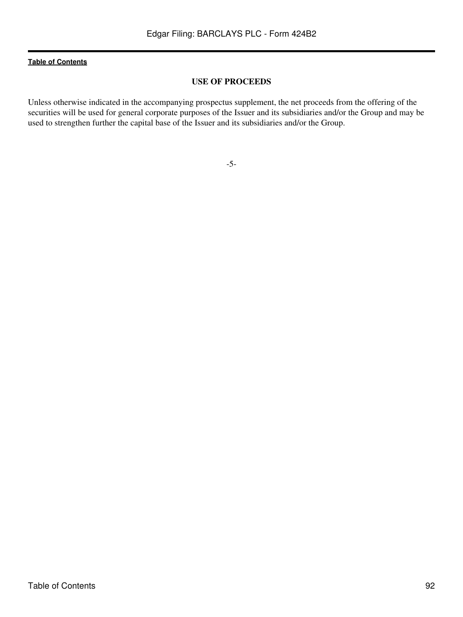## **USE OF PROCEEDS**

<span id="page-91-0"></span>Unless otherwise indicated in the accompanying prospectus supplement, the net proceeds from the offering of the securities will be used for general corporate purposes of the Issuer and its subsidiaries and/or the Group and may be used to strengthen further the capital base of the Issuer and its subsidiaries and/or the Group.

-5-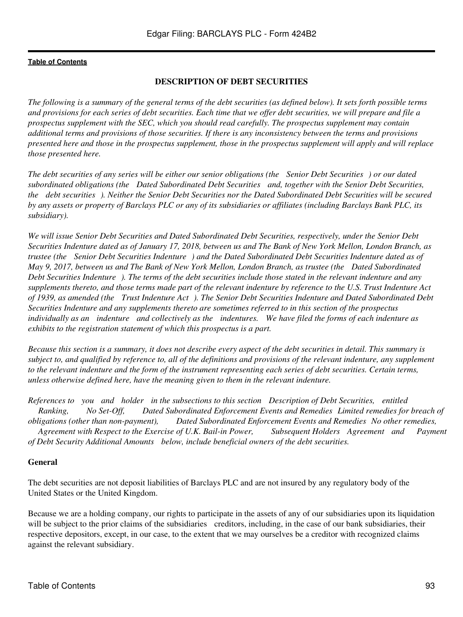## **DESCRIPTION OF DEBT SECURITIES**

<span id="page-92-0"></span>*The following is a summary of the general terms of the debt securities (as defined below). It sets forth possible terms and provisions for each series of debt securities. Each time that we offer debt securities, we will prepare and file a prospectus supplement with the SEC, which you should read carefully. The prospectus supplement may contain additional terms and provisions of those securities. If there is any inconsistency between the terms and provisions presented here and those in the prospectus supplement, those in the prospectus supplement will apply and will replace those presented here.*

*The debt securities of any series will be either our senior obligations (the Senior Debt Securities) or our dated subordinated obligations (the Dated Subordinated Debt Securities and, together with the Senior Debt Securities, the debt securities). Neither the Senior Debt Securities nor the Dated Subordinated Debt Securities will be secured by any assets or property of Barclays PLC or any of its subsidiaries or affiliates (including Barclays Bank PLC, its subsidiary).*

*We will issue Senior Debt Securities and Dated Subordinated Debt Securities, respectively, under the Senior Debt Securities Indenture dated as of January 17, 2018, between us and The Bank of New York Mellon, London Branch, as trustee (the Senior Debt Securities Indenture) and the Dated Subordinated Debt Securities Indenture dated as of May 9, 2017, between us and The Bank of New York Mellon, London Branch, as trustee (the Dated Subordinated Debt Securities Indenture). The terms of the debt securities include those stated in the relevant indenture and any supplements thereto, and those terms made part of the relevant indenture by reference to the U.S. Trust Indenture Act of 1939, as amended (the Trust Indenture Act). The Senior Debt Securities Indenture and Dated Subordinated Debt Securities Indenture and any supplements thereto are sometimes referred to in this section of the prospectus individually as an indenture and collectively as the indentures. We have filed the forms of each indenture as exhibits to the registration statement of which this prospectus is a part.*

*Because this section is a summary, it does not describe every aspect of the debt securities in detail. This summary is subject to, and qualified by reference to, all of the definitions and provisions of the relevant indenture, any supplement to the relevant indenture and the form of the instrument representing each series of debt securities. Certain terms, unless otherwise defined here, have the meaning given to them in the relevant indenture.*

*References to you and holder in the subsections to this section Description of Debt Securities, entitled* Ranking, No Set-Off, Dated Subordinated Enforcement Events and Remedies Limited remedies for breach of *obligations (other than non-payment), Dated Subordinated Enforcement Events and Remedies No other remedies, Agreement with Respect to the Exercise of U.K. Bail-in Power, Subsequent Holders Agreement and Payment of Debt Security Additional Amounts below, include beneficial owners of the debt securities.*

#### **General**

The debt securities are not deposit liabilities of Barclays PLC and are not insured by any regulatory body of the United States or the United Kingdom.

Because we are a holding company, our rights to participate in the assets of any of our subsidiaries upon its liquidation will be subject to the prior claims of the subsidiaries creditors, including, in the case of our bank subsidiaries, their respective depositors, except, in our case, to the extent that we may ourselves be a creditor with recognized claims against the relevant subsidiary.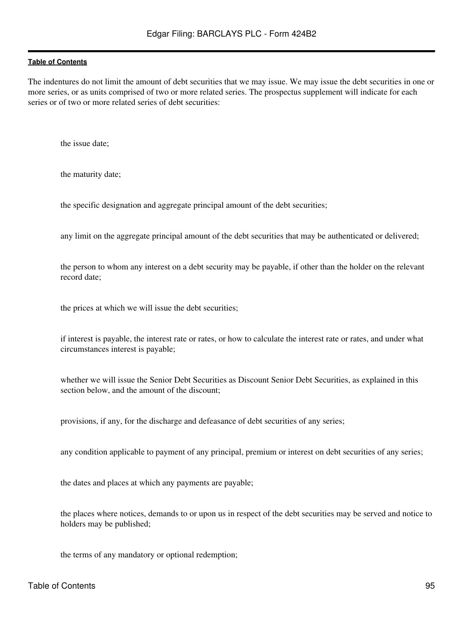The indentures do not limit the amount of debt securities that we may issue. We may issue the debt securities in one or more series, or as units comprised of two or more related series. The prospectus supplement will indicate for each series or of two or more related series of debt securities:

the issue date;

the maturity date;

the specific designation and aggregate principal amount of the debt securities;

any limit on the aggregate principal amount of the debt securities that may be authenticated or delivered;

the person to whom any interest on a debt security may be payable, if other than the holder on the relevant record date;

the prices at which we will issue the debt securities;

if interest is payable, the interest rate or rates, or how to calculate the interest rate or rates, and under what circumstances interest is payable;

whether we will issue the Senior Debt Securities as Discount Senior Debt Securities, as explained in this section below, and the amount of the discount;

provisions, if any, for the discharge and defeasance of debt securities of any series;

any condition applicable to payment of any principal, premium or interest on debt securities of any series;

the dates and places at which any payments are payable;

the places where notices, demands to or upon us in respect of the debt securities may be served and notice to holders may be published;

the terms of any mandatory or optional redemption;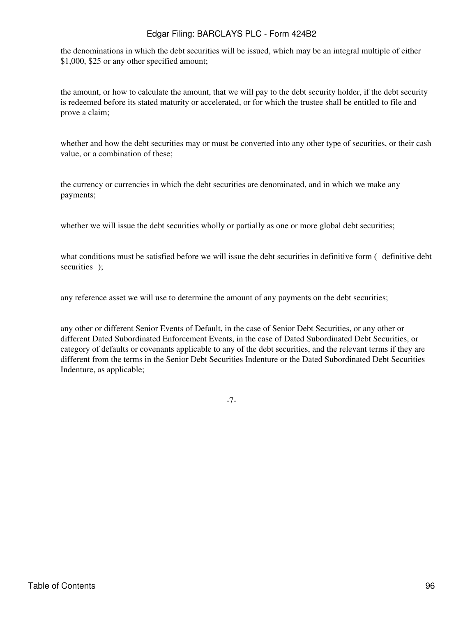the denominations in which the debt securities will be issued, which may be an integral multiple of either \$1,000, \$25 or any other specified amount;

the amount, or how to calculate the amount, that we will pay to the debt security holder, if the debt security is redeemed before its stated maturity or accelerated, or for which the trustee shall be entitled to file and prove a claim;

whether and how the debt securities may or must be converted into any other type of securities, or their cash value, or a combination of these;

the currency or currencies in which the debt securities are denominated, and in which we make any payments;

whether we will issue the debt securities wholly or partially as one or more global debt securities;

what conditions must be satisfied before we will issue the debt securities in definitive form (definitive debt securities);

any reference asset we will use to determine the amount of any payments on the debt securities;

any other or different Senior Events of Default, in the case of Senior Debt Securities, or any other or different Dated Subordinated Enforcement Events, in the case of Dated Subordinated Debt Securities, or category of defaults or covenants applicable to any of the debt securities, and the relevant terms if they are different from the terms in the Senior Debt Securities Indenture or the Dated Subordinated Debt Securities Indenture, as applicable;

-7-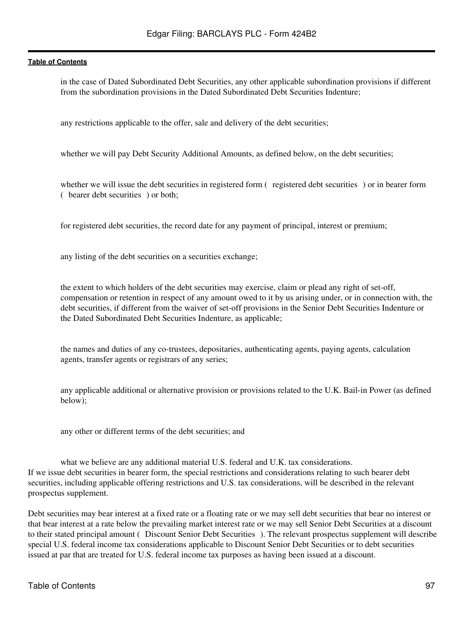in the case of Dated Subordinated Debt Securities, any other applicable subordination provisions if different from the subordination provisions in the Dated Subordinated Debt Securities Indenture;

any restrictions applicable to the offer, sale and delivery of the debt securities;

whether we will pay Debt Security Additional Amounts, as defined below, on the debt securities;

whether we will issue the debt securities in registered form (registered debt securities) or in bearer form (bearer debt securities) or both;

for registered debt securities, the record date for any payment of principal, interest or premium;

any listing of the debt securities on a securities exchange;

the extent to which holders of the debt securities may exercise, claim or plead any right of set-off, compensation or retention in respect of any amount owed to it by us arising under, or in connection with, the debt securities, if different from the waiver of set-off provisions in the Senior Debt Securities Indenture or the Dated Subordinated Debt Securities Indenture, as applicable;

the names and duties of any co-trustees, depositaries, authenticating agents, paying agents, calculation agents, transfer agents or registrars of any series;

any applicable additional or alternative provision or provisions related to the U.K. Bail-in Power (as defined below);

any other or different terms of the debt securities; and

what we believe are any additional material U.S. federal and U.K. tax considerations. If we issue debt securities in bearer form, the special restrictions and considerations relating to such bearer debt securities, including applicable offering restrictions and U.S. tax considerations, will be described in the relevant prospectus supplement.

Debt securities may bear interest at a fixed rate or a floating rate or we may sell debt securities that bear no interest or that bear interest at a rate below the prevailing market interest rate or we may sell Senior Debt Securities at a discount to their stated principal amount (Discount Senior Debt Securities). The relevant prospectus supplement will describe special U.S. federal income tax considerations applicable to Discount Senior Debt Securities or to debt securities issued at par that are treated for U.S. federal income tax purposes as having been issued at a discount.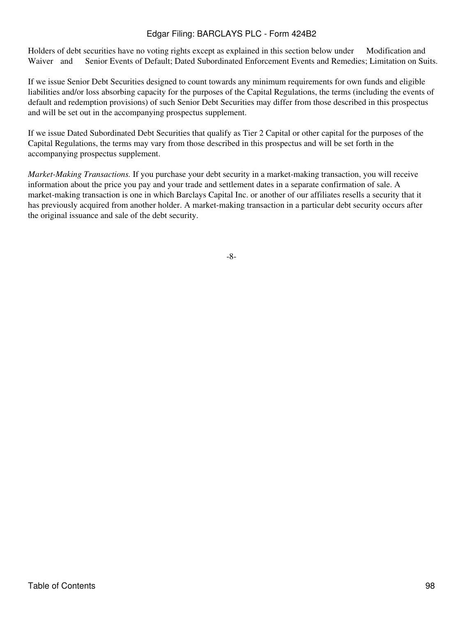Holders of debt securities have no voting rights except as explained in this section below under Modification and Waiver and Senior Events of Default; Dated Subordinated Enforcement Events and Remedies; Limitation on Suits.

If we issue Senior Debt Securities designed to count towards any minimum requirements for own funds and eligible liabilities and/or loss absorbing capacity for the purposes of the Capital Regulations, the terms (including the events of default and redemption provisions) of such Senior Debt Securities may differ from those described in this prospectus and will be set out in the accompanying prospectus supplement.

If we issue Dated Subordinated Debt Securities that qualify as Tier 2 Capital or other capital for the purposes of the Capital Regulations, the terms may vary from those described in this prospectus and will be set forth in the accompanying prospectus supplement.

*Market-Making Transactions.* If you purchase your debt security in a market-making transaction, you will receive information about the price you pay and your trade and settlement dates in a separate confirmation of sale. A market-making transaction is one in which Barclays Capital Inc. or another of our affiliates resells a security that it has previously acquired from another holder. A market-making transaction in a particular debt security occurs after the original issuance and sale of the debt security.

-8-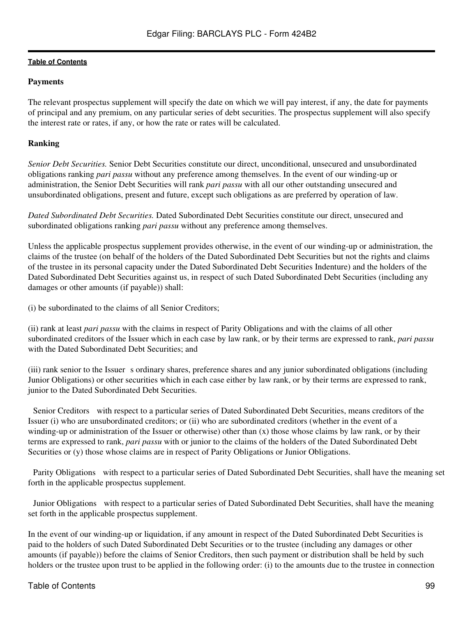## **Payments**

The relevant prospectus supplement will specify the date on which we will pay interest, if any, the date for payments of principal and any premium, on any particular series of debt securities. The prospectus supplement will also specify the interest rate or rates, if any, or how the rate or rates will be calculated.

## **Ranking**

*Senior Debt Securities.* Senior Debt Securities constitute our direct, unconditional, unsecured and unsubordinated obligations ranking *pari passu* without any preference among themselves. In the event of our winding-up or administration, the Senior Debt Securities will rank *pari passu* with all our other outstanding unsecured and unsubordinated obligations, present and future, except such obligations as are preferred by operation of law.

*Dated Subordinated Debt Securities.* Dated Subordinated Debt Securities constitute our direct, unsecured and subordinated obligations ranking *pari passu* without any preference among themselves.

Unless the applicable prospectus supplement provides otherwise, in the event of our winding-up or administration, the claims of the trustee (on behalf of the holders of the Dated Subordinated Debt Securities but not the rights and claims of the trustee in its personal capacity under the Dated Subordinated Debt Securities Indenture) and the holders of the Dated Subordinated Debt Securities against us, in respect of such Dated Subordinated Debt Securities (including any damages or other amounts (if payable)) shall:

(i) be subordinated to the claims of all Senior Creditors;

(ii) rank at least *pari passu* with the claims in respect of Parity Obligations and with the claims of all other subordinated creditors of the Issuer which in each case by law rank, or by their terms are expressed to rank, *pari passu* with the Dated Subordinated Debt Securities; and

(iii) rank senior to the Issuer s ordinary shares, preference shares and any junior subordinated obligations (including Junior Obligations) or other securities which in each case either by law rank, or by their terms are expressed to rank, junior to the Dated Subordinated Debt Securities.

Senior Creditors with respect to a particular series of Dated Subordinated Debt Securities, means creditors of the Issuer (i) who are unsubordinated creditors; or (ii) who are subordinated creditors (whether in the event of a winding-up or administration of the Issuer or otherwise) other than (x) those whose claims by law rank, or by their terms are expressed to rank, *pari passu* with or junior to the claims of the holders of the Dated Subordinated Debt Securities or (y) those whose claims are in respect of Parity Obligations or Junior Obligations.

Parity Obligations with respect to a particular series of Dated Subordinated Debt Securities, shall have the meaning set forth in the applicable prospectus supplement.

Junior Obligations with respect to a particular series of Dated Subordinated Debt Securities, shall have the meaning set forth in the applicable prospectus supplement.

In the event of our winding-up or liquidation, if any amount in respect of the Dated Subordinated Debt Securities is paid to the holders of such Dated Subordinated Debt Securities or to the trustee (including any damages or other amounts (if payable)) before the claims of Senior Creditors, then such payment or distribution shall be held by such holders or the trustee upon trust to be applied in the following order: (i) to the amounts due to the trustee in connection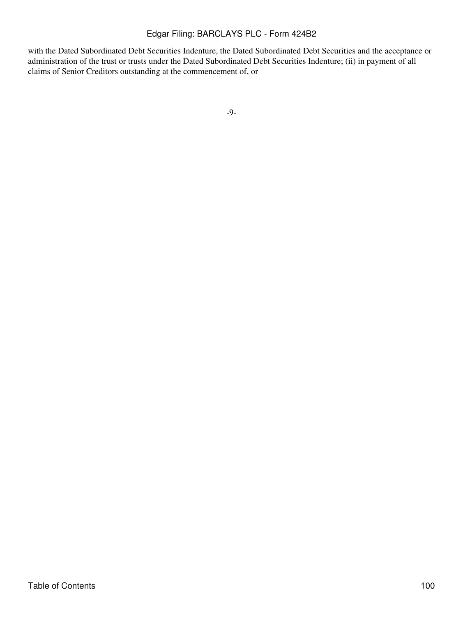with the Dated Subordinated Debt Securities Indenture, the Dated Subordinated Debt Securities and the acceptance or administration of the trust or trusts under the Dated Subordinated Debt Securities Indenture; (ii) in payment of all claims of Senior Creditors outstanding at the commencement of, or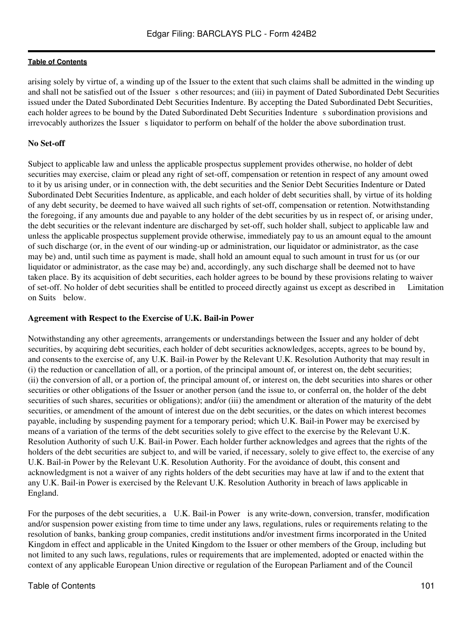arising solely by virtue of, a winding up of the Issuer to the extent that such claims shall be admitted in the winding up and shall not be satisfied out of the Issuer s other resources; and (iii) in payment of Dated Subordinated Debt Securities issued under the Dated Subordinated Debt Securities Indenture. By accepting the Dated Subordinated Debt Securities, each holder agrees to be bound by the Dated Subordinated Debt Securities Indenture subordination provisions and irrevocably authorizes the Issuer s liquidator to perform on behalf of the holder the above subordination trust.

## **No Set-off**

Subject to applicable law and unless the applicable prospectus supplement provides otherwise, no holder of debt securities may exercise, claim or plead any right of set-off, compensation or retention in respect of any amount owed to it by us arising under, or in connection with, the debt securities and the Senior Debt Securities Indenture or Dated Subordinated Debt Securities Indenture, as applicable, and each holder of debt securities shall, by virtue of its holding of any debt security, be deemed to have waived all such rights of set-off, compensation or retention. Notwithstanding the foregoing, if any amounts due and payable to any holder of the debt securities by us in respect of, or arising under, the debt securities or the relevant indenture are discharged by set-off, such holder shall, subject to applicable law and unless the applicable prospectus supplement provide otherwise, immediately pay to us an amount equal to the amount of such discharge (or, in the event of our winding-up or administration, our liquidator or administrator, as the case may be) and, until such time as payment is made, shall hold an amount equal to such amount in trust for us (or our liquidator or administrator, as the case may be) and, accordingly, any such discharge shall be deemed not to have taken place. By its acquisition of debt securities, each holder agrees to be bound by these provisions relating to waiver of set-off. No holder of debt securities shall be entitled to proceed directly against us except as described in Limitation on Suits below.

## **Agreement with Respect to the Exercise of U.K. Bail-in Power**

Notwithstanding any other agreements, arrangements or understandings between the Issuer and any holder of debt securities, by acquiring debt securities, each holder of debt securities acknowledges, accepts, agrees to be bound by, and consents to the exercise of, any U.K. Bail-in Power by the Relevant U.K. Resolution Authority that may result in (i) the reduction or cancellation of all, or a portion, of the principal amount of, or interest on, the debt securities; (ii) the conversion of all, or a portion of, the principal amount of, or interest on, the debt securities into shares or other securities or other obligations of the Issuer or another person (and the issue to, or conferral on, the holder of the debt securities of such shares, securities or obligations); and/or (iii) the amendment or alteration of the maturity of the debt securities, or amendment of the amount of interest due on the debt securities, or the dates on which interest becomes payable, including by suspending payment for a temporary period; which U.K. Bail-in Power may be exercised by means of a variation of the terms of the debt securities solely to give effect to the exercise by the Relevant U.K. Resolution Authority of such U.K. Bail-in Power. Each holder further acknowledges and agrees that the rights of the holders of the debt securities are subject to, and will be varied, if necessary, solely to give effect to, the exercise of any U.K. Bail-in Power by the Relevant U.K. Resolution Authority. For the avoidance of doubt, this consent and acknowledgment is not a waiver of any rights holders of the debt securities may have at law if and to the extent that any U.K. Bail-in Power is exercised by the Relevant U.K. Resolution Authority in breach of laws applicable in England.

For the purposes of the debt securities, a U.K. Bail-in Power is any write-down, conversion, transfer, modification and/or suspension power existing from time to time under any laws, regulations, rules or requirements relating to the resolution of banks, banking group companies, credit institutions and/or investment firms incorporated in the United Kingdom in effect and applicable in the United Kingdom to the Issuer or other members of the Group, including but not limited to any such laws, regulations, rules or requirements that are implemented, adopted or enacted within the context of any applicable European Union directive or regulation of the European Parliament and of the Council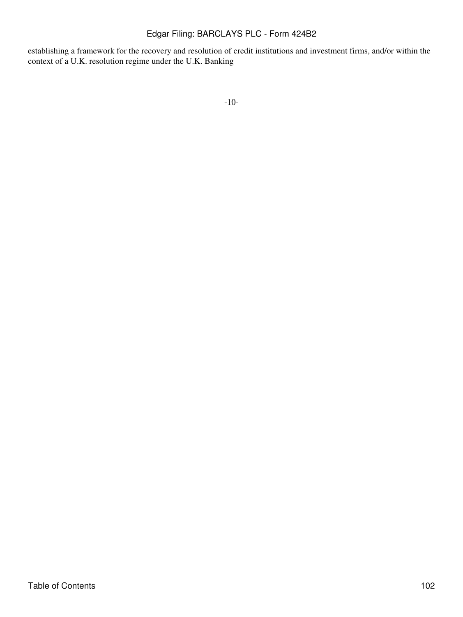establishing a framework for the recovery and resolution of credit institutions and investment firms, and/or within the context of a U.K. resolution regime under the U.K. Banking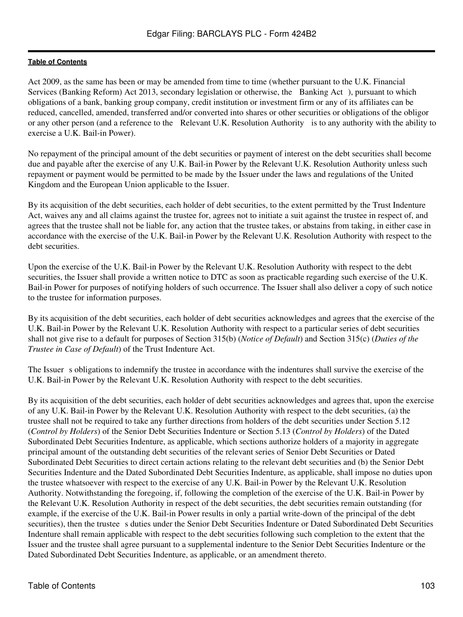Act 2009, as the same has been or may be amended from time to time (whether pursuant to the U.K. Financial Services (Banking Reform) Act 2013, secondary legislation or otherwise, the Banking Act), pursuant to which obligations of a bank, banking group company, credit institution or investment firm or any of its affiliates can be reduced, cancelled, amended, transferred and/or converted into shares or other securities or obligations of the obligor or any other person (and a reference to the Relevant U.K. Resolution Authority is to any authority with the ability to exercise a U.K. Bail-in Power).

No repayment of the principal amount of the debt securities or payment of interest on the debt securities shall become due and payable after the exercise of any U.K. Bail-in Power by the Relevant U.K. Resolution Authority unless such repayment or payment would be permitted to be made by the Issuer under the laws and regulations of the United Kingdom and the European Union applicable to the Issuer.

By its acquisition of the debt securities, each holder of debt securities, to the extent permitted by the Trust Indenture Act, waives any and all claims against the trustee for, agrees not to initiate a suit against the trustee in respect of, and agrees that the trustee shall not be liable for, any action that the trustee takes, or abstains from taking, in either case in accordance with the exercise of the U.K. Bail-in Power by the Relevant U.K. Resolution Authority with respect to the debt securities.

Upon the exercise of the U.K. Bail-in Power by the Relevant U.K. Resolution Authority with respect to the debt securities, the Issuer shall provide a written notice to DTC as soon as practicable regarding such exercise of the U.K. Bail-in Power for purposes of notifying holders of such occurrence. The Issuer shall also deliver a copy of such notice to the trustee for information purposes.

By its acquisition of the debt securities, each holder of debt securities acknowledges and agrees that the exercise of the U.K. Bail-in Power by the Relevant U.K. Resolution Authority with respect to a particular series of debt securities shall not give rise to a default for purposes of Section 315(b) (*Notice of Default*) and Section 315(c) (*Duties of the Trustee in Case of Default*) of the Trust Indenture Act.

The Issuer s obligations to indemnify the trustee in accordance with the indentures shall survive the exercise of the U.K. Bail-in Power by the Relevant U.K. Resolution Authority with respect to the debt securities.

By its acquisition of the debt securities, each holder of debt securities acknowledges and agrees that, upon the exercise of any U.K. Bail-in Power by the Relevant U.K. Resolution Authority with respect to the debt securities, (a) the trustee shall not be required to take any further directions from holders of the debt securities under Section 5.12 (*Control by Holders*) of the Senior Debt Securities Indenture or Section 5.13 (*Control by Holders*) of the Dated Subordinated Debt Securities Indenture, as applicable, which sections authorize holders of a majority in aggregate principal amount of the outstanding debt securities of the relevant series of Senior Debt Securities or Dated Subordinated Debt Securities to direct certain actions relating to the relevant debt securities and (b) the Senior Debt Securities Indenture and the Dated Subordinated Debt Securities Indenture, as applicable, shall impose no duties upon the trustee whatsoever with respect to the exercise of any U.K. Bail-in Power by the Relevant U.K. Resolution Authority. Notwithstanding the foregoing, if, following the completion of the exercise of the U.K. Bail-in Power by the Relevant U.K. Resolution Authority in respect of the debt securities, the debt securities remain outstanding (for example, if the exercise of the U.K. Bail-in Power results in only a partial write-down of the principal of the debt securities), then the trustee s duties under the Senior Debt Securities Indenture or Dated Subordinated Debt Securities Indenture shall remain applicable with respect to the debt securities following such completion to the extent that the Issuer and the trustee shall agree pursuant to a supplemental indenture to the Senior Debt Securities Indenture or the Dated Subordinated Debt Securities Indenture, as applicable, or an amendment thereto.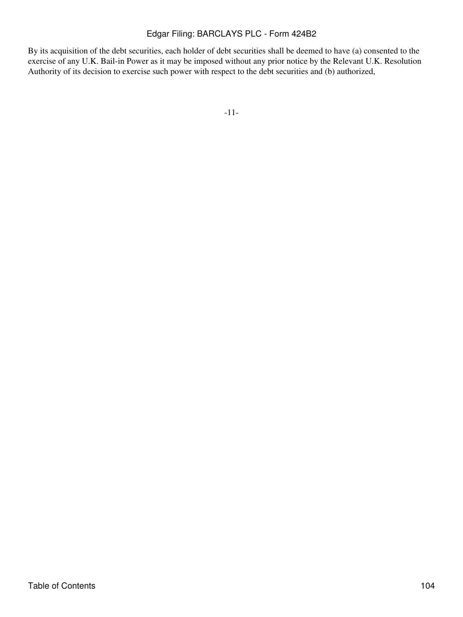By its acquisition of the debt securities, each holder of debt securities shall be deemed to have (a) consented to the exercise of any U.K. Bail-in Power as it may be imposed without any prior notice by the Relevant U.K. Resolution Authority of its decision to exercise such power with respect to the debt securities and (b) authorized,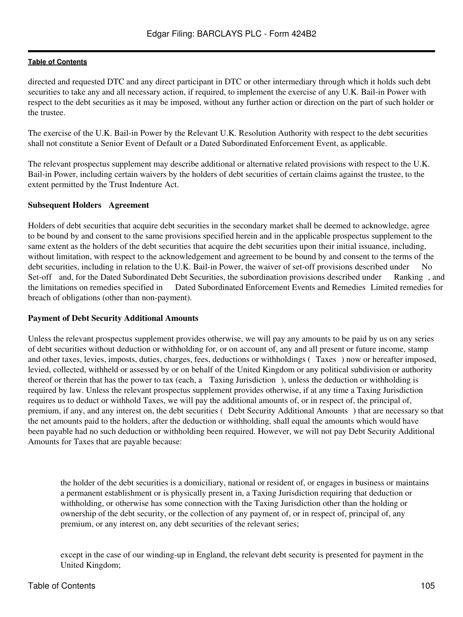directed and requested DTC and any direct participant in DTC or other intermediary through which it holds such debt securities to take any and all necessary action, if required, to implement the exercise of any U.K. Bail-in Power with respect to the debt securities as it may be imposed, without any further action or direction on the part of such holder or the trustee.

The exercise of the U.K. Bail-in Power by the Relevant U.K. Resolution Authority with respect to the debt securities shall not constitute a Senior Event of Default or a Dated Subordinated Enforcement Event, as applicable.

The relevant prospectus supplement may describe additional or alternative related provisions with respect to the U.K. Bail-in Power, including certain waivers by the holders of debt securities of certain claims against the trustee, to the extent permitted by the Trust Indenture Act.

#### **Subsequent Holders Agreement**

Holders of debt securities that acquire debt securities in the secondary market shall be deemed to acknowledge, agree to be bound by and consent to the same provisions specified herein and in the applicable prospectus supplement to the same extent as the holders of the debt securities that acquire the debt securities upon their initial issuance, including, without limitation, with respect to the acknowledgement and agreement to be bound by and consent to the terms of the debt securities, including in relation to the U.K. Bail-in Power, the waiver of set-off provisions described under No Set-off and, for the Dated Subordinated Debt Securities, the subordination provisions described under Ranking, and the limitations on remedies specified in Dated Subordinated Enforcement Events and Remedies Limited remedies for breach of obligations (other than non-payment).

#### **Payment of Debt Security Additional Amounts**

Unless the relevant prospectus supplement provides otherwise, we will pay any amounts to be paid by us on any series of debt securities without deduction or withholding for, or on account of, any and all present or future income, stamp and other taxes, levies, imposts, duties, charges, fees, deductions or withholdings (Taxes) now or hereafter imposed, levied, collected, withheld or assessed by or on behalf of the United Kingdom or any political subdivision or authority thereof or therein that has the power to tax (each, a Taxing Jurisdiction), unless the deduction or withholding is required by law. Unless the relevant prospectus supplement provides otherwise, if at any time a Taxing Jurisdiction requires us to deduct or withhold Taxes, we will pay the additional amounts of, or in respect of, the principal of, premium, if any, and any interest on, the debt securities (Debt Security Additional Amounts) that are necessary so that the net amounts paid to the holders, after the deduction or withholding, shall equal the amounts which would have been payable had no such deduction or withholding been required. However, we will not pay Debt Security Additional Amounts for Taxes that are payable because:

the holder of the debt securities is a domiciliary, national or resident of, or engages in business or maintains a permanent establishment or is physically present in, a Taxing Jurisdiction requiring that deduction or withholding, or otherwise has some connection with the Taxing Jurisdiction other than the holding or ownership of the debt security, or the collection of any payment of, or in respect of, principal of, any premium, or any interest on, any debt securities of the relevant series;

except in the case of our winding-up in England, the relevant debt security is presented for payment in the United Kingdom;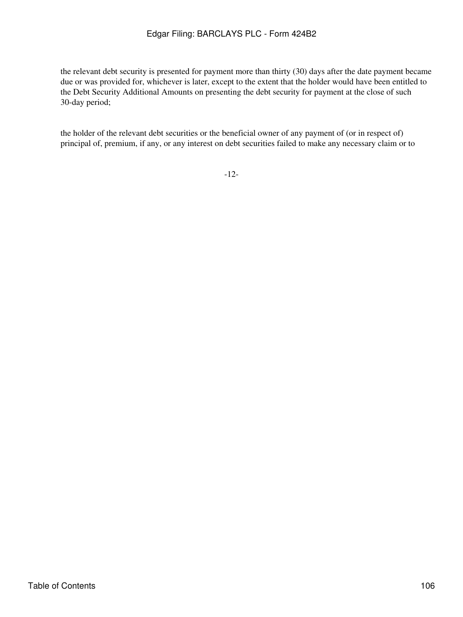the relevant debt security is presented for payment more than thirty (30) days after the date payment became due or was provided for, whichever is later, except to the extent that the holder would have been entitled to the Debt Security Additional Amounts on presenting the debt security for payment at the close of such 30-day period;

the holder of the relevant debt securities or the beneficial owner of any payment of (or in respect of) principal of, premium, if any, or any interest on debt securities failed to make any necessary claim or to

-12-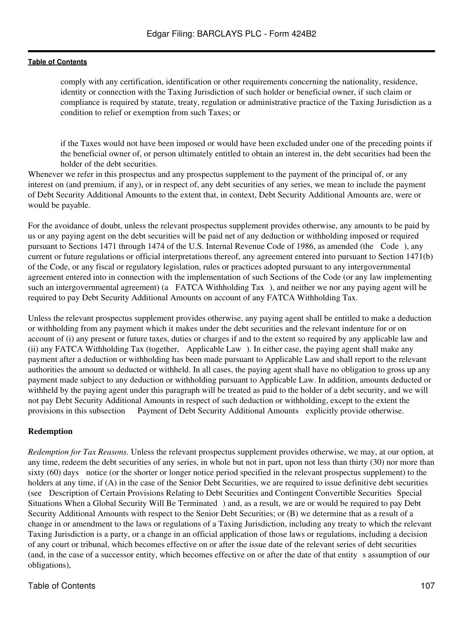comply with any certification, identification or other requirements concerning the nationality, residence, identity or connection with the Taxing Jurisdiction of such holder or beneficial owner, if such claim or compliance is required by statute, treaty, regulation or administrative practice of the Taxing Jurisdiction as a condition to relief or exemption from such Taxes; or

if the Taxes would not have been imposed or would have been excluded under one of the preceding points if the beneficial owner of, or person ultimately entitled to obtain an interest in, the debt securities had been the holder of the debt securities.

Whenever we refer in this prospectus and any prospectus supplement to the payment of the principal of, or any interest on (and premium, if any), or in respect of, any debt securities of any series, we mean to include the payment of Debt Security Additional Amounts to the extent that, in context, Debt Security Additional Amounts are, were or would be payable.

For the avoidance of doubt, unless the relevant prospectus supplement provides otherwise, any amounts to be paid by us or any paying agent on the debt securities will be paid net of any deduction or withholding imposed or required pursuant to Sections 1471 through 1474 of the U.S. Internal Revenue Code of 1986, as amended (the Code), any current or future regulations or official interpretations thereof, any agreement entered into pursuant to Section 1471(b) of the Code, or any fiscal or regulatory legislation, rules or practices adopted pursuant to any intergovernmental agreement entered into in connection with the implementation of such Sections of the Code (or any law implementing such an intergovernmental agreement) (a FATCA Withholding Tax), and neither we nor any paying agent will be required to pay Debt Security Additional Amounts on account of any FATCA Withholding Tax.

Unless the relevant prospectus supplement provides otherwise, any paying agent shall be entitled to make a deduction or withholding from any payment which it makes under the debt securities and the relevant indenture for or on account of (i) any present or future taxes, duties or charges if and to the extent so required by any applicable law and (ii) any FATCA Withholding Tax (together, Applicable Law). In either case, the paying agent shall make any payment after a deduction or withholding has been made pursuant to Applicable Law and shall report to the relevant authorities the amount so deducted or withheld. In all cases, the paying agent shall have no obligation to gross up any payment made subject to any deduction or withholding pursuant to Applicable Law. In addition, amounts deducted or withheld by the paying agent under this paragraph will be treated as paid to the holder of a debt security, and we will not pay Debt Security Additional Amounts in respect of such deduction or withholding, except to the extent the provisions in this subsection Payment of Debt Security Additional Amounts explicitly provide otherwise.

## **Redemption**

*Redemption for Tax Reasons.* Unless the relevant prospectus supplement provides otherwise, we may, at our option, at any time, redeem the debt securities of any series, in whole but not in part, upon not less than thirty (30) nor more than sixty (60) days notice (or the shorter or longer notice period specified in the relevant prospectus supplement) to the holders at any time, if (A) in the case of the Senior Debt Securities, we are required to issue definitive debt securities (see Description of Certain Provisions Relating to Debt Securities and Contingent Convertible Securities Special Situations When a Global Security Will Be Terminated ) and, as a result, we are or would be required to pay Debt Security Additional Amounts with respect to the Senior Debt Securities; or (B) we determine that as a result of a change in or amendment to the laws or regulations of a Taxing Jurisdiction, including any treaty to which the relevant Taxing Jurisdiction is a party, or a change in an official application of those laws or regulations, including a decision of any court or tribunal, which becomes effective on or after the issue date of the relevant series of debt securities (and, in the case of a successor entity, which becomes effective on or after the date of that entity s assumption of our obligations),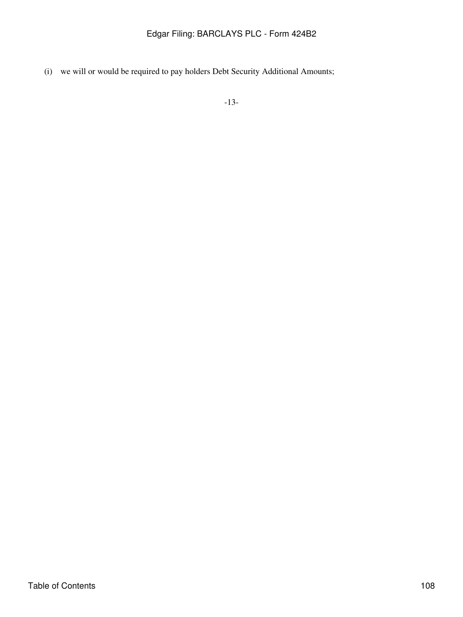(i) we will or would be required to pay holders Debt Security Additional Amounts;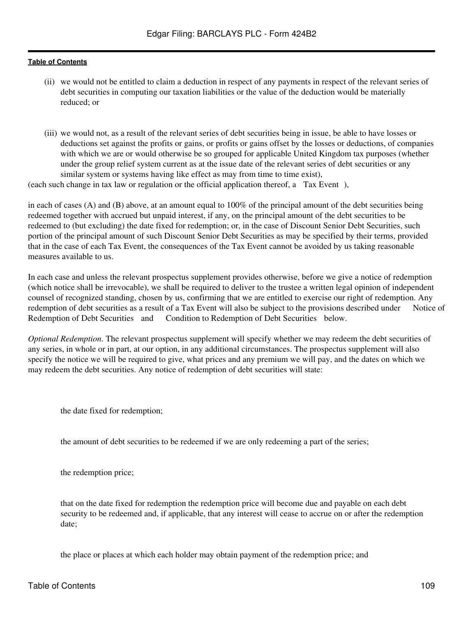- (ii) we would not be entitled to claim a deduction in respect of any payments in respect of the relevant series of debt securities in computing our taxation liabilities or the value of the deduction would be materially reduced; or
- (iii) we would not, as a result of the relevant series of debt securities being in issue, be able to have losses or deductions set against the profits or gains, or profits or gains offset by the losses or deductions, of companies with which we are or would otherwise be so grouped for applicable United Kingdom tax purposes (whether under the group relief system current as at the issue date of the relevant series of debt securities or any similar system or systems having like effect as may from time to time exist),

(each such change in tax law or regulation or the official application thereof, a Tax Event),

in each of cases (A) and (B) above, at an amount equal to 100% of the principal amount of the debt securities being redeemed together with accrued but unpaid interest, if any, on the principal amount of the debt securities to be redeemed to (but excluding) the date fixed for redemption; or, in the case of Discount Senior Debt Securities, such portion of the principal amount of such Discount Senior Debt Securities as may be specified by their terms, provided that in the case of each Tax Event, the consequences of the Tax Event cannot be avoided by us taking reasonable measures available to us.

In each case and unless the relevant prospectus supplement provides otherwise, before we give a notice of redemption (which notice shall be irrevocable), we shall be required to deliver to the trustee a written legal opinion of independent counsel of recognized standing, chosen by us, confirming that we are entitled to exercise our right of redemption. Any redemption of debt securities as a result of a Tax Event will also be subject to the provisions described under Notice of Redemption of Debt Securities and Condition to Redemption of Debt Securities below.

*Optional Redemption*. The relevant prospectus supplement will specify whether we may redeem the debt securities of any series, in whole or in part, at our option, in any additional circumstances. The prospectus supplement will also specify the notice we will be required to give, what prices and any premium we will pay, and the dates on which we may redeem the debt securities. Any notice of redemption of debt securities will state:

the date fixed for redemption;

the amount of debt securities to be redeemed if we are only redeeming a part of the series;

the redemption price;

that on the date fixed for redemption the redemption price will become due and payable on each debt security to be redeemed and, if applicable, that any interest will cease to accrue on or after the redemption date;

the place or places at which each holder may obtain payment of the redemption price; and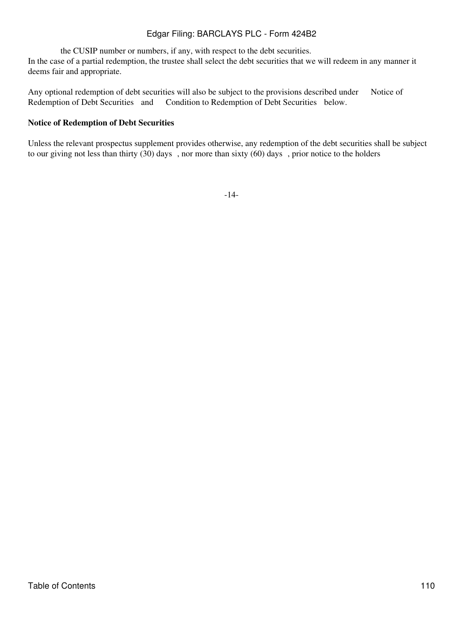the CUSIP number or numbers, if any, with respect to the debt securities.

In the case of a partial redemption, the trustee shall select the debt securities that we will redeem in any manner it deems fair and appropriate.

Any optional redemption of debt securities will also be subject to the provisions described under Notice of Redemption of Debt Securities and Condition to Redemption of Debt Securities below.

### **Notice of Redemption of Debt Securities**

Unless the relevant prospectus supplement provides otherwise, any redemption of the debt securities shall be subject to our giving not less than thirty (30) days, nor more than sixty (60) days, prior notice to the holders

-14-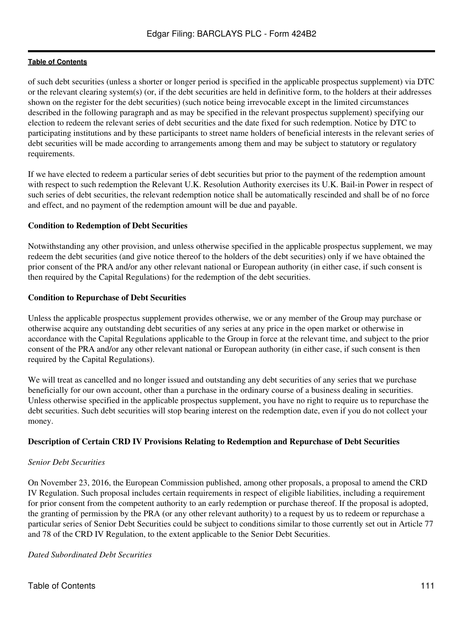of such debt securities (unless a shorter or longer period is specified in the applicable prospectus supplement) via DTC or the relevant clearing system(s) (or, if the debt securities are held in definitive form, to the holders at their addresses shown on the register for the debt securities) (such notice being irrevocable except in the limited circumstances described in the following paragraph and as may be specified in the relevant prospectus supplement) specifying our election to redeem the relevant series of debt securities and the date fixed for such redemption. Notice by DTC to participating institutions and by these participants to street name holders of beneficial interests in the relevant series of debt securities will be made according to arrangements among them and may be subject to statutory or regulatory requirements.

If we have elected to redeem a particular series of debt securities but prior to the payment of the redemption amount with respect to such redemption the Relevant U.K. Resolution Authority exercises its U.K. Bail-in Power in respect of such series of debt securities, the relevant redemption notice shall be automatically rescinded and shall be of no force and effect, and no payment of the redemption amount will be due and payable.

### **Condition to Redemption of Debt Securities**

Notwithstanding any other provision, and unless otherwise specified in the applicable prospectus supplement, we may redeem the debt securities (and give notice thereof to the holders of the debt securities) only if we have obtained the prior consent of the PRA and/or any other relevant national or European authority (in either case, if such consent is then required by the Capital Regulations) for the redemption of the debt securities.

### **Condition to Repurchase of Debt Securities**

Unless the applicable prospectus supplement provides otherwise, we or any member of the Group may purchase or otherwise acquire any outstanding debt securities of any series at any price in the open market or otherwise in accordance with the Capital Regulations applicable to the Group in force at the relevant time, and subject to the prior consent of the PRA and/or any other relevant national or European authority (in either case, if such consent is then required by the Capital Regulations).

We will treat as cancelled and no longer issued and outstanding any debt securities of any series that we purchase beneficially for our own account, other than a purchase in the ordinary course of a business dealing in securities. Unless otherwise specified in the applicable prospectus supplement, you have no right to require us to repurchase the debt securities. Such debt securities will stop bearing interest on the redemption date, even if you do not collect your money.

## **Description of Certain CRD IV Provisions Relating to Redemption and Repurchase of Debt Securities**

#### *Senior Debt Securities*

On November 23, 2016, the European Commission published, among other proposals, a proposal to amend the CRD IV Regulation. Such proposal includes certain requirements in respect of eligible liabilities, including a requirement for prior consent from the competent authority to an early redemption or purchase thereof. If the proposal is adopted, the granting of permission by the PRA (or any other relevant authority) to a request by us to redeem or repurchase a particular series of Senior Debt Securities could be subject to conditions similar to those currently set out in Article 77 and 78 of the CRD IV Regulation, to the extent applicable to the Senior Debt Securities.

## *Dated Subordinated Debt Securities*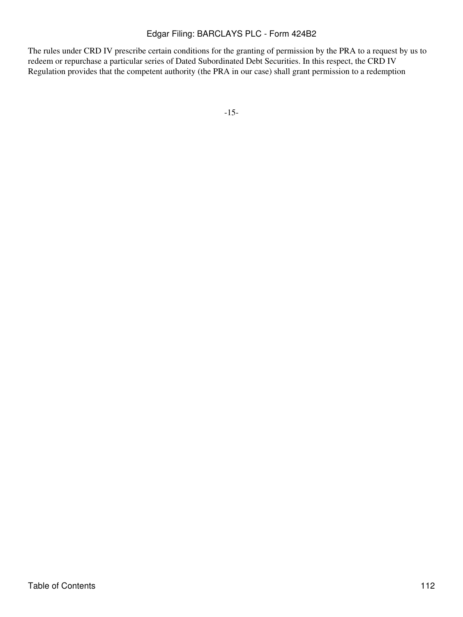The rules under CRD IV prescribe certain conditions for the granting of permission by the PRA to a request by us to redeem or repurchase a particular series of Dated Subordinated Debt Securities. In this respect, the CRD IV Regulation provides that the competent authority (the PRA in our case) shall grant permission to a redemption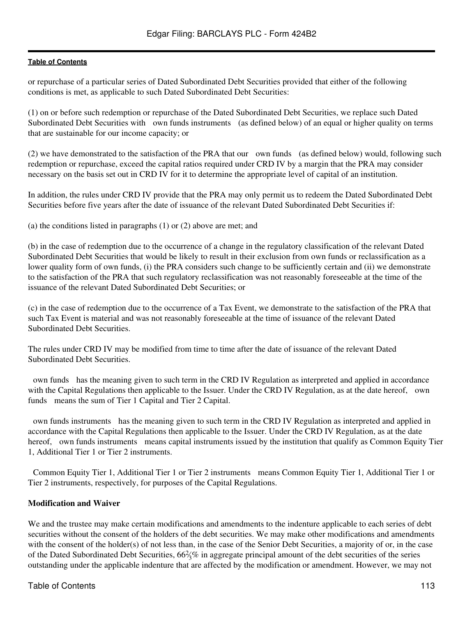or repurchase of a particular series of Dated Subordinated Debt Securities provided that either of the following conditions is met, as applicable to such Dated Subordinated Debt Securities:

(1) on or before such redemption or repurchase of the Dated Subordinated Debt Securities, we replace such Dated Subordinated Debt Securities with own funds instruments (as defined below) of an equal or higher quality on terms that are sustainable for our income capacity; or

(2) we have demonstrated to the satisfaction of the PRA that our own funds (as defined below) would, following such redemption or repurchase, exceed the capital ratios required under CRD IV by a margin that the PRA may consider necessary on the basis set out in CRD IV for it to determine the appropriate level of capital of an institution.

In addition, the rules under CRD IV provide that the PRA may only permit us to redeem the Dated Subordinated Debt Securities before five years after the date of issuance of the relevant Dated Subordinated Debt Securities if:

(a) the conditions listed in paragraphs (1) or (2) above are met; and

(b) in the case of redemption due to the occurrence of a change in the regulatory classification of the relevant Dated Subordinated Debt Securities that would be likely to result in their exclusion from own funds or reclassification as a lower quality form of own funds, (i) the PRA considers such change to be sufficiently certain and (ii) we demonstrate to the satisfaction of the PRA that such regulatory reclassification was not reasonably foreseeable at the time of the issuance of the relevant Dated Subordinated Debt Securities; or

(c) in the case of redemption due to the occurrence of a Tax Event, we demonstrate to the satisfaction of the PRA that such Tax Event is material and was not reasonably foreseeable at the time of issuance of the relevant Dated Subordinated Debt Securities.

The rules under CRD IV may be modified from time to time after the date of issuance of the relevant Dated Subordinated Debt Securities.

own funds has the meaning given to such term in the CRD IV Regulation as interpreted and applied in accordance with the Capital Regulations then applicable to the Issuer. Under the CRD IV Regulation, as at the date hereof, own funds means the sum of Tier 1 Capital and Tier 2 Capital.

own funds instruments has the meaning given to such term in the CRD IV Regulation as interpreted and applied in accordance with the Capital Regulations then applicable to the Issuer. Under the CRD IV Regulation, as at the date hereof, own funds instruments means capital instruments issued by the institution that qualify as Common Equity Tier 1, Additional Tier 1 or Tier 2 instruments.

Common Equity Tier 1, Additional Tier 1 or Tier 2 instruments means Common Equity Tier 1, Additional Tier 1 or Tier 2 instruments, respectively, for purposes of the Capital Regulations.

## **Modification and Waiver**

We and the trustee may make certain modifications and amendments to the indenture applicable to each series of debt securities without the consent of the holders of the debt securities. We may make other modifications and amendments with the consent of the holder(s) of not less than, in the case of the Senior Debt Securities, a majority of or, in the case of the Dated Subordinated Debt Securities, 662⁄3% in aggregate principal amount of the debt securities of the series outstanding under the applicable indenture that are affected by the modification or amendment. However, we may not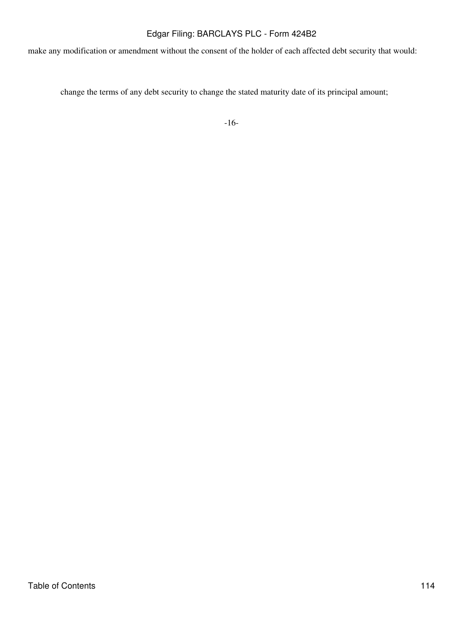make any modification or amendment without the consent of the holder of each affected debt security that would:

change the terms of any debt security to change the stated maturity date of its principal amount;

-16-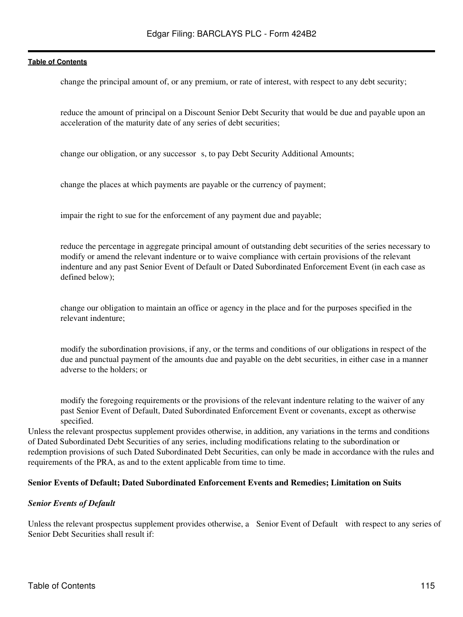change the principal amount of, or any premium, or rate of interest, with respect to any debt security;

reduce the amount of principal on a Discount Senior Debt Security that would be due and payable upon an acceleration of the maturity date of any series of debt securities;

change our obligation, or any successor s, to pay Debt Security Additional Amounts;

change the places at which payments are payable or the currency of payment;

impair the right to sue for the enforcement of any payment due and payable;

reduce the percentage in aggregate principal amount of outstanding debt securities of the series necessary to modify or amend the relevant indenture or to waive compliance with certain provisions of the relevant indenture and any past Senior Event of Default or Dated Subordinated Enforcement Event (in each case as defined below);

change our obligation to maintain an office or agency in the place and for the purposes specified in the relevant indenture;

modify the subordination provisions, if any, or the terms and conditions of our obligations in respect of the due and punctual payment of the amounts due and payable on the debt securities, in either case in a manner adverse to the holders; or

modify the foregoing requirements or the provisions of the relevant indenture relating to the waiver of any past Senior Event of Default, Dated Subordinated Enforcement Event or covenants, except as otherwise specified.

Unless the relevant prospectus supplement provides otherwise, in addition, any variations in the terms and conditions of Dated Subordinated Debt Securities of any series, including modifications relating to the subordination or redemption provisions of such Dated Subordinated Debt Securities, can only be made in accordance with the rules and requirements of the PRA, as and to the extent applicable from time to time.

#### **Senior Events of Default; Dated Subordinated Enforcement Events and Remedies; Limitation on Suits**

#### *Senior Events of Default*

Unless the relevant prospectus supplement provides otherwise, a Senior Event of Default with respect to any series of Senior Debt Securities shall result if: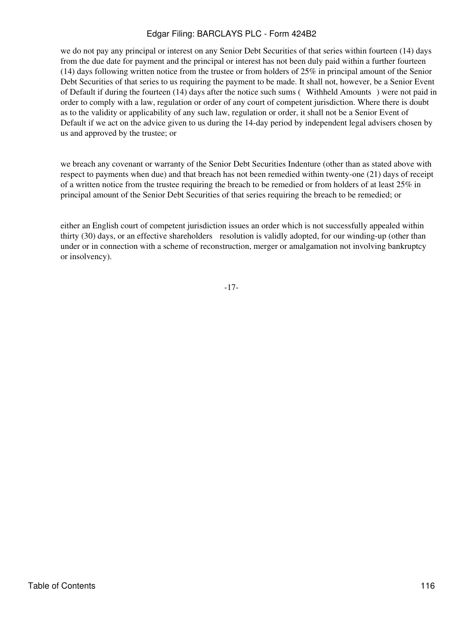we do not pay any principal or interest on any Senior Debt Securities of that series within fourteen (14) days from the due date for payment and the principal or interest has not been duly paid within a further fourteen (14) days following written notice from the trustee or from holders of 25% in principal amount of the Senior Debt Securities of that series to us requiring the payment to be made. It shall not, however, be a Senior Event of Default if during the fourteen (14) days after the notice such sums (Withheld Amounts) were not paid in order to comply with a law, regulation or order of any court of competent jurisdiction. Where there is doubt as to the validity or applicability of any such law, regulation or order, it shall not be a Senior Event of Default if we act on the advice given to us during the 14-day period by independent legal advisers chosen by us and approved by the trustee; or

we breach any covenant or warranty of the Senior Debt Securities Indenture (other than as stated above with respect to payments when due) and that breach has not been remedied within twenty-one (21) days of receipt of a written notice from the trustee requiring the breach to be remedied or from holders of at least 25% in principal amount of the Senior Debt Securities of that series requiring the breach to be remedied; or

either an English court of competent jurisdiction issues an order which is not successfully appealed within thirty (30) days, or an effective shareholders resolution is validly adopted, for our winding-up (other than under or in connection with a scheme of reconstruction, merger or amalgamation not involving bankruptcy or insolvency).

-17-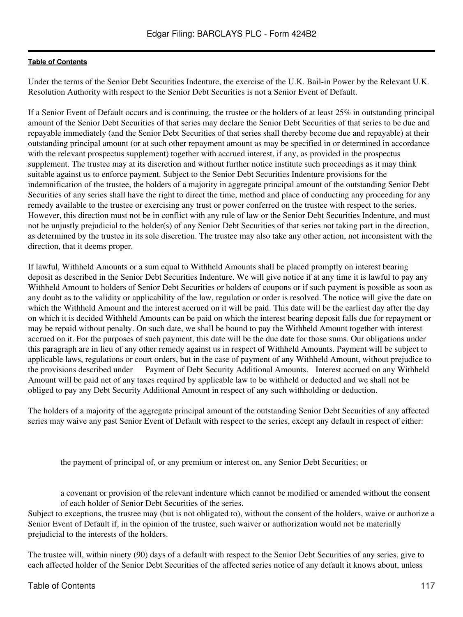Under the terms of the Senior Debt Securities Indenture, the exercise of the U.K. Bail-in Power by the Relevant U.K. Resolution Authority with respect to the Senior Debt Securities is not a Senior Event of Default.

If a Senior Event of Default occurs and is continuing, the trustee or the holders of at least 25% in outstanding principal amount of the Senior Debt Securities of that series may declare the Senior Debt Securities of that series to be due and repayable immediately (and the Senior Debt Securities of that series shall thereby become due and repayable) at their outstanding principal amount (or at such other repayment amount as may be specified in or determined in accordance with the relevant prospectus supplement) together with accrued interest, if any, as provided in the prospectus supplement. The trustee may at its discretion and without further notice institute such proceedings as it may think suitable against us to enforce payment. Subject to the Senior Debt Securities Indenture provisions for the indemnification of the trustee, the holders of a majority in aggregate principal amount of the outstanding Senior Debt Securities of any series shall have the right to direct the time, method and place of conducting any proceeding for any remedy available to the trustee or exercising any trust or power conferred on the trustee with respect to the series. However, this direction must not be in conflict with any rule of law or the Senior Debt Securities Indenture, and must not be unjustly prejudicial to the holder(s) of any Senior Debt Securities of that series not taking part in the direction, as determined by the trustee in its sole discretion. The trustee may also take any other action, not inconsistent with the direction, that it deems proper.

If lawful, Withheld Amounts or a sum equal to Withheld Amounts shall be placed promptly on interest bearing deposit as described in the Senior Debt Securities Indenture. We will give notice if at any time it is lawful to pay any Withheld Amount to holders of Senior Debt Securities or holders of coupons or if such payment is possible as soon as any doubt as to the validity or applicability of the law, regulation or order is resolved. The notice will give the date on which the Withheld Amount and the interest accrued on it will be paid. This date will be the earliest day after the day on which it is decided Withheld Amounts can be paid on which the interest bearing deposit falls due for repayment or may be repaid without penalty. On such date, we shall be bound to pay the Withheld Amount together with interest accrued on it. For the purposes of such payment, this date will be the due date for those sums. Our obligations under this paragraph are in lieu of any other remedy against us in respect of Withheld Amounts. Payment will be subject to applicable laws, regulations or court orders, but in the case of payment of any Withheld Amount, without prejudice to the provisions described under Payment of Debt Security Additional Amounts. Interest accrued on any Withheld Amount will be paid net of any taxes required by applicable law to be withheld or deducted and we shall not be obliged to pay any Debt Security Additional Amount in respect of any such withholding or deduction.

The holders of a majority of the aggregate principal amount of the outstanding Senior Debt Securities of any affected series may waive any past Senior Event of Default with respect to the series, except any default in respect of either:

the payment of principal of, or any premium or interest on, any Senior Debt Securities; or

a covenant or provision of the relevant indenture which cannot be modified or amended without the consent of each holder of Senior Debt Securities of the series.

Subject to exceptions, the trustee may (but is not obligated to), without the consent of the holders, waive or authorize a Senior Event of Default if, in the opinion of the trustee, such waiver or authorization would not be materially prejudicial to the interests of the holders.

The trustee will, within ninety (90) days of a default with respect to the Senior Debt Securities of any series, give to each affected holder of the Senior Debt Securities of the affected series notice of any default it knows about, unless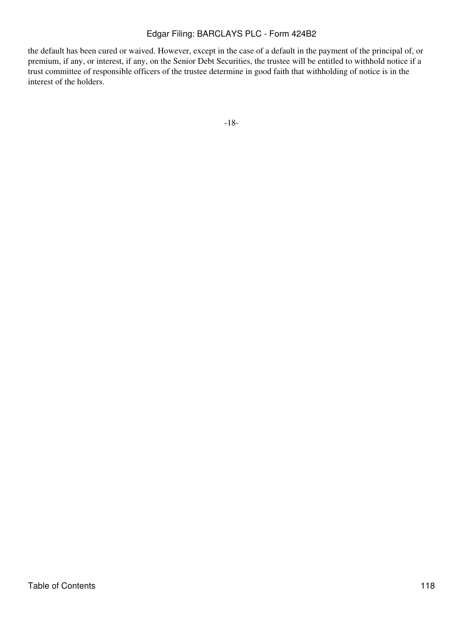the default has been cured or waived. However, except in the case of a default in the payment of the principal of, or premium, if any, or interest, if any, on the Senior Debt Securities, the trustee will be entitled to withhold notice if a trust committee of responsible officers of the trustee determine in good faith that withholding of notice is in the interest of the holders.

-18-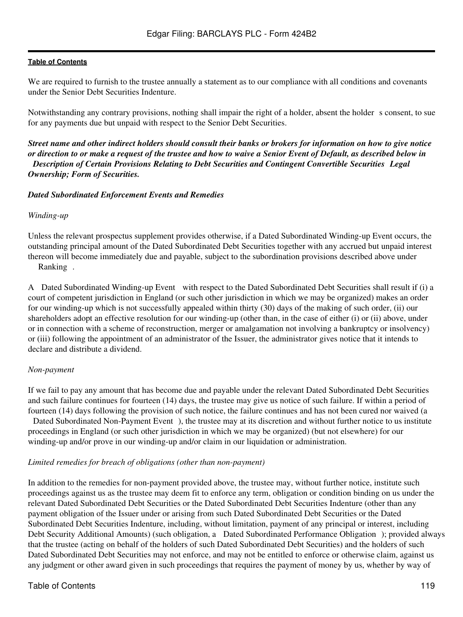We are required to furnish to the trustee annually a statement as to our compliance with all conditions and covenants under the Senior Debt Securities Indenture.

Notwithstanding any contrary provisions, nothing shall impair the right of a holder, absent the holder s consent, to sue for any payments due but unpaid with respect to the Senior Debt Securities.

*Street name and other indirect holders should consult their banks or brokers for information on how to give notice or direction to or make a request of the trustee and how to waive a Senior Event of Default, as described below in Description of Certain Provisions Relating to Debt Securities and Contingent Convertible SecuritiesLegal Ownership; Form of Securities.*

### *Dated Subordinated Enforcement Events and Remedies*

### *Winding-up*

Unless the relevant prospectus supplement provides otherwise, if a Dated Subordinated Winding-up Event occurs, the outstanding principal amount of the Dated Subordinated Debt Securities together with any accrued but unpaid interest thereon will become immediately due and payable, subject to the subordination provisions described above under Ranking.

A Dated Subordinated Winding-up Event with respect to the Dated Subordinated Debt Securities shall result if (i) a court of competent jurisdiction in England (or such other jurisdiction in which we may be organized) makes an order for our winding-up which is not successfully appealed within thirty (30) days of the making of such order, (ii) our shareholders adopt an effective resolution for our winding-up (other than, in the case of either (i) or (ii) above, under or in connection with a scheme of reconstruction, merger or amalgamation not involving a bankruptcy or insolvency) or (iii) following the appointment of an administrator of the Issuer, the administrator gives notice that it intends to declare and distribute a dividend.

## *Non-payment*

If we fail to pay any amount that has become due and payable under the relevant Dated Subordinated Debt Securities and such failure continues for fourteen (14) days, the trustee may give us notice of such failure. If within a period of fourteen (14) days following the provision of such notice, the failure continues and has not been cured nor waived (a Dated Subordinated Non-Payment Event), the trustee may at its discretion and without further notice to us institute

proceedings in England (or such other jurisdiction in which we may be organized) (but not elsewhere) for our winding-up and/or prove in our winding-up and/or claim in our liquidation or administration.

#### *Limited remedies for breach of obligations (other than non-payment)*

In addition to the remedies for non-payment provided above, the trustee may, without further notice, institute such proceedings against us as the trustee may deem fit to enforce any term, obligation or condition binding on us under the relevant Dated Subordinated Debt Securities or the Dated Subordinated Debt Securities Indenture (other than any payment obligation of the Issuer under or arising from such Dated Subordinated Debt Securities or the Dated Subordinated Debt Securities Indenture, including, without limitation, payment of any principal or interest, including Debt Security Additional Amounts) (such obligation, a Dated Subordinated Performance Obligation); provided always that the trustee (acting on behalf of the holders of such Dated Subordinated Debt Securities) and the holders of such Dated Subordinated Debt Securities may not enforce, and may not be entitled to enforce or otherwise claim, against us any judgment or other award given in such proceedings that requires the payment of money by us, whether by way of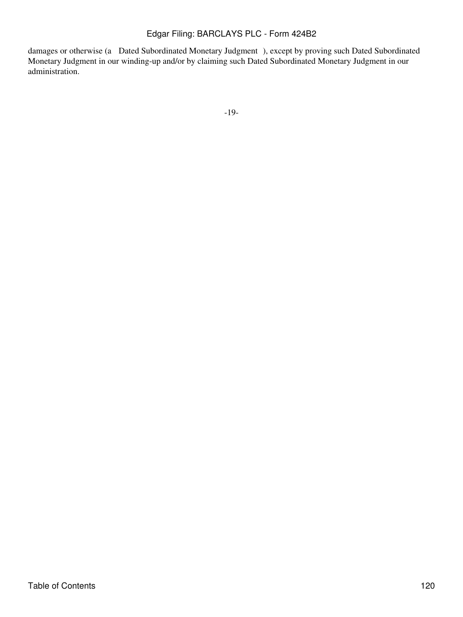damages or otherwise (a Dated Subordinated Monetary Judgment), except by proving such Dated Subordinated Monetary Judgment in our winding-up and/or by claiming such Dated Subordinated Monetary Judgment in our administration.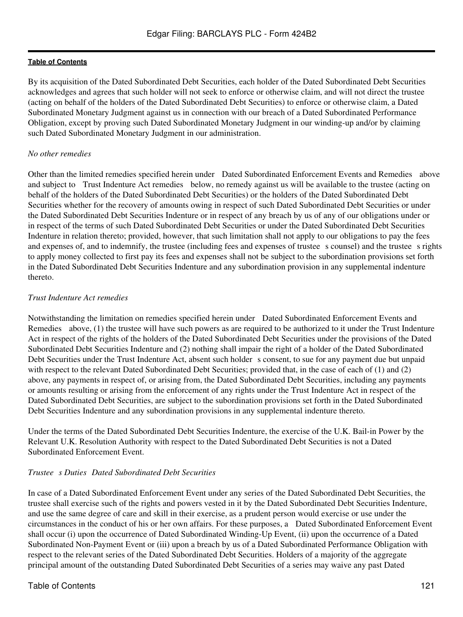By its acquisition of the Dated Subordinated Debt Securities, each holder of the Dated Subordinated Debt Securities acknowledges and agrees that such holder will not seek to enforce or otherwise claim, and will not direct the trustee (acting on behalf of the holders of the Dated Subordinated Debt Securities) to enforce or otherwise claim, a Dated Subordinated Monetary Judgment against us in connection with our breach of a Dated Subordinated Performance Obligation, except by proving such Dated Subordinated Monetary Judgment in our winding-up and/or by claiming such Dated Subordinated Monetary Judgment in our administration.

### *No other remedies*

Other than the limited remedies specified herein under Dated Subordinated Enforcement Events and Remedies above and subject to Trust Indenture Act remedies below, no remedy against us will be available to the trustee (acting on behalf of the holders of the Dated Subordinated Debt Securities) or the holders of the Dated Subordinated Debt Securities whether for the recovery of amounts owing in respect of such Dated Subordinated Debt Securities or under the Dated Subordinated Debt Securities Indenture or in respect of any breach by us of any of our obligations under or in respect of the terms of such Dated Subordinated Debt Securities or under the Dated Subordinated Debt Securities Indenture in relation thereto; provided, however, that such limitation shall not apply to our obligations to pay the fees and expenses of, and to indemnify, the trustee (including fees and expenses of trustee scounsel) and the trustee s rights to apply money collected to first pay its fees and expenses shall not be subject to the subordination provisions set forth in the Dated Subordinated Debt Securities Indenture and any subordination provision in any supplemental indenture thereto.

## *Trust Indenture Act remedies*

Notwithstanding the limitation on remedies specified herein under Dated Subordinated Enforcement Events and Remedies above, (1) the trustee will have such powers as are required to be authorized to it under the Trust Indenture Act in respect of the rights of the holders of the Dated Subordinated Debt Securities under the provisions of the Dated Subordinated Debt Securities Indenture and (2) nothing shall impair the right of a holder of the Dated Subordinated Debt Securities under the Trust Indenture Act, absent such holder s consent, to sue for any payment due but unpaid with respect to the relevant Dated Subordinated Debt Securities; provided that, in the case of each of (1) and (2) above, any payments in respect of, or arising from, the Dated Subordinated Debt Securities, including any payments or amounts resulting or arising from the enforcement of any rights under the Trust Indenture Act in respect of the Dated Subordinated Debt Securities, are subject to the subordination provisions set forth in the Dated Subordinated Debt Securities Indenture and any subordination provisions in any supplemental indenture thereto.

Under the terms of the Dated Subordinated Debt Securities Indenture, the exercise of the U.K. Bail-in Power by the Relevant U.K. Resolution Authority with respect to the Dated Subordinated Debt Securities is not a Dated Subordinated Enforcement Event.

## *Trustee s Duties Dated Subordinated Debt Securities*

In case of a Dated Subordinated Enforcement Event under any series of the Dated Subordinated Debt Securities, the trustee shall exercise such of the rights and powers vested in it by the Dated Subordinated Debt Securities Indenture, and use the same degree of care and skill in their exercise, as a prudent person would exercise or use under the circumstances in the conduct of his or her own affairs. For these purposes, a Dated Subordinated Enforcement Event shall occur (i) upon the occurrence of Dated Subordinated Winding-Up Event, (ii) upon the occurrence of a Dated Subordinated Non-Payment Event or (iii) upon a breach by us of a Dated Subordinated Performance Obligation with respect to the relevant series of the Dated Subordinated Debt Securities. Holders of a majority of the aggregate principal amount of the outstanding Dated Subordinated Debt Securities of a series may waive any past Dated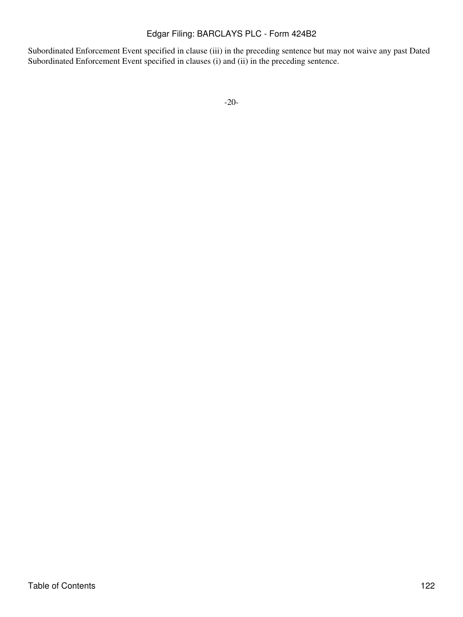Subordinated Enforcement Event specified in clause (iii) in the preceding sentence but may not waive any past Dated Subordinated Enforcement Event specified in clauses (i) and (ii) in the preceding sentence.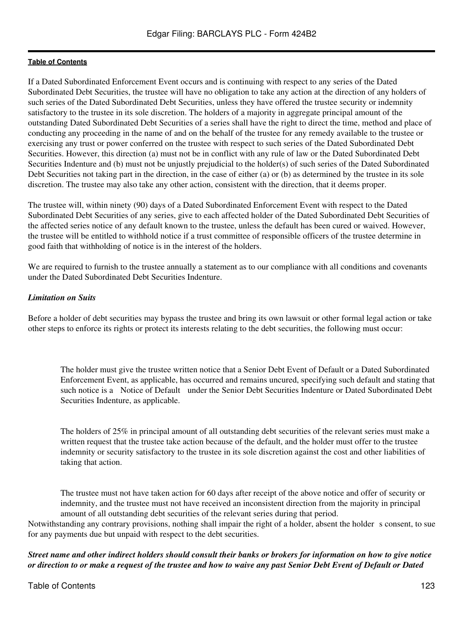If a Dated Subordinated Enforcement Event occurs and is continuing with respect to any series of the Dated Subordinated Debt Securities, the trustee will have no obligation to take any action at the direction of any holders of such series of the Dated Subordinated Debt Securities, unless they have offered the trustee security or indemnity satisfactory to the trustee in its sole discretion. The holders of a majority in aggregate principal amount of the outstanding Dated Subordinated Debt Securities of a series shall have the right to direct the time, method and place of conducting any proceeding in the name of and on the behalf of the trustee for any remedy available to the trustee or exercising any trust or power conferred on the trustee with respect to such series of the Dated Subordinated Debt Securities. However, this direction (a) must not be in conflict with any rule of law or the Dated Subordinated Debt Securities Indenture and (b) must not be unjustly prejudicial to the holder(s) of such series of the Dated Subordinated Debt Securities not taking part in the direction, in the case of either (a) or (b) as determined by the trustee in its sole discretion. The trustee may also take any other action, consistent with the direction, that it deems proper.

The trustee will, within ninety (90) days of a Dated Subordinated Enforcement Event with respect to the Dated Subordinated Debt Securities of any series, give to each affected holder of the Dated Subordinated Debt Securities of the affected series notice of any default known to the trustee, unless the default has been cured or waived. However, the trustee will be entitled to withhold notice if a trust committee of responsible officers of the trustee determine in good faith that withholding of notice is in the interest of the holders.

We are required to furnish to the trustee annually a statement as to our compliance with all conditions and covenants under the Dated Subordinated Debt Securities Indenture.

#### *Limitation on Suits*

Before a holder of debt securities may bypass the trustee and bring its own lawsuit or other formal legal action or take other steps to enforce its rights or protect its interests relating to the debt securities, the following must occur:

The holder must give the trustee written notice that a Senior Debt Event of Default or a Dated Subordinated Enforcement Event, as applicable, has occurred and remains uncured, specifying such default and stating that such notice is a Notice of Default under the Senior Debt Securities Indenture or Dated Subordinated Debt Securities Indenture, as applicable.

The holders of 25% in principal amount of all outstanding debt securities of the relevant series must make a written request that the trustee take action because of the default, and the holder must offer to the trustee indemnity or security satisfactory to the trustee in its sole discretion against the cost and other liabilities of taking that action.

The trustee must not have taken action for 60 days after receipt of the above notice and offer of security or indemnity, and the trustee must not have received an inconsistent direction from the majority in principal amount of all outstanding debt securities of the relevant series during that period.

Notwithstanding any contrary provisions, nothing shall impair the right of a holder, absent the holder s consent, to sue for any payments due but unpaid with respect to the debt securities.

*Street name and other indirect holders should consult their banks or brokers for information on how to give notice or direction to or make a request of the trustee and how to waive any past Senior Debt Event of Default or Dated*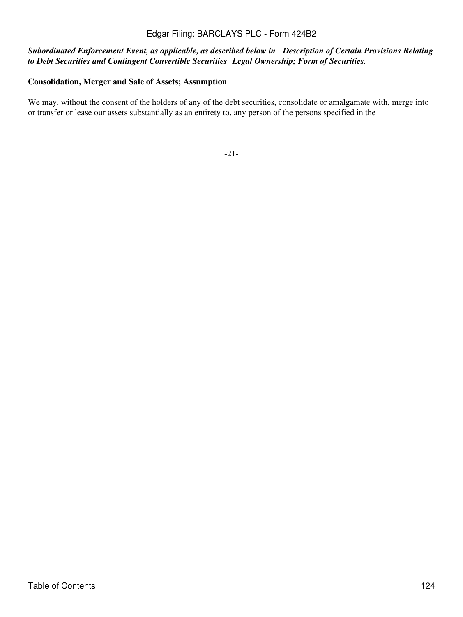## *Subordinated Enforcement Event, as applicable, as described below in Description of Certain Provisions Relating* to Debt Securities and Contingent Convertible Securities Legal Ownership; Form of Securities.

#### **Consolidation, Merger and Sale of Assets; Assumption**

We may, without the consent of the holders of any of the debt securities, consolidate or amalgamate with, merge into or transfer or lease our assets substantially as an entirety to, any person of the persons specified in the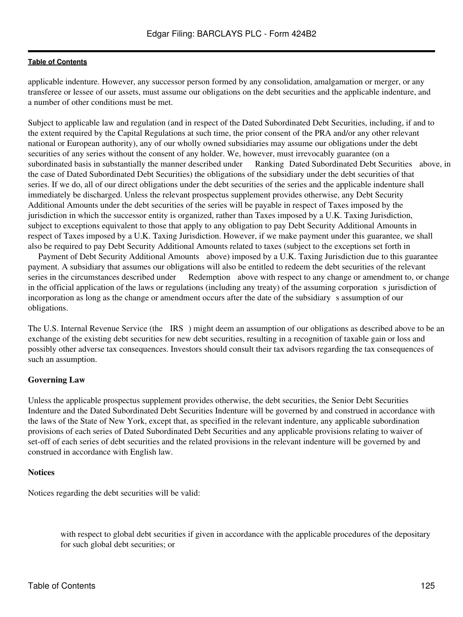applicable indenture. However, any successor person formed by any consolidation, amalgamation or merger, or any transferee or lessee of our assets, must assume our obligations on the debt securities and the applicable indenture, and a number of other conditions must be met.

Subject to applicable law and regulation (and in respect of the Dated Subordinated Debt Securities, including, if and to the extent required by the Capital Regulations at such time, the prior consent of the PRA and/or any other relevant national or European authority), any of our wholly owned subsidiaries may assume our obligations under the debt securities of any series without the consent of any holder. We, however, must irrevocably guarantee (on a subordinated basis in substantially the manner described under Ranking Dated Subordinated Debt Securities above, in the case of Dated Subordinated Debt Securities) the obligations of the subsidiary under the debt securities of that series. If we do, all of our direct obligations under the debt securities of the series and the applicable indenture shall immediately be discharged. Unless the relevant prospectus supplement provides otherwise, any Debt Security Additional Amounts under the debt securities of the series will be payable in respect of Taxes imposed by the jurisdiction in which the successor entity is organized, rather than Taxes imposed by a U.K. Taxing Jurisdiction, subject to exceptions equivalent to those that apply to any obligation to pay Debt Security Additional Amounts in respect of Taxes imposed by a U.K. Taxing Jurisdiction. However, if we make payment under this guarantee, we shall also be required to pay Debt Security Additional Amounts related to taxes (subject to the exceptions set forth in

Payment of Debt Security Additional Amounts above) imposed by a U.K. Taxing Jurisdiction due to this guarantee payment. A subsidiary that assumes our obligations will also be entitled to redeem the debt securities of the relevant series in the circumstances described under Redemption above with respect to any change or amendment to, or change in the official application of the laws or regulations (including any treaty) of the assuming corporation s jurisdiction of incorporation as long as the change or amendment occurs after the date of the subsidiary s assumption of our obligations.

The U.S. Internal Revenue Service (the IRS) might deem an assumption of our obligations as described above to be an exchange of the existing debt securities for new debt securities, resulting in a recognition of taxable gain or loss and possibly other adverse tax consequences. Investors should consult their tax advisors regarding the tax consequences of such an assumption.

## **Governing Law**

Unless the applicable prospectus supplement provides otherwise, the debt securities, the Senior Debt Securities Indenture and the Dated Subordinated Debt Securities Indenture will be governed by and construed in accordance with the laws of the State of New York, except that, as specified in the relevant indenture, any applicable subordination provisions of each series of Dated Subordinated Debt Securities and any applicable provisions relating to waiver of set-off of each series of debt securities and the related provisions in the relevant indenture will be governed by and construed in accordance with English law.

#### **Notices**

Notices regarding the debt securities will be valid:

with respect to global debt securities if given in accordance with the applicable procedures of the depositary for such global debt securities; or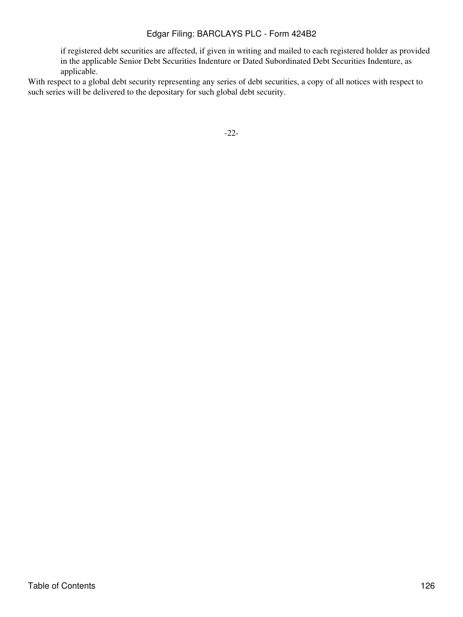if registered debt securities are affected, if given in writing and mailed to each registered holder as provided in the applicable Senior Debt Securities Indenture or Dated Subordinated Debt Securities Indenture, as applicable.

With respect to a global debt security representing any series of debt securities, a copy of all notices with respect to such series will be delivered to the depositary for such global debt security.

-22-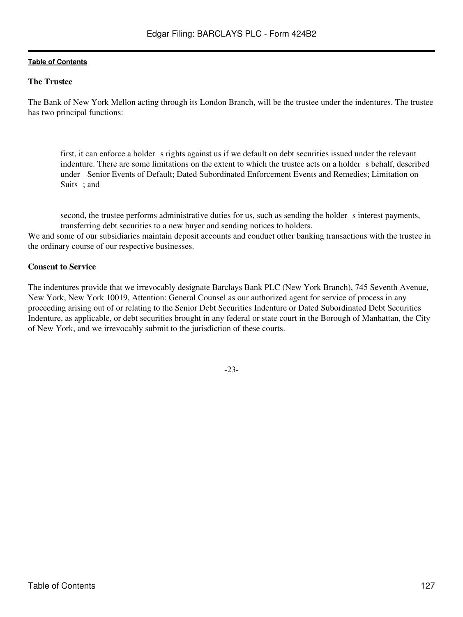#### **The Trustee**

The Bank of New York Mellon acting through its London Branch, will be the trustee under the indentures. The trustee has two principal functions:

first, it can enforce a holder s rights against us if we default on debt securities issued under the relevant indenture. There are some limitations on the extent to which the trustee acts on a holder s behalf, described under Senior Events of Default; Dated Subordinated Enforcement Events and Remedies; Limitation on Suits; and

second, the trustee performs administrative duties for us, such as sending the holder s interest payments, transferring debt securities to a new buyer and sending notices to holders.

We and some of our subsidiaries maintain deposit accounts and conduct other banking transactions with the trustee in the ordinary course of our respective businesses.

#### **Consent to Service**

The indentures provide that we irrevocably designate Barclays Bank PLC (New York Branch), 745 Seventh Avenue, New York, New York 10019, Attention: General Counsel as our authorized agent for service of process in any proceeding arising out of or relating to the Senior Debt Securities Indenture or Dated Subordinated Debt Securities Indenture, as applicable, or debt securities brought in any federal or state court in the Borough of Manhattan, the City of New York, and we irrevocably submit to the jurisdiction of these courts.

-23-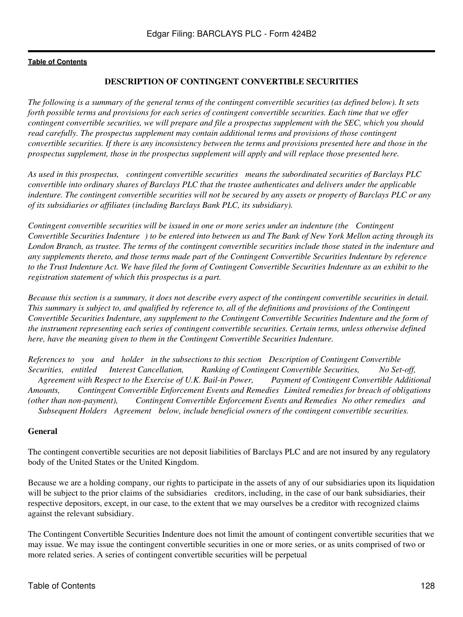# **DESCRIPTION OF CONTINGENT CONVERTIBLE SECURITIES**

*The following is a summary of the general terms of the contingent convertible securities (as defined below). It sets forth possible terms and provisions for each series of contingent convertible securities. Each time that we offer contingent convertible securities, we will prepare and file a prospectus supplement with the SEC, which you should read carefully. The prospectus supplement may contain additional terms and provisions of those contingent convertible securities. If there is any inconsistency between the terms and provisions presented here and those in the prospectus supplement, those in the prospectus supplement will apply and will replace those presented here.*

*As used in this prospectus, contingent convertible securities means the subordinated securities of Barclays PLC convertible into ordinary shares of Barclays PLC that the trustee authenticates and delivers under the applicable indenture. The contingent convertible securities will not be secured by any assets or property of Barclays PLC or any of its subsidiaries or affiliates (including Barclays Bank PLC, its subsidiary).*

*Contingent convertible securities will be issued in one or more series under an indenture (the Contingent Convertible Securities Indenture) to be entered into between us and The Bank of New York Mellon acting through its London Branch, as trustee. The terms of the contingent convertible securities include those stated in the indenture and any supplements thereto, and those terms made part of the Contingent Convertible Securities Indenture by reference to the Trust Indenture Act. We have filed the form of Contingent Convertible Securities Indenture as an exhibit to the registration statement of which this prospectus is a part.*

*Because this section is a summary, it does not describe every aspect of the contingent convertible securities in detail. This summary is subject to, and qualified by reference to, all of the definitions and provisions of the Contingent Convertible Securities Indenture, any supplement to the Contingent Convertible Securities Indenture and the form of the instrument representing each series of contingent convertible securities. Certain terms, unless otherwise defined here, have the meaning given to them in the Contingent Convertible Securities Indenture.*

*References to you and holder in the subsections to this section Description of Contingent Convertible Securities, entitled Interest Cancellation, Ranking of Contingent Convertible Securities, No Set-off, Agreement with Respect to the Exercise of U.K. Bail-in Power, Payment of Contingent Convertible Additional* Amounts, Contingent Convertible Enforcement Events and Remedies Limited remedies for breach of obligations *(other than non-payment), Contingent Convertible Enforcement Events and RemediesNo other remedies and Subsequent Holders Agreement below, include beneficial owners of the contingent convertible securities.*

## **General**

The contingent convertible securities are not deposit liabilities of Barclays PLC and are not insured by any regulatory body of the United States or the United Kingdom.

Because we are a holding company, our rights to participate in the assets of any of our subsidiaries upon its liquidation will be subject to the prior claims of the subsidiaries creditors, including, in the case of our bank subsidiaries, their respective depositors, except, in our case, to the extent that we may ourselves be a creditor with recognized claims against the relevant subsidiary.

The Contingent Convertible Securities Indenture does not limit the amount of contingent convertible securities that we may issue. We may issue the contingent convertible securities in one or more series, or as units comprised of two or more related series. A series of contingent convertible securities will be perpetual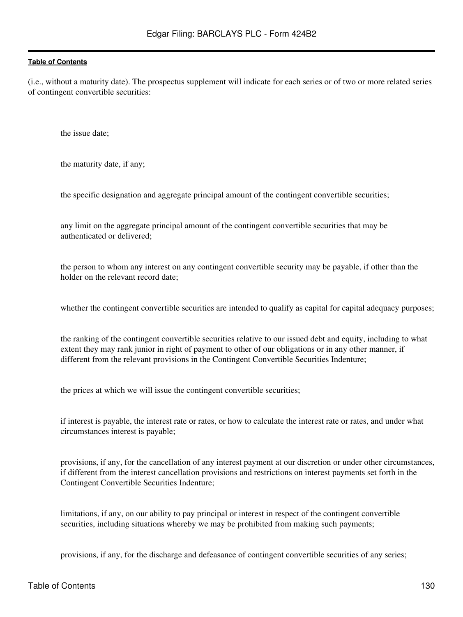(i.e., without a maturity date). The prospectus supplement will indicate for each series or of two or more related series of contingent convertible securities:

the issue date;

the maturity date, if any;

the specific designation and aggregate principal amount of the contingent convertible securities;

any limit on the aggregate principal amount of the contingent convertible securities that may be authenticated or delivered;

the person to whom any interest on any contingent convertible security may be payable, if other than the holder on the relevant record date;

whether the contingent convertible securities are intended to qualify as capital for capital adequacy purposes;

the ranking of the contingent convertible securities relative to our issued debt and equity, including to what extent they may rank junior in right of payment to other of our obligations or in any other manner, if different from the relevant provisions in the Contingent Convertible Securities Indenture;

the prices at which we will issue the contingent convertible securities;

if interest is payable, the interest rate or rates, or how to calculate the interest rate or rates, and under what circumstances interest is payable;

provisions, if any, for the cancellation of any interest payment at our discretion or under other circumstances, if different from the interest cancellation provisions and restrictions on interest payments set forth in the Contingent Convertible Securities Indenture;

limitations, if any, on our ability to pay principal or interest in respect of the contingent convertible securities, including situations whereby we may be prohibited from making such payments;

provisions, if any, for the discharge and defeasance of contingent convertible securities of any series;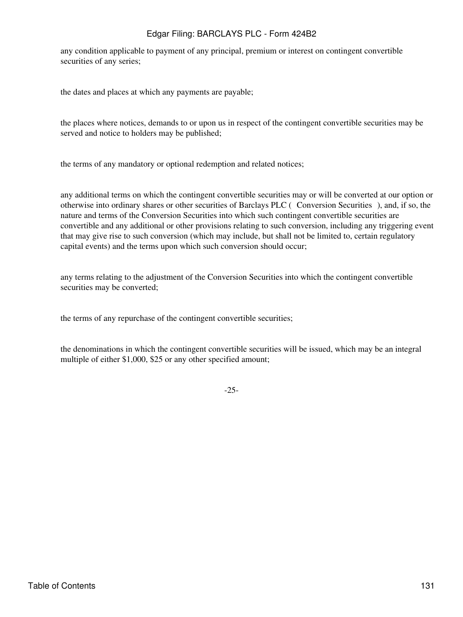any condition applicable to payment of any principal, premium or interest on contingent convertible securities of any series;

the dates and places at which any payments are payable;

the places where notices, demands to or upon us in respect of the contingent convertible securities may be served and notice to holders may be published;

the terms of any mandatory or optional redemption and related notices;

any additional terms on which the contingent convertible securities may or will be converted at our option or otherwise into ordinary shares or other securities of Barclays PLC (Conversion Securities), and, if so, the nature and terms of the Conversion Securities into which such contingent convertible securities are convertible and any additional or other provisions relating to such conversion, including any triggering event that may give rise to such conversion (which may include, but shall not be limited to, certain regulatory capital events) and the terms upon which such conversion should occur;

any terms relating to the adjustment of the Conversion Securities into which the contingent convertible securities may be converted;

the terms of any repurchase of the contingent convertible securities;

the denominations in which the contingent convertible securities will be issued, which may be an integral multiple of either \$1,000, \$25 or any other specified amount;

-25-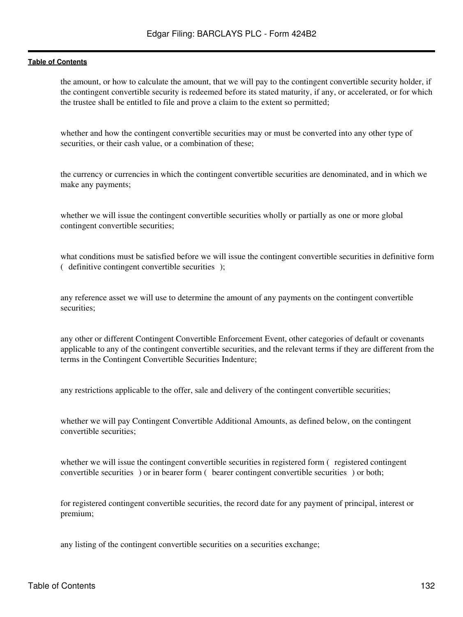the amount, or how to calculate the amount, that we will pay to the contingent convertible security holder, if the contingent convertible security is redeemed before its stated maturity, if any, or accelerated, or for which the trustee shall be entitled to file and prove a claim to the extent so permitted;

whether and how the contingent convertible securities may or must be converted into any other type of securities, or their cash value, or a combination of these;

the currency or currencies in which the contingent convertible securities are denominated, and in which we make any payments;

whether we will issue the contingent convertible securities wholly or partially as one or more global contingent convertible securities;

what conditions must be satisfied before we will issue the contingent convertible securities in definitive form (definitive contingent convertible securities);

any reference asset we will use to determine the amount of any payments on the contingent convertible securities;

any other or different Contingent Convertible Enforcement Event, other categories of default or covenants applicable to any of the contingent convertible securities, and the relevant terms if they are different from the terms in the Contingent Convertible Securities Indenture;

any restrictions applicable to the offer, sale and delivery of the contingent convertible securities;

whether we will pay Contingent Convertible Additional Amounts, as defined below, on the contingent convertible securities;

whether we will issue the contingent convertible securities in registered form (registered contingent convertible securities) or in bearer form (bearer contingent convertible securities) or both;

for registered contingent convertible securities, the record date for any payment of principal, interest or premium;

any listing of the contingent convertible securities on a securities exchange;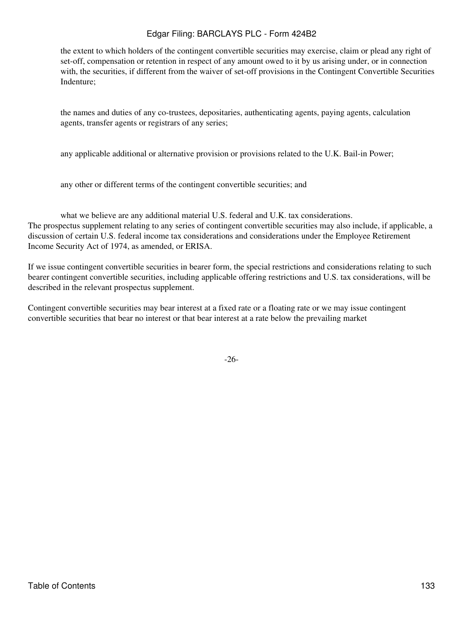the extent to which holders of the contingent convertible securities may exercise, claim or plead any right of set-off, compensation or retention in respect of any amount owed to it by us arising under, or in connection with, the securities, if different from the waiver of set-off provisions in the Contingent Convertible Securities Indenture;

the names and duties of any co-trustees, depositaries, authenticating agents, paying agents, calculation agents, transfer agents or registrars of any series;

any applicable additional or alternative provision or provisions related to the U.K. Bail-in Power;

any other or different terms of the contingent convertible securities; and

what we believe are any additional material U.S. federal and U.K. tax considerations. The prospectus supplement relating to any series of contingent convertible securities may also include, if applicable, a discussion of certain U.S. federal income tax considerations and considerations under the Employee Retirement Income Security Act of 1974, as amended, or ERISA.

If we issue contingent convertible securities in bearer form, the special restrictions and considerations relating to such bearer contingent convertible securities, including applicable offering restrictions and U.S. tax considerations, will be described in the relevant prospectus supplement.

Contingent convertible securities may bear interest at a fixed rate or a floating rate or we may issue contingent convertible securities that bear no interest or that bear interest at a rate below the prevailing market

-26-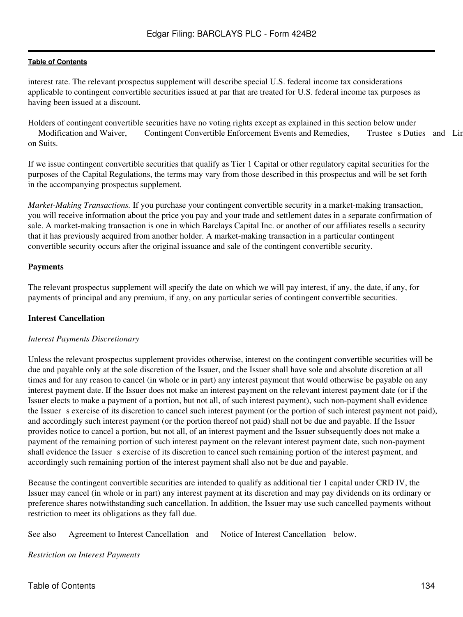interest rate. The relevant prospectus supplement will describe special U.S. federal income tax considerations applicable to contingent convertible securities issued at par that are treated for U.S. federal income tax purposes as having been issued at a discount.

Holders of contingent convertible securities have no voting rights except as explained in this section below under

Modification and Waiver, Contingent Convertible Enforcement Events and Remedies, Trustee s Duties and Limitation and Waiver, on Suits.

If we issue contingent convertible securities that qualify as Tier 1 Capital or other regulatory capital securities for the purposes of the Capital Regulations, the terms may vary from those described in this prospectus and will be set forth in the accompanying prospectus supplement.

*Market-Making Transactions.* If you purchase your contingent convertible security in a market-making transaction, you will receive information about the price you pay and your trade and settlement dates in a separate confirmation of sale. A market-making transaction is one in which Barclays Capital Inc. or another of our affiliates resells a security that it has previously acquired from another holder. A market-making transaction in a particular contingent convertible security occurs after the original issuance and sale of the contingent convertible security.

#### **Payments**

The relevant prospectus supplement will specify the date on which we will pay interest, if any, the date, if any, for payments of principal and any premium, if any, on any particular series of contingent convertible securities.

### **Interest Cancellation**

#### *Interest Payments Discretionary*

Unless the relevant prospectus supplement provides otherwise, interest on the contingent convertible securities will be due and payable only at the sole discretion of the Issuer, and the Issuer shall have sole and absolute discretion at all times and for any reason to cancel (in whole or in part) any interest payment that would otherwise be payable on any interest payment date. If the Issuer does not make an interest payment on the relevant interest payment date (or if the Issuer elects to make a payment of a portion, but not all, of such interest payment), such non-payment shall evidence the Issuer s exercise of its discretion to cancel such interest payment (or the portion of such interest payment not paid), and accordingly such interest payment (or the portion thereof not paid) shall not be due and payable. If the Issuer provides notice to cancel a portion, but not all, of an interest payment and the Issuer subsequently does not make a payment of the remaining portion of such interest payment on the relevant interest payment date, such non-payment shall evidence the Issuer s exercise of its discretion to cancel such remaining portion of the interest payment, and accordingly such remaining portion of the interest payment shall also not be due and payable.

Because the contingent convertible securities are intended to qualify as additional tier 1 capital under CRD IV, the Issuer may cancel (in whole or in part) any interest payment at its discretion and may pay dividends on its ordinary or preference shares notwithstanding such cancellation. In addition, the Issuer may use such cancelled payments without restriction to meet its obligations as they fall due.

See also Agreement to Interest Cancellation and Notice of Interest Cancellation below.

*Restriction on Interest Payments*

Table of Contents 134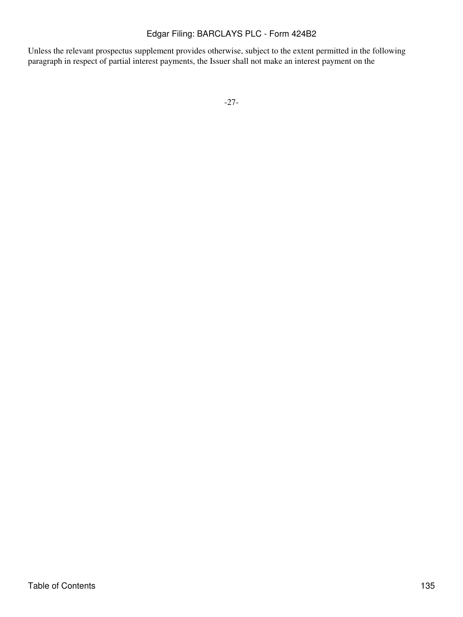Unless the relevant prospectus supplement provides otherwise, subject to the extent permitted in the following paragraph in respect of partial interest payments, the Issuer shall not make an interest payment on the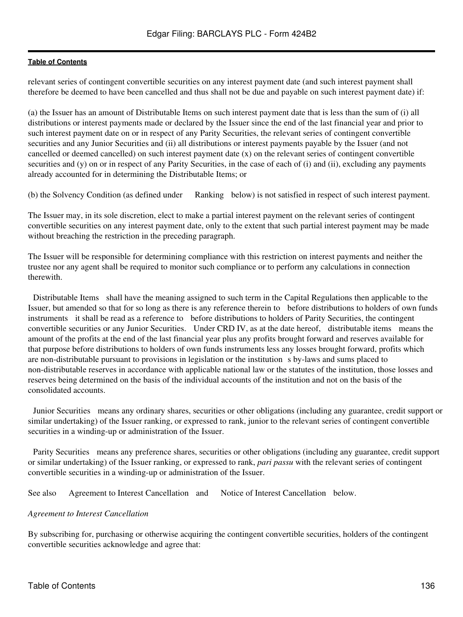relevant series of contingent convertible securities on any interest payment date (and such interest payment shall therefore be deemed to have been cancelled and thus shall not be due and payable on such interest payment date) if:

(a) the Issuer has an amount of Distributable Items on such interest payment date that is less than the sum of (i) all distributions or interest payments made or declared by the Issuer since the end of the last financial year and prior to such interest payment date on or in respect of any Parity Securities, the relevant series of contingent convertible securities and any Junior Securities and (ii) all distributions or interest payments payable by the Issuer (and not cancelled or deemed cancelled) on such interest payment date (x) on the relevant series of contingent convertible securities and (y) on or in respect of any Parity Securities, in the case of each of (i) and (ii), excluding any payments already accounted for in determining the Distributable Items; or

(b) the Solvency Condition (as defined under Ranking below) is not satisfied in respect of such interest payment.

The Issuer may, in its sole discretion, elect to make a partial interest payment on the relevant series of contingent convertible securities on any interest payment date, only to the extent that such partial interest payment may be made without breaching the restriction in the preceding paragraph.

The Issuer will be responsible for determining compliance with this restriction on interest payments and neither the trustee nor any agent shall be required to monitor such compliance or to perform any calculations in connection therewith.

Distributable Items shall have the meaning assigned to such term in the Capital Regulations then applicable to the Issuer, but amended so that for so long as there is any reference therein to before distributions to holders of own funds instruments it shall be read as a reference to before distributions to holders of Parity Securities, the contingent convertible securities or any Junior Securities. Under CRD IV, as at the date hereof, distributable items means the amount of the profits at the end of the last financial year plus any profits brought forward and reserves available for that purpose before distributions to holders of own funds instruments less any losses brought forward, profits which are non-distributable pursuant to provisions in legislation or the institution s by-laws and sums placed to non-distributable reserves in accordance with applicable national law or the statutes of the institution, those losses and reserves being determined on the basis of the individual accounts of the institution and not on the basis of the consolidated accounts.

Junior Securities means any ordinary shares, securities or other obligations (including any guarantee, credit support or similar undertaking) of the Issuer ranking, or expressed to rank, junior to the relevant series of contingent convertible securities in a winding-up or administration of the Issuer.

Parity Securities means any preference shares, securities or other obligations (including any guarantee, credit support or similar undertaking) of the Issuer ranking, or expressed to rank, *pari passu* with the relevant series of contingent convertible securities in a winding-up or administration of the Issuer.

See also Agreement to Interest Cancellation and Notice of Interest Cancellation below.

#### *Agreement to Interest Cancellation*

By subscribing for, purchasing or otherwise acquiring the contingent convertible securities, holders of the contingent convertible securities acknowledge and agree that: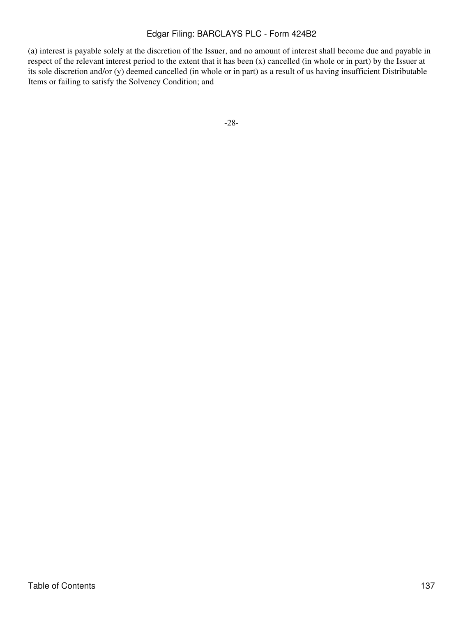(a) interest is payable solely at the discretion of the Issuer, and no amount of interest shall become due and payable in respect of the relevant interest period to the extent that it has been (x) cancelled (in whole or in part) by the Issuer at its sole discretion and/or (y) deemed cancelled (in whole or in part) as a result of us having insufficient Distributable Items or failing to satisfy the Solvency Condition; and

-28-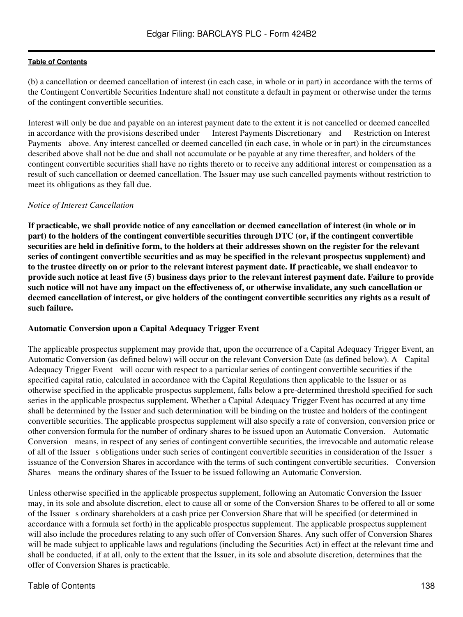(b) a cancellation or deemed cancellation of interest (in each case, in whole or in part) in accordance with the terms of the Contingent Convertible Securities Indenture shall not constitute a default in payment or otherwise under the terms of the contingent convertible securities.

Interest will only be due and payable on an interest payment date to the extent it is not cancelled or deemed cancelled in accordance with the provisions described under Interest Payments Discretionary and Restriction on Interest Payments above. Any interest cancelled or deemed cancelled (in each case, in whole or in part) in the circumstances described above shall not be due and shall not accumulate or be payable at any time thereafter, and holders of the contingent convertible securities shall have no rights thereto or to receive any additional interest or compensation as a result of such cancellation or deemed cancellation. The Issuer may use such cancelled payments without restriction to meet its obligations as they fall due.

### *Notice of Interest Cancellation*

**If practicable, we shall provide notice of any cancellation or deemed cancellation of interest (in whole or in part) to the holders of the contingent convertible securities through DTC (or, if the contingent convertible securities are held in definitive form, to the holders at their addresses shown on the register for the relevant series of contingent convertible securities and as may be specified in the relevant prospectus supplement) and to the trustee directly on or prior to the relevant interest payment date. If practicable, we shall endeavor to provide such notice at least five (5) business days prior to the relevant interest payment date. Failure to provide such notice will not have any impact on the effectiveness of, or otherwise invalidate, any such cancellation or deemed cancellation of interest, or give holders of the contingent convertible securities any rights as a result of such failure.**

## **Automatic Conversion upon a Capital Adequacy Trigger Event**

The applicable prospectus supplement may provide that, upon the occurrence of a Capital Adequacy Trigger Event, an Automatic Conversion (as defined below) will occur on the relevant Conversion Date (as defined below). A Capital Adequacy Trigger Event will occur with respect to a particular series of contingent convertible securities if the specified capital ratio, calculated in accordance with the Capital Regulations then applicable to the Issuer or as otherwise specified in the applicable prospectus supplement, falls below a pre-determined threshold specified for such series in the applicable prospectus supplement. Whether a Capital Adequacy Trigger Event has occurred at any time shall be determined by the Issuer and such determination will be binding on the trustee and holders of the contingent convertible securities. The applicable prospectus supplement will also specify a rate of conversion, conversion price or other conversion formula for the number of ordinary shares to be issued upon an Automatic Conversion. Automatic Conversion means, in respect of any series of contingent convertible securities, the irrevocable and automatic release of all of the Issuer s obligations under such series of contingent convertible securities in consideration of the Issuer s issuance of the Conversion Shares in accordance with the terms of such contingent convertible securities. Conversion Shares means the ordinary shares of the Issuer to be issued following an Automatic Conversion.

Unless otherwise specified in the applicable prospectus supplement, following an Automatic Conversion the Issuer may, in its sole and absolute discretion, elect to cause all or some of the Conversion Shares to be offered to all or some of the Issuer s ordinary shareholders at a cash price per Conversion Share that will be specified (or determined in accordance with a formula set forth) in the applicable prospectus supplement. The applicable prospectus supplement will also include the procedures relating to any such offer of Conversion Shares. Any such offer of Conversion Shares will be made subject to applicable laws and regulations (including the Securities Act) in effect at the relevant time and shall be conducted, if at all, only to the extent that the Issuer, in its sole and absolute discretion, determines that the offer of Conversion Shares is practicable.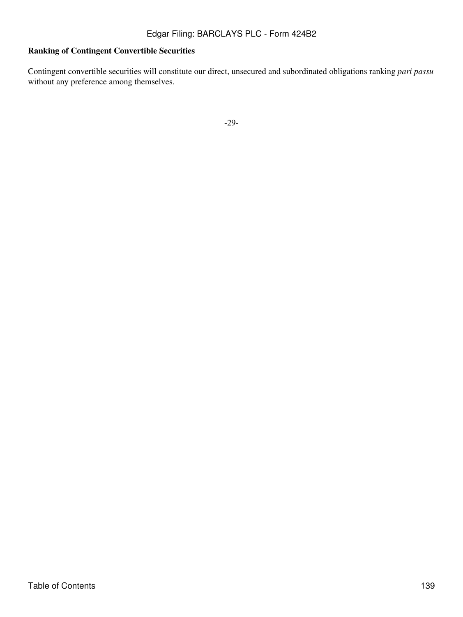## **Ranking of Contingent Convertible Securities**

Contingent convertible securities will constitute our direct, unsecured and subordinated obligations ranking *pari passu* without any preference among themselves.

-29-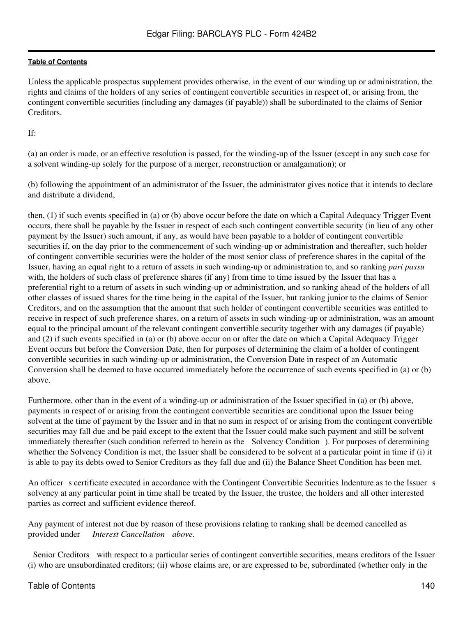Unless the applicable prospectus supplement provides otherwise, in the event of our winding up or administration, the rights and claims of the holders of any series of contingent convertible securities in respect of, or arising from, the contingent convertible securities (including any damages (if payable)) shall be subordinated to the claims of Senior Creditors.

If:

(a) an order is made, or an effective resolution is passed, for the winding-up of the Issuer (except in any such case for a solvent winding-up solely for the purpose of a merger, reconstruction or amalgamation); or

(b) following the appointment of an administrator of the Issuer, the administrator gives notice that it intends to declare and distribute a dividend,

then, (1) if such events specified in (a) or (b) above occur before the date on which a Capital Adequacy Trigger Event occurs, there shall be payable by the Issuer in respect of each such contingent convertible security (in lieu of any other payment by the Issuer) such amount, if any, as would have been payable to a holder of contingent convertible securities if, on the day prior to the commencement of such winding-up or administration and thereafter, such holder of contingent convertible securities were the holder of the most senior class of preference shares in the capital of the Issuer, having an equal right to a return of assets in such winding-up or administration to, and so ranking *pari passu* with, the holders of such class of preference shares (if any) from time to time issued by the Issuer that has a preferential right to a return of assets in such winding-up or administration, and so ranking ahead of the holders of all other classes of issued shares for the time being in the capital of the Issuer, but ranking junior to the claims of Senior Creditors, and on the assumption that the amount that such holder of contingent convertible securities was entitled to receive in respect of such preference shares, on a return of assets in such winding-up or administration, was an amount equal to the principal amount of the relevant contingent convertible security together with any damages (if payable) and (2) if such events specified in (a) or (b) above occur on or after the date on which a Capital Adequacy Trigger Event occurs but before the Conversion Date, then for purposes of determining the claim of a holder of contingent convertible securities in such winding-up or administration, the Conversion Date in respect of an Automatic Conversion shall be deemed to have occurred immediately before the occurrence of such events specified in (a) or (b) above.

Furthermore, other than in the event of a winding-up or administration of the Issuer specified in (a) or (b) above, payments in respect of or arising from the contingent convertible securities are conditional upon the Issuer being solvent at the time of payment by the Issuer and in that no sum in respect of or arising from the contingent convertible securities may fall due and be paid except to the extent that the Issuer could make such payment and still be solvent immediately thereafter (such condition referred to herein as the Solvency Condition). For purposes of determining whether the Solvency Condition is met, the Issuer shall be considered to be solvent at a particular point in time if (i) it is able to pay its debts owed to Senior Creditors as they fall due and (ii) the Balance Sheet Condition has been met.

An officer s certificate executed in accordance with the Contingent Convertible Securities Indenture as to the Issuer s solvency at any particular point in time shall be treated by the Issuer, the trustee, the holders and all other interested parties as correct and sufficient evidence thereof.

Any payment of interest not due by reason of these provisions relating to ranking shall be deemed cancelled as provided under *Interest Cancellation above.*

Senior Creditors with respect to a particular series of contingent convertible securities, means creditors of the Issuer (i) who are unsubordinated creditors; (ii) whose claims are, or are expressed to be, subordinated (whether only in the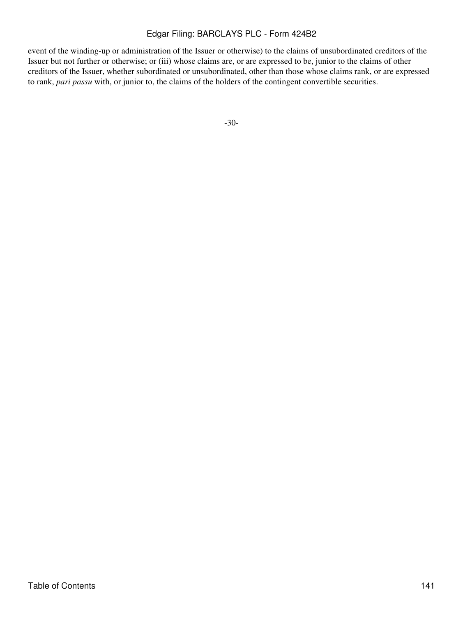event of the winding-up or administration of the Issuer or otherwise) to the claims of unsubordinated creditors of the Issuer but not further or otherwise; or (iii) whose claims are, or are expressed to be, junior to the claims of other creditors of the Issuer, whether subordinated or unsubordinated, other than those whose claims rank, or are expressed to rank, *pari passu* with, or junior to, the claims of the holders of the contingent convertible securities.

-30-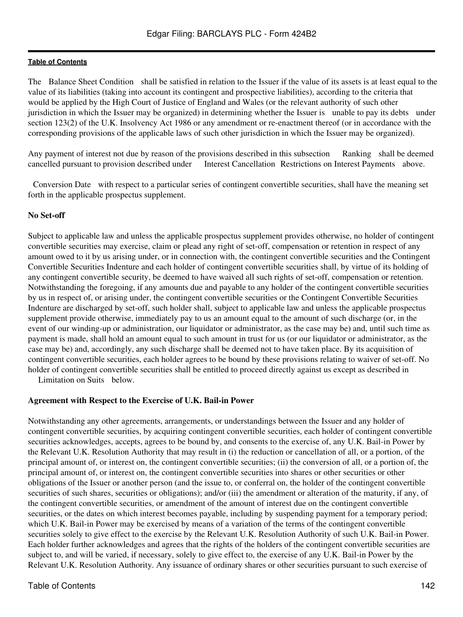The Balance Sheet Condition shall be satisfied in relation to the Issuer if the value of its assets is at least equal to the value of its liabilities (taking into account its contingent and prospective liabilities), according to the criteria that would be applied by the High Court of Justice of England and Wales (or the relevant authority of such other jurisdiction in which the Issuer may be organized) in determining whether the Issuer is unable to pay its debts under section 123(2) of the U.K. Insolvency Act 1986 or any amendment or re-enactment thereof (or in accordance with the corresponding provisions of the applicable laws of such other jurisdiction in which the Issuer may be organized).

Any payment of interest not due by reason of the provisions described in this subsection Ranking shall be deemed cancelled pursuant to provision described under Interest Cancellation Restrictions on Interest Payments above.

Conversion Date with respect to a particular series of contingent convertible securities, shall have the meaning set forth in the applicable prospectus supplement.

#### **No Set-off**

Subject to applicable law and unless the applicable prospectus supplement provides otherwise, no holder of contingent convertible securities may exercise, claim or plead any right of set-off, compensation or retention in respect of any amount owed to it by us arising under, or in connection with, the contingent convertible securities and the Contingent Convertible Securities Indenture and each holder of contingent convertible securities shall, by virtue of its holding of any contingent convertible security, be deemed to have waived all such rights of set-off, compensation or retention. Notwithstanding the foregoing, if any amounts due and payable to any holder of the contingent convertible securities by us in respect of, or arising under, the contingent convertible securities or the Contingent Convertible Securities Indenture are discharged by set-off, such holder shall, subject to applicable law and unless the applicable prospectus supplement provide otherwise, immediately pay to us an amount equal to the amount of such discharge (or, in the event of our winding-up or administration, our liquidator or administrator, as the case may be) and, until such time as payment is made, shall hold an amount equal to such amount in trust for us (or our liquidator or administrator, as the case may be) and, accordingly, any such discharge shall be deemed not to have taken place. By its acquisition of contingent convertible securities, each holder agrees to be bound by these provisions relating to waiver of set-off. No holder of contingent convertible securities shall be entitled to proceed directly against us except as described in

Limitation on Suits below.

#### **Agreement with Respect to the Exercise of U.K. Bail-in Power**

Notwithstanding any other agreements, arrangements, or understandings between the Issuer and any holder of contingent convertible securities, by acquiring contingent convertible securities, each holder of contingent convertible securities acknowledges, accepts, agrees to be bound by, and consents to the exercise of, any U.K. Bail-in Power by the Relevant U.K. Resolution Authority that may result in (i) the reduction or cancellation of all, or a portion, of the principal amount of, or interest on, the contingent convertible securities; (ii) the conversion of all, or a portion of, the principal amount of, or interest on, the contingent convertible securities into shares or other securities or other obligations of the Issuer or another person (and the issue to, or conferral on, the holder of the contingent convertible securities of such shares, securities or obligations); and/or (iii) the amendment or alteration of the maturity, if any, of the contingent convertible securities, or amendment of the amount of interest due on the contingent convertible securities, or the dates on which interest becomes payable, including by suspending payment for a temporary period; which U.K. Bail-in Power may be exercised by means of a variation of the terms of the contingent convertible securities solely to give effect to the exercise by the Relevant U.K. Resolution Authority of such U.K. Bail-in Power. Each holder further acknowledges and agrees that the rights of the holders of the contingent convertible securities are subject to, and will be varied, if necessary, solely to give effect to, the exercise of any U.K. Bail-in Power by the Relevant U.K. Resolution Authority. Any issuance of ordinary shares or other securities pursuant to such exercise of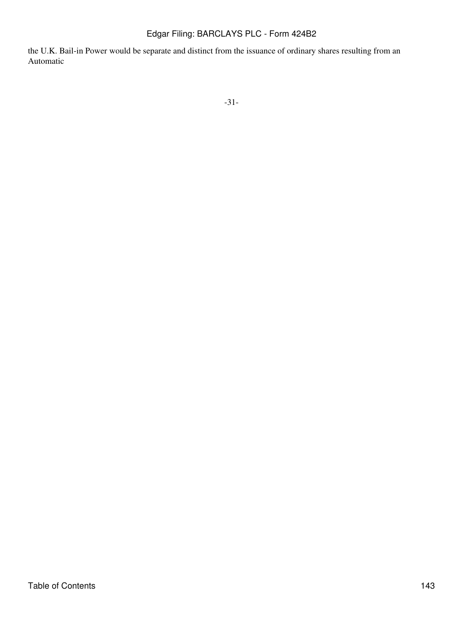the U.K. Bail-in Power would be separate and distinct from the issuance of ordinary shares resulting from an Automatic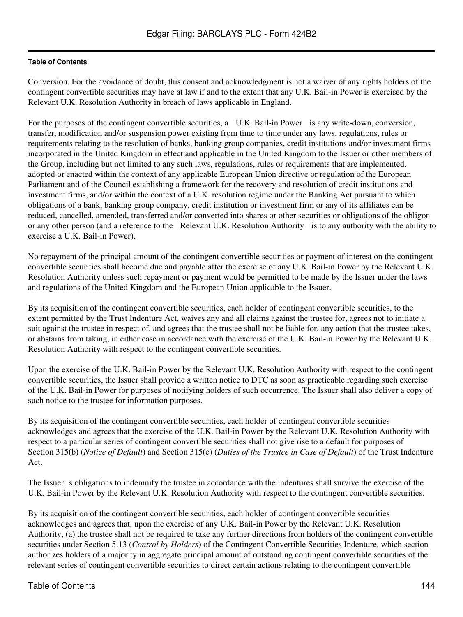Conversion. For the avoidance of doubt, this consent and acknowledgment is not a waiver of any rights holders of the contingent convertible securities may have at law if and to the extent that any U.K. Bail-in Power is exercised by the Relevant U.K. Resolution Authority in breach of laws applicable in England.

For the purposes of the contingent convertible securities, a U.K. Bail-in Power is any write-down, conversion, transfer, modification and/or suspension power existing from time to time under any laws, regulations, rules or requirements relating to the resolution of banks, banking group companies, credit institutions and/or investment firms incorporated in the United Kingdom in effect and applicable in the United Kingdom to the Issuer or other members of the Group, including but not limited to any such laws, regulations, rules or requirements that are implemented, adopted or enacted within the context of any applicable European Union directive or regulation of the European Parliament and of the Council establishing a framework for the recovery and resolution of credit institutions and investment firms, and/or within the context of a U.K. resolution regime under the Banking Act pursuant to which obligations of a bank, banking group company, credit institution or investment firm or any of its affiliates can be reduced, cancelled, amended, transferred and/or converted into shares or other securities or obligations of the obligor or any other person (and a reference to the Relevant U.K. Resolution Authority is to any authority with the ability to exercise a U.K. Bail-in Power).

No repayment of the principal amount of the contingent convertible securities or payment of interest on the contingent convertible securities shall become due and payable after the exercise of any U.K. Bail-in Power by the Relevant U.K. Resolution Authority unless such repayment or payment would be permitted to be made by the Issuer under the laws and regulations of the United Kingdom and the European Union applicable to the Issuer.

By its acquisition of the contingent convertible securities, each holder of contingent convertible securities, to the extent permitted by the Trust Indenture Act, waives any and all claims against the trustee for, agrees not to initiate a suit against the trustee in respect of, and agrees that the trustee shall not be liable for, any action that the trustee takes, or abstains from taking, in either case in accordance with the exercise of the U.K. Bail-in Power by the Relevant U.K. Resolution Authority with respect to the contingent convertible securities.

Upon the exercise of the U.K. Bail-in Power by the Relevant U.K. Resolution Authority with respect to the contingent convertible securities, the Issuer shall provide a written notice to DTC as soon as practicable regarding such exercise of the U.K. Bail-in Power for purposes of notifying holders of such occurrence. The Issuer shall also deliver a copy of such notice to the trustee for information purposes.

By its acquisition of the contingent convertible securities, each holder of contingent convertible securities acknowledges and agrees that the exercise of the U.K. Bail-in Power by the Relevant U.K. Resolution Authority with respect to a particular series of contingent convertible securities shall not give rise to a default for purposes of Section 315(b) (*Notice of Default*) and Section 315(c) (*Duties of the Trustee in Case of Default*) of the Trust Indenture Act.

The Issuer s obligations to indemnify the trustee in accordance with the indentures shall survive the exercise of the U.K. Bail-in Power by the Relevant U.K. Resolution Authority with respect to the contingent convertible securities.

By its acquisition of the contingent convertible securities, each holder of contingent convertible securities acknowledges and agrees that, upon the exercise of any U.K. Bail-in Power by the Relevant U.K. Resolution Authority, (a) the trustee shall not be required to take any further directions from holders of the contingent convertible securities under Section 5.13 (*Control by Holders*) of the Contingent Convertible Securities Indenture, which section authorizes holders of a majority in aggregate principal amount of outstanding contingent convertible securities of the relevant series of contingent convertible securities to direct certain actions relating to the contingent convertible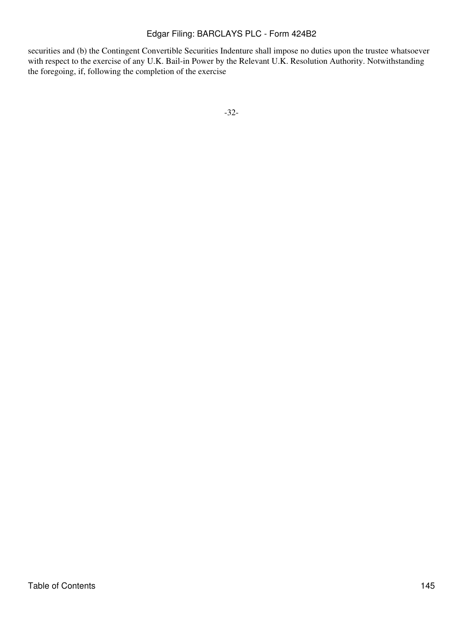securities and (b) the Contingent Convertible Securities Indenture shall impose no duties upon the trustee whatsoever with respect to the exercise of any U.K. Bail-in Power by the Relevant U.K. Resolution Authority. Notwithstanding the foregoing, if, following the completion of the exercise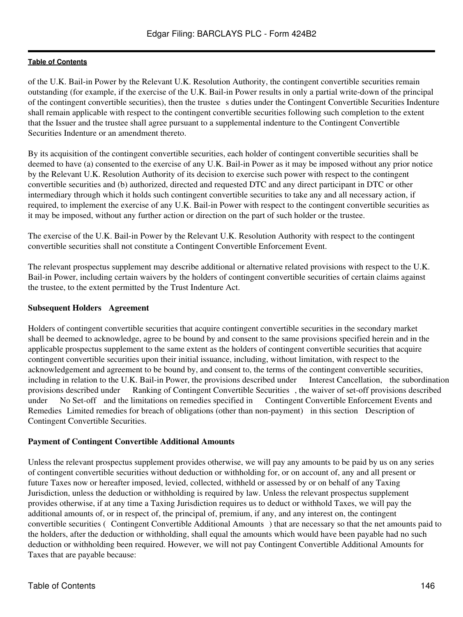of the U.K. Bail-in Power by the Relevant U.K. Resolution Authority, the contingent convertible securities remain outstanding (for example, if the exercise of the U.K. Bail-in Power results in only a partial write-down of the principal of the contingent convertible securities), then the trustees duties under the Contingent Convertible Securities Indenture shall remain applicable with respect to the contingent convertible securities following such completion to the extent that the Issuer and the trustee shall agree pursuant to a supplemental indenture to the Contingent Convertible Securities Indenture or an amendment thereto.

By its acquisition of the contingent convertible securities, each holder of contingent convertible securities shall be deemed to have (a) consented to the exercise of any U.K. Bail-in Power as it may be imposed without any prior notice by the Relevant U.K. Resolution Authority of its decision to exercise such power with respect to the contingent convertible securities and (b) authorized, directed and requested DTC and any direct participant in DTC or other intermediary through which it holds such contingent convertible securities to take any and all necessary action, if required, to implement the exercise of any U.K. Bail-in Power with respect to the contingent convertible securities as it may be imposed, without any further action or direction on the part of such holder or the trustee.

The exercise of the U.K. Bail-in Power by the Relevant U.K. Resolution Authority with respect to the contingent convertible securities shall not constitute a Contingent Convertible Enforcement Event.

The relevant prospectus supplement may describe additional or alternative related provisions with respect to the U.K. Bail-in Power, including certain waivers by the holders of contingent convertible securities of certain claims against the trustee, to the extent permitted by the Trust Indenture Act.

## **Subsequent Holders Agreement**

Holders of contingent convertible securities that acquire contingent convertible securities in the secondary market shall be deemed to acknowledge, agree to be bound by and consent to the same provisions specified herein and in the applicable prospectus supplement to the same extent as the holders of contingent convertible securities that acquire contingent convertible securities upon their initial issuance, including, without limitation, with respect to the acknowledgement and agreement to be bound by, and consent to, the terms of the contingent convertible securities, including in relation to the U.K. Bail-in Power, the provisions described under Interest Cancellation, the subordination provisions described under Ranking of Contingent Convertible Securities, the waiver of set-off provisions described under No Set-off and the limitations on remedies specified in Contingent Convertible Enforcement Events and Remedies Limited remedies for breach of obligations (other than non-payment) in this section Description of Contingent Convertible Securities.

#### **Payment of Contingent Convertible Additional Amounts**

Unless the relevant prospectus supplement provides otherwise, we will pay any amounts to be paid by us on any series of contingent convertible securities without deduction or withholding for, or on account of, any and all present or future Taxes now or hereafter imposed, levied, collected, withheld or assessed by or on behalf of any Taxing Jurisdiction, unless the deduction or withholding is required by law. Unless the relevant prospectus supplement provides otherwise, if at any time a Taxing Jurisdiction requires us to deduct or withhold Taxes, we will pay the additional amounts of, or in respect of, the principal of, premium, if any, and any interest on, the contingent convertible securities (Contingent Convertible Additional Amounts) that are necessary so that the net amounts paid to the holders, after the deduction or withholding, shall equal the amounts which would have been payable had no such deduction or withholding been required. However, we will not pay Contingent Convertible Additional Amounts for Taxes that are payable because: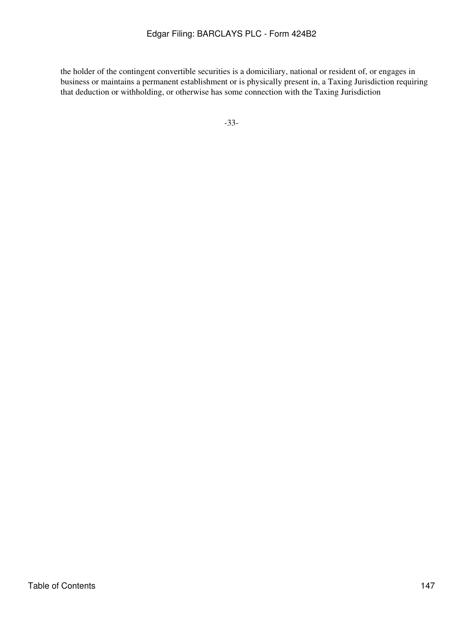the holder of the contingent convertible securities is a domiciliary, national or resident of, or engages in business or maintains a permanent establishment or is physically present in, a Taxing Jurisdiction requiring that deduction or withholding, or otherwise has some connection with the Taxing Jurisdiction

-33-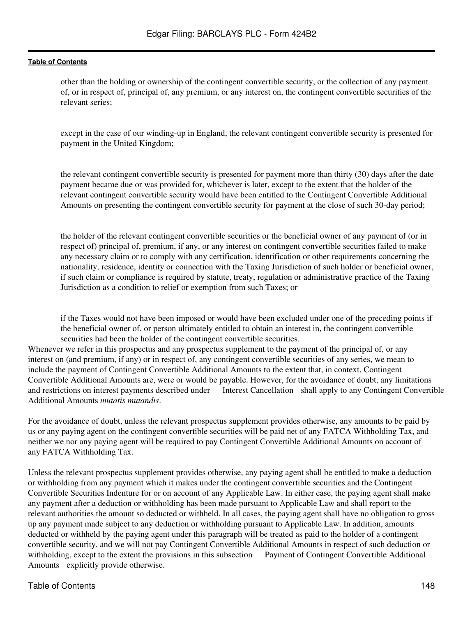other than the holding or ownership of the contingent convertible security, or the collection of any payment of, or in respect of, principal of, any premium, or any interest on, the contingent convertible securities of the relevant series;

except in the case of our winding-up in England, the relevant contingent convertible security is presented for payment in the United Kingdom;

the relevant contingent convertible security is presented for payment more than thirty (30) days after the date payment became due or was provided for, whichever is later, except to the extent that the holder of the relevant contingent convertible security would have been entitled to the Contingent Convertible Additional Amounts on presenting the contingent convertible security for payment at the close of such 30-day period;

the holder of the relevant contingent convertible securities or the beneficial owner of any payment of (or in respect of) principal of, premium, if any, or any interest on contingent convertible securities failed to make any necessary claim or to comply with any certification, identification or other requirements concerning the nationality, residence, identity or connection with the Taxing Jurisdiction of such holder or beneficial owner, if such claim or compliance is required by statute, treaty, regulation or administrative practice of the Taxing Jurisdiction as a condition to relief or exemption from such Taxes; or

if the Taxes would not have been imposed or would have been excluded under one of the preceding points if the beneficial owner of, or person ultimately entitled to obtain an interest in, the contingent convertible securities had been the holder of the contingent convertible securities.

Whenever we refer in this prospectus and any prospectus supplement to the payment of the principal of, or any interest on (and premium, if any) or in respect of, any contingent convertible securities of any series, we mean to include the payment of Contingent Convertible Additional Amounts to the extent that, in context, Contingent Convertible Additional Amounts are, were or would be payable. However, for the avoidance of doubt, any limitations and restrictions on interest payments described under Interest Cancellation shall apply to any Contingent Convertible Additional Amounts *mutatis mutandis*.

For the avoidance of doubt, unless the relevant prospectus supplement provides otherwise, any amounts to be paid by us or any paying agent on the contingent convertible securities will be paid net of any FATCA Withholding Tax, and neither we nor any paying agent will be required to pay Contingent Convertible Additional Amounts on account of any FATCA Withholding Tax.

Unless the relevant prospectus supplement provides otherwise, any paying agent shall be entitled to make a deduction or withholding from any payment which it makes under the contingent convertible securities and the Contingent Convertible Securities Indenture for or on account of any Applicable Law. In either case, the paying agent shall make any payment after a deduction or withholding has been made pursuant to Applicable Law and shall report to the relevant authorities the amount so deducted or withheld. In all cases, the paying agent shall have no obligation to gross up any payment made subject to any deduction or withholding pursuant to Applicable Law. In addition, amounts deducted or withheld by the paying agent under this paragraph will be treated as paid to the holder of a contingent convertible security, and we will not pay Contingent Convertible Additional Amounts in respect of such deduction or withholding, except to the extent the provisions in this subsection Payment of Contingent Convertible Additional Amounts explicitly provide otherwise.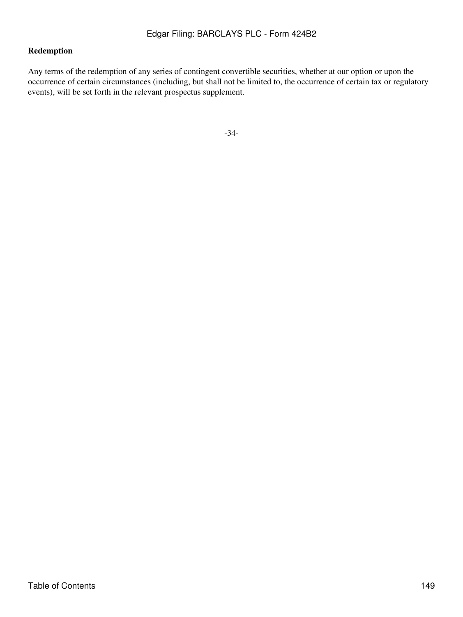# **Redemption**

Any terms of the redemption of any series of contingent convertible securities, whether at our option or upon the occurrence of certain circumstances (including, but shall not be limited to, the occurrence of certain tax or regulatory events), will be set forth in the relevant prospectus supplement.

-34-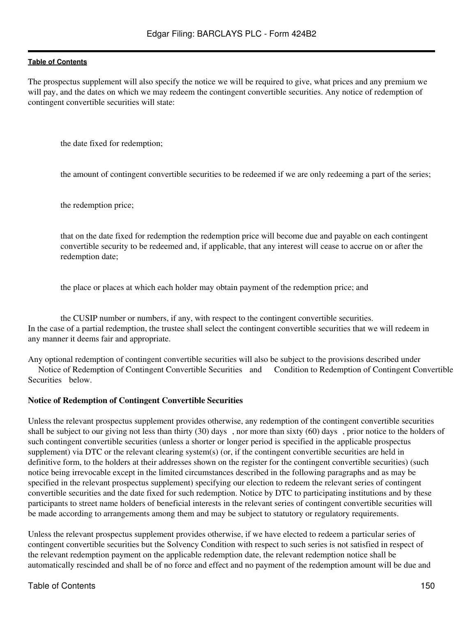The prospectus supplement will also specify the notice we will be required to give, what prices and any premium we will pay, and the dates on which we may redeem the contingent convertible securities. Any notice of redemption of contingent convertible securities will state:

the date fixed for redemption;

the amount of contingent convertible securities to be redeemed if we are only redeeming a part of the series;

the redemption price;

that on the date fixed for redemption the redemption price will become due and payable on each contingent convertible security to be redeemed and, if applicable, that any interest will cease to accrue on or after the redemption date;

the place or places at which each holder may obtain payment of the redemption price; and

the CUSIP number or numbers, if any, with respect to the contingent convertible securities. In the case of a partial redemption, the trustee shall select the contingent convertible securities that we will redeem in any manner it deems fair and appropriate.

Any optional redemption of contingent convertible securities will also be subject to the provisions described under

Notice of Redemption of Contingent Convertible Securities and Condition to Redemption of Contingent Convertible Securities below.

# **Notice of Redemption of Contingent Convertible Securities**

Unless the relevant prospectus supplement provides otherwise, any redemption of the contingent convertible securities shall be subject to our giving not less than thirty (30) days, nor more than sixty (60) days, prior notice to the holders of such contingent convertible securities (unless a shorter or longer period is specified in the applicable prospectus supplement) via DTC or the relevant clearing system(s) (or, if the contingent convertible securities are held in definitive form, to the holders at their addresses shown on the register for the contingent convertible securities) (such notice being irrevocable except in the limited circumstances described in the following paragraphs and as may be specified in the relevant prospectus supplement) specifying our election to redeem the relevant series of contingent convertible securities and the date fixed for such redemption. Notice by DTC to participating institutions and by these participants to street name holders of beneficial interests in the relevant series of contingent convertible securities will be made according to arrangements among them and may be subject to statutory or regulatory requirements.

Unless the relevant prospectus supplement provides otherwise, if we have elected to redeem a particular series of contingent convertible securities but the Solvency Condition with respect to such series is not satisfied in respect of the relevant redemption payment on the applicable redemption date, the relevant redemption notice shall be automatically rescinded and shall be of no force and effect and no payment of the redemption amount will be due and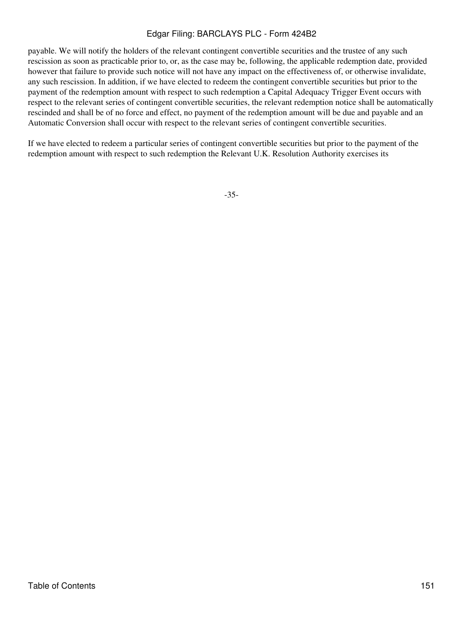payable. We will notify the holders of the relevant contingent convertible securities and the trustee of any such rescission as soon as practicable prior to, or, as the case may be, following, the applicable redemption date, provided however that failure to provide such notice will not have any impact on the effectiveness of, or otherwise invalidate, any such rescission. In addition, if we have elected to redeem the contingent convertible securities but prior to the payment of the redemption amount with respect to such redemption a Capital Adequacy Trigger Event occurs with respect to the relevant series of contingent convertible securities, the relevant redemption notice shall be automatically rescinded and shall be of no force and effect, no payment of the redemption amount will be due and payable and an Automatic Conversion shall occur with respect to the relevant series of contingent convertible securities.

If we have elected to redeem a particular series of contingent convertible securities but prior to the payment of the redemption amount with respect to such redemption the Relevant U.K. Resolution Authority exercises its

-35-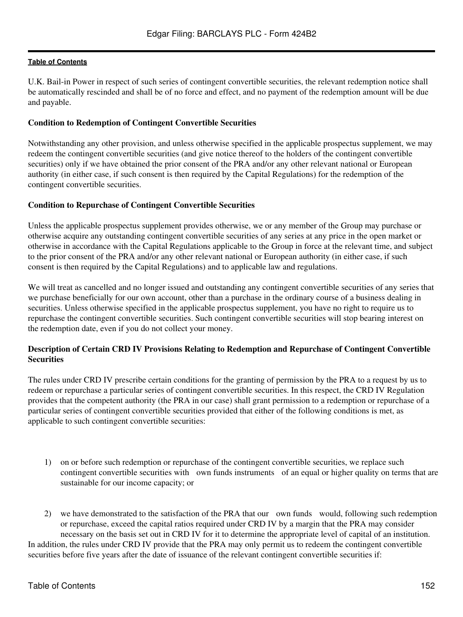U.K. Bail-in Power in respect of such series of contingent convertible securities, the relevant redemption notice shall be automatically rescinded and shall be of no force and effect, and no payment of the redemption amount will be due and payable.

## **Condition to Redemption of Contingent Convertible Securities**

Notwithstanding any other provision, and unless otherwise specified in the applicable prospectus supplement, we may redeem the contingent convertible securities (and give notice thereof to the holders of the contingent convertible securities) only if we have obtained the prior consent of the PRA and/or any other relevant national or European authority (in either case, if such consent is then required by the Capital Regulations) for the redemption of the contingent convertible securities.

## **Condition to Repurchase of Contingent Convertible Securities**

Unless the applicable prospectus supplement provides otherwise, we or any member of the Group may purchase or otherwise acquire any outstanding contingent convertible securities of any series at any price in the open market or otherwise in accordance with the Capital Regulations applicable to the Group in force at the relevant time, and subject to the prior consent of the PRA and/or any other relevant national or European authority (in either case, if such consent is then required by the Capital Regulations) and to applicable law and regulations.

We will treat as cancelled and no longer issued and outstanding any contingent convertible securities of any series that we purchase beneficially for our own account, other than a purchase in the ordinary course of a business dealing in securities. Unless otherwise specified in the applicable prospectus supplement, you have no right to require us to repurchase the contingent convertible securities. Such contingent convertible securities will stop bearing interest on the redemption date, even if you do not collect your money.

# **Description of Certain CRD IV Provisions Relating to Redemption and Repurchase of Contingent Convertible Securities**

The rules under CRD IV prescribe certain conditions for the granting of permission by the PRA to a request by us to redeem or repurchase a particular series of contingent convertible securities. In this respect, the CRD IV Regulation provides that the competent authority (the PRA in our case) shall grant permission to a redemption or repurchase of a particular series of contingent convertible securities provided that either of the following conditions is met, as applicable to such contingent convertible securities:

- 1) on or before such redemption or repurchase of the contingent convertible securities, we replace such contingent convertible securities with own funds instruments of an equal or higher quality on terms that are sustainable for our income capacity; or
- 2) we have demonstrated to the satisfaction of the PRA that our own funds would, following such redemption or repurchase, exceed the capital ratios required under CRD IV by a margin that the PRA may consider necessary on the basis set out in CRD IV for it to determine the appropriate level of capital of an institution. In addition, the rules under CRD IV provide that the PRA may only permit us to redeem the contingent convertible securities before five years after the date of issuance of the relevant contingent convertible securities if: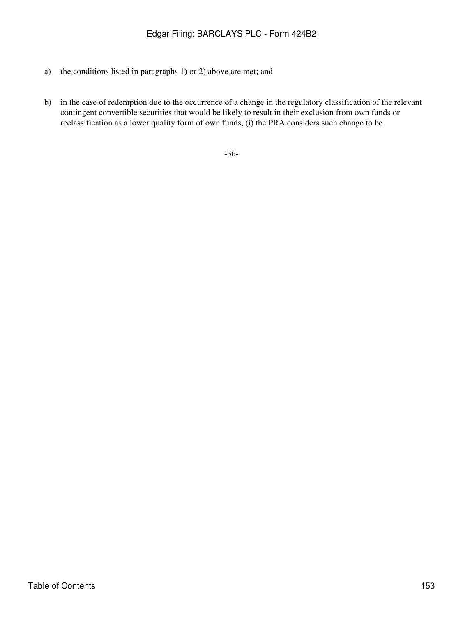- a) the conditions listed in paragraphs 1) or 2) above are met; and
- b) in the case of redemption due to the occurrence of a change in the regulatory classification of the relevant contingent convertible securities that would be likely to result in their exclusion from own funds or reclassification as a lower quality form of own funds, (i) the PRA considers such change to be

-36-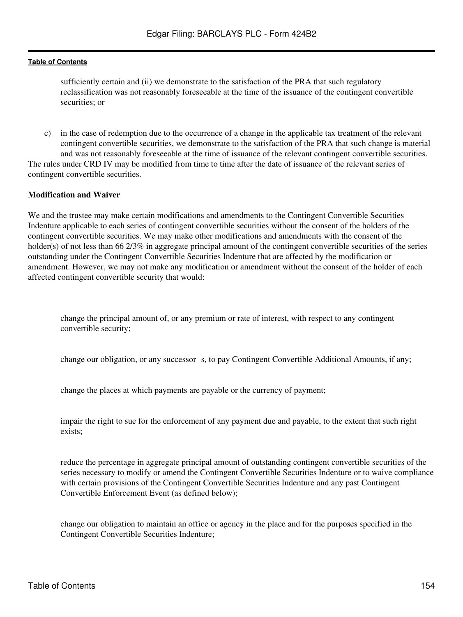sufficiently certain and (ii) we demonstrate to the satisfaction of the PRA that such regulatory reclassification was not reasonably foreseeable at the time of the issuance of the contingent convertible securities; or

c) in the case of redemption due to the occurrence of a change in the applicable tax treatment of the relevant contingent convertible securities, we demonstrate to the satisfaction of the PRA that such change is material and was not reasonably foreseeable at the time of issuance of the relevant contingent convertible securities.

The rules under CRD IV may be modified from time to time after the date of issuance of the relevant series of contingent convertible securities.

## **Modification and Waiver**

We and the trustee may make certain modifications and amendments to the Contingent Convertible Securities Indenture applicable to each series of contingent convertible securities without the consent of the holders of the contingent convertible securities. We may make other modifications and amendments with the consent of the holder(s) of not less than 66 2/3% in aggregate principal amount of the contingent convertible securities of the series outstanding under the Contingent Convertible Securities Indenture that are affected by the modification or amendment. However, we may not make any modification or amendment without the consent of the holder of each affected contingent convertible security that would:

change the principal amount of, or any premium or rate of interest, with respect to any contingent convertible security;

change our obligation, or any successor s, to pay Contingent Convertible Additional Amounts, if any;

change the places at which payments are payable or the currency of payment;

impair the right to sue for the enforcement of any payment due and payable, to the extent that such right exists;

reduce the percentage in aggregate principal amount of outstanding contingent convertible securities of the series necessary to modify or amend the Contingent Convertible Securities Indenture or to waive compliance with certain provisions of the Contingent Convertible Securities Indenture and any past Contingent Convertible Enforcement Event (as defined below);

change our obligation to maintain an office or agency in the place and for the purposes specified in the Contingent Convertible Securities Indenture;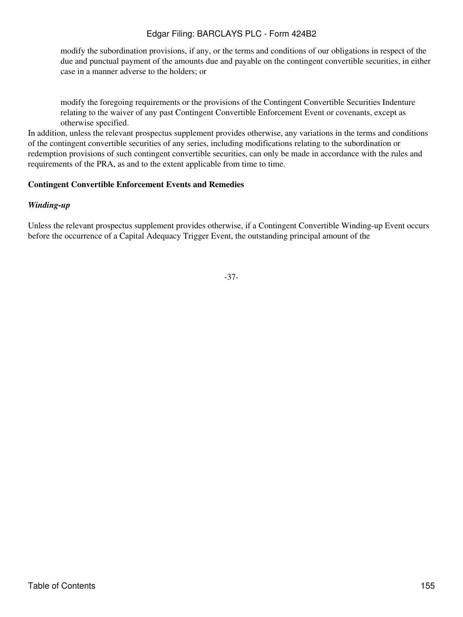modify the subordination provisions, if any, or the terms and conditions of our obligations in respect of the due and punctual payment of the amounts due and payable on the contingent convertible securities, in either case in a manner adverse to the holders; or

modify the foregoing requirements or the provisions of the Contingent Convertible Securities Indenture relating to the waiver of any past Contingent Convertible Enforcement Event or covenants, except as otherwise specified.

In addition, unless the relevant prospectus supplement provides otherwise, any variations in the terms and conditions of the contingent convertible securities of any series, including modifications relating to the subordination or redemption provisions of such contingent convertible securities, can only be made in accordance with the rules and requirements of the PRA, as and to the extent applicable from time to time.

## **Contingent Convertible Enforcement Events and Remedies**

## *Winding-up*

Unless the relevant prospectus supplement provides otherwise, if a Contingent Convertible Winding-up Event occurs before the occurrence of a Capital Adequacy Trigger Event, the outstanding principal amount of the

-37-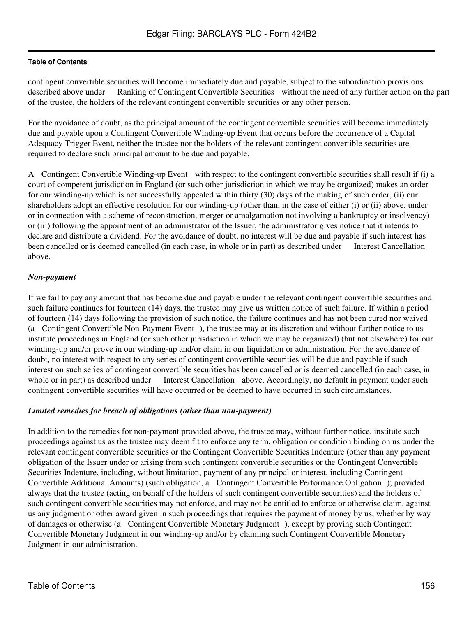contingent convertible securities will become immediately due and payable, subject to the subordination provisions described above under Ranking of Contingent Convertible Securities without the need of any further action on the part of the trustee, the holders of the relevant contingent convertible securities or any other person.

For the avoidance of doubt, as the principal amount of the contingent convertible securities will become immediately due and payable upon a Contingent Convertible Winding-up Event that occurs before the occurrence of a Capital Adequacy Trigger Event, neither the trustee nor the holders of the relevant contingent convertible securities are required to declare such principal amount to be due and payable.

A Contingent Convertible Winding-up Event with respect to the contingent convertible securities shall result if (i) a court of competent jurisdiction in England (or such other jurisdiction in which we may be organized) makes an order for our winding-up which is not successfully appealed within thirty (30) days of the making of such order, (ii) our shareholders adopt an effective resolution for our winding-up (other than, in the case of either (i) or (ii) above, under or in connection with a scheme of reconstruction, merger or amalgamation not involving a bankruptcy or insolvency) or (iii) following the appointment of an administrator of the Issuer, the administrator gives notice that it intends to declare and distribute a dividend. For the avoidance of doubt, no interest will be due and payable if such interest has been cancelled or is deemed cancelled (in each case, in whole or in part) as described under Interest Cancellation above.

# *Non-payment*

If we fail to pay any amount that has become due and payable under the relevant contingent convertible securities and such failure continues for fourteen (14) days, the trustee may give us written notice of such failure. If within a period of fourteen (14) days following the provision of such notice, the failure continues and has not been cured nor waived (a Contingent Convertible Non-Payment Event), the trustee may at its discretion and without further notice to us institute proceedings in England (or such other jurisdiction in which we may be organized) (but not elsewhere) for our winding-up and/or prove in our winding-up and/or claim in our liquidation or administration. For the avoidance of doubt, no interest with respect to any series of contingent convertible securities will be due and payable if such interest on such series of contingent convertible securities has been cancelled or is deemed cancelled (in each case, in whole or in part) as described under Interest Cancellation above. Accordingly, no default in payment under such contingent convertible securities will have occurred or be deemed to have occurred in such circumstances.

# *Limited remedies for breach of obligations (other than non-payment)*

In addition to the remedies for non-payment provided above, the trustee may, without further notice, institute such proceedings against us as the trustee may deem fit to enforce any term, obligation or condition binding on us under the relevant contingent convertible securities or the Contingent Convertible Securities Indenture (other than any payment obligation of the Issuer under or arising from such contingent convertible securities or the Contingent Convertible Securities Indenture, including, without limitation, payment of any principal or interest, including Contingent Convertible Additional Amounts) (such obligation, a Contingent Convertible Performance Obligation); provided always that the trustee (acting on behalf of the holders of such contingent convertible securities) and the holders of such contingent convertible securities may not enforce, and may not be entitled to enforce or otherwise claim, against us any judgment or other award given in such proceedings that requires the payment of money by us, whether by way of damages or otherwise (a Contingent Convertible Monetary Judgment), except by proving such Contingent Convertible Monetary Judgment in our winding-up and/or by claiming such Contingent Convertible Monetary Judgment in our administration.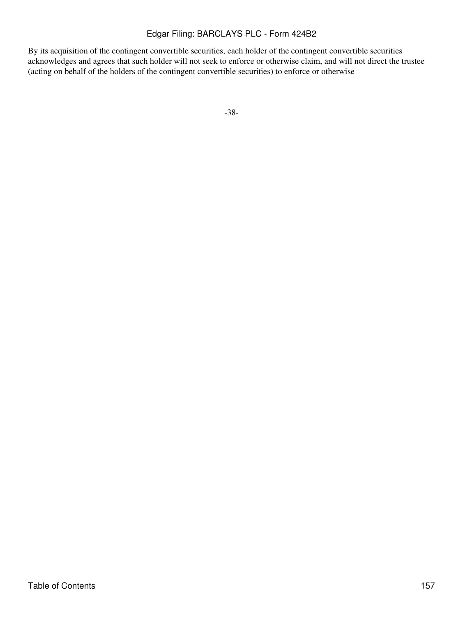By its acquisition of the contingent convertible securities, each holder of the contingent convertible securities acknowledges and agrees that such holder will not seek to enforce or otherwise claim, and will not direct the trustee (acting on behalf of the holders of the contingent convertible securities) to enforce or otherwise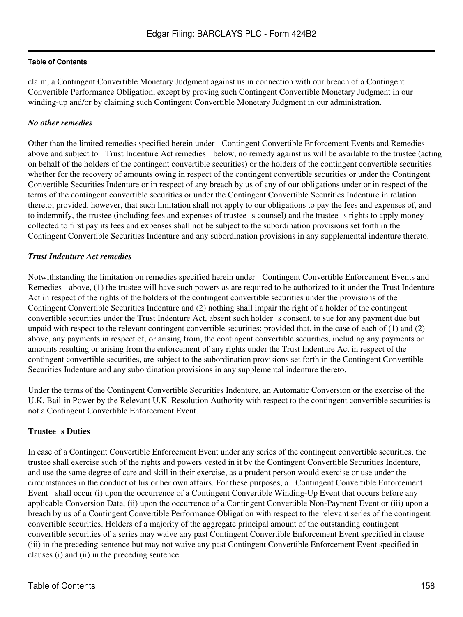claim, a Contingent Convertible Monetary Judgment against us in connection with our breach of a Contingent Convertible Performance Obligation, except by proving such Contingent Convertible Monetary Judgment in our winding-up and/or by claiming such Contingent Convertible Monetary Judgment in our administration.

# *No other remedies*

Other than the limited remedies specified herein under Contingent Convertible Enforcement Events and Remedies above and subject to Trust Indenture Act remedies below, no remedy against us will be available to the trustee (acting on behalf of the holders of the contingent convertible securities) or the holders of the contingent convertible securities whether for the recovery of amounts owing in respect of the contingent convertible securities or under the Contingent Convertible Securities Indenture or in respect of any breach by us of any of our obligations under or in respect of the terms of the contingent convertible securities or under the Contingent Convertible Securities Indenture in relation thereto; provided, however, that such limitation shall not apply to our obligations to pay the fees and expenses of, and to indemnify, the trustee (including fees and expenses of trustee s counsel) and the trustee s rights to apply money collected to first pay its fees and expenses shall not be subject to the subordination provisions set forth in the Contingent Convertible Securities Indenture and any subordination provisions in any supplemental indenture thereto.

# *Trust Indenture Act remedies*

Notwithstanding the limitation on remedies specified herein under Contingent Convertible Enforcement Events and Remedies above, (1) the trustee will have such powers as are required to be authorized to it under the Trust Indenture Act in respect of the rights of the holders of the contingent convertible securities under the provisions of the Contingent Convertible Securities Indenture and (2) nothing shall impair the right of a holder of the contingent convertible securities under the Trust Indenture Act, absent such holder s consent, to sue for any payment due but unpaid with respect to the relevant contingent convertible securities; provided that, in the case of each of (1) and (2) above, any payments in respect of, or arising from, the contingent convertible securities, including any payments or amounts resulting or arising from the enforcement of any rights under the Trust Indenture Act in respect of the contingent convertible securities, are subject to the subordination provisions set forth in the Contingent Convertible Securities Indenture and any subordination provisions in any supplemental indenture thereto.

Under the terms of the Contingent Convertible Securities Indenture, an Automatic Conversion or the exercise of the U.K. Bail-in Power by the Relevant U.K. Resolution Authority with respect to the contingent convertible securities is not a Contingent Convertible Enforcement Event.

# **Trustee s Duties**

In case of a Contingent Convertible Enforcement Event under any series of the contingent convertible securities, the trustee shall exercise such of the rights and powers vested in it by the Contingent Convertible Securities Indenture, and use the same degree of care and skill in their exercise, as a prudent person would exercise or use under the circumstances in the conduct of his or her own affairs. For these purposes, a Contingent Convertible Enforcement Event shall occur (i) upon the occurrence of a Contingent Convertible Winding-Up Event that occurs before any applicable Conversion Date, (ii) upon the occurrence of a Contingent Convertible Non-Payment Event or (iii) upon a breach by us of a Contingent Convertible Performance Obligation with respect to the relevant series of the contingent convertible securities. Holders of a majority of the aggregate principal amount of the outstanding contingent convertible securities of a series may waive any past Contingent Convertible Enforcement Event specified in clause (iii) in the preceding sentence but may not waive any past Contingent Convertible Enforcement Event specified in clauses (i) and (ii) in the preceding sentence.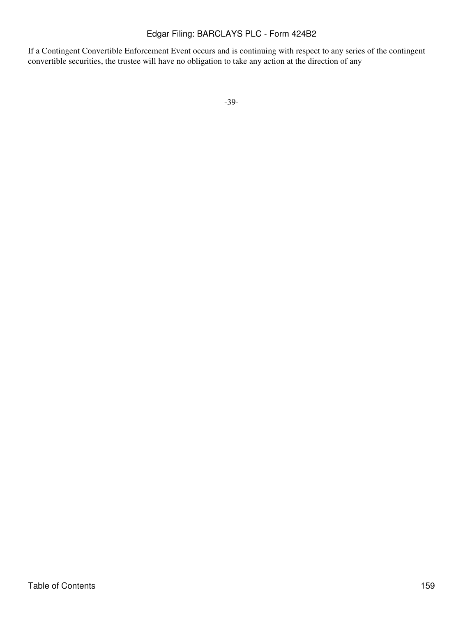If a Contingent Convertible Enforcement Event occurs and is continuing with respect to any series of the contingent convertible securities, the trustee will have no obligation to take any action at the direction of any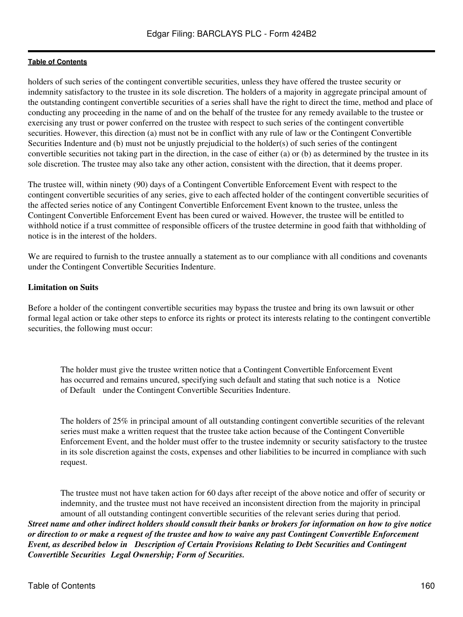holders of such series of the contingent convertible securities, unless they have offered the trustee security or indemnity satisfactory to the trustee in its sole discretion. The holders of a majority in aggregate principal amount of the outstanding contingent convertible securities of a series shall have the right to direct the time, method and place of conducting any proceeding in the name of and on the behalf of the trustee for any remedy available to the trustee or exercising any trust or power conferred on the trustee with respect to such series of the contingent convertible securities. However, this direction (a) must not be in conflict with any rule of law or the Contingent Convertible Securities Indenture and (b) must not be unjustly prejudicial to the holder(s) of such series of the contingent convertible securities not taking part in the direction, in the case of either (a) or (b) as determined by the trustee in its sole discretion. The trustee may also take any other action, consistent with the direction, that it deems proper.

The trustee will, within ninety (90) days of a Contingent Convertible Enforcement Event with respect to the contingent convertible securities of any series, give to each affected holder of the contingent convertible securities of the affected series notice of any Contingent Convertible Enforcement Event known to the trustee, unless the Contingent Convertible Enforcement Event has been cured or waived. However, the trustee will be entitled to withhold notice if a trust committee of responsible officers of the trustee determine in good faith that withholding of notice is in the interest of the holders.

We are required to furnish to the trustee annually a statement as to our compliance with all conditions and covenants under the Contingent Convertible Securities Indenture.

#### **Limitation on Suits**

Before a holder of the contingent convertible securities may bypass the trustee and bring its own lawsuit or other formal legal action or take other steps to enforce its rights or protect its interests relating to the contingent convertible securities, the following must occur:

The holder must give the trustee written notice that a Contingent Convertible Enforcement Event has occurred and remains uncured, specifying such default and stating that such notice is a Notice of Default under the Contingent Convertible Securities Indenture.

The holders of 25% in principal amount of all outstanding contingent convertible securities of the relevant series must make a written request that the trustee take action because of the Contingent Convertible Enforcement Event, and the holder must offer to the trustee indemnity or security satisfactory to the trustee in its sole discretion against the costs, expenses and other liabilities to be incurred in compliance with such request.

The trustee must not have taken action for 60 days after receipt of the above notice and offer of security or indemnity, and the trustee must not have received an inconsistent direction from the majority in principal amount of all outstanding contingent convertible securities of the relevant series during that period. *Street name and other indirect holders should consult their banks or brokers for information on how to give notice or direction to or make a request of the trustee and how to waive any past Contingent Convertible Enforcement Event, as described below in Description of Certain Provisions Relating to Debt Securities and Contingent Convertible Securities Legal Ownership; Form of Securities.*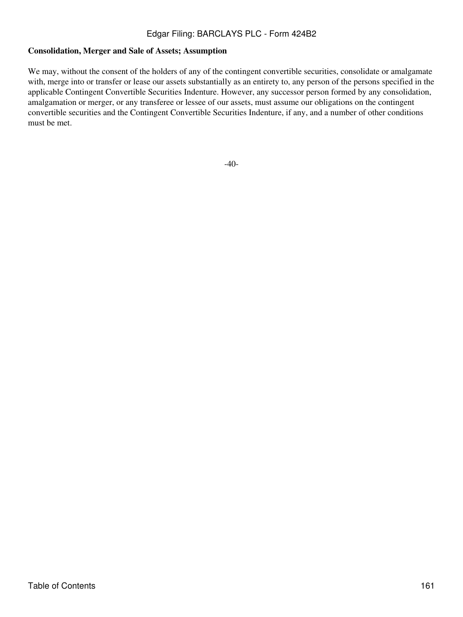#### **Consolidation, Merger and Sale of Assets; Assumption**

We may, without the consent of the holders of any of the contingent convertible securities, consolidate or amalgamate with, merge into or transfer or lease our assets substantially as an entirety to, any person of the persons specified in the applicable Contingent Convertible Securities Indenture. However, any successor person formed by any consolidation, amalgamation or merger, or any transferee or lessee of our assets, must assume our obligations on the contingent convertible securities and the Contingent Convertible Securities Indenture, if any, and a number of other conditions must be met.

-40-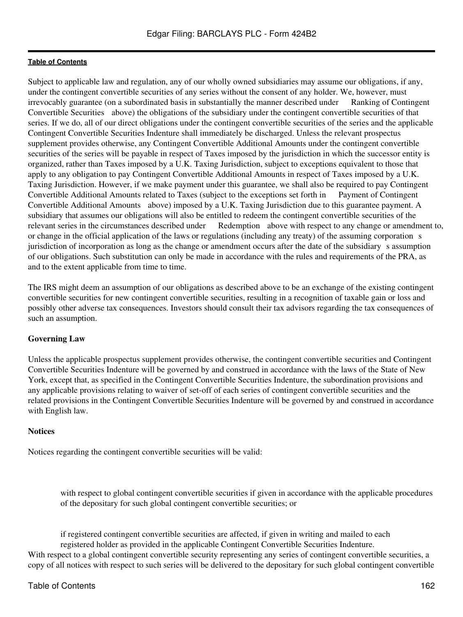Subject to applicable law and regulation, any of our wholly owned subsidiaries may assume our obligations, if any, under the contingent convertible securities of any series without the consent of any holder. We, however, must irrevocably guarantee (on a subordinated basis in substantially the manner described under Ranking of Contingent Convertible Securities above) the obligations of the subsidiary under the contingent convertible securities of that series. If we do, all of our direct obligations under the contingent convertible securities of the series and the applicable Contingent Convertible Securities Indenture shall immediately be discharged. Unless the relevant prospectus supplement provides otherwise, any Contingent Convertible Additional Amounts under the contingent convertible securities of the series will be payable in respect of Taxes imposed by the jurisdiction in which the successor entity is organized, rather than Taxes imposed by a U.K. Taxing Jurisdiction, subject to exceptions equivalent to those that apply to any obligation to pay Contingent Convertible Additional Amounts in respect of Taxes imposed by a U.K. Taxing Jurisdiction. However, if we make payment under this guarantee, we shall also be required to pay Contingent Convertible Additional Amounts related to Taxes (subject to the exceptions set forth in Payment of Contingent Convertible Additional Amounts above) imposed by a U.K. Taxing Jurisdiction due to this guarantee payment. A subsidiary that assumes our obligations will also be entitled to redeem the contingent convertible securities of the relevant series in the circumstances described under Redemption above with respect to any change or amendment to, or change in the official application of the laws or regulations (including any treaty) of the assuming corporation s jurisdiction of incorporation as long as the change or amendment occurs after the date of the subsidiary s assumption of our obligations. Such substitution can only be made in accordance with the rules and requirements of the PRA, as and to the extent applicable from time to time.

The IRS might deem an assumption of our obligations as described above to be an exchange of the existing contingent convertible securities for new contingent convertible securities, resulting in a recognition of taxable gain or loss and possibly other adverse tax consequences. Investors should consult their tax advisors regarding the tax consequences of such an assumption.

# **Governing Law**

Unless the applicable prospectus supplement provides otherwise, the contingent convertible securities and Contingent Convertible Securities Indenture will be governed by and construed in accordance with the laws of the State of New York, except that, as specified in the Contingent Convertible Securities Indenture, the subordination provisions and any applicable provisions relating to waiver of set-off of each series of contingent convertible securities and the related provisions in the Contingent Convertible Securities Indenture will be governed by and construed in accordance with English law.

# **Notices**

Notices regarding the contingent convertible securities will be valid:

with respect to global contingent convertible securities if given in accordance with the applicable procedures of the depositary for such global contingent convertible securities; or

if registered contingent convertible securities are affected, if given in writing and mailed to each registered holder as provided in the applicable Contingent Convertible Securities Indenture. With respect to a global contingent convertible security representing any series of contingent convertible securities, a copy of all notices with respect to such series will be delivered to the depositary for such global contingent convertible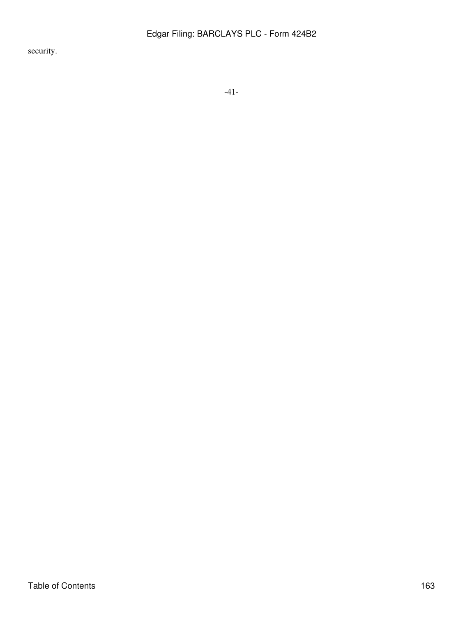security.

-41-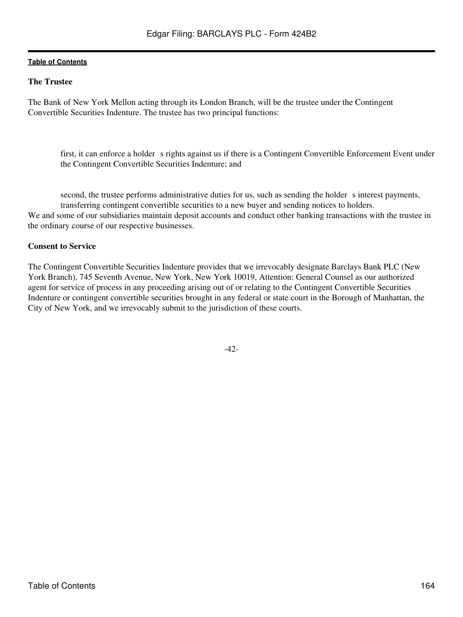#### **The Trustee**

The Bank of New York Mellon acting through its London Branch, will be the trustee under the Contingent Convertible Securities Indenture. The trustee has two principal functions:

first, it can enforce a holder s rights against us if there is a Contingent Convertible Enforcement Event under the Contingent Convertible Securities Indenture; and

second, the trustee performs administrative duties for us, such as sending the holder s interest payments, transferring contingent convertible securities to a new buyer and sending notices to holders. We and some of our subsidiaries maintain deposit accounts and conduct other banking transactions with the trustee in

the ordinary course of our respective businesses.

## **Consent to Service**

The Contingent Convertible Securities Indenture provides that we irrevocably designate Barclays Bank PLC (New York Branch), 745 Seventh Avenue, New York, New York 10019, Attention: General Counsel as our authorized agent for service of process in any proceeding arising out of or relating to the Contingent Convertible Securities Indenture or contingent convertible securities brought in any federal or state court in the Borough of Manhattan, the City of New York, and we irrevocably submit to the jurisdiction of these courts.

-42-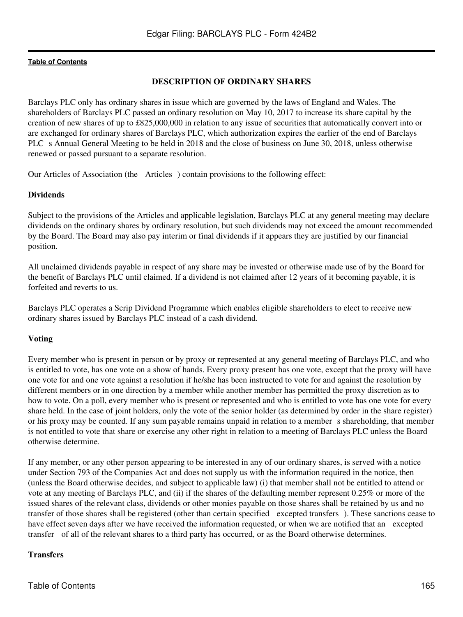# **DESCRIPTION OF ORDINARY SHARES**

Barclays PLC only has ordinary shares in issue which are governed by the laws of England and Wales. The shareholders of Barclays PLC passed an ordinary resolution on May 10, 2017 to increase its share capital by the creation of new shares of up to £825,000,000 in relation to any issue of securities that automatically convert into or are exchanged for ordinary shares of Barclays PLC, which authorization expires the earlier of the end of Barclays PLC s Annual General Meeting to be held in 2018 and the close of business on June 30, 2018, unless otherwise renewed or passed pursuant to a separate resolution.

Our Articles of Association (the Articles) contain provisions to the following effect:

# **Dividends**

Subject to the provisions of the Articles and applicable legislation, Barclays PLC at any general meeting may declare dividends on the ordinary shares by ordinary resolution, but such dividends may not exceed the amount recommended by the Board. The Board may also pay interim or final dividends if it appears they are justified by our financial position.

All unclaimed dividends payable in respect of any share may be invested or otherwise made use of by the Board for the benefit of Barclays PLC until claimed. If a dividend is not claimed after 12 years of it becoming payable, it is forfeited and reverts to us.

Barclays PLC operates a Scrip Dividend Programme which enables eligible shareholders to elect to receive new ordinary shares issued by Barclays PLC instead of a cash dividend.

# **Voting**

Every member who is present in person or by proxy or represented at any general meeting of Barclays PLC, and who is entitled to vote, has one vote on a show of hands. Every proxy present has one vote, except that the proxy will have one vote for and one vote against a resolution if he/she has been instructed to vote for and against the resolution by different members or in one direction by a member while another member has permitted the proxy discretion as to how to vote. On a poll, every member who is present or represented and who is entitled to vote has one vote for every share held. In the case of joint holders, only the vote of the senior holder (as determined by order in the share register) or his proxy may be counted. If any sum payable remains unpaid in relation to a member s shareholding, that member is not entitled to vote that share or exercise any other right in relation to a meeting of Barclays PLC unless the Board otherwise determine.

If any member, or any other person appearing to be interested in any of our ordinary shares, is served with a notice under Section 793 of the Companies Act and does not supply us with the information required in the notice, then (unless the Board otherwise decides, and subject to applicable law) (i) that member shall not be entitled to attend or vote at any meeting of Barclays PLC, and (ii) if the shares of the defaulting member represent 0.25% or more of the issued shares of the relevant class, dividends or other monies payable on those shares shall be retained by us and no transfer of those shares shall be registered (other than certain specified excepted transfers). These sanctions cease to have effect seven days after we have received the information requested, or when we are notified that an excepted transfer of all of the relevant shares to a third party has occurred, or as the Board otherwise determines.

# **Transfers**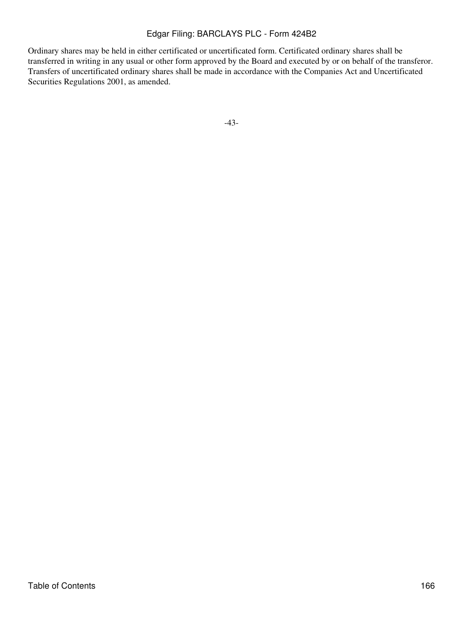Ordinary shares may be held in either certificated or uncertificated form. Certificated ordinary shares shall be transferred in writing in any usual or other form approved by the Board and executed by or on behalf of the transferor. Transfers of uncertificated ordinary shares shall be made in accordance with the Companies Act and Uncertificated Securities Regulations 2001, as amended.

-43-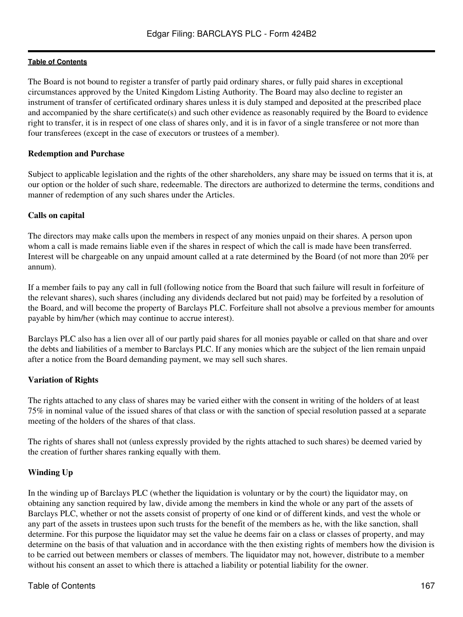The Board is not bound to register a transfer of partly paid ordinary shares, or fully paid shares in exceptional circumstances approved by the United Kingdom Listing Authority. The Board may also decline to register an instrument of transfer of certificated ordinary shares unless it is duly stamped and deposited at the prescribed place and accompanied by the share certificate(s) and such other evidence as reasonably required by the Board to evidence right to transfer, it is in respect of one class of shares only, and it is in favor of a single transferee or not more than four transferees (except in the case of executors or trustees of a member).

## **Redemption and Purchase**

Subject to applicable legislation and the rights of the other shareholders, any share may be issued on terms that it is, at our option or the holder of such share, redeemable. The directors are authorized to determine the terms, conditions and manner of redemption of any such shares under the Articles.

## **Calls on capital**

The directors may make calls upon the members in respect of any monies unpaid on their shares. A person upon whom a call is made remains liable even if the shares in respect of which the call is made have been transferred. Interest will be chargeable on any unpaid amount called at a rate determined by the Board (of not more than 20% per annum).

If a member fails to pay any call in full (following notice from the Board that such failure will result in forfeiture of the relevant shares), such shares (including any dividends declared but not paid) may be forfeited by a resolution of the Board, and will become the property of Barclays PLC. Forfeiture shall not absolve a previous member for amounts payable by him/her (which may continue to accrue interest).

Barclays PLC also has a lien over all of our partly paid shares for all monies payable or called on that share and over the debts and liabilities of a member to Barclays PLC. If any monies which are the subject of the lien remain unpaid after a notice from the Board demanding payment, we may sell such shares.

# **Variation of Rights**

The rights attached to any class of shares may be varied either with the consent in writing of the holders of at least 75% in nominal value of the issued shares of that class or with the sanction of special resolution passed at a separate meeting of the holders of the shares of that class.

The rights of shares shall not (unless expressly provided by the rights attached to such shares) be deemed varied by the creation of further shares ranking equally with them.

# **Winding Up**

In the winding up of Barclays PLC (whether the liquidation is voluntary or by the court) the liquidator may, on obtaining any sanction required by law, divide among the members in kind the whole or any part of the assets of Barclays PLC, whether or not the assets consist of property of one kind or of different kinds, and vest the whole or any part of the assets in trustees upon such trusts for the benefit of the members as he, with the like sanction, shall determine. For this purpose the liquidator may set the value he deems fair on a class or classes of property, and may determine on the basis of that valuation and in accordance with the then existing rights of members how the division is to be carried out between members or classes of members. The liquidator may not, however, distribute to a member without his consent an asset to which there is attached a liability or potential liability for the owner.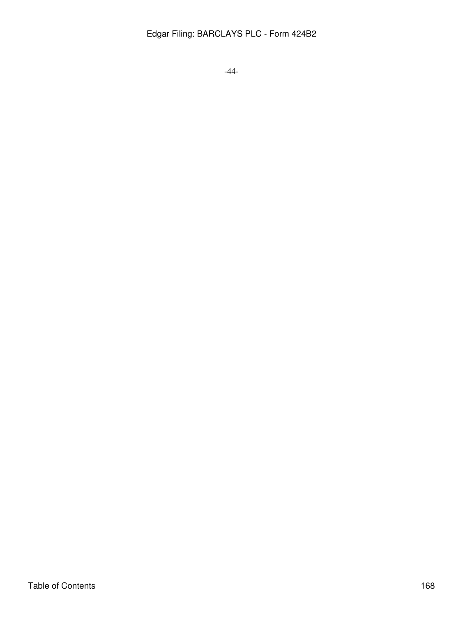-44-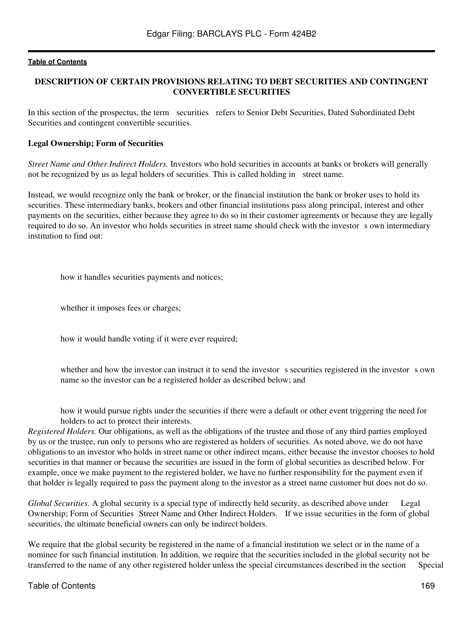## **DESCRIPTION OF CERTAIN PROVISIONS RELATING TO DEBT SECURITIES AND CONTINGENT CONVERTIBLE SECURITIES**

In this section of the prospectus, the term securities refers to Senior Debt Securities, Dated Subordinated Debt Securities and contingent convertible securities.

#### **Legal Ownership; Form of Securities**

*Street Name and Other Indirect Holders.* Investors who hold securities in accounts at banks or brokers will generally not be recognized by us as legal holders of securities. This is called holding in street name.

Instead, we would recognize only the bank or broker, or the financial institution the bank or broker uses to hold its securities. These intermediary banks, brokers and other financial institutions pass along principal, interest and other payments on the securities, either because they agree to do so in their customer agreements or because they are legally required to do so. An investor who holds securities in street name should check with the investor s own intermediary institution to find out:

how it handles securities payments and notices;

whether it imposes fees or charges;

how it would handle voting if it were ever required;

whether and how the investor can instruct it to send the investor s securities registered in the investor s own name so the investor can be a registered holder as described below; and

how it would pursue rights under the securities if there were a default or other event triggering the need for holders to act to protect their interests.

*Registered Holders.* Our obligations, as well as the obligations of the trustee and those of any third parties employed by us or the trustee, run only to persons who are registered as holders of securities. As noted above, we do not have obligations to an investor who holds in street name or other indirect means, either because the investor chooses to hold securities in that manner or because the securities are issued in the form of global securities as described below. For example, once we make payment to the registered holder, we have no further responsibility for the payment even if that holder is legally required to pass the payment along to the investor as a street name customer but does not do so.

*Global Securities.* A global security is a special type of indirectly held security, as described above under Legal Ownership; Form of Securities Street Name and Other Indirect Holders. If we issue securities in the form of global securities, the ultimate beneficial owners can only be indirect holders.

We require that the global security be registered in the name of a financial institution we select or in the name of a nominee for such financial institution. In addition, we require that the securities included in the global security not be transferred to the name of any other registered holder unless the special circumstances described in the section Special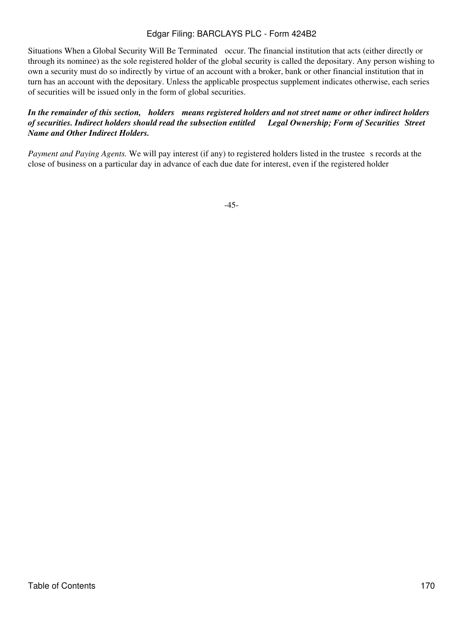Situations When a Global Security Will Be Terminated occur. The financial institution that acts (either directly or through its nominee) as the sole registered holder of the global security is called the depositary. Any person wishing to own a security must do so indirectly by virtue of an account with a broker, bank or other financial institution that in turn has an account with the depositary. Unless the applicable prospectus supplement indicates otherwise, each series of securities will be issued only in the form of global securities.

## *In the remainder of this section, holders means registered holders and not street name or other indirect holders of securities. Indirect holders should read the subsection entitled Legal Ownership; Form of Securities Street Name and Other Indirect Holders.*

*Payment and Paying Agents.* We will pay interest (if any) to registered holders listed in the trustee s records at the close of business on a particular day in advance of each due date for interest, even if the registered holder

-45-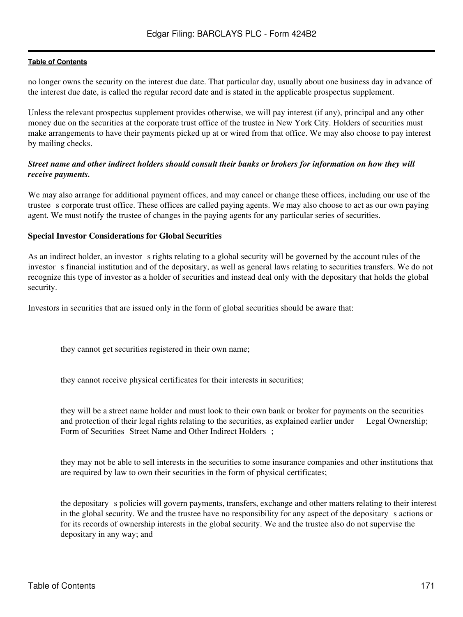no longer owns the security on the interest due date. That particular day, usually about one business day in advance of the interest due date, is called the regular record date and is stated in the applicable prospectus supplement.

Unless the relevant prospectus supplement provides otherwise, we will pay interest (if any), principal and any other money due on the securities at the corporate trust office of the trustee in New York City. Holders of securities must make arrangements to have their payments picked up at or wired from that office. We may also choose to pay interest by mailing checks.

## *Street name and other indirect holders should consult their banks or brokers for information on how they will receive payments.*

We may also arrange for additional payment offices, and may cancel or change these offices, including our use of the trustees corporate trust office. These offices are called paying agents. We may also choose to act as our own paying agent. We must notify the trustee of changes in the paying agents for any particular series of securities.

#### **Special Investor Considerations for Global Securities**

As an indirect holder, an investor s rights relating to a global security will be governed by the account rules of the investor s financial institution and of the depositary, as well as general laws relating to securities transfers. We do not recognize this type of investor as a holder of securities and instead deal only with the depositary that holds the global security.

Investors in securities that are issued only in the form of global securities should be aware that:

they cannot get securities registered in their own name;

they cannot receive physical certificates for their interests in securities;

they will be a street name holder and must look to their own bank or broker for payments on the securities and protection of their legal rights relating to the securities, as explained earlier under Legal Ownership; Form of Securities Street Name and Other Indirect Holders;

they may not be able to sell interests in the securities to some insurance companies and other institutions that are required by law to own their securities in the form of physical certificates;

the depositarys policies will govern payments, transfers, exchange and other matters relating to their interest in the global security. We and the trustee have no responsibility for any aspect of the depositary s actions or for its records of ownership interests in the global security. We and the trustee also do not supervise the depositary in any way; and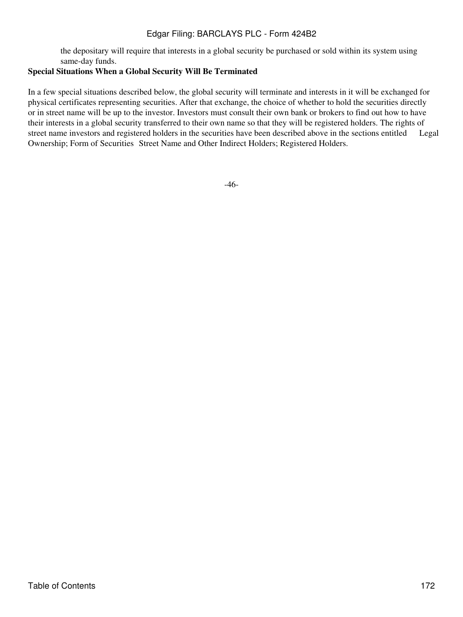the depositary will require that interests in a global security be purchased or sold within its system using same-day funds.

# **Special Situations When a Global Security Will Be Terminated**

In a few special situations described below, the global security will terminate and interests in it will be exchanged for physical certificates representing securities. After that exchange, the choice of whether to hold the securities directly or in street name will be up to the investor. Investors must consult their own bank or brokers to find out how to have their interests in a global security transferred to their own name so that they will be registered holders. The rights of street name investors and registered holders in the securities have been described above in the sections entitled Legal Ownership; Form of Securities Street Name and Other Indirect Holders; Registered Holders.

-46-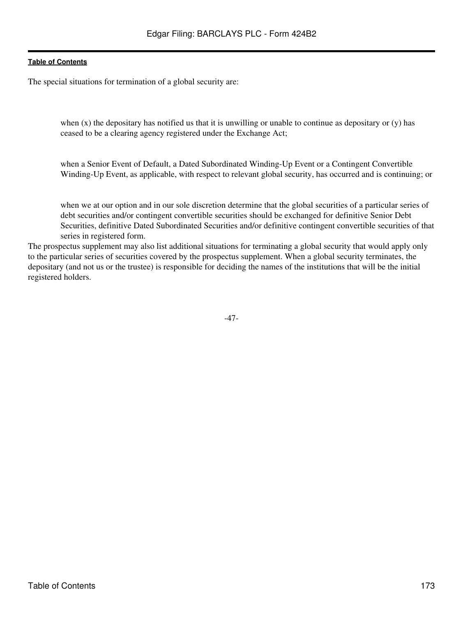The special situations for termination of a global security are:

when  $(x)$  the depositary has notified us that it is unwilling or unable to continue as depositary or  $(y)$  has ceased to be a clearing agency registered under the Exchange Act;

when a Senior Event of Default, a Dated Subordinated Winding-Up Event or a Contingent Convertible Winding-Up Event, as applicable, with respect to relevant global security, has occurred and is continuing; or

when we at our option and in our sole discretion determine that the global securities of a particular series of debt securities and/or contingent convertible securities should be exchanged for definitive Senior Debt Securities, definitive Dated Subordinated Securities and/or definitive contingent convertible securities of that series in registered form.

The prospectus supplement may also list additional situations for terminating a global security that would apply only to the particular series of securities covered by the prospectus supplement. When a global security terminates, the depositary (and not us or the trustee) is responsible for deciding the names of the institutions that will be the initial registered holders.

-47-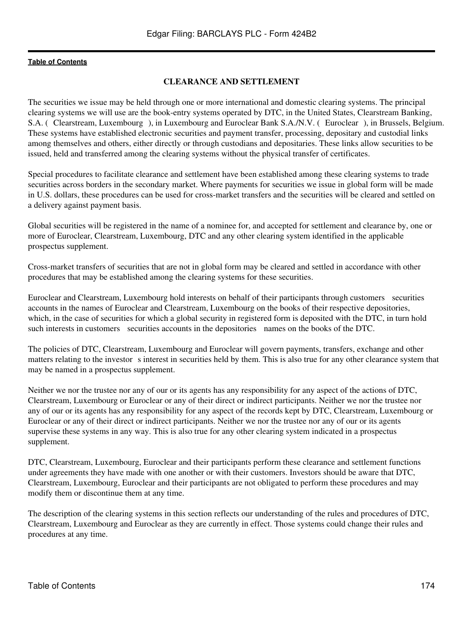## **CLEARANCE AND SETTLEMENT**

The securities we issue may be held through one or more international and domestic clearing systems. The principal clearing systems we will use are the book-entry systems operated by DTC, in the United States, Clearstream Banking, S.A. (Clearstream, Luxembourg), in Luxembourg and Euroclear Bank S.A./N.V. (Euroclear), in Brussels, Belgium. These systems have established electronic securities and payment transfer, processing, depositary and custodial links among themselves and others, either directly or through custodians and depositaries. These links allow securities to be issued, held and transferred among the clearing systems without the physical transfer of certificates.

Special procedures to facilitate clearance and settlement have been established among these clearing systems to trade securities across borders in the secondary market. Where payments for securities we issue in global form will be made in U.S. dollars, these procedures can be used for cross-market transfers and the securities will be cleared and settled on a delivery against payment basis.

Global securities will be registered in the name of a nominee for, and accepted for settlement and clearance by, one or more of Euroclear, Clearstream, Luxembourg, DTC and any other clearing system identified in the applicable prospectus supplement.

Cross-market transfers of securities that are not in global form may be cleared and settled in accordance with other procedures that may be established among the clearing systems for these securities.

Euroclear and Clearstream, Luxembourg hold interests on behalf of their participants through customers securities accounts in the names of Euroclear and Clearstream, Luxembourg on the books of their respective depositories, which, in the case of securities for which a global security in registered form is deposited with the DTC, in turn hold such interests in customers securities accounts in the depositories names on the books of the DTC.

The policies of DTC, Clearstream, Luxembourg and Euroclear will govern payments, transfers, exchange and other matters relating to the investor s interest in securities held by them. This is also true for any other clearance system that may be named in a prospectus supplement.

Neither we nor the trustee nor any of our or its agents has any responsibility for any aspect of the actions of DTC, Clearstream, Luxembourg or Euroclear or any of their direct or indirect participants. Neither we nor the trustee nor any of our or its agents has any responsibility for any aspect of the records kept by DTC, Clearstream, Luxembourg or Euroclear or any of their direct or indirect participants. Neither we nor the trustee nor any of our or its agents supervise these systems in any way. This is also true for any other clearing system indicated in a prospectus supplement.

DTC, Clearstream, Luxembourg, Euroclear and their participants perform these clearance and settlement functions under agreements they have made with one another or with their customers. Investors should be aware that DTC, Clearstream, Luxembourg, Euroclear and their participants are not obligated to perform these procedures and may modify them or discontinue them at any time.

The description of the clearing systems in this section reflects our understanding of the rules and procedures of DTC, Clearstream, Luxembourg and Euroclear as they are currently in effect. Those systems could change their rules and procedures at any time.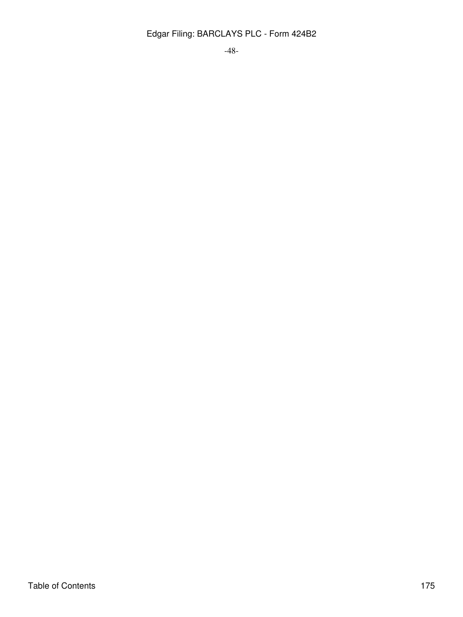-48-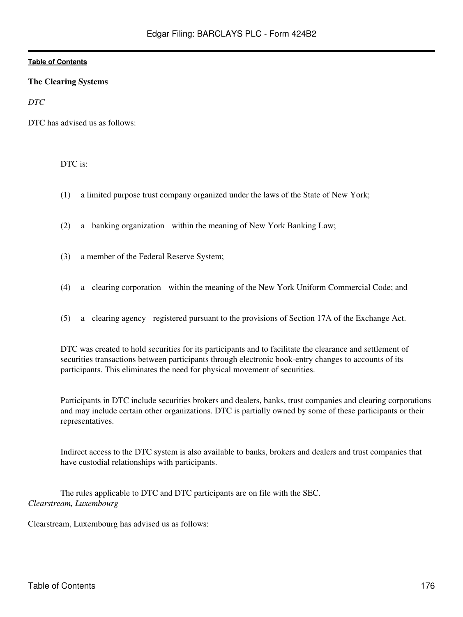## **The Clearing Systems**

*DTC*

DTC has advised us as follows:

# DTC is:

- (1) a limited purpose trust company organized under the laws of the State of New York;
- (2) a banking organization within the meaning of New York Banking Law;
- (3) a member of the Federal Reserve System;
- (4) a clearing corporation within the meaning of the New York Uniform Commercial Code; and
- (5) a clearing agency registered pursuant to the provisions of Section 17A of the Exchange Act.

DTC was created to hold securities for its participants and to facilitate the clearance and settlement of securities transactions between participants through electronic book-entry changes to accounts of its participants. This eliminates the need for physical movement of securities.

Participants in DTC include securities brokers and dealers, banks, trust companies and clearing corporations and may include certain other organizations. DTC is partially owned by some of these participants or their representatives.

Indirect access to the DTC system is also available to banks, brokers and dealers and trust companies that have custodial relationships with participants.

The rules applicable to DTC and DTC participants are on file with the SEC. *Clearstream, Luxembourg*

Clearstream, Luxembourg has advised us as follows: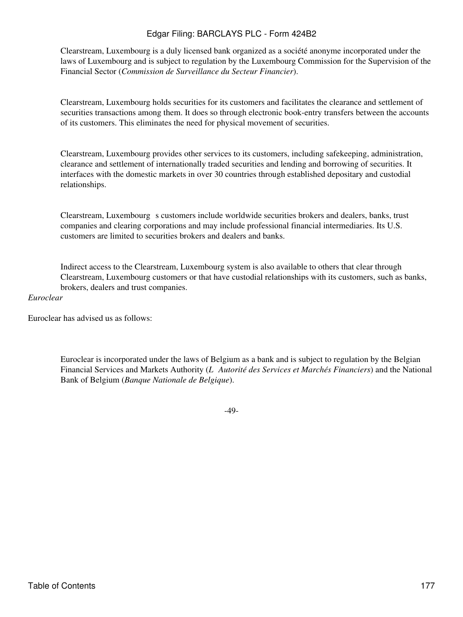Clearstream, Luxembourg is a duly licensed bank organized as a société anonyme incorporated under the laws of Luxembourg and is subject to regulation by the Luxembourg Commission for the Supervision of the Financial Sector (*Commission de Surveillance du Secteur Financier*).

Clearstream, Luxembourg holds securities for its customers and facilitates the clearance and settlement of securities transactions among them. It does so through electronic book-entry transfers between the accounts of its customers. This eliminates the need for physical movement of securities.

Clearstream, Luxembourg provides other services to its customers, including safekeeping, administration, clearance and settlement of internationally traded securities and lending and borrowing of securities. It interfaces with the domestic markets in over 30 countries through established depositary and custodial relationships.

Clearstream, Luxembourgs customers include worldwide securities brokers and dealers, banks, trust companies and clearing corporations and may include professional financial intermediaries. Its U.S. customers are limited to securities brokers and dealers and banks.

Indirect access to the Clearstream, Luxembourg system is also available to others that clear through Clearstream, Luxembourg customers or that have custodial relationships with its customers, such as banks, brokers, dealers and trust companies.

*Euroclear*

Euroclear has advised us as follows:

Euroclear is incorporated under the laws of Belgium as a bank and is subject to regulation by the Belgian Financial Services and Markets Authority (*LAutorité des Services et Marchés Financiers*) and the National Bank of Belgium (*Banque Nationale de Belgique*).

-49-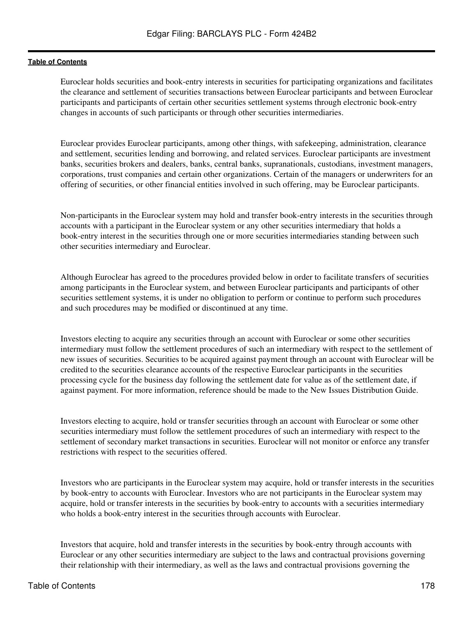Euroclear holds securities and book-entry interests in securities for participating organizations and facilitates the clearance and settlement of securities transactions between Euroclear participants and between Euroclear participants and participants of certain other securities settlement systems through electronic book-entry changes in accounts of such participants or through other securities intermediaries.

Euroclear provides Euroclear participants, among other things, with safekeeping, administration, clearance and settlement, securities lending and borrowing, and related services. Euroclear participants are investment banks, securities brokers and dealers, banks, central banks, supranationals, custodians, investment managers, corporations, trust companies and certain other organizations. Certain of the managers or underwriters for an offering of securities, or other financial entities involved in such offering, may be Euroclear participants.

Non-participants in the Euroclear system may hold and transfer book-entry interests in the securities through accounts with a participant in the Euroclear system or any other securities intermediary that holds a book-entry interest in the securities through one or more securities intermediaries standing between such other securities intermediary and Euroclear.

Although Euroclear has agreed to the procedures provided below in order to facilitate transfers of securities among participants in the Euroclear system, and between Euroclear participants and participants of other securities settlement systems, it is under no obligation to perform or continue to perform such procedures and such procedures may be modified or discontinued at any time.

Investors electing to acquire any securities through an account with Euroclear or some other securities intermediary must follow the settlement procedures of such an intermediary with respect to the settlement of new issues of securities. Securities to be acquired against payment through an account with Euroclear will be credited to the securities clearance accounts of the respective Euroclear participants in the securities processing cycle for the business day following the settlement date for value as of the settlement date, if against payment. For more information, reference should be made to the New Issues Distribution Guide.

Investors electing to acquire, hold or transfer securities through an account with Euroclear or some other securities intermediary must follow the settlement procedures of such an intermediary with respect to the settlement of secondary market transactions in securities. Euroclear will not monitor or enforce any transfer restrictions with respect to the securities offered.

Investors who are participants in the Euroclear system may acquire, hold or transfer interests in the securities by book-entry to accounts with Euroclear. Investors who are not participants in the Euroclear system may acquire, hold or transfer interests in the securities by book-entry to accounts with a securities intermediary who holds a book-entry interest in the securities through accounts with Euroclear.

Investors that acquire, hold and transfer interests in the securities by book-entry through accounts with Euroclear or any other securities intermediary are subject to the laws and contractual provisions governing their relationship with their intermediary, as well as the laws and contractual provisions governing the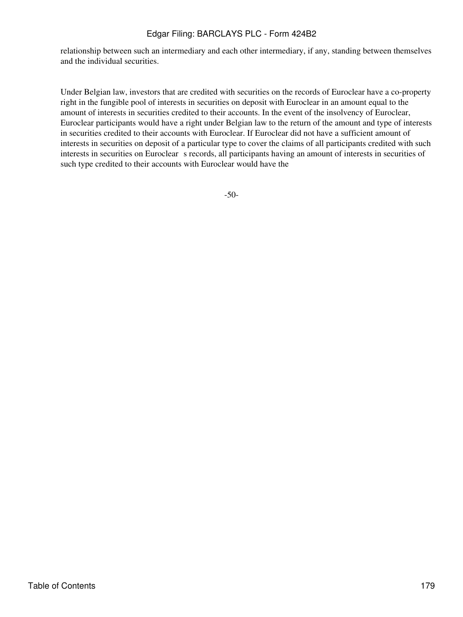relationship between such an intermediary and each other intermediary, if any, standing between themselves and the individual securities.

Under Belgian law, investors that are credited with securities on the records of Euroclear have a co-property right in the fungible pool of interests in securities on deposit with Euroclear in an amount equal to the amount of interests in securities credited to their accounts. In the event of the insolvency of Euroclear, Euroclear participants would have a right under Belgian law to the return of the amount and type of interests in securities credited to their accounts with Euroclear. If Euroclear did not have a sufficient amount of interests in securities on deposit of a particular type to cover the claims of all participants credited with such interests in securities on Euroclear s records, all participants having an amount of interests in securities of such type credited to their accounts with Euroclear would have the

-50-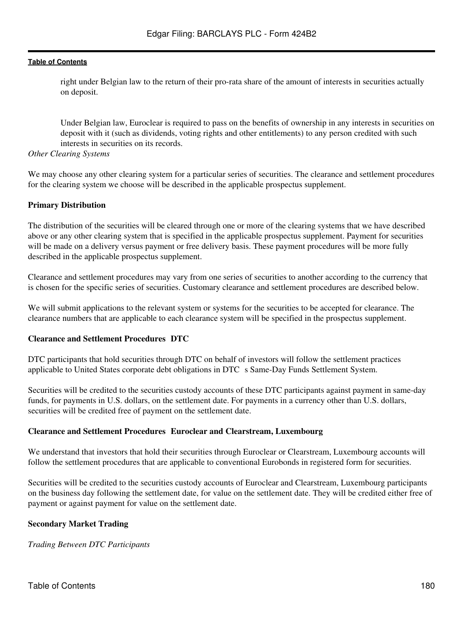right under Belgian law to the return of their pro-rata share of the amount of interests in securities actually on deposit.

Under Belgian law, Euroclear is required to pass on the benefits of ownership in any interests in securities on deposit with it (such as dividends, voting rights and other entitlements) to any person credited with such interests in securities on its records.

## *Other Clearing Systems*

We may choose any other clearing system for a particular series of securities. The clearance and settlement procedures for the clearing system we choose will be described in the applicable prospectus supplement.

#### **Primary Distribution**

The distribution of the securities will be cleared through one or more of the clearing systems that we have described above or any other clearing system that is specified in the applicable prospectus supplement. Payment for securities will be made on a delivery versus payment or free delivery basis. These payment procedures will be more fully described in the applicable prospectus supplement.

Clearance and settlement procedures may vary from one series of securities to another according to the currency that is chosen for the specific series of securities. Customary clearance and settlement procedures are described below.

We will submit applications to the relevant system or systems for the securities to be accepted for clearance. The clearance numbers that are applicable to each clearance system will be specified in the prospectus supplement.

#### **Clearance and Settlement Procedures DTC**

DTC participants that hold securities through DTC on behalf of investors will follow the settlement practices applicable to United States corporate debt obligations in DTC s Same-Day Funds Settlement System.

Securities will be credited to the securities custody accounts of these DTC participants against payment in same-day funds, for payments in U.S. dollars, on the settlement date. For payments in a currency other than U.S. dollars, securities will be credited free of payment on the settlement date.

#### **Clearance and Settlement ProceduresEuroclear and Clearstream, Luxembourg**

We understand that investors that hold their securities through Euroclear or Clearstream, Luxembourg accounts will follow the settlement procedures that are applicable to conventional Eurobonds in registered form for securities.

Securities will be credited to the securities custody accounts of Euroclear and Clearstream, Luxembourg participants on the business day following the settlement date, for value on the settlement date. They will be credited either free of payment or against payment for value on the settlement date.

#### **Secondary Market Trading**

*Trading Between DTC Participants*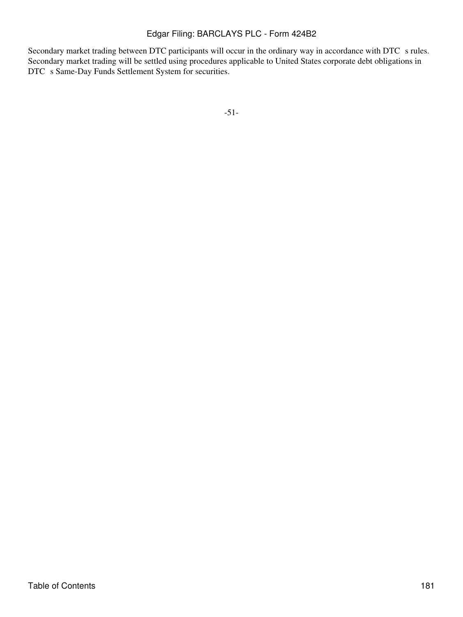Secondary market trading between DTC participants will occur in the ordinary way in accordance with DTC s rules. Secondary market trading will be settled using procedures applicable to United States corporate debt obligations in DTC s Same-Day Funds Settlement System for securities.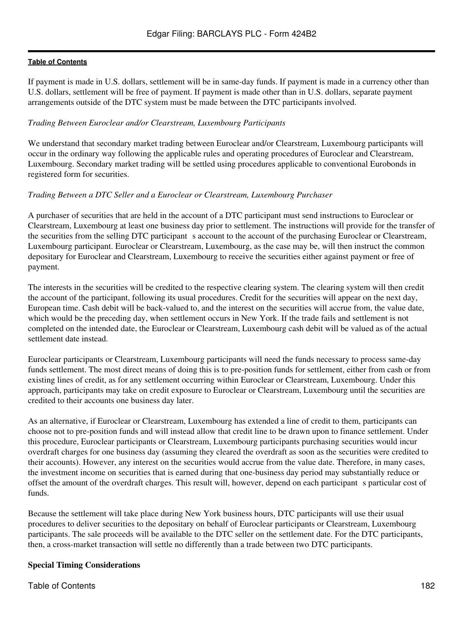If payment is made in U.S. dollars, settlement will be in same-day funds. If payment is made in a currency other than U.S. dollars, settlement will be free of payment. If payment is made other than in U.S. dollars, separate payment arrangements outside of the DTC system must be made between the DTC participants involved.

### *Trading Between Euroclear and/or Clearstream, Luxembourg Participants*

We understand that secondary market trading between Euroclear and/or Clearstream, Luxembourg participants will occur in the ordinary way following the applicable rules and operating procedures of Euroclear and Clearstream, Luxembourg. Secondary market trading will be settled using procedures applicable to conventional Eurobonds in registered form for securities.

## *Trading Between a DTC Seller and a Euroclear or Clearstream, Luxembourg Purchaser*

A purchaser of securities that are held in the account of a DTC participant must send instructions to Euroclear or Clearstream, Luxembourg at least one business day prior to settlement. The instructions will provide for the transfer of the securities from the selling DTC participant s account to the account of the purchasing Euroclear or Clearstream, Luxembourg participant. Euroclear or Clearstream, Luxembourg, as the case may be, will then instruct the common depositary for Euroclear and Clearstream, Luxembourg to receive the securities either against payment or free of payment.

The interests in the securities will be credited to the respective clearing system. The clearing system will then credit the account of the participant, following its usual procedures. Credit for the securities will appear on the next day, European time. Cash debit will be back-valued to, and the interest on the securities will accrue from, the value date, which would be the preceding day, when settlement occurs in New York. If the trade fails and settlement is not completed on the intended date, the Euroclear or Clearstream, Luxembourg cash debit will be valued as of the actual settlement date instead.

Euroclear participants or Clearstream, Luxembourg participants will need the funds necessary to process same-day funds settlement. The most direct means of doing this is to pre-position funds for settlement, either from cash or from existing lines of credit, as for any settlement occurring within Euroclear or Clearstream, Luxembourg. Under this approach, participants may take on credit exposure to Euroclear or Clearstream, Luxembourg until the securities are credited to their accounts one business day later.

As an alternative, if Euroclear or Clearstream, Luxembourg has extended a line of credit to them, participants can choose not to pre-position funds and will instead allow that credit line to be drawn upon to finance settlement. Under this procedure, Euroclear participants or Clearstream, Luxembourg participants purchasing securities would incur overdraft charges for one business day (assuming they cleared the overdraft as soon as the securities were credited to their accounts). However, any interest on the securities would accrue from the value date. Therefore, in many cases, the investment income on securities that is earned during that one-business day period may substantially reduce or offset the amount of the overdraft charges. This result will, however, depend on each participants particular cost of funds.

Because the settlement will take place during New York business hours, DTC participants will use their usual procedures to deliver securities to the depositary on behalf of Euroclear participants or Clearstream, Luxembourg participants. The sale proceeds will be available to the DTC seller on the settlement date. For the DTC participants, then, a cross-market transaction will settle no differently than a trade between two DTC participants.

#### **Special Timing Considerations**

Table of Contents 182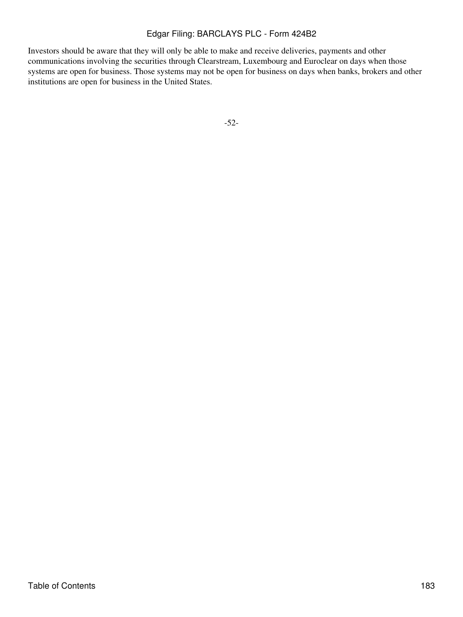Investors should be aware that they will only be able to make and receive deliveries, payments and other communications involving the securities through Clearstream, Luxembourg and Euroclear on days when those systems are open for business. Those systems may not be open for business on days when banks, brokers and other institutions are open for business in the United States.

-52-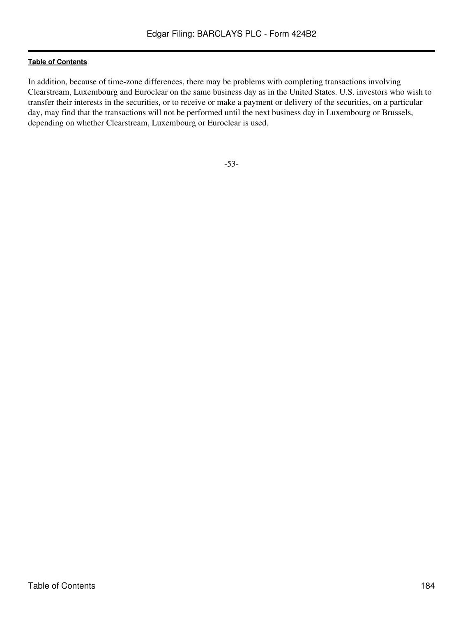In addition, because of time-zone differences, there may be problems with completing transactions involving Clearstream, Luxembourg and Euroclear on the same business day as in the United States. U.S. investors who wish to transfer their interests in the securities, or to receive or make a payment or delivery of the securities, on a particular day, may find that the transactions will not be performed until the next business day in Luxembourg or Brussels, depending on whether Clearstream, Luxembourg or Euroclear is used.

-53-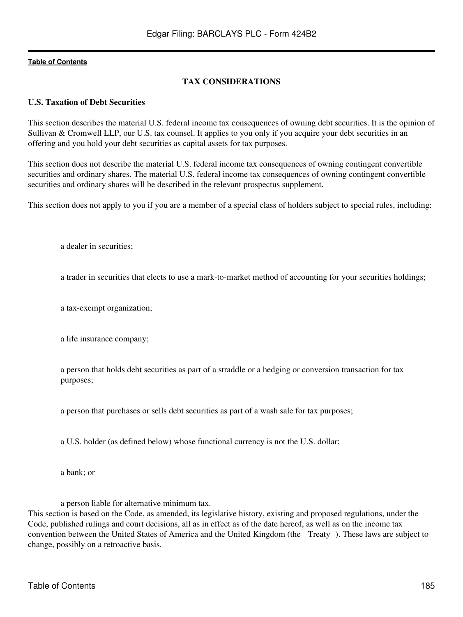### **TAX CONSIDERATIONS**

#### **U.S. Taxation of Debt Securities**

This section describes the material U.S. federal income tax consequences of owning debt securities. It is the opinion of Sullivan & Cromwell LLP, our U.S. tax counsel. It applies to you only if you acquire your debt securities in an offering and you hold your debt securities as capital assets for tax purposes.

This section does not describe the material U.S. federal income tax consequences of owning contingent convertible securities and ordinary shares. The material U.S. federal income tax consequences of owning contingent convertible securities and ordinary shares will be described in the relevant prospectus supplement.

This section does not apply to you if you are a member of a special class of holders subject to special rules, including:

a dealer in securities;

a trader in securities that elects to use a mark-to-market method of accounting for your securities holdings;

a tax-exempt organization;

a life insurance company;

a person that holds debt securities as part of a straddle or a hedging or conversion transaction for tax purposes;

a person that purchases or sells debt securities as part of a wash sale for tax purposes;

a U.S. holder (as defined below) whose functional currency is not the U.S. dollar;

a bank; or

a person liable for alternative minimum tax.

This section is based on the Code, as amended, its legislative history, existing and proposed regulations, under the Code, published rulings and court decisions, all as in effect as of the date hereof, as well as on the income tax convention between the United States of America and the United Kingdom (the Treaty). These laws are subject to change, possibly on a retroactive basis.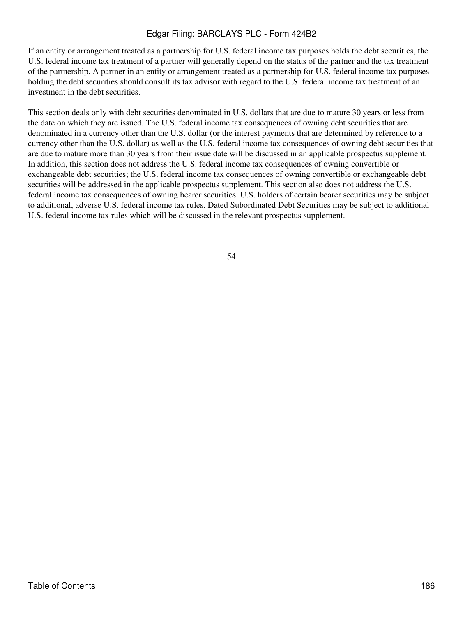If an entity or arrangement treated as a partnership for U.S. federal income tax purposes holds the debt securities, the U.S. federal income tax treatment of a partner will generally depend on the status of the partner and the tax treatment of the partnership. A partner in an entity or arrangement treated as a partnership for U.S. federal income tax purposes holding the debt securities should consult its tax advisor with regard to the U.S. federal income tax treatment of an investment in the debt securities.

This section deals only with debt securities denominated in U.S. dollars that are due to mature 30 years or less from the date on which they are issued. The U.S. federal income tax consequences of owning debt securities that are denominated in a currency other than the U.S. dollar (or the interest payments that are determined by reference to a currency other than the U.S. dollar) as well as the U.S. federal income tax consequences of owning debt securities that are due to mature more than 30 years from their issue date will be discussed in an applicable prospectus supplement. In addition, this section does not address the U.S. federal income tax consequences of owning convertible or exchangeable debt securities; the U.S. federal income tax consequences of owning convertible or exchangeable debt securities will be addressed in the applicable prospectus supplement. This section also does not address the U.S. federal income tax consequences of owning bearer securities. U.S. holders of certain bearer securities may be subject to additional, adverse U.S. federal income tax rules. Dated Subordinated Debt Securities may be subject to additional U.S. federal income tax rules which will be discussed in the relevant prospectus supplement.

-54-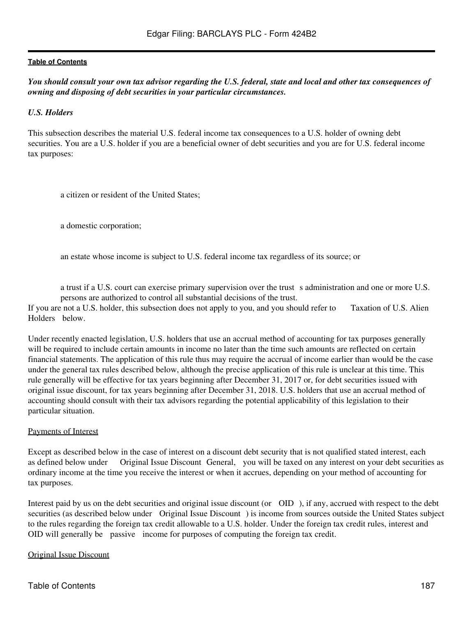*You should consult your own tax advisor regarding the U.S. federal, state and local and other tax consequences of owning and disposing of debt securities in your particular circumstances.*

#### *U.S. Holders*

This subsection describes the material U.S. federal income tax consequences to a U.S. holder of owning debt securities. You are a U.S. holder if you are a beneficial owner of debt securities and you are for U.S. federal income tax purposes:

a citizen or resident of the United States;

a domestic corporation;

an estate whose income is subject to U.S. federal income tax regardless of its source; or

a trust if a U.S. court can exercise primary supervision over the trust s administration and one or more U.S. persons are authorized to control all substantial decisions of the trust.

If you are not a U.S. holder, this subsection does not apply to you, and you should refer to Taxation of U.S. Alien Holders below.

Under recently enacted legislation, U.S. holders that use an accrual method of accounting for tax purposes generally will be required to include certain amounts in income no later than the time such amounts are reflected on certain financial statements. The application of this rule thus may require the accrual of income earlier than would be the case under the general tax rules described below, although the precise application of this rule is unclear at this time. This rule generally will be effective for tax years beginning after December 31, 2017 or, for debt securities issued with original issue discount, for tax years beginning after December 31, 2018. U.S. holders that use an accrual method of accounting should consult with their tax advisors regarding the potential applicability of this legislation to their particular situation.

#### Payments of Interest

Except as described below in the case of interest on a discount debt security that is not qualified stated interest, each as defined below under Original Issue Discount General, you will be taxed on any interest on your debt securities as ordinary income at the time you receive the interest or when it accrues, depending on your method of accounting for tax purposes.

Interest paid by us on the debt securities and original issue discount (or OID), if any, accrued with respect to the debt securities (as described below under Original Issue Discount ) is income from sources outside the United States subject to the rules regarding the foreign tax credit allowable to a U.S. holder. Under the foreign tax credit rules, interest and OID will generally be passive income for purposes of computing the foreign tax credit.

#### Original Issue Discount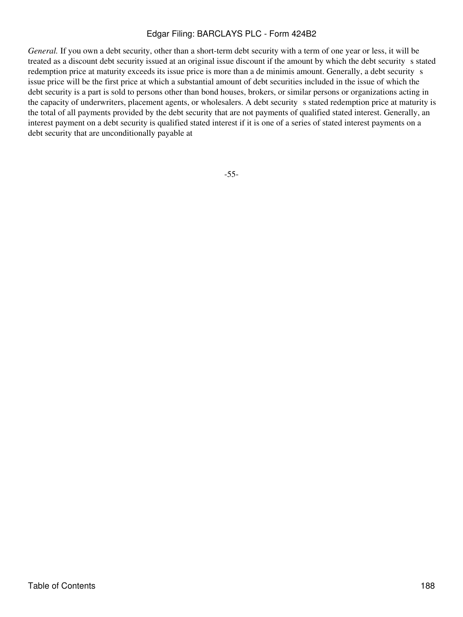*General.* If you own a debt security, other than a short-term debt security with a term of one year or less, it will be treated as a discount debt security issued at an original issue discount if the amount by which the debt security s stated redemption price at maturity exceeds its issue price is more than a de minimis amount. Generally, a debt security s issue price will be the first price at which a substantial amount of debt securities included in the issue of which the debt security is a part is sold to persons other than bond houses, brokers, or similar persons or organizations acting in the capacity of underwriters, placement agents, or wholesalers. A debt security s stated redemption price at maturity is the total of all payments provided by the debt security that are not payments of qualified stated interest. Generally, an interest payment on a debt security is qualified stated interest if it is one of a series of stated interest payments on a debt security that are unconditionally payable at

-55-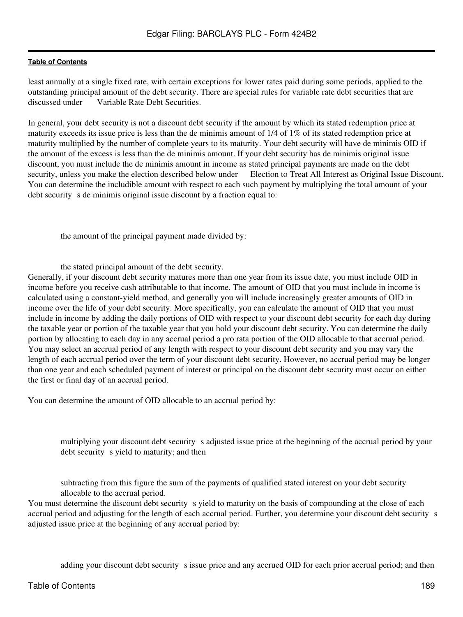least annually at a single fixed rate, with certain exceptions for lower rates paid during some periods, applied to the outstanding principal amount of the debt security. There are special rules for variable rate debt securities that are discussed under Variable Rate Debt Securities.

In general, your debt security is not a discount debt security if the amount by which its stated redemption price at maturity exceeds its issue price is less than the de minimis amount of 1/4 of 1% of its stated redemption price at maturity multiplied by the number of complete years to its maturity. Your debt security will have de minimis OID if the amount of the excess is less than the de minimis amount. If your debt security has de minimis original issue discount, you must include the de minimis amount in income as stated principal payments are made on the debt security, unless you make the election described below under Election to Treat All Interest as Original Issue Discount. You can determine the includible amount with respect to each such payment by multiplying the total amount of your debt security s de minimis original issue discount by a fraction equal to:

the amount of the principal payment made divided by:

the stated principal amount of the debt security.

Generally, if your discount debt security matures more than one year from its issue date, you must include OID in income before you receive cash attributable to that income. The amount of OID that you must include in income is calculated using a constant-yield method, and generally you will include increasingly greater amounts of OID in income over the life of your debt security. More specifically, you can calculate the amount of OID that you must include in income by adding the daily portions of OID with respect to your discount debt security for each day during the taxable year or portion of the taxable year that you hold your discount debt security. You can determine the daily portion by allocating to each day in any accrual period a pro rata portion of the OID allocable to that accrual period. You may select an accrual period of any length with respect to your discount debt security and you may vary the length of each accrual period over the term of your discount debt security. However, no accrual period may be longer than one year and each scheduled payment of interest or principal on the discount debt security must occur on either the first or final day of an accrual period.

You can determine the amount of OID allocable to an accrual period by:

multiplying your discount debt security s adjusted issue price at the beginning of the accrual period by your debt security s yield to maturity; and then

subtracting from this figure the sum of the payments of qualified stated interest on your debt security allocable to the accrual period.

You must determine the discount debt security s yield to maturity on the basis of compounding at the close of each accrual period and adjusting for the length of each accrual period. Further, you determine your discount debt security s adjusted issue price at the beginning of any accrual period by:

adding your discount debt security s issue price and any accrued OID for each prior accrual period; and then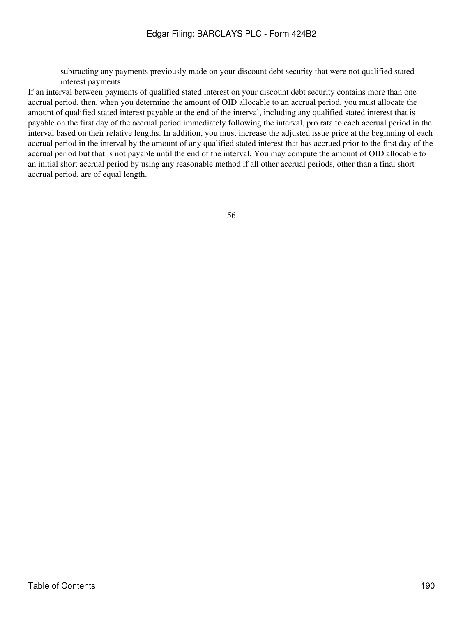subtracting any payments previously made on your discount debt security that were not qualified stated interest payments.

If an interval between payments of qualified stated interest on your discount debt security contains more than one accrual period, then, when you determine the amount of OID allocable to an accrual period, you must allocate the amount of qualified stated interest payable at the end of the interval, including any qualified stated interest that is payable on the first day of the accrual period immediately following the interval, pro rata to each accrual period in the interval based on their relative lengths. In addition, you must increase the adjusted issue price at the beginning of each accrual period in the interval by the amount of any qualified stated interest that has accrued prior to the first day of the accrual period but that is not payable until the end of the interval. You may compute the amount of OID allocable to an initial short accrual period by using any reasonable method if all other accrual periods, other than a final short accrual period, are of equal length.

-56-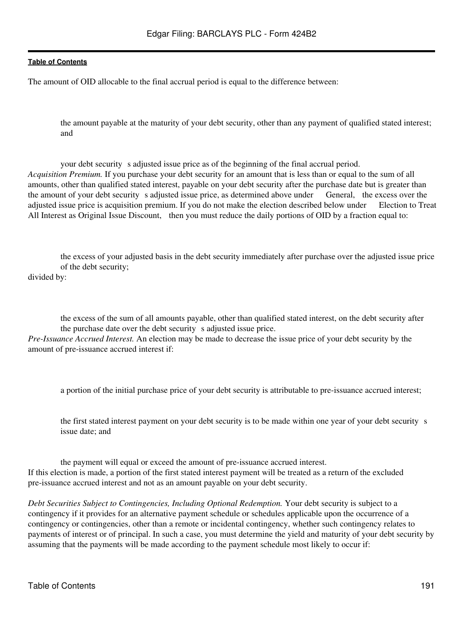The amount of OID allocable to the final accrual period is equal to the difference between:

the amount payable at the maturity of your debt security, other than any payment of qualified stated interest; and

your debt security s adjusted issue price as of the beginning of the final accrual period. *Acquisition Premium.* If you purchase your debt security for an amount that is less than or equal to the sum of all amounts, other than qualified stated interest, payable on your debt security after the purchase date but is greater than the amount of your debt security s adjusted issue price, as determined above under General, the excess over the adjusted issue price is acquisition premium. If you do not make the election described below under Election to Treat All Interest as Original Issue Discount, then you must reduce the daily portions of OID by a fraction equal to:

the excess of your adjusted basis in the debt security immediately after purchase over the adjusted issue price of the debt security;

divided by:

the excess of the sum of all amounts payable, other than qualified stated interest, on the debt security after the purchase date over the debt security s adjusted issue price.

*Pre-Issuance Accrued Interest.* An election may be made to decrease the issue price of your debt security by the amount of pre-issuance accrued interest if:

a portion of the initial purchase price of your debt security is attributable to pre-issuance accrued interest;

the first stated interest payment on your debt security is to be made within one year of your debt security s issue date; and

the payment will equal or exceed the amount of pre-issuance accrued interest. If this election is made, a portion of the first stated interest payment will be treated as a return of the excluded pre-issuance accrued interest and not as an amount payable on your debt security.

*Debt Securities Subject to Contingencies, Including Optional Redemption.* Your debt security is subject to a contingency if it provides for an alternative payment schedule or schedules applicable upon the occurrence of a contingency or contingencies, other than a remote or incidental contingency, whether such contingency relates to payments of interest or of principal. In such a case, you must determine the yield and maturity of your debt security by assuming that the payments will be made according to the payment schedule most likely to occur if: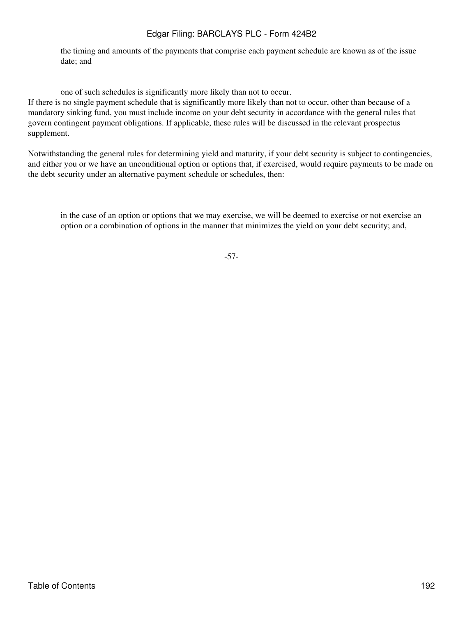the timing and amounts of the payments that comprise each payment schedule are known as of the issue date; and

one of such schedules is significantly more likely than not to occur.

If there is no single payment schedule that is significantly more likely than not to occur, other than because of a mandatory sinking fund, you must include income on your debt security in accordance with the general rules that govern contingent payment obligations. If applicable, these rules will be discussed in the relevant prospectus supplement.

Notwithstanding the general rules for determining yield and maturity, if your debt security is subject to contingencies, and either you or we have an unconditional option or options that, if exercised, would require payments to be made on the debt security under an alternative payment schedule or schedules, then:

in the case of an option or options that we may exercise, we will be deemed to exercise or not exercise an option or a combination of options in the manner that minimizes the yield on your debt security; and,

-57-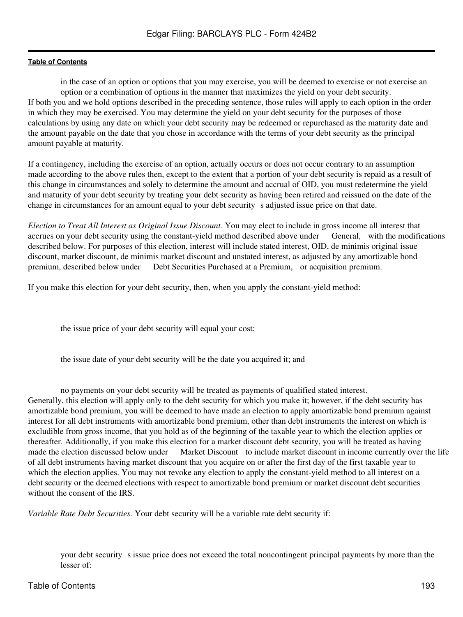in the case of an option or options that you may exercise, you will be deemed to exercise or not exercise an option or a combination of options in the manner that maximizes the yield on your debt security. If both you and we hold options described in the preceding sentence, those rules will apply to each option in the order in which they may be exercised. You may determine the yield on your debt security for the purposes of those calculations by using any date on which your debt security may be redeemed or repurchased as the maturity date and the amount payable on the date that you chose in accordance with the terms of your debt security as the principal amount payable at maturity.

If a contingency, including the exercise of an option, actually occurs or does not occur contrary to an assumption made according to the above rules then, except to the extent that a portion of your debt security is repaid as a result of this change in circumstances and solely to determine the amount and accrual of OID, you must redetermine the yield and maturity of your debt security by treating your debt security as having been retired and reissued on the date of the change in circumstances for an amount equal to your debt security s adjusted issue price on that date.

*Election to Treat All Interest as Original Issue Discount.* You may elect to include in gross income all interest that accrues on your debt security using the constant-yield method described above under General, with the modifications described below. For purposes of this election, interest will include stated interest, OID, de minimis original issue discount, market discount, de minimis market discount and unstated interest, as adjusted by any amortizable bond premium, described below under Debt Securities Purchased at a Premium, or acquisition premium.

If you make this election for your debt security, then, when you apply the constant-yield method:

the issue price of your debt security will equal your cost;

the issue date of your debt security will be the date you acquired it; and

no payments on your debt security will be treated as payments of qualified stated interest. Generally, this election will apply only to the debt security for which you make it; however, if the debt security has amortizable bond premium, you will be deemed to have made an election to apply amortizable bond premium against interest for all debt instruments with amortizable bond premium, other than debt instruments the interest on which is excludible from gross income, that you hold as of the beginning of the taxable year to which the election applies or thereafter. Additionally, if you make this election for a market discount debt security, you will be treated as having made the election discussed below under Market Discount to include market discount in income currently over the life of all debt instruments having market discount that you acquire on or after the first day of the first taxable year to which the election applies. You may not revoke any election to apply the constant-yield method to all interest on a debt security or the deemed elections with respect to amortizable bond premium or market discount debt securities without the consent of the IRS.

*Variable Rate Debt Securities.* Your debt security will be a variable rate debt security if:

your debt security s issue price does not exceed the total noncontingent principal payments by more than the lesser of: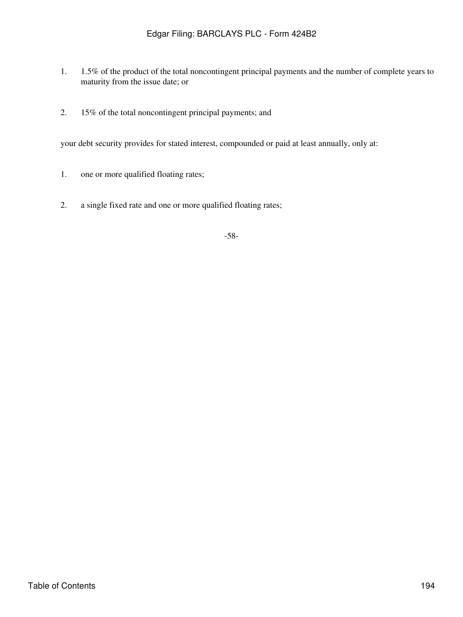- 1. 1.5% of the product of the total noncontingent principal payments and the number of complete years to maturity from the issue date; or
- 2. 15% of the total noncontingent principal payments; and

your debt security provides for stated interest, compounded or paid at least annually, only at:

- 1. one or more qualified floating rates;
- 2. a single fixed rate and one or more qualified floating rates;

-58-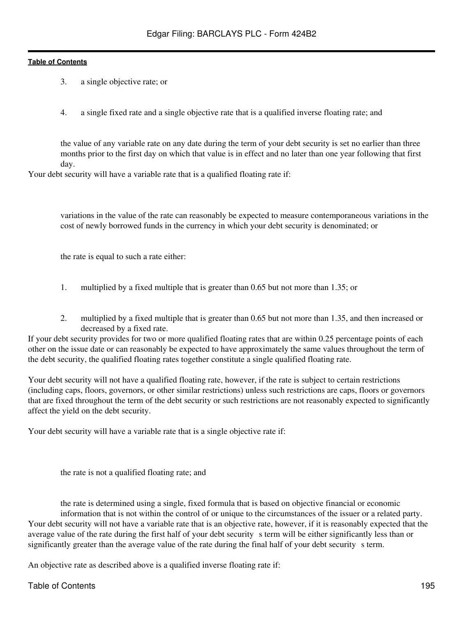- 3. a single objective rate; or
- 4. a single fixed rate and a single objective rate that is a qualified inverse floating rate; and

the value of any variable rate on any date during the term of your debt security is set no earlier than three months prior to the first day on which that value is in effect and no later than one year following that first day.

Your debt security will have a variable rate that is a qualified floating rate if:

variations in the value of the rate can reasonably be expected to measure contemporaneous variations in the cost of newly borrowed funds in the currency in which your debt security is denominated; or

the rate is equal to such a rate either:

- 1. multiplied by a fixed multiple that is greater than 0.65 but not more than 1.35; or
- 2. multiplied by a fixed multiple that is greater than 0.65 but not more than 1.35, and then increased or decreased by a fixed rate.

If your debt security provides for two or more qualified floating rates that are within 0.25 percentage points of each other on the issue date or can reasonably be expected to have approximately the same values throughout the term of the debt security, the qualified floating rates together constitute a single qualified floating rate.

Your debt security will not have a qualified floating rate, however, if the rate is subject to certain restrictions (including caps, floors, governors, or other similar restrictions) unless such restrictions are caps, floors or governors that are fixed throughout the term of the debt security or such restrictions are not reasonably expected to significantly affect the yield on the debt security.

Your debt security will have a variable rate that is a single objective rate if:

the rate is not a qualified floating rate; and

the rate is determined using a single, fixed formula that is based on objective financial or economic information that is not within the control of or unique to the circumstances of the issuer or a related party. Your debt security will not have a variable rate that is an objective rate, however, if it is reasonably expected that the average value of the rate during the first half of your debt security s term will be either significantly less than or significantly greater than the average value of the rate during the final half of your debt security s term.

An objective rate as described above is a qualified inverse floating rate if: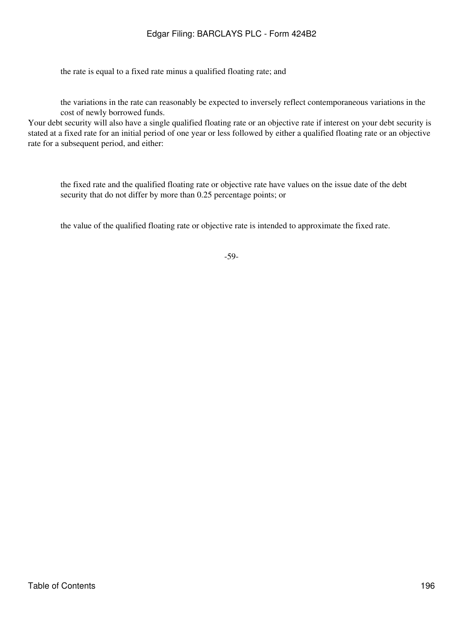the rate is equal to a fixed rate minus a qualified floating rate; and

the variations in the rate can reasonably be expected to inversely reflect contemporaneous variations in the cost of newly borrowed funds.

Your debt security will also have a single qualified floating rate or an objective rate if interest on your debt security is stated at a fixed rate for an initial period of one year or less followed by either a qualified floating rate or an objective rate for a subsequent period, and either:

the fixed rate and the qualified floating rate or objective rate have values on the issue date of the debt security that do not differ by more than 0.25 percentage points; or

the value of the qualified floating rate or objective rate is intended to approximate the fixed rate.

-59-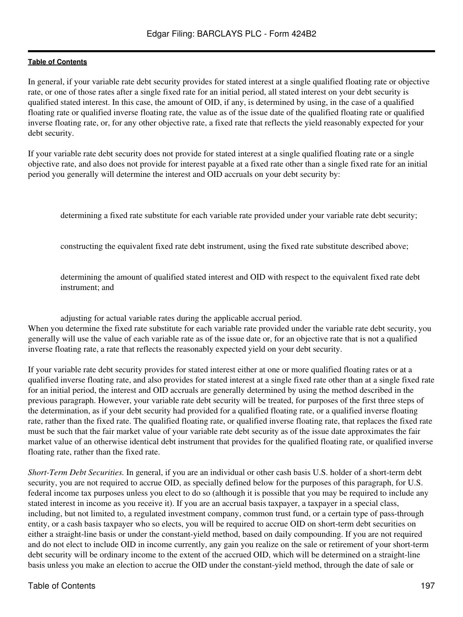In general, if your variable rate debt security provides for stated interest at a single qualified floating rate or objective rate, or one of those rates after a single fixed rate for an initial period, all stated interest on your debt security is qualified stated interest. In this case, the amount of OID, if any, is determined by using, in the case of a qualified floating rate or qualified inverse floating rate, the value as of the issue date of the qualified floating rate or qualified inverse floating rate, or, for any other objective rate, a fixed rate that reflects the yield reasonably expected for your debt security.

If your variable rate debt security does not provide for stated interest at a single qualified floating rate or a single objective rate, and also does not provide for interest payable at a fixed rate other than a single fixed rate for an initial period you generally will determine the interest and OID accruals on your debt security by:

determining a fixed rate substitute for each variable rate provided under your variable rate debt security;

constructing the equivalent fixed rate debt instrument, using the fixed rate substitute described above;

determining the amount of qualified stated interest and OID with respect to the equivalent fixed rate debt instrument; and

adjusting for actual variable rates during the applicable accrual period.

When you determine the fixed rate substitute for each variable rate provided under the variable rate debt security, you generally will use the value of each variable rate as of the issue date or, for an objective rate that is not a qualified inverse floating rate, a rate that reflects the reasonably expected yield on your debt security.

If your variable rate debt security provides for stated interest either at one or more qualified floating rates or at a qualified inverse floating rate, and also provides for stated interest at a single fixed rate other than at a single fixed rate for an initial period, the interest and OID accruals are generally determined by using the method described in the previous paragraph. However, your variable rate debt security will be treated, for purposes of the first three steps of the determination, as if your debt security had provided for a qualified floating rate, or a qualified inverse floating rate, rather than the fixed rate. The qualified floating rate, or qualified inverse floating rate, that replaces the fixed rate must be such that the fair market value of your variable rate debt security as of the issue date approximates the fair market value of an otherwise identical debt instrument that provides for the qualified floating rate, or qualified inverse floating rate, rather than the fixed rate.

*Short-Term Debt Securities.* In general, if you are an individual or other cash basis U.S. holder of a short-term debt security, you are not required to accrue OID, as specially defined below for the purposes of this paragraph, for U.S. federal income tax purposes unless you elect to do so (although it is possible that you may be required to include any stated interest in income as you receive it). If you are an accrual basis taxpayer, a taxpayer in a special class, including, but not limited to, a regulated investment company, common trust fund, or a certain type of pass-through entity, or a cash basis taxpayer who so elects, you will be required to accrue OID on short-term debt securities on either a straight-line basis or under the constant-yield method, based on daily compounding. If you are not required and do not elect to include OID in income currently, any gain you realize on the sale or retirement of your short-term debt security will be ordinary income to the extent of the accrued OID, which will be determined on a straight-line basis unless you make an election to accrue the OID under the constant-yield method, through the date of sale or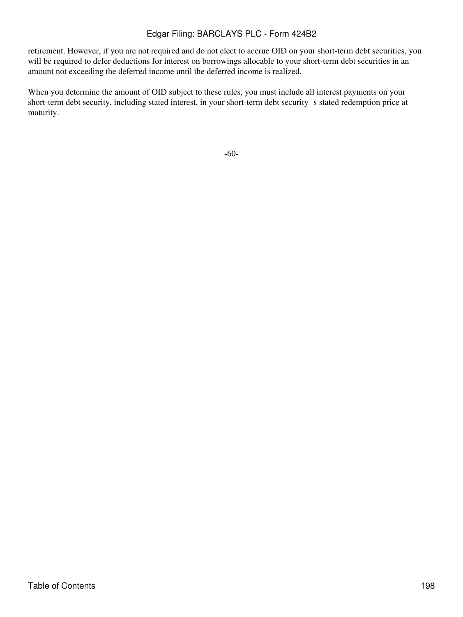retirement. However, if you are not required and do not elect to accrue OID on your short-term debt securities, you will be required to defer deductions for interest on borrowings allocable to your short-term debt securities in an amount not exceeding the deferred income until the deferred income is realized.

When you determine the amount of OID subject to these rules, you must include all interest payments on your short-term debt security, including stated interest, in your short-term debt security s stated redemption price at maturity.

-60-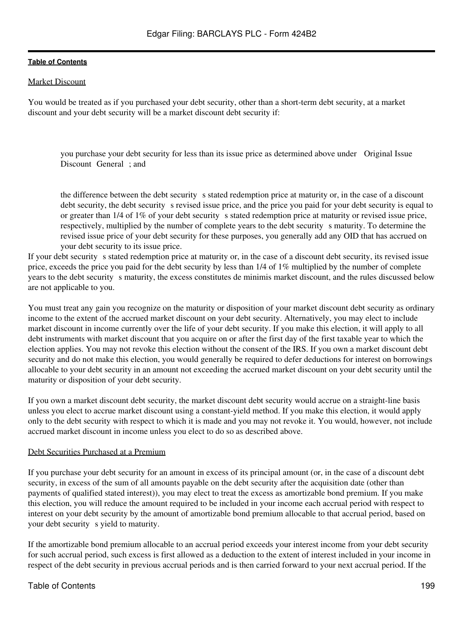### **Market Discount**

You would be treated as if you purchased your debt security, other than a short-term debt security, at a market discount and your debt security will be a market discount debt security if:

you purchase your debt security for less than its issue price as determined above under Original Issue Discount General; and

the difference between the debt security s stated redemption price at maturity or, in the case of a discount debt security, the debt security s revised issue price, and the price you paid for your debt security is equal to or greater than  $1/4$  of  $1\%$  of your debt security s stated redemption price at maturity or revised issue price, respectively, multiplied by the number of complete years to the debt security s maturity. To determine the revised issue price of your debt security for these purposes, you generally add any OID that has accrued on your debt security to its issue price.

If your debt security s stated redemption price at maturity or, in the case of a discount debt security, its revised issue price, exceeds the price you paid for the debt security by less than  $1/4$  of  $1\%$  multiplied by the number of complete years to the debt security s maturity, the excess constitutes de minimis market discount, and the rules discussed below are not applicable to you.

You must treat any gain you recognize on the maturity or disposition of your market discount debt security as ordinary income to the extent of the accrued market discount on your debt security. Alternatively, you may elect to include market discount in income currently over the life of your debt security. If you make this election, it will apply to all debt instruments with market discount that you acquire on or after the first day of the first taxable year to which the election applies. You may not revoke this election without the consent of the IRS. If you own a market discount debt security and do not make this election, you would generally be required to defer deductions for interest on borrowings allocable to your debt security in an amount not exceeding the accrued market discount on your debt security until the maturity or disposition of your debt security.

If you own a market discount debt security, the market discount debt security would accrue on a straight-line basis unless you elect to accrue market discount using a constant-yield method. If you make this election, it would apply only to the debt security with respect to which it is made and you may not revoke it. You would, however, not include accrued market discount in income unless you elect to do so as described above.

## Debt Securities Purchased at a Premium

If you purchase your debt security for an amount in excess of its principal amount (or, in the case of a discount debt security, in excess of the sum of all amounts payable on the debt security after the acquisition date (other than payments of qualified stated interest)), you may elect to treat the excess as amortizable bond premium. If you make this election, you will reduce the amount required to be included in your income each accrual period with respect to interest on your debt security by the amount of amortizable bond premium allocable to that accrual period, based on your debt security s yield to maturity.

If the amortizable bond premium allocable to an accrual period exceeds your interest income from your debt security for such accrual period, such excess is first allowed as a deduction to the extent of interest included in your income in respect of the debt security in previous accrual periods and is then carried forward to your next accrual period. If the

# Table of Contents 2008 1999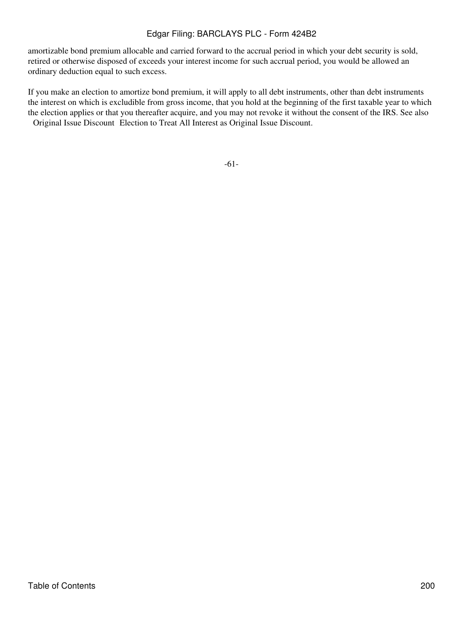amortizable bond premium allocable and carried forward to the accrual period in which your debt security is sold, retired or otherwise disposed of exceeds your interest income for such accrual period, you would be allowed an ordinary deduction equal to such excess.

If you make an election to amortize bond premium, it will apply to all debt instruments, other than debt instruments the interest on which is excludible from gross income, that you hold at the beginning of the first taxable year to which the election applies or that you thereafter acquire, and you may not revoke it without the consent of the IRS. See also Original Issue Discount Election to Treat All Interest as Original Issue Discount.

-61-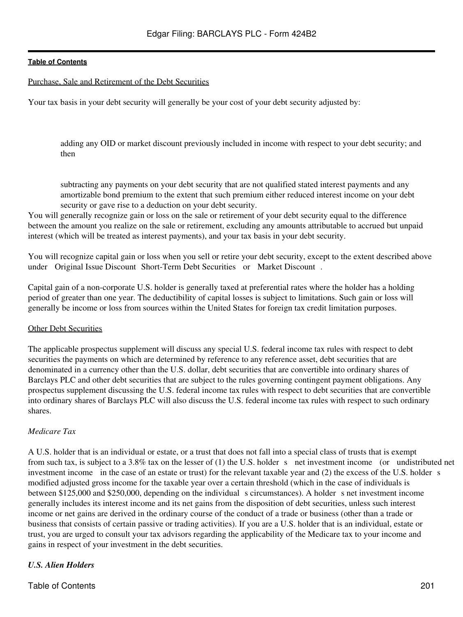### Purchase, Sale and Retirement of the Debt Securities

Your tax basis in your debt security will generally be your cost of your debt security adjusted by:

adding any OID or market discount previously included in income with respect to your debt security; and then

subtracting any payments on your debt security that are not qualified stated interest payments and any amortizable bond premium to the extent that such premium either reduced interest income on your debt security or gave rise to a deduction on your debt security.

You will generally recognize gain or loss on the sale or retirement of your debt security equal to the difference between the amount you realize on the sale or retirement, excluding any amounts attributable to accrued but unpaid interest (which will be treated as interest payments), and your tax basis in your debt security.

You will recognize capital gain or loss when you sell or retire your debt security, except to the extent described above under Original Issue Discount Short-Term Debt Securities or Market Discount.

Capital gain of a non-corporate U.S. holder is generally taxed at preferential rates where the holder has a holding period of greater than one year. The deductibility of capital losses is subject to limitations. Such gain or loss will generally be income or loss from sources within the United States for foreign tax credit limitation purposes.

#### Other Debt Securities

The applicable prospectus supplement will discuss any special U.S. federal income tax rules with respect to debt securities the payments on which are determined by reference to any reference asset, debt securities that are denominated in a currency other than the U.S. dollar, debt securities that are convertible into ordinary shares of Barclays PLC and other debt securities that are subject to the rules governing contingent payment obligations. Any prospectus supplement discussing the U.S. federal income tax rules with respect to debt securities that are convertible into ordinary shares of Barclays PLC will also discuss the U.S. federal income tax rules with respect to such ordinary shares.

## *Medicare Tax*

A U.S. holder that is an individual or estate, or a trust that does not fall into a special class of trusts that is exempt from such tax, is subject to a 3.8% tax on the lesser of (1) the U.S. holder s net investment income (or undistributed net investment income in the case of an estate or trust) for the relevant taxable year and  $(2)$  the excess of the U.S. holder s modified adjusted gross income for the taxable year over a certain threshold (which in the case of individuals is between \$125,000 and \$250,000, depending on the individual s circumstances). A holder s net investment income generally includes its interest income and its net gains from the disposition of debt securities, unless such interest income or net gains are derived in the ordinary course of the conduct of a trade or business (other than a trade or business that consists of certain passive or trading activities). If you are a U.S. holder that is an individual, estate or trust, you are urged to consult your tax advisors regarding the applicability of the Medicare tax to your income and gains in respect of your investment in the debt securities.

## *U.S. Alien Holders*

Table of Contents 201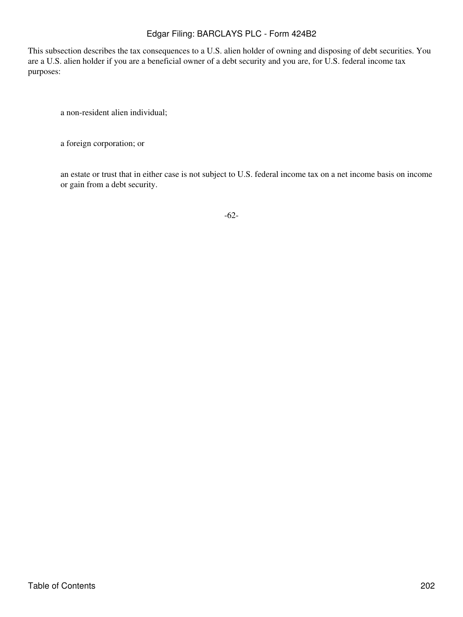This subsection describes the tax consequences to a U.S. alien holder of owning and disposing of debt securities. You are a U.S. alien holder if you are a beneficial owner of a debt security and you are, for U.S. federal income tax purposes:

a non-resident alien individual;

a foreign corporation; or

an estate or trust that in either case is not subject to U.S. federal income tax on a net income basis on income or gain from a debt security.

-62-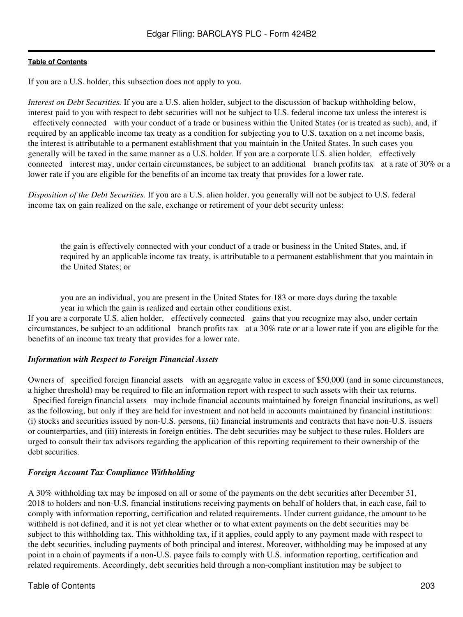If you are a U.S. holder, this subsection does not apply to you.

*Interest on Debt Securities.* If you are a U.S. alien holder, subject to the discussion of backup withholding below, interest paid to you with respect to debt securities will not be subject to U.S. federal income tax unless the interest is effectively connected with your conduct of a trade or business within the United States (or is treated as such), and, if required by an applicable income tax treaty as a condition for subjecting you to U.S. taxation on a net income basis, the interest is attributable to a permanent establishment that you maintain in the United States. In such cases you generally will be taxed in the same manner as a U.S. holder. If you are a corporate U.S. alien holder, effectively connected interest may, under certain circumstances, be subject to an additional branch profits tax at a rate of 30% or a lower rate if you are eligible for the benefits of an income tax treaty that provides for a lower rate.

*Disposition of the Debt Securities.* If you are a U.S. alien holder, you generally will not be subject to U.S. federal income tax on gain realized on the sale, exchange or retirement of your debt security unless:

the gain is effectively connected with your conduct of a trade or business in the United States, and, if required by an applicable income tax treaty, is attributable to a permanent establishment that you maintain in the United States; or

you are an individual, you are present in the United States for 183 or more days during the taxable year in which the gain is realized and certain other conditions exist.

If you are a corporate U.S. alien holder, effectively connected gains that you recognize may also, under certain circumstances, be subject to an additional branch profits tax at a 30% rate or at a lower rate if you are eligible for the benefits of an income tax treaty that provides for a lower rate.

#### *Information with Respect to Foreign Financial Assets*

Owners of specified foreign financial assets with an aggregate value in excess of \$50,000 (and in some circumstances, a higher threshold) may be required to file an information report with respect to such assets with their tax returns.

Specified foreign financial assets may include financial accounts maintained by foreign financial institutions, as well as the following, but only if they are held for investment and not held in accounts maintained by financial institutions: (i) stocks and securities issued by non-U.S. persons, (ii) financial instruments and contracts that have non-U.S. issuers or counterparties, and (iii) interests in foreign entities. The debt securities may be subject to these rules. Holders are urged to consult their tax advisors regarding the application of this reporting requirement to their ownership of the debt securities.

#### *Foreign Account Tax Compliance Withholding*

A 30% withholding tax may be imposed on all or some of the payments on the debt securities after December 31, 2018 to holders and non-U.S. financial institutions receiving payments on behalf of holders that, in each case, fail to comply with information reporting, certification and related requirements. Under current guidance, the amount to be withheld is not defined, and it is not yet clear whether or to what extent payments on the debt securities may be subject to this withholding tax. This withholding tax, if it applies, could apply to any payment made with respect to the debt securities, including payments of both principal and interest. Moreover, withholding may be imposed at any point in a chain of payments if a non-U.S. payee fails to comply with U.S. information reporting, certification and related requirements. Accordingly, debt securities held through a non-compliant institution may be subject to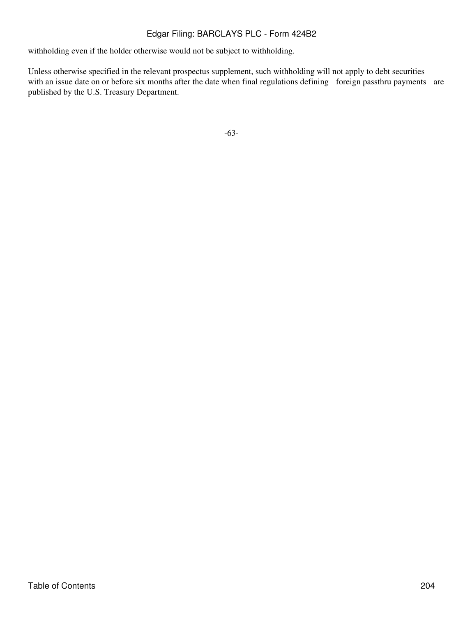withholding even if the holder otherwise would not be subject to withholding.

Unless otherwise specified in the relevant prospectus supplement, such withholding will not apply to debt securities with an issue date on or before six months after the date when final regulations defining foreign passthru payments are published by the U.S. Treasury Department.

-63-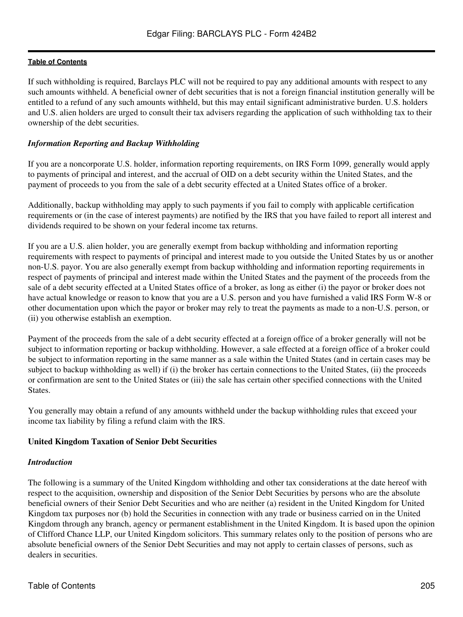If such withholding is required, Barclays PLC will not be required to pay any additional amounts with respect to any such amounts withheld. A beneficial owner of debt securities that is not a foreign financial institution generally will be entitled to a refund of any such amounts withheld, but this may entail significant administrative burden. U.S. holders and U.S. alien holders are urged to consult their tax advisers regarding the application of such withholding tax to their ownership of the debt securities.

## *Information Reporting and Backup Withholding*

If you are a noncorporate U.S. holder, information reporting requirements, on IRS Form 1099, generally would apply to payments of principal and interest, and the accrual of OID on a debt security within the United States, and the payment of proceeds to you from the sale of a debt security effected at a United States office of a broker.

Additionally, backup withholding may apply to such payments if you fail to comply with applicable certification requirements or (in the case of interest payments) are notified by the IRS that you have failed to report all interest and dividends required to be shown on your federal income tax returns.

If you are a U.S. alien holder, you are generally exempt from backup withholding and information reporting requirements with respect to payments of principal and interest made to you outside the United States by us or another non-U.S. payor. You are also generally exempt from backup withholding and information reporting requirements in respect of payments of principal and interest made within the United States and the payment of the proceeds from the sale of a debt security effected at a United States office of a broker, as long as either (i) the payor or broker does not have actual knowledge or reason to know that you are a U.S. person and you have furnished a valid IRS Form W-8 or other documentation upon which the payor or broker may rely to treat the payments as made to a non-U.S. person, or (ii) you otherwise establish an exemption.

Payment of the proceeds from the sale of a debt security effected at a foreign office of a broker generally will not be subject to information reporting or backup withholding. However, a sale effected at a foreign office of a broker could be subject to information reporting in the same manner as a sale within the United States (and in certain cases may be subject to backup withholding as well) if (i) the broker has certain connections to the United States, (ii) the proceeds or confirmation are sent to the United States or (iii) the sale has certain other specified connections with the United States.

You generally may obtain a refund of any amounts withheld under the backup withholding rules that exceed your income tax liability by filing a refund claim with the IRS.

## **United Kingdom Taxation of Senior Debt Securities**

#### *Introduction*

The following is a summary of the United Kingdom withholding and other tax considerations at the date hereof with respect to the acquisition, ownership and disposition of the Senior Debt Securities by persons who are the absolute beneficial owners of their Senior Debt Securities and who are neither (a) resident in the United Kingdom for United Kingdom tax purposes nor (b) hold the Securities in connection with any trade or business carried on in the United Kingdom through any branch, agency or permanent establishment in the United Kingdom. It is based upon the opinion of Clifford Chance LLP, our United Kingdom solicitors. This summary relates only to the position of persons who are absolute beneficial owners of the Senior Debt Securities and may not apply to certain classes of persons, such as dealers in securities.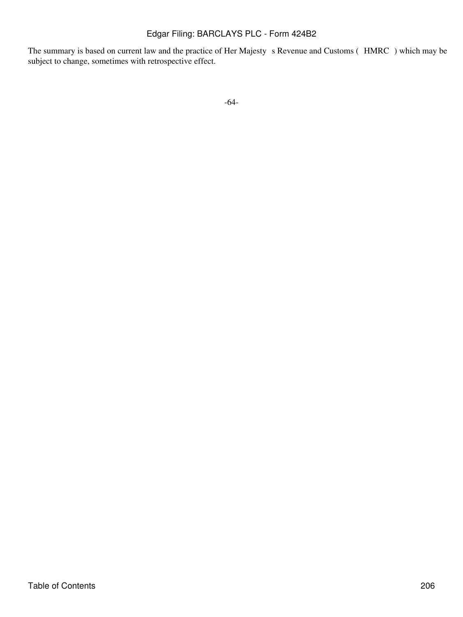The summary is based on current law and the practice of Her Majesty s Revenue and Customs (HMRC) which may be subject to change, sometimes with retrospective effect.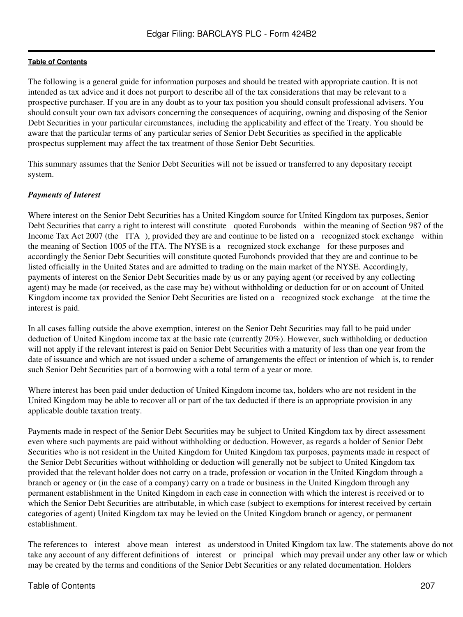The following is a general guide for information purposes and should be treated with appropriate caution. It is not intended as tax advice and it does not purport to describe all of the tax considerations that may be relevant to a prospective purchaser. If you are in any doubt as to your tax position you should consult professional advisers. You should consult your own tax advisors concerning the consequences of acquiring, owning and disposing of the Senior Debt Securities in your particular circumstances, including the applicability and effect of the Treaty. You should be aware that the particular terms of any particular series of Senior Debt Securities as specified in the applicable prospectus supplement may affect the tax treatment of those Senior Debt Securities.

This summary assumes that the Senior Debt Securities will not be issued or transferred to any depositary receipt system.

## *Payments of Interest*

Where interest on the Senior Debt Securities has a United Kingdom source for United Kingdom tax purposes, Senior Debt Securities that carry a right to interest will constitute quoted Eurobonds within the meaning of Section 987 of the Income Tax Act 2007 (the ITA), provided they are and continue to be listed on a recognized stock exchange within the meaning of Section 1005 of the ITA. The NYSE is a recognized stock exchange for these purposes and accordingly the Senior Debt Securities will constitute quoted Eurobonds provided that they are and continue to be listed officially in the United States and are admitted to trading on the main market of the NYSE. Accordingly, payments of interest on the Senior Debt Securities made by us or any paying agent (or received by any collecting agent) may be made (or received, as the case may be) without withholding or deduction for or on account of United Kingdom income tax provided the Senior Debt Securities are listed on a recognized stock exchange at the time the interest is paid.

In all cases falling outside the above exemption, interest on the Senior Debt Securities may fall to be paid under deduction of United Kingdom income tax at the basic rate (currently 20%). However, such withholding or deduction will not apply if the relevant interest is paid on Senior Debt Securities with a maturity of less than one year from the date of issuance and which are not issued under a scheme of arrangements the effect or intention of which is, to render such Senior Debt Securities part of a borrowing with a total term of a year or more.

Where interest has been paid under deduction of United Kingdom income tax, holders who are not resident in the United Kingdom may be able to recover all or part of the tax deducted if there is an appropriate provision in any applicable double taxation treaty.

Payments made in respect of the Senior Debt Securities may be subject to United Kingdom tax by direct assessment even where such payments are paid without withholding or deduction. However, as regards a holder of Senior Debt Securities who is not resident in the United Kingdom for United Kingdom tax purposes, payments made in respect of the Senior Debt Securities without withholding or deduction will generally not be subject to United Kingdom tax provided that the relevant holder does not carry on a trade, profession or vocation in the United Kingdom through a branch or agency or (in the case of a company) carry on a trade or business in the United Kingdom through any permanent establishment in the United Kingdom in each case in connection with which the interest is received or to which the Senior Debt Securities are attributable, in which case (subject to exemptions for interest received by certain categories of agent) United Kingdom tax may be levied on the United Kingdom branch or agency, or permanent establishment.

The references to interest above mean interest as understood in United Kingdom tax law. The statements above do not take any account of any different definitions of interest or principal which may prevail under any other law or which may be created by the terms and conditions of the Senior Debt Securities or any related documentation. Holders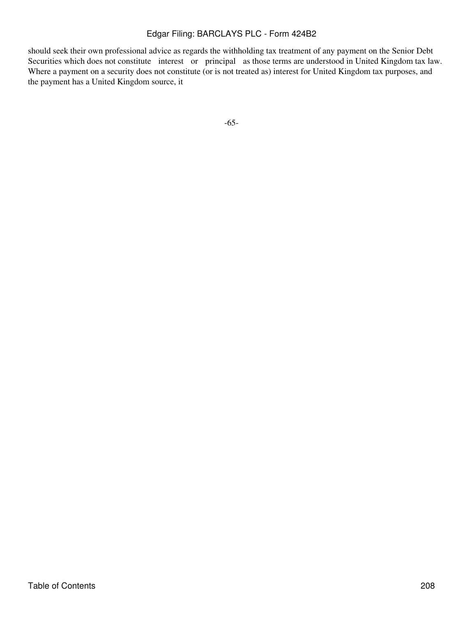should seek their own professional advice as regards the withholding tax treatment of any payment on the Senior Debt Securities which does not constitute interest or principal as those terms are understood in United Kingdom tax law. Where a payment on a security does not constitute (or is not treated as) interest for United Kingdom tax purposes, and the payment has a United Kingdom source, it

-65-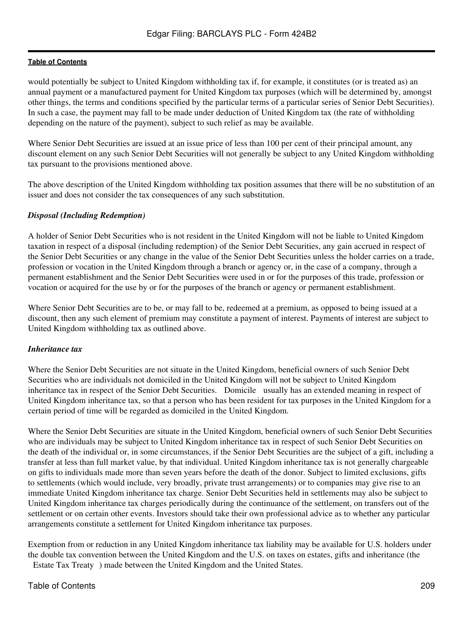would potentially be subject to United Kingdom withholding tax if, for example, it constitutes (or is treated as) an annual payment or a manufactured payment for United Kingdom tax purposes (which will be determined by, amongst other things, the terms and conditions specified by the particular terms of a particular series of Senior Debt Securities). In such a case, the payment may fall to be made under deduction of United Kingdom tax (the rate of withholding depending on the nature of the payment), subject to such relief as may be available.

Where Senior Debt Securities are issued at an issue price of less than 100 per cent of their principal amount, any discount element on any such Senior Debt Securities will not generally be subject to any United Kingdom withholding tax pursuant to the provisions mentioned above.

The above description of the United Kingdom withholding tax position assumes that there will be no substitution of an issuer and does not consider the tax consequences of any such substitution.

### *Disposal (Including Redemption)*

A holder of Senior Debt Securities who is not resident in the United Kingdom will not be liable to United Kingdom taxation in respect of a disposal (including redemption) of the Senior Debt Securities, any gain accrued in respect of the Senior Debt Securities or any change in the value of the Senior Debt Securities unless the holder carries on a trade, profession or vocation in the United Kingdom through a branch or agency or, in the case of a company, through a permanent establishment and the Senior Debt Securities were used in or for the purposes of this trade, profession or vocation or acquired for the use by or for the purposes of the branch or agency or permanent establishment.

Where Senior Debt Securities are to be, or may fall to be, redeemed at a premium, as opposed to being issued at a discount, then any such element of premium may constitute a payment of interest. Payments of interest are subject to United Kingdom withholding tax as outlined above.

#### *Inheritance tax*

Where the Senior Debt Securities are not situate in the United Kingdom, beneficial owners of such Senior Debt Securities who are individuals not domiciled in the United Kingdom will not be subject to United Kingdom inheritance tax in respect of the Senior Debt Securities. Domicile usually has an extended meaning in respect of United Kingdom inheritance tax, so that a person who has been resident for tax purposes in the United Kingdom for a certain period of time will be regarded as domiciled in the United Kingdom.

Where the Senior Debt Securities are situate in the United Kingdom, beneficial owners of such Senior Debt Securities who are individuals may be subject to United Kingdom inheritance tax in respect of such Senior Debt Securities on the death of the individual or, in some circumstances, if the Senior Debt Securities are the subject of a gift, including a transfer at less than full market value, by that individual. United Kingdom inheritance tax is not generally chargeable on gifts to individuals made more than seven years before the death of the donor. Subject to limited exclusions, gifts to settlements (which would include, very broadly, private trust arrangements) or to companies may give rise to an immediate United Kingdom inheritance tax charge. Senior Debt Securities held in settlements may also be subject to United Kingdom inheritance tax charges periodically during the continuance of the settlement, on transfers out of the settlement or on certain other events. Investors should take their own professional advice as to whether any particular arrangements constitute a settlement for United Kingdom inheritance tax purposes.

Exemption from or reduction in any United Kingdom inheritance tax liability may be available for U.S. holders under the double tax convention between the United Kingdom and the U.S. on taxes on estates, gifts and inheritance (the Estate Tax Treaty) made between the United Kingdom and the United States.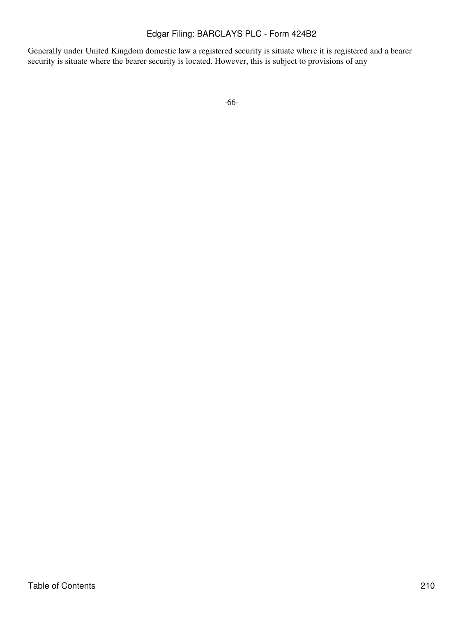Generally under United Kingdom domestic law a registered security is situate where it is registered and a bearer security is situate where the bearer security is located. However, this is subject to provisions of any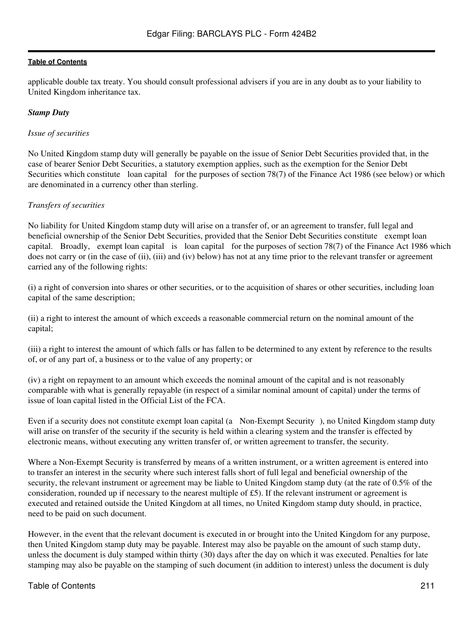applicable double tax treaty. You should consult professional advisers if you are in any doubt as to your liability to United Kingdom inheritance tax.

### *Stamp Duty*

### *Issue of securities*

No United Kingdom stamp duty will generally be payable on the issue of Senior Debt Securities provided that, in the case of bearer Senior Debt Securities, a statutory exemption applies, such as the exemption for the Senior Debt Securities which constitute loan capital for the purposes of section 78(7) of the Finance Act 1986 (see below) or which are denominated in a currency other than sterling.

### *Transfers of securities*

No liability for United Kingdom stamp duty will arise on a transfer of, or an agreement to transfer, full legal and beneficial ownership of the Senior Debt Securities, provided that the Senior Debt Securities constitute exempt loan capital. Broadly, exempt loan capital is loan capital for the purposes of section 78(7) of the Finance Act 1986 which does not carry or (in the case of (ii), (iii) and (iv) below) has not at any time prior to the relevant transfer or agreement carried any of the following rights:

(i) a right of conversion into shares or other securities, or to the acquisition of shares or other securities, including loan capital of the same description;

(ii) a right to interest the amount of which exceeds a reasonable commercial return on the nominal amount of the capital;

(iii) a right to interest the amount of which falls or has fallen to be determined to any extent by reference to the results of, or of any part of, a business or to the value of any property; or

(iv) a right on repayment to an amount which exceeds the nominal amount of the capital and is not reasonably comparable with what is generally repayable (in respect of a similar nominal amount of capital) under the terms of issue of loan capital listed in the Official List of the FCA.

Even if a security does not constitute exempt loan capital (a Non-Exempt Security), no United Kingdom stamp duty will arise on transfer of the security if the security is held within a clearing system and the transfer is effected by electronic means, without executing any written transfer of, or written agreement to transfer, the security.

Where a Non-Exempt Security is transferred by means of a written instrument, or a written agreement is entered into to transfer an interest in the security where such interest falls short of full legal and beneficial ownership of the security, the relevant instrument or agreement may be liable to United Kingdom stamp duty (at the rate of 0.5% of the consideration, rounded up if necessary to the nearest multiple of £5). If the relevant instrument or agreement is executed and retained outside the United Kingdom at all times, no United Kingdom stamp duty should, in practice, need to be paid on such document.

However, in the event that the relevant document is executed in or brought into the United Kingdom for any purpose, then United Kingdom stamp duty may be payable. Interest may also be payable on the amount of such stamp duty, unless the document is duly stamped within thirty (30) days after the day on which it was executed. Penalties for late stamping may also be payable on the stamping of such document (in addition to interest) unless the document is duly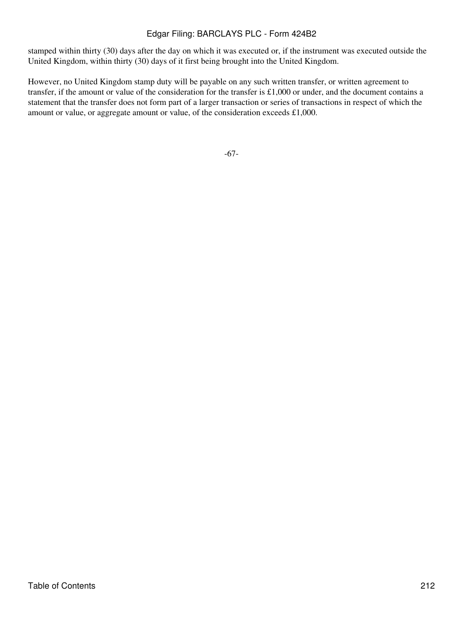stamped within thirty (30) days after the day on which it was executed or, if the instrument was executed outside the United Kingdom, within thirty (30) days of it first being brought into the United Kingdom.

However, no United Kingdom stamp duty will be payable on any such written transfer, or written agreement to transfer, if the amount or value of the consideration for the transfer is £1,000 or under, and the document contains a statement that the transfer does not form part of a larger transaction or series of transactions in respect of which the amount or value, or aggregate amount or value, of the consideration exceeds £1,000.

-67-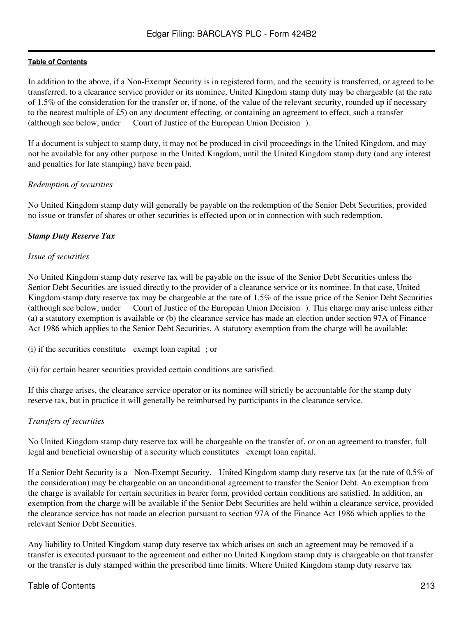In addition to the above, if a Non-Exempt Security is in registered form, and the security is transferred, or agreed to be transferred, to a clearance service provider or its nominee, United Kingdom stamp duty may be chargeable (at the rate of 1.5% of the consideration for the transfer or, if none, of the value of the relevant security, rounded up if necessary to the nearest multiple of £5) on any document effecting, or containing an agreement to effect, such a transfer (although see below, under Court of Justice of the European Union Decision).

If a document is subject to stamp duty, it may not be produced in civil proceedings in the United Kingdom, and may not be available for any other purpose in the United Kingdom, until the United Kingdom stamp duty (and any interest and penalties for late stamping) have been paid.

### *Redemption of securities*

No United Kingdom stamp duty will generally be payable on the redemption of the Senior Debt Securities, provided no issue or transfer of shares or other securities is effected upon or in connection with such redemption.

### *Stamp Duty Reserve Tax*

#### *Issue of securities*

No United Kingdom stamp duty reserve tax will be payable on the issue of the Senior Debt Securities unless the Senior Debt Securities are issued directly to the provider of a clearance service or its nominee. In that case, United Kingdom stamp duty reserve tax may be chargeable at the rate of 1.5% of the issue price of the Senior Debt Securities (although see below, under Court of Justice of the European Union Decision). This charge may arise unless either (a) a statutory exemption is available or (b) the clearance service has made an election under section 97A of Finance Act 1986 which applies to the Senior Debt Securities. A statutory exemption from the charge will be available:

(i) if the securities constitute exempt loan capital; or

(ii) for certain bearer securities provided certain conditions are satisfied.

If this charge arises, the clearance service operator or its nominee will strictly be accountable for the stamp duty reserve tax, but in practice it will generally be reimbursed by participants in the clearance service.

## *Transfers of securities*

No United Kingdom stamp duty reserve tax will be chargeable on the transfer of, or on an agreement to transfer, full legal and beneficial ownership of a security which constitutes exempt loan capital.

If a Senior Debt Security is a Non-Exempt Security, United Kingdom stamp duty reserve tax (at the rate of 0.5% of the consideration) may be chargeable on an unconditional agreement to transfer the Senior Debt. An exemption from the charge is available for certain securities in bearer form, provided certain conditions are satisfied. In addition, an exemption from the charge will be available if the Senior Debt Securities are held within a clearance service, provided the clearance service has not made an election pursuant to section 97A of the Finance Act 1986 which applies to the relevant Senior Debt Securities.

Any liability to United Kingdom stamp duty reserve tax which arises on such an agreement may be removed if a transfer is executed pursuant to the agreement and either no United Kingdom stamp duty is chargeable on that transfer or the transfer is duly stamped within the prescribed time limits. Where United Kingdom stamp duty reserve tax

## Table of Contents 213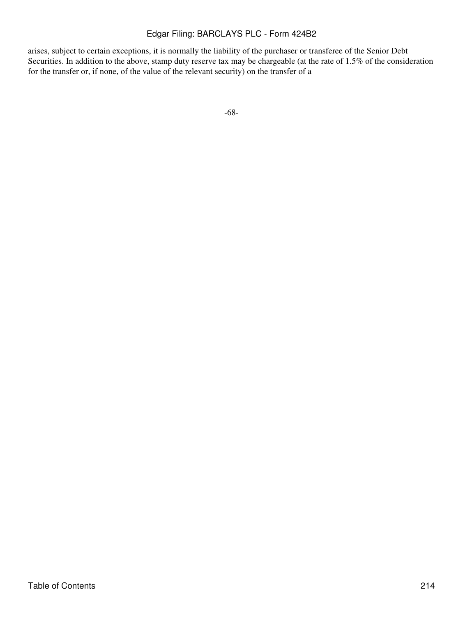arises, subject to certain exceptions, it is normally the liability of the purchaser or transferee of the Senior Debt Securities. In addition to the above, stamp duty reserve tax may be chargeable (at the rate of 1.5% of the consideration for the transfer or, if none, of the value of the relevant security) on the transfer of a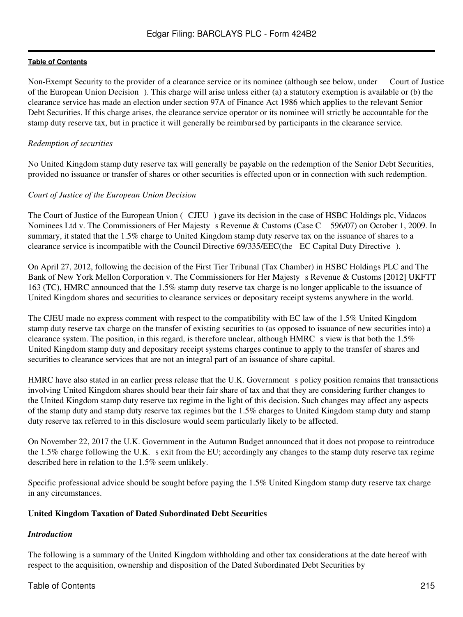Non-Exempt Security to the provider of a clearance service or its nominee (although see below, under Court of Justice of the European Union Decision). This charge will arise unless either (a) a statutory exemption is available or (b) the clearance service has made an election under section 97A of Finance Act 1986 which applies to the relevant Senior Debt Securities. If this charge arises, the clearance service operator or its nominee will strictly be accountable for the stamp duty reserve tax, but in practice it will generally be reimbursed by participants in the clearance service.

### *Redemption of securities*

No United Kingdom stamp duty reserve tax will generally be payable on the redemption of the Senior Debt Securities, provided no issuance or transfer of shares or other securities is effected upon or in connection with such redemption.

## *Court of Justice of the European Union Decision*

The Court of Justice of the European Union (CJEU) gave its decision in the case of HSBC Holdings plc, Vidacos Nominees Ltd v. The Commissioners of Her Majesty s Revenue & Customs (Case C 596/07) on October 1, 2009. In summary, it stated that the 1.5% charge to United Kingdom stamp duty reserve tax on the issuance of shares to a clearance service is incompatible with the Council Directive 69/335/EEC(the EC Capital Duty Directive).

On April 27, 2012, following the decision of the First Tier Tribunal (Tax Chamber) in HSBC Holdings PLC and The Bank of New York Mellon Corporation v. The Commissioners for Her Majesty s Revenue & Customs [2012] UKFTT 163 (TC), HMRC announced that the 1.5% stamp duty reserve tax charge is no longer applicable to the issuance of United Kingdom shares and securities to clearance services or depositary receipt systems anywhere in the world.

The CJEU made no express comment with respect to the compatibility with EC law of the 1.5% United Kingdom stamp duty reserve tax charge on the transfer of existing securities to (as opposed to issuance of new securities into) a clearance system. The position, in this regard, is therefore unclear, although HMRC s view is that both the  $1.5\%$ United Kingdom stamp duty and depositary receipt systems charges continue to apply to the transfer of shares and securities to clearance services that are not an integral part of an issuance of share capital.

HMRC have also stated in an earlier press release that the U.K. Government s policy position remains that transactions involving United Kingdom shares should bear their fair share of tax and that they are considering further changes to the United Kingdom stamp duty reserve tax regime in the light of this decision. Such changes may affect any aspects of the stamp duty and stamp duty reserve tax regimes but the 1.5% charges to United Kingdom stamp duty and stamp duty reserve tax referred to in this disclosure would seem particularly likely to be affected.

On November 22, 2017 the U.K. Government in the Autumn Budget announced that it does not propose to reintroduce the 1.5% charge following the U.K. s exit from the EU; accordingly any changes to the stamp duty reserve tax regime described here in relation to the 1.5% seem unlikely.

Specific professional advice should be sought before paying the 1.5% United Kingdom stamp duty reserve tax charge in any circumstances.

#### **United Kingdom Taxation of Dated Subordinated Debt Securities**

## *Introduction*

The following is a summary of the United Kingdom withholding and other tax considerations at the date hereof with respect to the acquisition, ownership and disposition of the Dated Subordinated Debt Securities by

## Table of Contents 215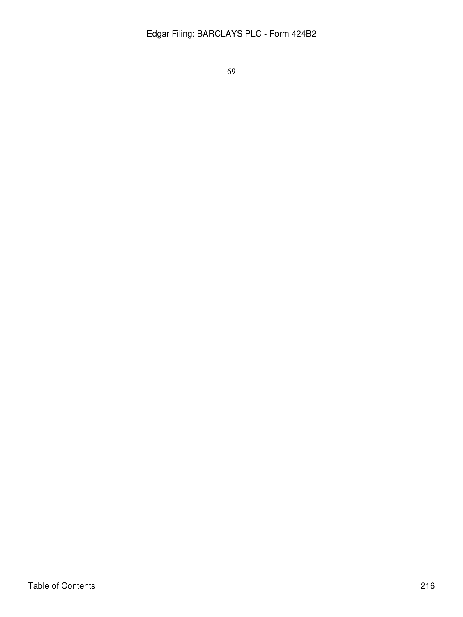-69-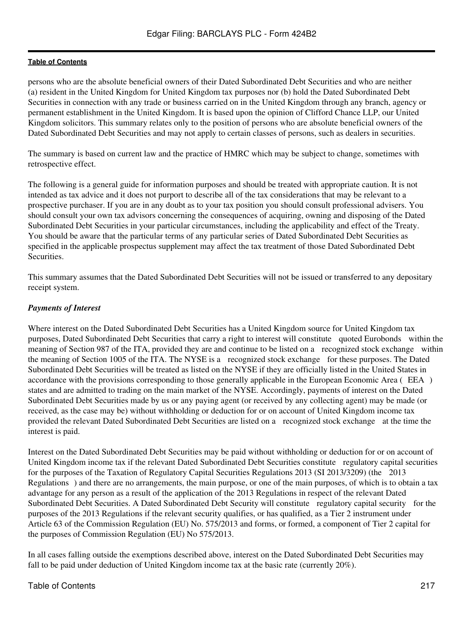persons who are the absolute beneficial owners of their Dated Subordinated Debt Securities and who are neither (a) resident in the United Kingdom for United Kingdom tax purposes nor (b) hold the Dated Subordinated Debt Securities in connection with any trade or business carried on in the United Kingdom through any branch, agency or permanent establishment in the United Kingdom. It is based upon the opinion of Clifford Chance LLP, our United Kingdom solicitors. This summary relates only to the position of persons who are absolute beneficial owners of the Dated Subordinated Debt Securities and may not apply to certain classes of persons, such as dealers in securities.

The summary is based on current law and the practice of HMRC which may be subject to change, sometimes with retrospective effect.

The following is a general guide for information purposes and should be treated with appropriate caution. It is not intended as tax advice and it does not purport to describe all of the tax considerations that may be relevant to a prospective purchaser. If you are in any doubt as to your tax position you should consult professional advisers. You should consult your own tax advisors concerning the consequences of acquiring, owning and disposing of the Dated Subordinated Debt Securities in your particular circumstances, including the applicability and effect of the Treaty. You should be aware that the particular terms of any particular series of Dated Subordinated Debt Securities as specified in the applicable prospectus supplement may affect the tax treatment of those Dated Subordinated Debt Securities.

This summary assumes that the Dated Subordinated Debt Securities will not be issued or transferred to any depositary receipt system.

## *Payments of Interest*

Where interest on the Dated Subordinated Debt Securities has a United Kingdom source for United Kingdom tax purposes, Dated Subordinated Debt Securities that carry a right to interest will constitute quoted Eurobonds within the meaning of Section 987 of the ITA, provided they are and continue to be listed on a recognized stock exchange within the meaning of Section 1005 of the ITA. The NYSE is a recognized stock exchange for these purposes. The Dated Subordinated Debt Securities will be treated as listed on the NYSE if they are officially listed in the United States in accordance with the provisions corresponding to those generally applicable in the European Economic Area (EEA) states and are admitted to trading on the main market of the NYSE. Accordingly, payments of interest on the Dated Subordinated Debt Securities made by us or any paying agent (or received by any collecting agent) may be made (or received, as the case may be) without withholding or deduction for or on account of United Kingdom income tax provided the relevant Dated Subordinated Debt Securities are listed on a recognized stock exchange at the time the interest is paid.

Interest on the Dated Subordinated Debt Securities may be paid without withholding or deduction for or on account of United Kingdom income tax if the relevant Dated Subordinated Debt Securities constitute regulatory capital securities for the purposes of the Taxation of Regulatory Capital Securities Regulations 2013 (SI 2013/3209) (the 2013 Regulations) and there are no arrangements, the main purpose, or one of the main purposes, of which is to obtain a tax advantage for any person as a result of the application of the 2013 Regulations in respect of the relevant Dated Subordinated Debt Securities. A Dated Subordinated Debt Security will constitute regulatory capital security for the purposes of the 2013 Regulations if the relevant security qualifies, or has qualified, as a Tier 2 instrument under Article 63 of the Commission Regulation (EU) No. 575/2013 and forms, or formed, a component of Tier 2 capital for the purposes of Commission Regulation (EU) No 575/2013.

In all cases falling outside the exemptions described above, interest on the Dated Subordinated Debt Securities may fall to be paid under deduction of United Kingdom income tax at the basic rate (currently 20%).

# Table of Contents 217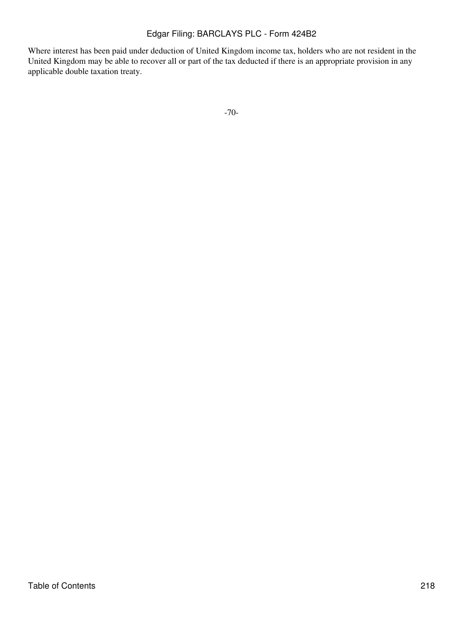Where interest has been paid under deduction of United Kingdom income tax, holders who are not resident in the United Kingdom may be able to recover all or part of the tax deducted if there is an appropriate provision in any applicable double taxation treaty.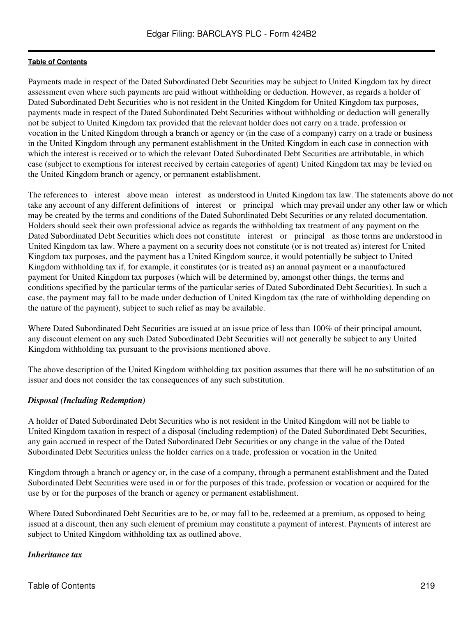Payments made in respect of the Dated Subordinated Debt Securities may be subject to United Kingdom tax by direct assessment even where such payments are paid without withholding or deduction. However, as regards a holder of Dated Subordinated Debt Securities who is not resident in the United Kingdom for United Kingdom tax purposes, payments made in respect of the Dated Subordinated Debt Securities without withholding or deduction will generally not be subject to United Kingdom tax provided that the relevant holder does not carry on a trade, profession or vocation in the United Kingdom through a branch or agency or (in the case of a company) carry on a trade or business in the United Kingdom through any permanent establishment in the United Kingdom in each case in connection with which the interest is received or to which the relevant Dated Subordinated Debt Securities are attributable, in which case (subject to exemptions for interest received by certain categories of agent) United Kingdom tax may be levied on the United Kingdom branch or agency, or permanent establishment.

The references to interest above mean interest as understood in United Kingdom tax law. The statements above do not take any account of any different definitions of interest or principal which may prevail under any other law or which may be created by the terms and conditions of the Dated Subordinated Debt Securities or any related documentation. Holders should seek their own professional advice as regards the withholding tax treatment of any payment on the Dated Subordinated Debt Securities which does not constitute interest or principal as those terms are understood in United Kingdom tax law. Where a payment on a security does not constitute (or is not treated as) interest for United Kingdom tax purposes, and the payment has a United Kingdom source, it would potentially be subject to United Kingdom withholding tax if, for example, it constitutes (or is treated as) an annual payment or a manufactured payment for United Kingdom tax purposes (which will be determined by, amongst other things, the terms and conditions specified by the particular terms of the particular series of Dated Subordinated Debt Securities). In such a case, the payment may fall to be made under deduction of United Kingdom tax (the rate of withholding depending on the nature of the payment), subject to such relief as may be available.

Where Dated Subordinated Debt Securities are issued at an issue price of less than 100% of their principal amount, any discount element on any such Dated Subordinated Debt Securities will not generally be subject to any United Kingdom withholding tax pursuant to the provisions mentioned above.

The above description of the United Kingdom withholding tax position assumes that there will be no substitution of an issuer and does not consider the tax consequences of any such substitution.

# *Disposal (Including Redemption)*

A holder of Dated Subordinated Debt Securities who is not resident in the United Kingdom will not be liable to United Kingdom taxation in respect of a disposal (including redemption) of the Dated Subordinated Debt Securities, any gain accrued in respect of the Dated Subordinated Debt Securities or any change in the value of the Dated Subordinated Debt Securities unless the holder carries on a trade, profession or vocation in the United

Kingdom through a branch or agency or, in the case of a company, through a permanent establishment and the Dated Subordinated Debt Securities were used in or for the purposes of this trade, profession or vocation or acquired for the use by or for the purposes of the branch or agency or permanent establishment.

Where Dated Subordinated Debt Securities are to be, or may fall to be, redeemed at a premium, as opposed to being issued at a discount, then any such element of premium may constitute a payment of interest. Payments of interest are subject to United Kingdom withholding tax as outlined above.

# *Inheritance tax*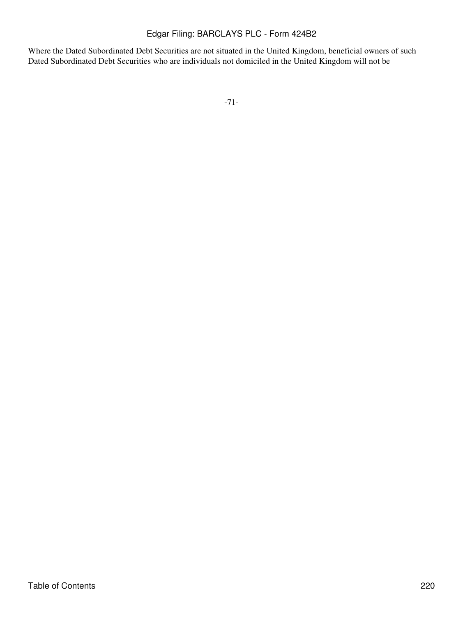Where the Dated Subordinated Debt Securities are not situated in the United Kingdom, beneficial owners of such Dated Subordinated Debt Securities who are individuals not domiciled in the United Kingdom will not be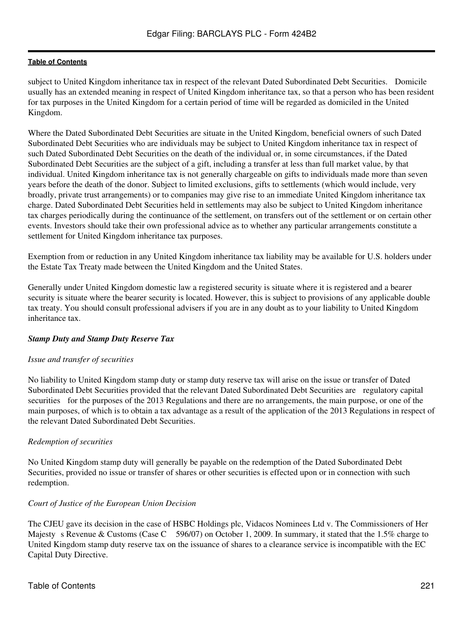subject to United Kingdom inheritance tax in respect of the relevant Dated Subordinated Debt Securities. Domicile usually has an extended meaning in respect of United Kingdom inheritance tax, so that a person who has been resident for tax purposes in the United Kingdom for a certain period of time will be regarded as domiciled in the United Kingdom.

Where the Dated Subordinated Debt Securities are situate in the United Kingdom, beneficial owners of such Dated Subordinated Debt Securities who are individuals may be subject to United Kingdom inheritance tax in respect of such Dated Subordinated Debt Securities on the death of the individual or, in some circumstances, if the Dated Subordinated Debt Securities are the subject of a gift, including a transfer at less than full market value, by that individual. United Kingdom inheritance tax is not generally chargeable on gifts to individuals made more than seven years before the death of the donor. Subject to limited exclusions, gifts to settlements (which would include, very broadly, private trust arrangements) or to companies may give rise to an immediate United Kingdom inheritance tax charge. Dated Subordinated Debt Securities held in settlements may also be subject to United Kingdom inheritance tax charges periodically during the continuance of the settlement, on transfers out of the settlement or on certain other events. Investors should take their own professional advice as to whether any particular arrangements constitute a settlement for United Kingdom inheritance tax purposes.

Exemption from or reduction in any United Kingdom inheritance tax liability may be available for U.S. holders under the Estate Tax Treaty made between the United Kingdom and the United States.

Generally under United Kingdom domestic law a registered security is situate where it is registered and a bearer security is situate where the bearer security is located. However, this is subject to provisions of any applicable double tax treaty. You should consult professional advisers if you are in any doubt as to your liability to United Kingdom inheritance tax.

# *Stamp Duty and Stamp Duty Reserve Tax*

#### *Issue and transfer of securities*

No liability to United Kingdom stamp duty or stamp duty reserve tax will arise on the issue or transfer of Dated Subordinated Debt Securities provided that the relevant Dated Subordinated Debt Securities are regulatory capital securities for the purposes of the 2013 Regulations and there are no arrangements, the main purpose, or one of the main purposes, of which is to obtain a tax advantage as a result of the application of the 2013 Regulations in respect of the relevant Dated Subordinated Debt Securities.

# *Redemption of securities*

No United Kingdom stamp duty will generally be payable on the redemption of the Dated Subordinated Debt Securities, provided no issue or transfer of shares or other securities is effected upon or in connection with such redemption.

# *Court of Justice of the European Union Decision*

The CJEU gave its decision in the case of HSBC Holdings plc, Vidacos Nominees Ltd v. The Commissioners of Her Majesty s Revenue & Customs (Case C 596/07) on October 1, 2009. In summary, it stated that the 1.5% charge to United Kingdom stamp duty reserve tax on the issuance of shares to a clearance service is incompatible with the EC Capital Duty Directive.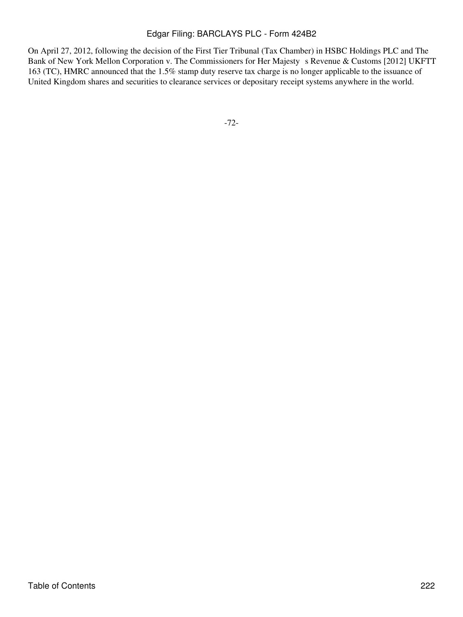On April 27, 2012, following the decision of the First Tier Tribunal (Tax Chamber) in HSBC Holdings PLC and The Bank of New York Mellon Corporation v. The Commissioners for Her Majesty s Revenue & Customs [2012] UKFTT 163 (TC), HMRC announced that the 1.5% stamp duty reserve tax charge is no longer applicable to the issuance of United Kingdom shares and securities to clearance services or depositary receipt systems anywhere in the world.

-72-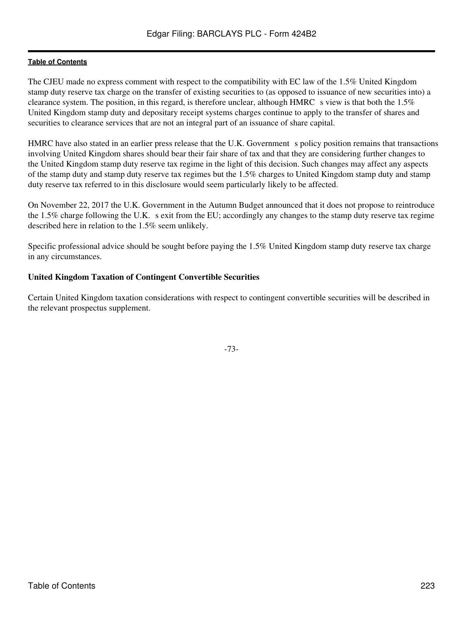The CJEU made no express comment with respect to the compatibility with EC law of the 1.5% United Kingdom stamp duty reserve tax charge on the transfer of existing securities to (as opposed to issuance of new securities into) a clearance system. The position, in this regard, is therefore unclear, although HMRC s view is that both the  $1.5\%$ United Kingdom stamp duty and depositary receipt systems charges continue to apply to the transfer of shares and securities to clearance services that are not an integral part of an issuance of share capital.

HMRC have also stated in an earlier press release that the U.K. Government s policy position remains that transactions involving United Kingdom shares should bear their fair share of tax and that they are considering further changes to the United Kingdom stamp duty reserve tax regime in the light of this decision. Such changes may affect any aspects of the stamp duty and stamp duty reserve tax regimes but the 1.5% charges to United Kingdom stamp duty and stamp duty reserve tax referred to in this disclosure would seem particularly likely to be affected.

On November 22, 2017 the U.K. Government in the Autumn Budget announced that it does not propose to reintroduce the  $1.5\%$  charge following the U.K. s exit from the EU; accordingly any changes to the stamp duty reserve tax regime described here in relation to the 1.5% seem unlikely.

Specific professional advice should be sought before paying the 1.5% United Kingdom stamp duty reserve tax charge in any circumstances.

# **United Kingdom Taxation of Contingent Convertible Securities**

Certain United Kingdom taxation considerations with respect to contingent convertible securities will be described in the relevant prospectus supplement.

-73-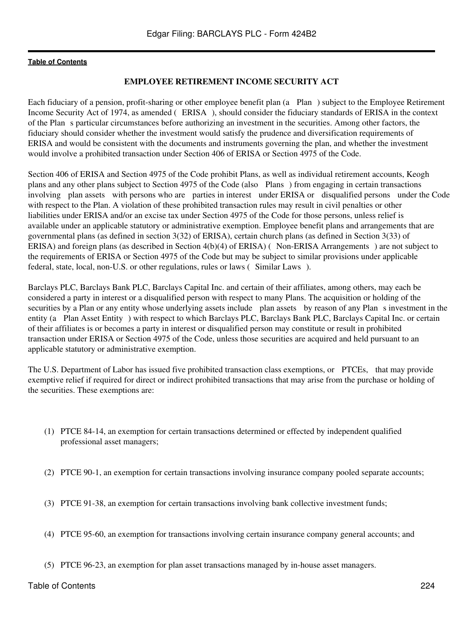## **EMPLOYEE RETIREMENT INCOME SECURITY ACT**

Each fiduciary of a pension, profit-sharing or other employee benefit plan (a Plan) subject to the Employee Retirement Income Security Act of 1974, as amended (ERISA), should consider the fiduciary standards of ERISA in the context of the Plans particular circumstances before authorizing an investment in the securities. Among other factors, the fiduciary should consider whether the investment would satisfy the prudence and diversification requirements of ERISA and would be consistent with the documents and instruments governing the plan, and whether the investment would involve a prohibited transaction under Section 406 of ERISA or Section 4975 of the Code.

Section 406 of ERISA and Section 4975 of the Code prohibit Plans, as well as individual retirement accounts, Keogh plans and any other plans subject to Section 4975 of the Code (also Plans) from engaging in certain transactions involving plan assets with persons who are parties in interest under ERISA or disqualified persons under the Code with respect to the Plan. A violation of these prohibited transaction rules may result in civil penalties or other liabilities under ERISA and/or an excise tax under Section 4975 of the Code for those persons, unless relief is available under an applicable statutory or administrative exemption. Employee benefit plans and arrangements that are governmental plans (as defined in section 3(32) of ERISA), certain church plans (as defined in Section 3(33) of ERISA) and foreign plans (as described in Section 4(b)(4) of ERISA) (Non-ERISA Arrangements) are not subject to the requirements of ERISA or Section 4975 of the Code but may be subject to similar provisions under applicable federal, state, local, non-U.S. or other regulations, rules or laws (Similar Laws).

Barclays PLC, Barclays Bank PLC, Barclays Capital Inc. and certain of their affiliates, among others, may each be considered a party in interest or a disqualified person with respect to many Plans. The acquisition or holding of the securities by a Plan or any entity whose underlying assets include plan assets by reason of any Plan s investment in the entity (a Plan Asset Entity) with respect to which Barclays PLC, Barclays Bank PLC, Barclays Capital Inc. or certain of their affiliates is or becomes a party in interest or disqualified person may constitute or result in prohibited transaction under ERISA or Section 4975 of the Code, unless those securities are acquired and held pursuant to an applicable statutory or administrative exemption.

The U.S. Department of Labor has issued five prohibited transaction class exemptions, or PTCEs, that may provide exemptive relief if required for direct or indirect prohibited transactions that may arise from the purchase or holding of the securities. These exemptions are:

- (1) PTCE 84-14, an exemption for certain transactions determined or effected by independent qualified professional asset managers;
- (2) PTCE 90-1, an exemption for certain transactions involving insurance company pooled separate accounts;
- (3) PTCE 91-38, an exemption for certain transactions involving bank collective investment funds;
- (4) PTCE 95-60, an exemption for transactions involving certain insurance company general accounts; and
- (5) PTCE 96-23, an exemption for plan asset transactions managed by in-house asset managers.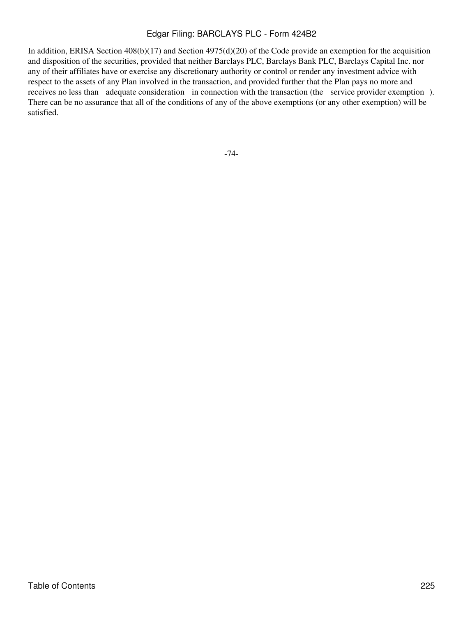In addition, ERISA Section 408(b)(17) and Section 4975(d)(20) of the Code provide an exemption for the acquisition and disposition of the securities, provided that neither Barclays PLC, Barclays Bank PLC, Barclays Capital Inc. nor any of their affiliates have or exercise any discretionary authority or control or render any investment advice with respect to the assets of any Plan involved in the transaction, and provided further that the Plan pays no more and receives no less than adequate consideration in connection with the transaction (the service provider exemption). There can be no assurance that all of the conditions of any of the above exemptions (or any other exemption) will be satisfied.

-74-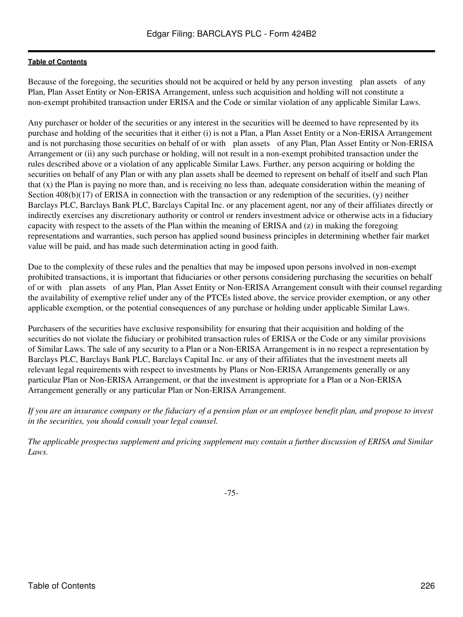Because of the foregoing, the securities should not be acquired or held by any person investing plan assets of any Plan, Plan Asset Entity or Non-ERISA Arrangement, unless such acquisition and holding will not constitute a non-exempt prohibited transaction under ERISA and the Code or similar violation of any applicable Similar Laws.

Any purchaser or holder of the securities or any interest in the securities will be deemed to have represented by its purchase and holding of the securities that it either (i) is not a Plan, a Plan Asset Entity or a Non-ERISA Arrangement and is not purchasing those securities on behalf of or with plan assets of any Plan, Plan Asset Entity or Non-ERISA Arrangement or (ii) any such purchase or holding, will not result in a non-exempt prohibited transaction under the rules described above or a violation of any applicable Similar Laws. Further, any person acquiring or holding the securities on behalf of any Plan or with any plan assets shall be deemed to represent on behalf of itself and such Plan that (x) the Plan is paying no more than, and is receiving no less than, adequate consideration within the meaning of Section 408(b)(17) of ERISA in connection with the transaction or any redemption of the securities, (y) neither Barclays PLC, Barclays Bank PLC, Barclays Capital Inc. or any placement agent, nor any of their affiliates directly or indirectly exercises any discretionary authority or control or renders investment advice or otherwise acts in a fiduciary capacity with respect to the assets of the Plan within the meaning of ERISA and (z) in making the foregoing representations and warranties, such person has applied sound business principles in determining whether fair market value will be paid, and has made such determination acting in good faith.

Due to the complexity of these rules and the penalties that may be imposed upon persons involved in non-exempt prohibited transactions, it is important that fiduciaries or other persons considering purchasing the securities on behalf of or with plan assets of any Plan, Plan Asset Entity or Non-ERISA Arrangement consult with their counsel regarding the availability of exemptive relief under any of the PTCEs listed above, the service provider exemption, or any other applicable exemption, or the potential consequences of any purchase or holding under applicable Similar Laws.

Purchasers of the securities have exclusive responsibility for ensuring that their acquisition and holding of the securities do not violate the fiduciary or prohibited transaction rules of ERISA or the Code or any similar provisions of Similar Laws. The sale of any security to a Plan or a Non-ERISA Arrangement is in no respect a representation by Barclays PLC, Barclays Bank PLC, Barclays Capital Inc. or any of their affiliates that the investment meets all relevant legal requirements with respect to investments by Plans or Non-ERISA Arrangements generally or any particular Plan or Non-ERISA Arrangement, or that the investment is appropriate for a Plan or a Non-ERISA Arrangement generally or any particular Plan or Non-ERISA Arrangement.

*If you are an insurance company or the fiduciary of a pension plan or an employee benefit plan, and propose to invest in the securities, you should consult your legal counsel.*

*The applicable prospectus supplement and pricing supplement may contain a further discussion of ERISA and Similar Laws.*

-75-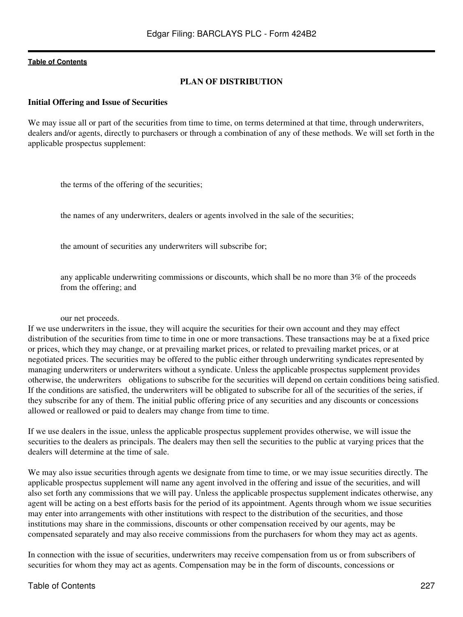## **PLAN OF DISTRIBUTION**

#### **Initial Offering and Issue of Securities**

We may issue all or part of the securities from time to time, on terms determined at that time, through underwriters, dealers and/or agents, directly to purchasers or through a combination of any of these methods. We will set forth in the applicable prospectus supplement:

the terms of the offering of the securities;

the names of any underwriters, dealers or agents involved in the sale of the securities;

the amount of securities any underwriters will subscribe for;

any applicable underwriting commissions or discounts, which shall be no more than 3% of the proceeds from the offering; and

#### our net proceeds.

If we use underwriters in the issue, they will acquire the securities for their own account and they may effect distribution of the securities from time to time in one or more transactions. These transactions may be at a fixed price or prices, which they may change, or at prevailing market prices, or related to prevailing market prices, or at negotiated prices. The securities may be offered to the public either through underwriting syndicates represented by managing underwriters or underwriters without a syndicate. Unless the applicable prospectus supplement provides otherwise, the underwriters obligations to subscribe for the securities will depend on certain conditions being satisfied. If the conditions are satisfied, the underwriters will be obligated to subscribe for all of the securities of the series, if they subscribe for any of them. The initial public offering price of any securities and any discounts or concessions allowed or reallowed or paid to dealers may change from time to time.

If we use dealers in the issue, unless the applicable prospectus supplement provides otherwise, we will issue the securities to the dealers as principals. The dealers may then sell the securities to the public at varying prices that the dealers will determine at the time of sale.

We may also issue securities through agents we designate from time to time, or we may issue securities directly. The applicable prospectus supplement will name any agent involved in the offering and issue of the securities, and will also set forth any commissions that we will pay. Unless the applicable prospectus supplement indicates otherwise, any agent will be acting on a best efforts basis for the period of its appointment. Agents through whom we issue securities may enter into arrangements with other institutions with respect to the distribution of the securities, and those institutions may share in the commissions, discounts or other compensation received by our agents, may be compensated separately and may also receive commissions from the purchasers for whom they may act as agents.

In connection with the issue of securities, underwriters may receive compensation from us or from subscribers of securities for whom they may act as agents. Compensation may be in the form of discounts, concessions or

#### Table of Contents 227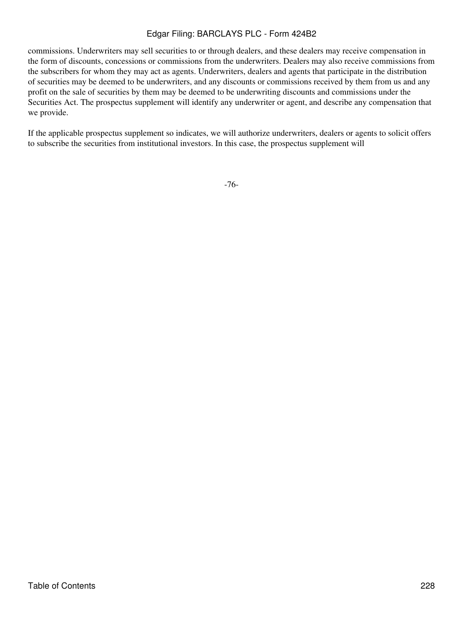commissions. Underwriters may sell securities to or through dealers, and these dealers may receive compensation in the form of discounts, concessions or commissions from the underwriters. Dealers may also receive commissions from the subscribers for whom they may act as agents. Underwriters, dealers and agents that participate in the distribution of securities may be deemed to be underwriters, and any discounts or commissions received by them from us and any profit on the sale of securities by them may be deemed to be underwriting discounts and commissions under the Securities Act. The prospectus supplement will identify any underwriter or agent, and describe any compensation that we provide.

If the applicable prospectus supplement so indicates, we will authorize underwriters, dealers or agents to solicit offers to subscribe the securities from institutional investors. In this case, the prospectus supplement will

-76-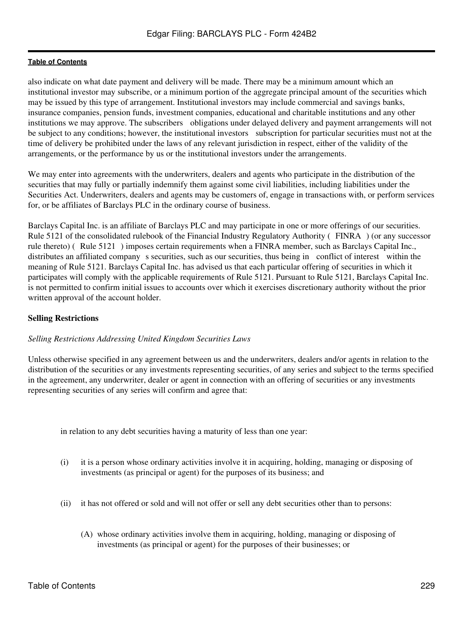also indicate on what date payment and delivery will be made. There may be a minimum amount which an institutional investor may subscribe, or a minimum portion of the aggregate principal amount of the securities which may be issued by this type of arrangement. Institutional investors may include commercial and savings banks, insurance companies, pension funds, investment companies, educational and charitable institutions and any other institutions we may approve. The subscribers obligations under delayed delivery and payment arrangements will not be subject to any conditions; however, the institutional investors subscription for particular securities must not at the time of delivery be prohibited under the laws of any relevant jurisdiction in respect, either of the validity of the arrangements, or the performance by us or the institutional investors under the arrangements.

We may enter into agreements with the underwriters, dealers and agents who participate in the distribution of the securities that may fully or partially indemnify them against some civil liabilities, including liabilities under the Securities Act. Underwriters, dealers and agents may be customers of, engage in transactions with, or perform services for, or be affiliates of Barclays PLC in the ordinary course of business.

Barclays Capital Inc. is an affiliate of Barclays PLC and may participate in one or more offerings of our securities. Rule 5121 of the consolidated rulebook of the Financial Industry Regulatory Authority (FINRA) (or any successor rule thereto) (Rule 5121) imposes certain requirements when a FINRA member, such as Barclays Capital Inc., distributes an affiliated company s securities, such as our securities, thus being in conflict of interest within the meaning of Rule 5121. Barclays Capital Inc. has advised us that each particular offering of securities in which it participates will comply with the applicable requirements of Rule 5121. Pursuant to Rule 5121, Barclays Capital Inc. is not permitted to confirm initial issues to accounts over which it exercises discretionary authority without the prior written approval of the account holder.

#### **Selling Restrictions**

#### *Selling Restrictions Addressing United Kingdom Securities Laws*

Unless otherwise specified in any agreement between us and the underwriters, dealers and/or agents in relation to the distribution of the securities or any investments representing securities, of any series and subject to the terms specified in the agreement, any underwriter, dealer or agent in connection with an offering of securities or any investments representing securities of any series will confirm and agree that:

in relation to any debt securities having a maturity of less than one year:

- (i) it is a person whose ordinary activities involve it in acquiring, holding, managing or disposing of investments (as principal or agent) for the purposes of its business; and
- (ii) it has not offered or sold and will not offer or sell any debt securities other than to persons:
	- (A) whose ordinary activities involve them in acquiring, holding, managing or disposing of investments (as principal or agent) for the purposes of their businesses; or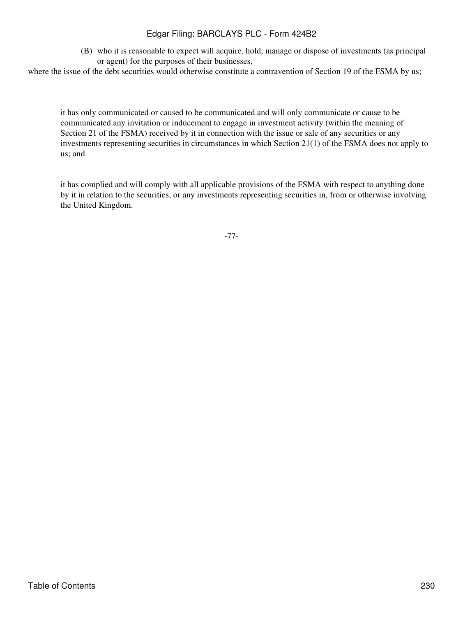(B) who it is reasonable to expect will acquire, hold, manage or dispose of investments (as principal or agent) for the purposes of their businesses,

where the issue of the debt securities would otherwise constitute a contravention of Section 19 of the FSMA by us;

it has only communicated or caused to be communicated and will only communicate or cause to be communicated any invitation or inducement to engage in investment activity (within the meaning of Section 21 of the FSMA) received by it in connection with the issue or sale of any securities or any investments representing securities in circumstances in which Section 21(1) of the FSMA does not apply to us; and

it has complied and will comply with all applicable provisions of the FSMA with respect to anything done by it in relation to the securities, or any investments representing securities in, from or otherwise involving the United Kingdom.

-77-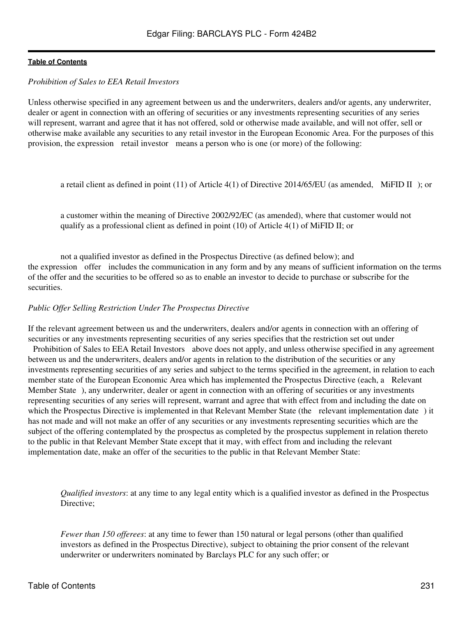## *Prohibition of Sales to EEA Retail Investors*

Unless otherwise specified in any agreement between us and the underwriters, dealers and/or agents, any underwriter, dealer or agent in connection with an offering of securities or any investments representing securities of any series will represent, warrant and agree that it has not offered, sold or otherwise made available, and will not offer, sell or otherwise make available any securities to any retail investor in the European Economic Area. For the purposes of this provision, the expression retail investor means a person who is one (or more) of the following:

a retail client as defined in point (11) of Article 4(1) of Directive 2014/65/EU (as amended, MiFID II); or

a customer within the meaning of Directive 2002/92/EC (as amended), where that customer would not qualify as a professional client as defined in point (10) of Article 4(1) of MiFID II; or

not a qualified investor as defined in the Prospectus Directive (as defined below); and the expression offer includes the communication in any form and by any means of sufficient information on the terms of the offer and the securities to be offered so as to enable an investor to decide to purchase or subscribe for the securities.

## *Public Offer Selling Restriction Under The Prospectus Directive*

If the relevant agreement between us and the underwriters, dealers and/or agents in connection with an offering of securities or any investments representing securities of any series specifies that the restriction set out under

Prohibition of Sales to EEA Retail Investors above does not apply, and unless otherwise specified in any agreement between us and the underwriters, dealers and/or agents in relation to the distribution of the securities or any investments representing securities of any series and subject to the terms specified in the agreement, in relation to each member state of the European Economic Area which has implemented the Prospectus Directive (each, a Relevant Member State), any underwriter, dealer or agent in connection with an offering of securities or any investments representing securities of any series will represent, warrant and agree that with effect from and including the date on which the Prospectus Directive is implemented in that Relevant Member State (the relevant implementation date) it has not made and will not make an offer of any securities or any investments representing securities which are the subject of the offering contemplated by the prospectus as completed by the prospectus supplement in relation thereto to the public in that Relevant Member State except that it may, with effect from and including the relevant implementation date, make an offer of the securities to the public in that Relevant Member State:

*Qualified investors*: at any time to any legal entity which is a qualified investor as defined in the Prospectus Directive;

*Fewer than 150 offerees*: at any time to fewer than 150 natural or legal persons (other than qualified investors as defined in the Prospectus Directive), subject to obtaining the prior consent of the relevant underwriter or underwriters nominated by Barclays PLC for any such offer; or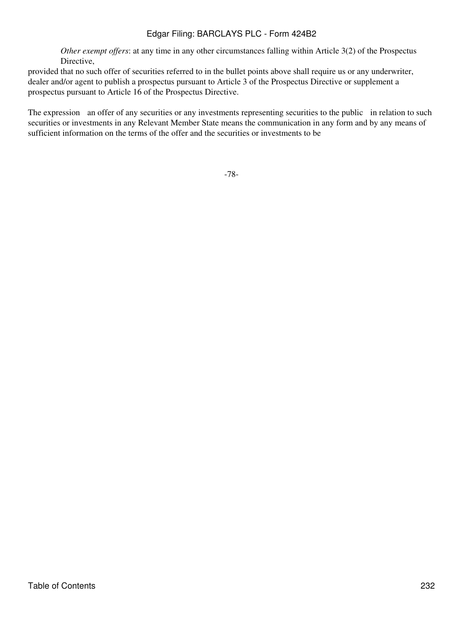*Other exempt offers*: at any time in any other circumstances falling within Article 3(2) of the Prospectus Directive,

provided that no such offer of securities referred to in the bullet points above shall require us or any underwriter, dealer and/or agent to publish a prospectus pursuant to Article 3 of the Prospectus Directive or supplement a prospectus pursuant to Article 16 of the Prospectus Directive.

The expression an offer of any securities or any investments representing securities to the public in relation to such securities or investments in any Relevant Member State means the communication in any form and by any means of sufficient information on the terms of the offer and the securities or investments to be

-78-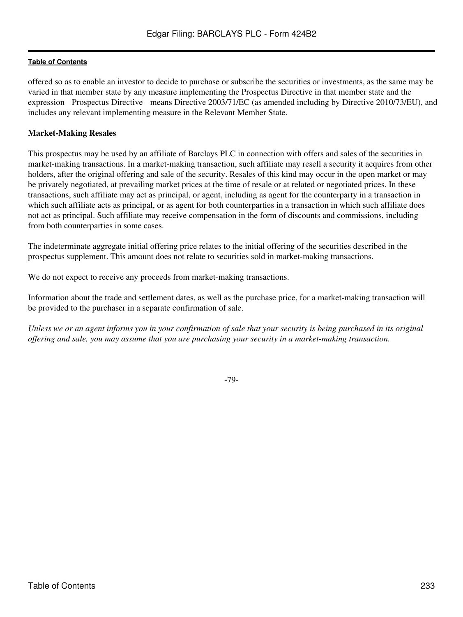offered so as to enable an investor to decide to purchase or subscribe the securities or investments, as the same may be varied in that member state by any measure implementing the Prospectus Directive in that member state and the expression Prospectus Directive means Directive 2003/71/EC (as amended including by Directive 2010/73/EU), and includes any relevant implementing measure in the Relevant Member State.

## **Market-Making Resales**

This prospectus may be used by an affiliate of Barclays PLC in connection with offers and sales of the securities in market-making transactions. In a market-making transaction, such affiliate may resell a security it acquires from other holders, after the original offering and sale of the security. Resales of this kind may occur in the open market or may be privately negotiated, at prevailing market prices at the time of resale or at related or negotiated prices. In these transactions, such affiliate may act as principal, or agent, including as agent for the counterparty in a transaction in which such affiliate acts as principal, or as agent for both counterparties in a transaction in which such affiliate does not act as principal. Such affiliate may receive compensation in the form of discounts and commissions, including from both counterparties in some cases.

The indeterminate aggregate initial offering price relates to the initial offering of the securities described in the prospectus supplement. This amount does not relate to securities sold in market-making transactions.

We do not expect to receive any proceeds from market-making transactions.

Information about the trade and settlement dates, as well as the purchase price, for a market-making transaction will be provided to the purchaser in a separate confirmation of sale.

*Unless we or an agent informs you in your confirmation of sale that your security is being purchased in its original offering and sale, you may assume that you are purchasing your security in a market-making transaction.*

-79-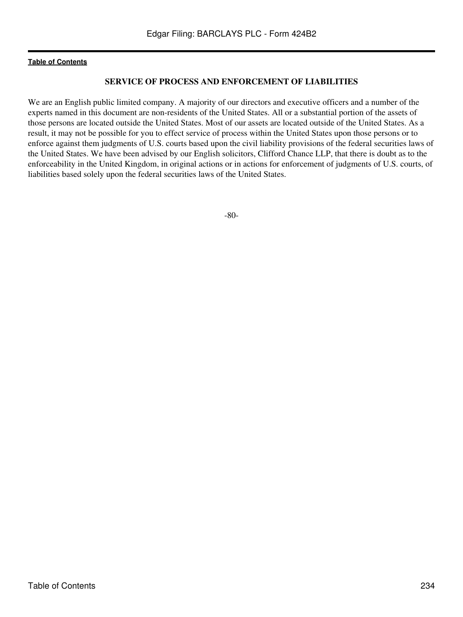#### **SERVICE OF PROCESS AND ENFORCEMENT OF LIABILITIES**

We are an English public limited company. A majority of our directors and executive officers and a number of the experts named in this document are non-residents of the United States. All or a substantial portion of the assets of those persons are located outside the United States. Most of our assets are located outside of the United States. As a result, it may not be possible for you to effect service of process within the United States upon those persons or to enforce against them judgments of U.S. courts based upon the civil liability provisions of the federal securities laws of the United States. We have been advised by our English solicitors, Clifford Chance LLP, that there is doubt as to the enforceability in the United Kingdom, in original actions or in actions for enforcement of judgments of U.S. courts, of liabilities based solely upon the federal securities laws of the United States.

-80-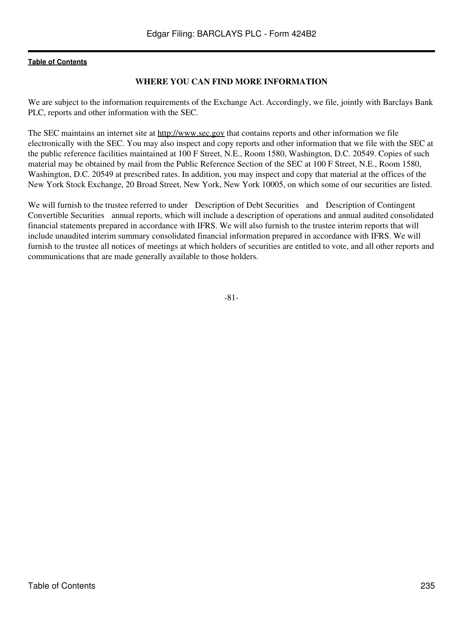## **WHERE YOU CAN FIND MORE INFORMATION**

We are subject to the information requirements of the Exchange Act. Accordingly, we file, jointly with Barclays Bank PLC, reports and other information with the SEC.

The SEC maintains an internet site at http://www.sec.gov that contains reports and other information we file electronically with the SEC. You may also inspect and copy reports and other information that we file with the SEC at the public reference facilities maintained at 100 F Street, N.E., Room 1580, Washington, D.C. 20549. Copies of such material may be obtained by mail from the Public Reference Section of the SEC at 100 F Street, N.E., Room 1580, Washington, D.C. 20549 at prescribed rates. In addition, you may inspect and copy that material at the offices of the New York Stock Exchange, 20 Broad Street, New York, New York 10005, on which some of our securities are listed.

We will furnish to the trustee referred to under Description of Debt Securities and Description of Contingent Convertible Securities annual reports, which will include a description of operations and annual audited consolidated financial statements prepared in accordance with IFRS. We will also furnish to the trustee interim reports that will include unaudited interim summary consolidated financial information prepared in accordance with IFRS. We will furnish to the trustee all notices of meetings at which holders of securities are entitled to vote, and all other reports and communications that are made generally available to those holders.

-81-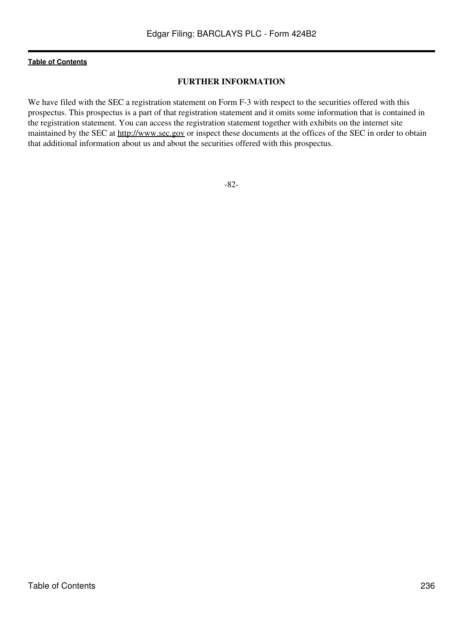## **FURTHER INFORMATION**

We have filed with the SEC a registration statement on Form F-3 with respect to the securities offered with this prospectus. This prospectus is a part of that registration statement and it omits some information that is contained in the registration statement. You can access the registration statement together with exhibits on the internet site maintained by the SEC at http://www.sec.gov or inspect these documents at the offices of the SEC in order to obtain that additional information about us and about the securities offered with this prospectus.

-82-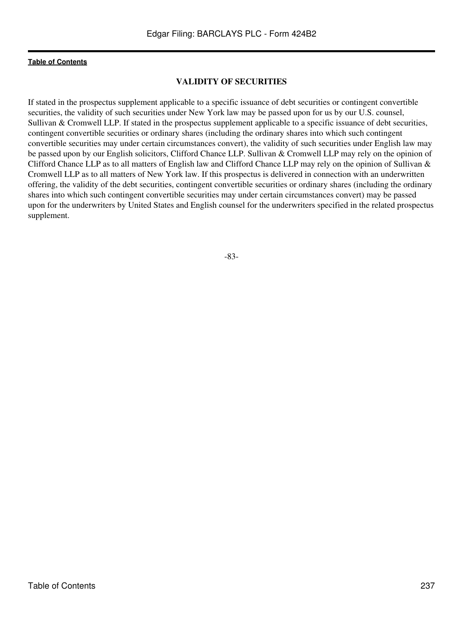## **VALIDITY OF SECURITIES**

If stated in the prospectus supplement applicable to a specific issuance of debt securities or contingent convertible securities, the validity of such securities under New York law may be passed upon for us by our U.S. counsel, Sullivan & Cromwell LLP. If stated in the prospectus supplement applicable to a specific issuance of debt securities, contingent convertible securities or ordinary shares (including the ordinary shares into which such contingent convertible securities may under certain circumstances convert), the validity of such securities under English law may be passed upon by our English solicitors, Clifford Chance LLP. Sullivan & Cromwell LLP may rely on the opinion of Clifford Chance LLP as to all matters of English law and Clifford Chance LLP may rely on the opinion of Sullivan & Cromwell LLP as to all matters of New York law. If this prospectus is delivered in connection with an underwritten offering, the validity of the debt securities, contingent convertible securities or ordinary shares (including the ordinary shares into which such contingent convertible securities may under certain circumstances convert) may be passed upon for the underwriters by United States and English counsel for the underwriters specified in the related prospectus supplement.

-83-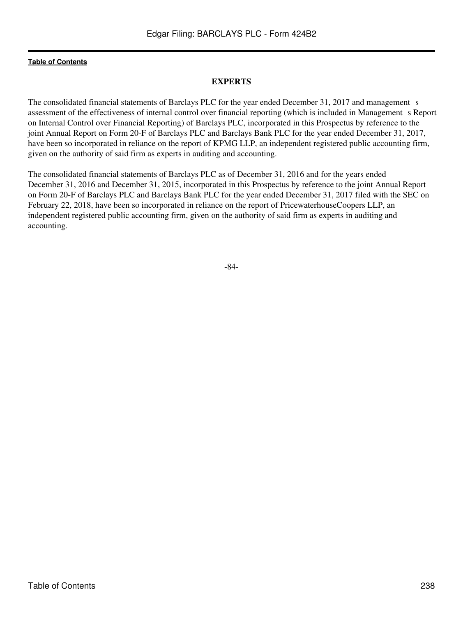# **EXPERTS**

The consolidated financial statements of Barclays PLC for the year ended December 31, 2017 and management s assessment of the effectiveness of internal control over financial reporting (which is included in Management s Report on Internal Control over Financial Reporting) of Barclays PLC, incorporated in this Prospectus by reference to the joint Annual Report on Form 20-F of Barclays PLC and Barclays Bank PLC for the year ended December 31, 2017, have been so incorporated in reliance on the report of KPMG LLP, an independent registered public accounting firm, given on the authority of said firm as experts in auditing and accounting.

The consolidated financial statements of Barclays PLC as of December 31, 2016 and for the years ended December 31, 2016 and December 31, 2015, incorporated in this Prospectus by reference to the joint Annual Report on Form 20-F of Barclays PLC and Barclays Bank PLC for the year ended December 31, 2017 filed with the SEC on February 22, 2018, have been so incorporated in reliance on the report of PricewaterhouseCoopers LLP, an independent registered public accounting firm, given on the authority of said firm as experts in auditing and accounting.

-84-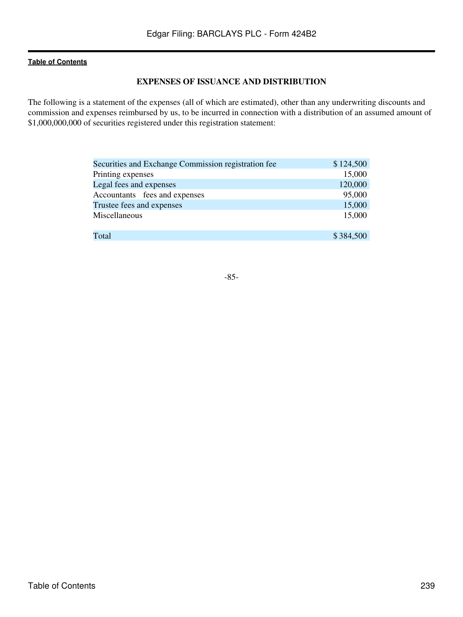# **EXPENSES OF ISSUANCE AND DISTRIBUTION**

The following is a statement of the expenses (all of which are estimated), other than any underwriting discounts and commission and expenses reimbursed by us, to be incurred in connection with a distribution of an assumed amount of \$1,000,000,000 of securities registered under this registration statement:

| Securities and Exchange Commission registration fee | \$124,500 |
|-----------------------------------------------------|-----------|
| Printing expenses                                   | 15,000    |
| Legal fees and expenses                             | 120,000   |
| Accountants fees and expenses                       | 95,000    |
| Trustee fees and expenses                           | 15,000    |
| Miscellaneous                                       | 15,000    |
|                                                     |           |
| Total                                               | \$384,500 |

-85-